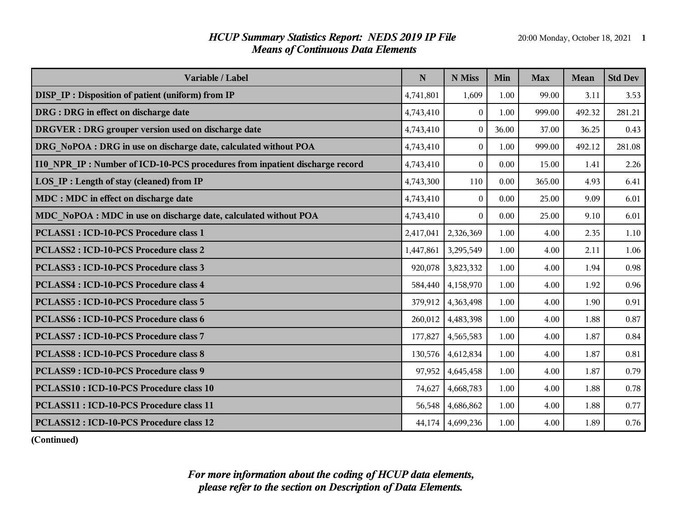## *HCUP Summary Statistics Report: NEDS 2019 IP File* 20:00 Monday, October 18, 2021 1 *Means of Continuous Data Elements*

| Variable / Label                                                            | N         | N Miss           | Min   | <b>Max</b> | <b>Mean</b> | <b>Std Dev</b> |
|-----------------------------------------------------------------------------|-----------|------------------|-------|------------|-------------|----------------|
| DISP_IP: Disposition of patient (uniform) from IP                           | 4,741,801 | 1,609            | 1.00  | 99.00      | 3.11        | 3.53           |
| DRG : DRG in effect on discharge date                                       | 4,743,410 | $\overline{0}$   | 1.00  | 999.00     | 492.32      | 281.21         |
| <b>DRGVER</b> : DRG grouper version used on discharge date                  | 4,743,410 | $\Omega$         | 36.00 | 37.00      | 36.25       | 0.43           |
| DRG NoPOA : DRG in use on discharge date, calculated without POA            | 4,743,410 | $\theta$         | 1.00  | 999.00     | 492.12      | 281.08         |
| I10 NPR IP: Number of ICD-10-PCS procedures from inpatient discharge record | 4,743,410 | $\bf{0}$         | 0.00  | 15.00      | 1.41        | 2.26           |
| LOS IP : Length of stay (cleaned) from IP                                   | 4,743,300 | 110              | 0.00  | 365.00     | 4.93        | 6.41           |
| MDC : MDC in effect on discharge date                                       | 4,743,410 | $\Omega$         | 0.00  | 25.00      | 9.09        | 6.01           |
| MDC NoPOA : MDC in use on discharge date, calculated without POA            | 4,743,410 | $\theta$         | 0.00  | 25.00      | 9.10        | 6.01           |
| <b>PCLASS1: ICD-10-PCS Procedure class 1</b>                                | 2,417,041 | 2,326,369        | 1.00  | 4.00       | 2.35        | 1.10           |
| <b>PCLASS2: ICD-10-PCS Procedure class 2</b>                                | 1,447,861 | 3,295,549        | 1.00  | 4.00       | 2.11        | 1.06           |
| <b>PCLASS3: ICD-10-PCS Procedure class 3</b>                                | 920,078   | 3,823,332        | 1.00  | 4.00       | 1.94        | 0.98           |
| <b>PCLASS4: ICD-10-PCS Procedure class 4</b>                                | 584,440   | 4,158,970        | 1.00  | 4.00       | 1.92        | 0.96           |
| <b>PCLASS5: ICD-10-PCS Procedure class 5</b>                                | 379,912   | 4,363,498        | 1.00  | 4.00       | 1.90        | 0.91           |
| <b>PCLASS6: ICD-10-PCS Procedure class 6</b>                                | 260,012   | 4,483,398        | 1.00  | 4.00       | 1.88        | 0.87           |
| <b>PCLASS7: ICD-10-PCS Procedure class 7</b>                                | 177,827   | 4,565,583        | 1.00  | 4.00       | 1.87        | 0.84           |
| <b>PCLASS8: ICD-10-PCS Procedure class 8</b>                                | 130,576   | 4,612,834        | 1.00  | 4.00       | 1.87        | 0.81           |
| <b>PCLASS9: ICD-10-PCS Procedure class 9</b>                                | 97,952    | 4,645,458        | 1.00  | 4.00       | 1.87        | 0.79           |
| <b>PCLASS10: ICD-10-PCS Procedure class 10</b>                              | 74,627    | 4,668,783        | 1.00  | 4.00       | 1.88        | 0.78           |
| <b>PCLASS11: ICD-10-PCS Procedure class 11</b>                              | 56,548    | 4,686,862        | 1.00  | 4.00       | 1.88        | 0.77           |
| PCLASS12 : ICD-10-PCS Procedure class 12                                    |           | 44,174 4,699,236 | 1.00  | 4.00       | 1.89        | 0.76           |

**(Continued)**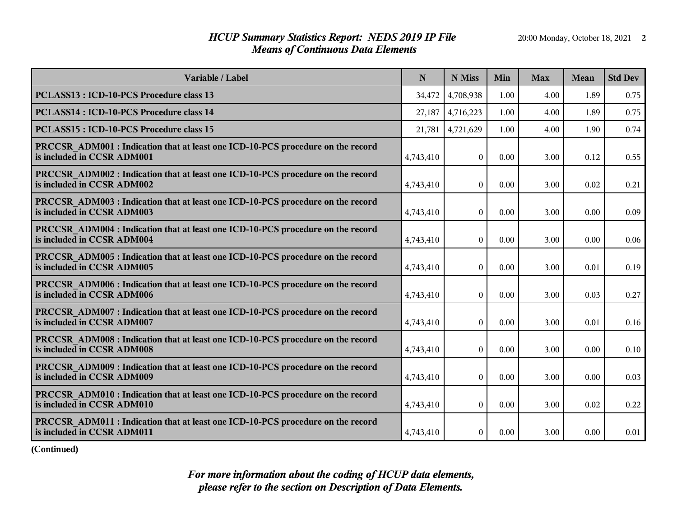## *HCUP Summary Statistics Report: NEDS 2019 IP File* 20:00 Monday, October 18, 2021 2 *Means of Continuous Data Elements*

| Variable / Label                                                                                              | N         | N Miss         | Min  | <b>Max</b> | <b>Mean</b> | <b>Std Dev</b> |
|---------------------------------------------------------------------------------------------------------------|-----------|----------------|------|------------|-------------|----------------|
| <b>PCLASS13: ICD-10-PCS Procedure class 13</b>                                                                | 34,472    | 4,708,938      | 1.00 | 4.00       | 1.89        | 0.75           |
| <b>PCLASS14: ICD-10-PCS Procedure class 14</b>                                                                | 27,187    | 4,716,223      | 1.00 | 4.00       | 1.89        | 0.75           |
| <b>PCLASS15: ICD-10-PCS Procedure class 15</b>                                                                | 21,781    | 4,721,629      | 1.00 | 4.00       | 1.90        | 0.74           |
| PRCCSR ADM001 : Indication that at least one ICD-10-PCS procedure on the record<br>is included in CCSR ADM001 | 4,743,410 | $\overline{0}$ | 0.00 | 3.00       | 0.12        | 0.55           |
| PRCCSR ADM002 : Indication that at least one ICD-10-PCS procedure on the record<br>is included in CCSR ADM002 | 4,743,410 | $\overline{0}$ | 0.00 | 3.00       | 0.02        | 0.21           |
| PRCCSR ADM003 : Indication that at least one ICD-10-PCS procedure on the record<br>is included in CCSR ADM003 | 4,743,410 | $\theta$       | 0.00 | 3.00       | 0.00        | 0.09           |
| PRCCSR ADM004 : Indication that at least one ICD-10-PCS procedure on the record<br>is included in CCSR ADM004 | 4,743,410 | $\overline{0}$ | 0.00 | 3.00       | 0.00        | 0.06           |
| PRCCSR ADM005 : Indication that at least one ICD-10-PCS procedure on the record<br>is included in CCSR ADM005 | 4,743,410 | $\overline{0}$ | 0.00 | 3.00       | 0.01        | 0.19           |
| PRCCSR ADM006 : Indication that at least one ICD-10-PCS procedure on the record<br>is included in CCSR ADM006 | 4,743,410 | $\overline{0}$ | 0.00 | 3.00       | 0.03        | 0.27           |
| PRCCSR ADM007 : Indication that at least one ICD-10-PCS procedure on the record<br>is included in CCSR ADM007 | 4,743,410 | $\theta$       | 0.00 | 3.00       | 0.01        | 0.16           |
| PRCCSR ADM008 : Indication that at least one ICD-10-PCS procedure on the record<br>is included in CCSR ADM008 | 4,743,410 | $\overline{0}$ | 0.00 | 3.00       | 0.00        | 0.10           |
| PRCCSR ADM009 : Indication that at least one ICD-10-PCS procedure on the record<br>is included in CCSR ADM009 | 4,743,410 | $\overline{0}$ | 0.00 | 3.00       | 0.00        | 0.03           |
| PRCCSR ADM010 : Indication that at least one ICD-10-PCS procedure on the record<br>is included in CCSR ADM010 | 4,743,410 | $\overline{0}$ | 0.00 | 3.00       | 0.02        | 0.22           |
| PRCCSR ADM011 : Indication that at least one ICD-10-PCS procedure on the record<br>is included in CCSR ADM011 | 4,743,410 | $\overline{0}$ | 0.00 | 3.00       | 0.00        | 0.01           |

**(Continued)**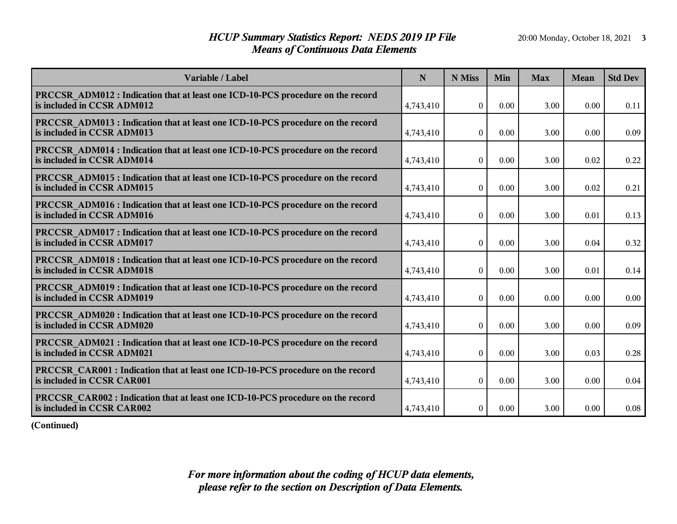## *HCUP Summary Statistics Report: NEDS 2019 IP File* 20:00 Monday, October 18, 2021 3 *Means of Continuous Data Elements*

| Variable / Label                                                                                                     | N         | N Miss           | Min  | <b>Max</b> | <b>Mean</b> | <b>Std Dev</b> |
|----------------------------------------------------------------------------------------------------------------------|-----------|------------------|------|------------|-------------|----------------|
| <b>PRCCSR ADM012 : Indication that at least one ICD-10-PCS procedure on the record</b><br>is included in CCSR ADM012 | 4,743,410 | $\theta$         | 0.00 | 3.00       | 0.00        | 0.11           |
| PRCCSR ADM013 : Indication that at least one ICD-10-PCS procedure on the record<br>is included in CCSR ADM013        | 4,743,410 | $\boldsymbol{0}$ | 0.00 | 3.00       | 0.00        | 0.09           |
| <b>PRCCSR ADM014 : Indication that at least one ICD-10-PCS procedure on the record</b><br>is included in CCSR ADM014 | 4,743,410 | $\overline{0}$   | 0.00 | 3.00       | 0.02        | 0.22           |
| <b>PRCCSR ADM015: Indication that at least one ICD-10-PCS procedure on the record</b><br>is included in CCSR ADM015  | 4,743,410 | $\Omega$         | 0.00 | 3.00       | 0.02        | 0.21           |
| <b>PRCCSR ADM016 : Indication that at least one ICD-10-PCS procedure on the record</b><br>is included in CCSR ADM016 | 4,743,410 | $\boldsymbol{0}$ | 0.00 | 3.00       | 0.01        | 0.13           |
| <b>PRCCSR ADM017: Indication that at least one ICD-10-PCS procedure on the record</b><br>is included in CCSR ADM017  | 4,743,410 | $\mathbf{0}$     | 0.00 | 3.00       | 0.04        | 0.32           |
| <b>PRCCSR ADM018 : Indication that at least one ICD-10-PCS procedure on the record</b><br>is included in CCSR ADM018 | 4,743,410 | $\mathbf{0}$     | 0.00 | 3.00       | 0.01        | 0.14           |
| <b>PRCCSR ADM019: Indication that at least one ICD-10-PCS procedure on the record</b><br>is included in CCSR ADM019  | 4,743,410 | $\boldsymbol{0}$ | 0.00 | 0.00       | 0.00        | 0.00           |
| <b>PRCCSR ADM020: Indication that at least one ICD-10-PCS procedure on the record</b><br>is included in CCSR ADM020  | 4,743,410 | $\Omega$         | 0.00 | 3.00       | 0.00        | 0.09           |
| <b>PRCCSR ADM021: Indication that at least one ICD-10-PCS procedure on the record</b><br>is included in CCSR ADM021  | 4,743,410 | $\overline{0}$   | 0.00 | 3.00       | 0.03        | 0.28           |
| <b>PRCCSR CAR001 : Indication that at least one ICD-10-PCS procedure on the record</b><br>is included in CCSR CAR001 | 4,743,410 | $\boldsymbol{0}$ | 0.00 | 3.00       | 0.00        | 0.04           |
| PRCCSR CAR002 : Indication that at least one ICD-10-PCS procedure on the record<br>is included in CCSR CAR002        | 4,743,410 | $\boldsymbol{0}$ | 0.00 | 3.00       | 0.00        | 0.08           |

**(Continued)**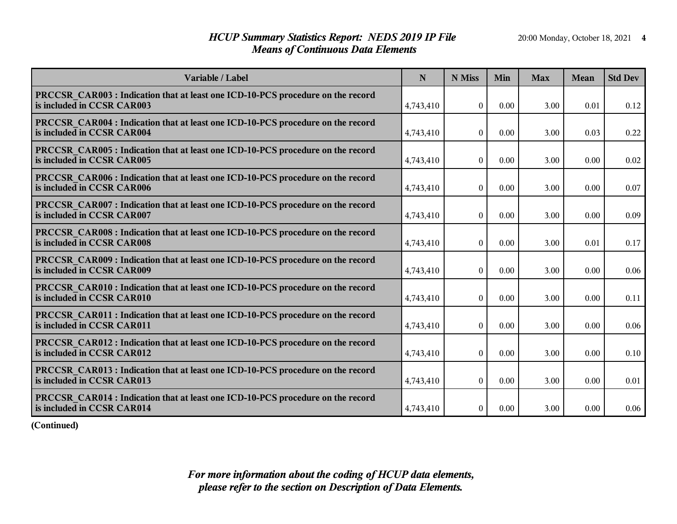## *HCUP Summary Statistics Report: NEDS 2019 IP File* 20:00 Monday, October 18, 2021 4 *Means of Continuous Data Elements*

| Variable / Label                                                                                                     | N         | N Miss           | Min  | <b>Max</b> | <b>Mean</b> | <b>Std Dev</b> |
|----------------------------------------------------------------------------------------------------------------------|-----------|------------------|------|------------|-------------|----------------|
| <b>PRCCSR CAR003 : Indication that at least one ICD-10-PCS procedure on the record</b><br>is included in CCSR CAR003 | 4,743,410 | $\theta$         | 0.00 | 3.00       | 0.01        | 0.12           |
| <b>PRCCSR CAR004 : Indication that at least one ICD-10-PCS procedure on the record</b><br>is included in CCSR CAR004 | 4,743,410 | $\overline{0}$   | 0.00 | 3.00       | 0.03        | 0.22           |
| PRCCSR_CAR005 : Indication that at least one ICD-10-PCS procedure on the record<br>is included in CCSR CAR005        | 4,743,410 | $\overline{0}$   | 0.00 | 3.00       | 0.00        | 0.02           |
| PRCCSR CAR006 : Indication that at least one ICD-10-PCS procedure on the record<br>is included in CCSR CAR006        | 4,743,410 | $\overline{0}$   | 0.00 | 3.00       | 0.00        | 0.07           |
| <b>PRCCSR CAR007: Indication that at least one ICD-10-PCS procedure on the record</b><br>is included in CCSR CAR007  | 4,743,410 | $\boldsymbol{0}$ | 0.00 | 3.00       | 0.00        | 0.09           |
| <b>PRCCSR CAR008 : Indication that at least one ICD-10-PCS procedure on the record</b><br>is included in CCSR CAR008 | 4,743,410 | $\theta$         | 0.00 | 3.00       | 0.01        | 0.17           |
| <b>PRCCSR CAR009:</b> Indication that at least one ICD-10-PCS procedure on the record<br>is included in CCSR CAR009  | 4,743,410 | $\boldsymbol{0}$ | 0.00 | 3.00       | 0.00        | 0.06           |
| <b>PRCCSR CAR010: Indication that at least one ICD-10-PCS procedure on the record</b><br>is included in CCSR CAR010  | 4,743,410 | $\boldsymbol{0}$ | 0.00 | 3.00       | 0.00        | 0.11           |
| <b>PRCCSR CAR011 : Indication that at least one ICD-10-PCS procedure on the record</b><br>is included in CCSR CAR011 | 4,743,410 | $\theta$         | 0.00 | 3.00       | 0.00        | 0.06           |
| <b>PRCCSR CAR012 : Indication that at least one ICD-10-PCS procedure on the record</b><br>is included in CCSR CAR012 | 4,743,410 | $\overline{0}$   | 0.00 | 3.00       | 0.00        | 0.10           |
| <b>PRCCSR CAR013 : Indication that at least one ICD-10-PCS procedure on the record</b><br>is included in CCSR CAR013 | 4,743,410 | $\overline{0}$   | 0.00 | 3.00       | 0.00        | 0.01           |
| <b>PRCCSR CAR014 : Indication that at least one ICD-10-PCS procedure on the record</b><br>is included in CCSR CAR014 | 4,743,410 | $\boldsymbol{0}$ | 0.00 | 3.00       | 0.00        | 0.06           |

**(Continued)**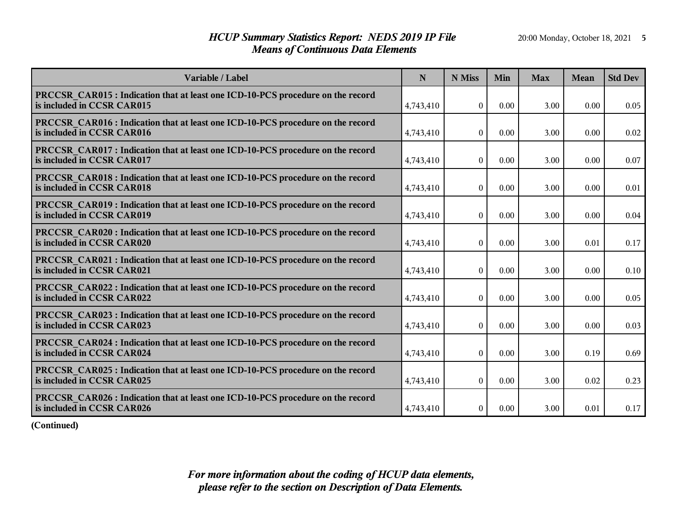## *HCUP Summary Statistics Report: NEDS 2019 IP File* 20:00 Monday, October 18, 2021 5 *Means of Continuous Data Elements*

| Variable / Label                                                                                                     | N         | N Miss         | Min  | <b>Max</b> | Mean | <b>Std Dev</b> |
|----------------------------------------------------------------------------------------------------------------------|-----------|----------------|------|------------|------|----------------|
| PRCCSR_CAR015 : Indication that at least one ICD-10-PCS procedure on the record<br>is included in CCSR CAR015        | 4,743,410 | $\theta$       | 0.00 | 3.00       | 0.00 | 0.05           |
| <b>PRCCSR CAR016 : Indication that at least one ICD-10-PCS procedure on the record</b><br>is included in CCSR CAR016 | 4,743,410 | $\Omega$       | 0.00 | 3.00       | 0.00 | 0.02           |
| <b>PRCCSR CAR017: Indication that at least one ICD-10-PCS procedure on the record</b><br>is included in CCSR CAR017  | 4,743,410 | $\overline{0}$ | 0.00 | 3.00       | 0.00 | 0.07           |
| <b>PRCCSR CAR018: Indication that at least one ICD-10-PCS procedure on the record</b><br>is included in CCSR CAR018  | 4,743,410 | $\overline{0}$ | 0.00 | 3.00       | 0.00 | 0.01           |
| <b>PRCCSR CAR019: Indication that at least one ICD-10-PCS procedure on the record</b><br>is included in CCSR CAR019  | 4,743,410 | $\overline{0}$ | 0.00 | 3.00       | 0.00 | 0.04           |
| <b>PRCCSR CAR020:</b> Indication that at least one ICD-10-PCS procedure on the record<br>is included in CCSR CAR020  | 4,743,410 | $\overline{0}$ | 0.00 | 3.00       | 0.01 | 0.17           |
| <b>PRCCSR CAR021 : Indication that at least one ICD-10-PCS procedure on the record</b><br>is included in CCSR CAR021 | 4,743,410 | $\mathbf{0}$   | 0.00 | 3.00       | 0.00 | 0.10           |
| <b>PRCCSR CAR022 : Indication that at least one ICD-10-PCS procedure on the record</b><br>is included in CCSR CAR022 | 4,743,410 | $\theta$       | 0.00 | 3.00       | 0.00 | 0.05           |
| PRCCSR CAR023 : Indication that at least one ICD-10-PCS procedure on the record<br>is included in CCSR CAR023        | 4,743,410 | $\theta$       | 0.00 | 3.00       | 0.00 | 0.03           |
| <b>PRCCSR CAR024 : Indication that at least one ICD-10-PCS procedure on the record</b><br>is included in CCSR CAR024 | 4,743,410 | $\theta$       | 0.00 | 3.00       | 0.19 | 0.69           |
| <b>PRCCSR CAR025: Indication that at least one ICD-10-PCS procedure on the record</b><br>is included in CCSR CAR025  | 4,743,410 | $\mathbf{0}$   | 0.00 | 3.00       | 0.02 | 0.23           |
| PRCCSR CAR026 : Indication that at least one ICD-10-PCS procedure on the record<br>is included in CCSR CAR026        | 4,743,410 | $\overline{0}$ | 0.00 | 3.00       | 0.01 | 0.17           |

**(Continued)**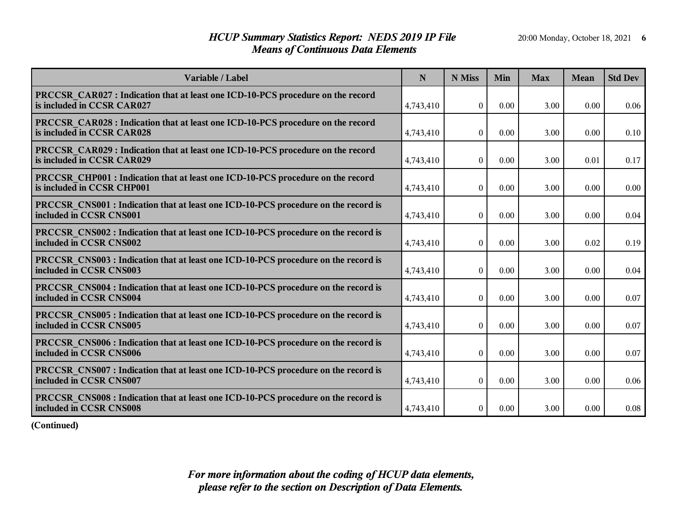## *HCUP Summary Statistics Report: NEDS 2019 IP File* 20:00 Monday, October 18, 2021 6 *Means of Continuous Data Elements*

| Variable / Label                                                                                                     | N         | N Miss           | Min  | <b>Max</b> | Mean | <b>Std Dev</b> |
|----------------------------------------------------------------------------------------------------------------------|-----------|------------------|------|------------|------|----------------|
| PRCCSR CAR027 : Indication that at least one ICD-10-PCS procedure on the record<br>is included in CCSR CAR027        | 4,743,410 | $\theta$         | 0.00 | 3.00       | 0.00 | 0.06           |
| PRCCSR CAR028 : Indication that at least one ICD-10-PCS procedure on the record<br>is included in CCSR CAR028        | 4,743,410 | $\Omega$         | 0.00 | 3.00       | 0.00 | 0.10           |
| PRCCSR CAR029 : Indication that at least one ICD-10-PCS procedure on the record<br>is included in CCSR CAR029        | 4,743,410 | $\boldsymbol{0}$ | 0.00 | 3.00       | 0.01 | 0.17           |
| PRCCSR CHP001 : Indication that at least one ICD-10-PCS procedure on the record<br>is included in CCSR CHP001        | 4,743,410 | $\boldsymbol{0}$ | 0.00 | 3.00       | 0.00 | 0.00           |
| <b>PRCCSR CNS001</b> : Indication that at least one ICD-10-PCS procedure on the record is<br>included in CCSR CNS001 | 4,743,410 | $\boldsymbol{0}$ | 0.00 | 3.00       | 0.00 | 0.04           |
| <b>PRCCSR CNS002 : Indication that at least one ICD-10-PCS procedure on the record is</b><br>included in CCSR CNS002 | 4,743,410 | $\mathbf{0}$     | 0.00 | 3.00       | 0.02 | 0.19           |
| PRCCSR_CNS003 : Indication that at least one ICD-10-PCS procedure on the record is<br>included in CCSR CNS003        | 4,743,410 | $\theta$         | 0.00 | 3.00       | 0.00 | 0.04           |
| PRCCSR CNS004 : Indication that at least one ICD-10-PCS procedure on the record is<br>included in CCSR CNS004        | 4,743,410 | $\boldsymbol{0}$ | 0.00 | 3.00       | 0.00 | 0.07           |
| PRCCSR CNS005 : Indication that at least one ICD-10-PCS procedure on the record is<br>included in CCSR CNS005        | 4,743,410 | $\theta$         | 0.00 | 3.00       | 0.00 | 0.07           |
| PRCCSR CNS006 : Indication that at least one ICD-10-PCS procedure on the record is<br>included in CCSR CNS006        | 4,743,410 | $\boldsymbol{0}$ | 0.00 | 3.00       | 0.00 | 0.07           |
| PRCCSR CNS007 : Indication that at least one ICD-10-PCS procedure on the record is<br>included in CCSR CNS007        | 4,743,410 | $\boldsymbol{0}$ | 0.00 | 3.00       | 0.00 | 0.06           |
| PRCCSR CNS008 : Indication that at least one ICD-10-PCS procedure on the record is<br>included in CCSR CNS008        | 4,743,410 | $\boldsymbol{0}$ | 0.00 | 3.00       | 0.00 | 0.08           |

**(Continued)**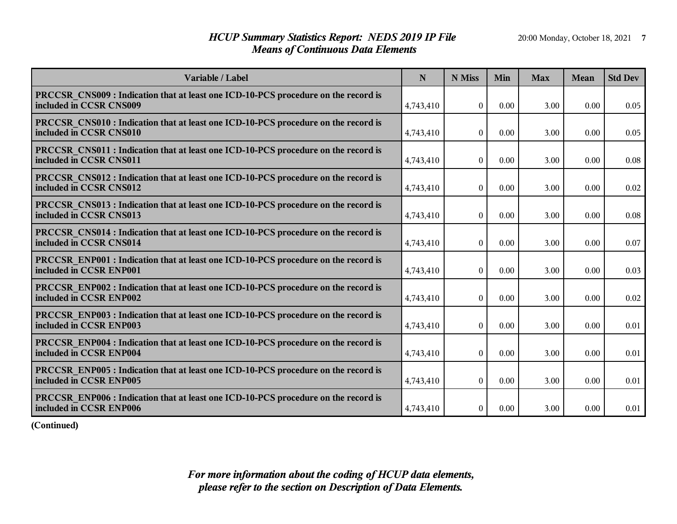## *HCUP Summary Statistics Report: NEDS 2019 IP File* 20:00 Monday, October 18, 2021 **7** *Means of Continuous Data Elements*

| Variable / Label                                                                                                     | N         | N Miss           | Min  | <b>Max</b> | <b>Mean</b> | <b>Std Dev</b> |
|----------------------------------------------------------------------------------------------------------------------|-----------|------------------|------|------------|-------------|----------------|
| <b>PRCCSR CNS009 : Indication that at least one ICD-10-PCS procedure on the record is</b><br>included in CCSR CNS009 | 4,743,410 | $\Omega$         | 0.00 | 3.00       | 0.00        | 0.05           |
| PRCCSR CNS010 : Indication that at least one ICD-10-PCS procedure on the record is<br>included in CCSR CNS010        | 4,743,410 | $\overline{0}$   | 0.00 | 3.00       | 0.00        | 0.05           |
| <b>PRCCSR CNS011 : Indication that at least one ICD-10-PCS procedure on the record is</b><br>included in CCSR CNS011 | 4,743,410 | $\overline{0}$   | 0.00 | 3.00       | 0.00        | 0.08           |
| <b>PRCCSR CNS012 : Indication that at least one ICD-10-PCS procedure on the record is</b><br>included in CCSR CNS012 | 4,743,410 | $\overline{0}$   | 0.00 | 3.00       | 0.00        | 0.02           |
| <b>PRCCSR CNS013 : Indication that at least one ICD-10-PCS procedure on the record is</b><br>included in CCSR CNS013 | 4,743,410 | $\boldsymbol{0}$ | 0.00 | 3.00       | 0.00        | 0.08           |
| <b>PRCCSR CNS014</b> : Indication that at least one ICD-10-PCS procedure on the record is<br>included in CCSR CNS014 | 4,743,410 | $\theta$         | 0.00 | 3.00       | 0.00        | 0.07           |
| <b>PRCCSR ENP001</b> : Indication that at least one ICD-10-PCS procedure on the record is<br>included in CCSR ENP001 | 4,743,410 | $\boldsymbol{0}$ | 0.00 | 3.00       | 0.00        | 0.03           |
| <b>PRCCSR ENP002 : Indication that at least one ICD-10-PCS procedure on the record is</b><br>included in CCSR ENP002 | 4,743,410 | $\mathbf{0}$     | 0.00 | 3.00       | 0.00        | 0.02           |
| <b>PRCCSR ENP003 : Indication that at least one ICD-10-PCS procedure on the record is</b><br>included in CCSR ENP003 | 4,743,410 | $\theta$         | 0.00 | 3.00       | 0.00        | 0.01           |
| PRCCSR_ENP004 : Indication that at least one ICD-10-PCS procedure on the record is<br>included in CCSR ENP004        | 4,743,410 | $\overline{0}$   | 0.00 | 3.00       | 0.00        | 0.01           |
| <b>PRCCSR ENP005 : Indication that at least one ICD-10-PCS procedure on the record is</b><br>included in CCSR ENP005 | 4,743,410 | $\overline{0}$   | 0.00 | 3.00       | 0.00        | 0.01           |
| <b>PRCCSR ENP006 : Indication that at least one ICD-10-PCS procedure on the record is</b><br>included in CCSR ENP006 | 4,743,410 | $\boldsymbol{0}$ | 0.00 | 3.00       | 0.00        | 0.01           |

**(Continued)**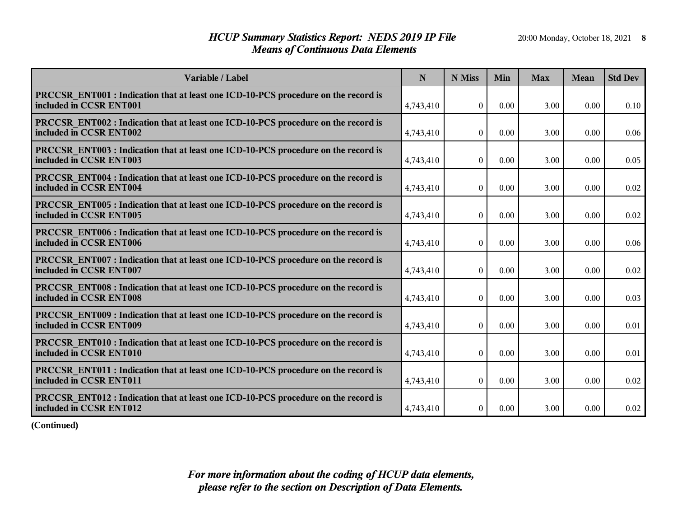## *HCUP Summary Statistics Report: NEDS 2019 IP File* 20:00 Monday, October 18, 2021 8 *Means of Continuous Data Elements*

| Variable / Label                                                                                                     | N         | N Miss           | Min  | <b>Max</b> | Mean | <b>Std Dev</b> |
|----------------------------------------------------------------------------------------------------------------------|-----------|------------------|------|------------|------|----------------|
| <b>PRCCSR ENT001 : Indication that at least one ICD-10-PCS procedure on the record is</b><br>included in CCSR ENT001 | 4,743,410 | $\theta$         | 0.00 | 3.00       | 0.00 | 0.10           |
| <b>PRCCSR ENT002 : Indication that at least one ICD-10-PCS procedure on the record is</b><br>included in CCSR ENT002 | 4,743,410 | $\Omega$         | 0.00 | 3.00       | 0.00 | 0.06           |
| PRCCSR ENT003 : Indication that at least one ICD-10-PCS procedure on the record is<br>included in CCSR ENT003        | 4,743,410 | $\overline{0}$   | 0.00 | 3.00       | 0.00 | 0.05           |
| <b>PRCCSR ENT004 : Indication that at least one ICD-10-PCS procedure on the record is</b><br>included in CCSR ENT004 | 4,743,410 | $\boldsymbol{0}$ | 0.00 | 3.00       | 0.00 | 0.02           |
| PRCCSR ENT005 : Indication that at least one ICD-10-PCS procedure on the record is<br>included in CCSR ENT005        | 4,743,410 | $\boldsymbol{0}$ | 0.00 | 3.00       | 0.00 | 0.02           |
| <b>PRCCSR ENT006 : Indication that at least one ICD-10-PCS procedure on the record is</b><br>included in CCSR ENT006 | 4,743,410 | $\boldsymbol{0}$ | 0.00 | 3.00       | 0.00 | 0.06           |
| PRCCSR_ENT007 : Indication that at least one ICD-10-PCS procedure on the record is<br>included in CCSR ENT007        | 4,743,410 | $\theta$         | 0.00 | 3.00       | 0.00 | 0.02           |
| PRCCSR ENT008 : Indication that at least one ICD-10-PCS procedure on the record is<br>included in CCSR ENT008        | 4,743,410 | $\mathbf{0}$     | 0.00 | 3.00       | 0.00 | 0.03           |
| PRCCSR_ENT009 : Indication that at least one ICD-10-PCS procedure on the record is<br>included in CCSR ENT009        | 4,743,410 | $\theta$         | 0.00 | 3.00       | 0.00 | 0.01           |
| <b>PRCCSR ENT010 : Indication that at least one ICD-10-PCS procedure on the record is</b><br>included in CCSR ENT010 | 4,743,410 | $\overline{0}$   | 0.00 | 3.00       | 0.00 | 0.01           |
| <b>PRCCSR ENT011 : Indication that at least one ICD-10-PCS procedure on the record is</b><br>included in CCSR ENT011 | 4,743,410 | $\mathbf{0}$     | 0.00 | 3.00       | 0.00 | 0.02           |
| PRCCSR ENT012 : Indication that at least one ICD-10-PCS procedure on the record is<br>included in CCSR ENT012        | 4,743,410 | $\boldsymbol{0}$ | 0.00 | 3.00       | 0.00 | 0.02           |

**(Continued)**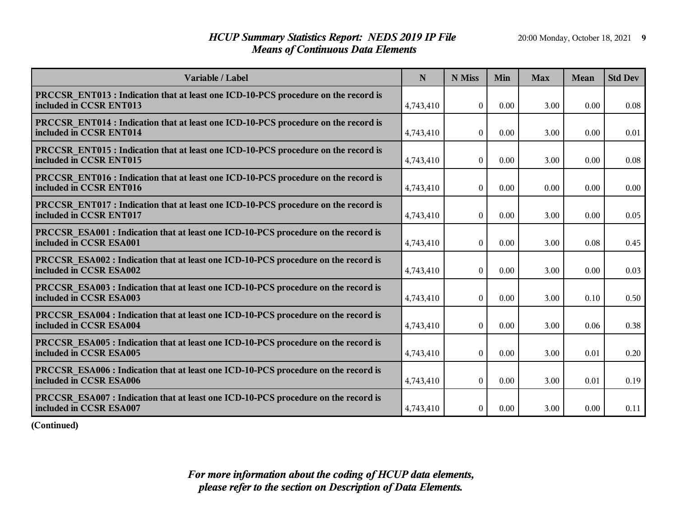## *HCUP Summary Statistics Report: NEDS 2019 IP File* 20:00 Monday, October 18, 2021 9 *Means of Continuous Data Elements*

| Variable / Label                                                                                                     | N         | N Miss           | Min  | <b>Max</b> | Mean | <b>Std Dev</b> |
|----------------------------------------------------------------------------------------------------------------------|-----------|------------------|------|------------|------|----------------|
| <b>PRCCSR ENT013 : Indication that at least one ICD-10-PCS procedure on the record is</b><br>included in CCSR ENT013 | 4,743,410 | $\Omega$         | 0.00 | 3.00       | 0.00 | 0.08           |
| <b>PRCCSR ENT014 : Indication that at least one ICD-10-PCS procedure on the record is</b><br>included in CCSR ENT014 | 4,743,410 | $\Omega$         | 0.00 | 3.00       | 0.00 | 0.01           |
| <b>PRCCSR ENT015: Indication that at least one ICD-10-PCS procedure on the record is</b><br>included in CCSR ENT015  | 4,743,410 | $\overline{0}$   | 0.00 | 3.00       | 0.00 | 0.08           |
| <b>PRCCSR ENT016 : Indication that at least one ICD-10-PCS procedure on the record is</b><br>included in CCSR ENT016 | 4,743,410 | $\overline{0}$   | 0.00 | 0.00       | 0.00 | 0.00           |
| PRCCSR ENT017 : Indication that at least one ICD-10-PCS procedure on the record is<br>included in CCSR ENT017        | 4,743,410 | $\overline{0}$   | 0.00 | 3.00       | 0.00 | 0.05           |
| <b>PRCCSR ESA001 : Indication that at least one ICD-10-PCS procedure on the record is</b><br>included in CCSR ESA001 | 4,743,410 | $\overline{0}$   | 0.00 | 3.00       | 0.08 | 0.45           |
| <b>PRCCSR ESA002 : Indication that at least one ICD-10-PCS procedure on the record is</b><br>included in CCSR ESA002 | 4,743,410 | $\theta$         | 0.00 | 3.00       | 0.00 | 0.03           |
| <b>PRCCSR ESA003 : Indication that at least one ICD-10-PCS procedure on the record is</b><br>included in CCSR ESA003 | 4,743,410 | $\theta$         | 0.00 | 3.00       | 0.10 | 0.50           |
| PRCCSR_ESA004 : Indication that at least one ICD-10-PCS procedure on the record is<br>included in CCSR ESA004        | 4,743,410 | $\theta$         | 0.00 | 3.00       | 0.06 | 0.38           |
| PRCCSR_ESA005 : Indication that at least one ICD-10-PCS procedure on the record is<br>included in CCSR ESA005        | 4,743,410 | $\theta$         | 0.00 | 3.00       | 0.01 | 0.20           |
| <b>PRCCSR ESA006 : Indication that at least one ICD-10-PCS procedure on the record is</b><br>included in CCSR ESA006 | 4,743,410 | $\overline{0}$   | 0.00 | 3.00       | 0.01 | 0.19           |
| <b>PRCCSR ESA007: Indication that at least one ICD-10-PCS procedure on the record is</b><br>included in CCSR ESA007  | 4,743,410 | $\boldsymbol{0}$ | 0.00 | 3.00       | 0.00 | 0.11           |

**(Continued)**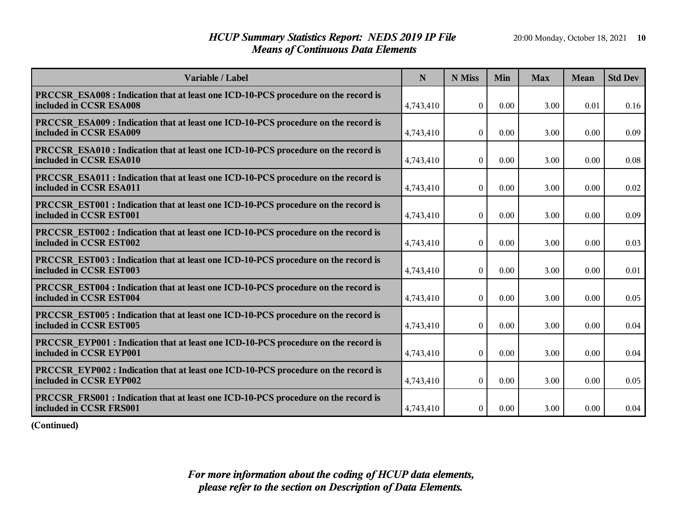## *HCUP Summary Statistics Report: NEDS 2019 IP File* 20:00 Monday, October 18, 2021 10 *Means of Continuous Data Elements*

| Variable / Label                                                                                                     | N         | N Miss           | Min  | <b>Max</b> | Mean | <b>Std Dev</b> |
|----------------------------------------------------------------------------------------------------------------------|-----------|------------------|------|------------|------|----------------|
| <b>PRCCSR ESA008 : Indication that at least one ICD-10-PCS procedure on the record is</b><br>included in CCSR ESA008 | 4,743,410 | $\theta$         | 0.00 | 3.00       | 0.01 | 0.16           |
| PRCCSR ESA009 : Indication that at least one ICD-10-PCS procedure on the record is<br>included in CCSR ESA009        | 4,743,410 | $\Omega$         | 0.00 | 3.00       | 0.00 | 0.09           |
| PRCCSR ESA010 : Indication that at least one ICD-10-PCS procedure on the record is<br>included in CCSR ESA010        | 4,743,410 | $\boldsymbol{0}$ | 0.00 | 3.00       | 0.00 | 0.08           |
| <b>PRCCSR ESA011 : Indication that at least one ICD-10-PCS procedure on the record is</b><br>included in CCSR ESA011 | 4,743,410 | $\boldsymbol{0}$ | 0.00 | 3.00       | 0.00 | 0.02           |
| <b>PRCCSR EST001 : Indication that at least one ICD-10-PCS procedure on the record is</b><br>included in CCSR EST001 | 4,743,410 | $\boldsymbol{0}$ | 0.00 | 3.00       | 0.00 | 0.09           |
| <b>PRCCSR EST002 : Indication that at least one ICD-10-PCS procedure on the record is</b><br>included in CCSR EST002 | 4,743,410 | $\boldsymbol{0}$ | 0.00 | 3.00       | 0.00 | 0.03           |
| PRCCSR_EST003 : Indication that at least one ICD-10-PCS procedure on the record is<br>included in CCSR EST003        | 4,743,410 | $\theta$         | 0.00 | 3.00       | 0.00 | 0.01           |
| <b>PRCCSR EST004 : Indication that at least one ICD-10-PCS procedure on the record is</b><br>included in CCSR EST004 | 4,743,410 | $\boldsymbol{0}$ | 0.00 | 3.00       | 0.00 | 0.05           |
| <b>PRCCSR EST005 : Indication that at least one ICD-10-PCS procedure on the record is</b><br>included in CCSR EST005 | 4,743,410 | $\theta$         | 0.00 | 3.00       | 0.00 | 0.04           |
| <b>PRCCSR EYP001 : Indication that at least one ICD-10-PCS procedure on the record is</b><br>included in CCSR EYP001 | 4,743,410 | $\overline{0}$   | 0.00 | 3.00       | 0.00 | 0.04           |
| <b>PRCCSR EYP002 : Indication that at least one ICD-10-PCS procedure on the record is</b><br>included in CCSR EYP002 | 4,743,410 | $\boldsymbol{0}$ | 0.00 | 3.00       | 0.00 | 0.05           |
| <b>PRCCSR FRS001</b> : Indication that at least one ICD-10-PCS procedure on the record is<br>included in CCSR FRS001 | 4,743,410 | $\boldsymbol{0}$ | 0.00 | 3.00       | 0.00 | 0.04           |

**(Continued)**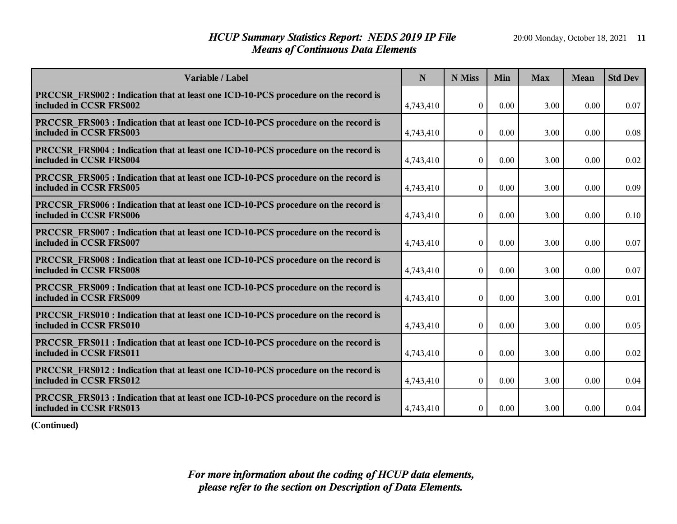## *HCUP Summary Statistics Report: NEDS 2019 IP File* 20:00 Monday, October 18, 2021 11 *Means of Continuous Data Elements*

| Variable / Label                                                                                                     | N         | N Miss           | Min  | <b>Max</b> | <b>Mean</b> | <b>Std Dev</b> |
|----------------------------------------------------------------------------------------------------------------------|-----------|------------------|------|------------|-------------|----------------|
| <b>PRCCSR FRS002 : Indication that at least one ICD-10-PCS procedure on the record is</b><br>included in CCSR FRS002 | 4,743,410 | $\theta$         | 0.00 | 3.00       | 0.00        | 0.07           |
| PRCCSR FRS003 : Indication that at least one ICD-10-PCS procedure on the record is<br>included in CCSR FRS003        | 4,743,410 | $\boldsymbol{0}$ | 0.00 | 3.00       | 0.00        | 0.08           |
| <b>PRCCSR FRS004 : Indication that at least one ICD-10-PCS procedure on the record is</b><br>included in CCSR FRS004 | 4,743,410 | $\overline{0}$   | 0.00 | 3.00       | 0.00        | 0.02           |
| <b>PRCCSR FRS005 : Indication that at least one ICD-10-PCS procedure on the record is</b><br>included in CCSR FRS005 | 4,743,410 | $\boldsymbol{0}$ | 0.00 | 3.00       | 0.00        | 0.09           |
| <b>PRCCSR FRS006 : Indication that at least one ICD-10-PCS procedure on the record is</b><br>included in CCSR FRS006 | 4,743,410 | $\boldsymbol{0}$ | 0.00 | 3.00       | 0.00        | 0.10           |
| <b>PRCCSR FRS007: Indication that at least one ICD-10-PCS procedure on the record is</b><br>included in CCSR FRS007  | 4,743,410 | $\Omega$         | 0.00 | 3.00       | 0.00        | 0.07           |
| <b>PRCCSR FRS008 : Indication that at least one ICD-10-PCS procedure on the record is</b><br>included in CCSR FRS008 | 4,743,410 | $\boldsymbol{0}$ | 0.00 | 3.00       | 0.00        | 0.07           |
| <b>PRCCSR FRS009 : Indication that at least one ICD-10-PCS procedure on the record is</b><br>included in CCSR FRS009 | 4,743,410 | $\boldsymbol{0}$ | 0.00 | 3.00       | 0.00        | 0.01           |
| <b>PRCCSR FRS010 : Indication that at least one ICD-10-PCS procedure on the record is</b><br>included in CCSR FRS010 | 4,743,410 | $\theta$         | 0.00 | 3.00       | 0.00        | 0.05           |
| <b>PRCCSR FRS011 : Indication that at least one ICD-10-PCS procedure on the record is</b><br>included in CCSR FRS011 | 4,743,410 | $\boldsymbol{0}$ | 0.00 | 3.00       | 0.00        | 0.02           |
| <b>PRCCSR FRS012 : Indication that at least one ICD-10-PCS procedure on the record is</b><br>included in CCSR FRS012 | 4,743,410 | $\boldsymbol{0}$ | 0.00 | 3.00       | 0.00        | 0.04           |
| PRCCSR FRS013 : Indication that at least one ICD-10-PCS procedure on the record is<br>included in CCSR FRS013        | 4,743,410 | $\boldsymbol{0}$ | 0.00 | 3.00       | 0.00        | 0.04           |

**(Continued)**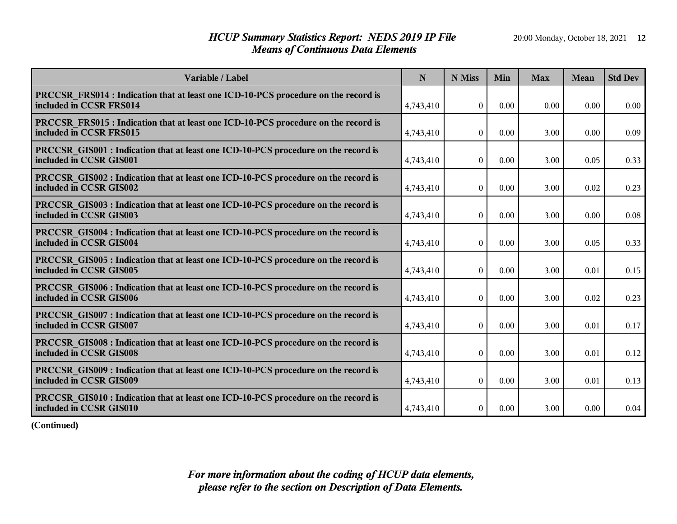## *HCUP Summary Statistics Report: NEDS 2019 IP File* 20:00 Monday, October 18, 2021 12 *Means of Continuous Data Elements*

| Variable / Label                                                                                                     | N         | N Miss           | Min  | <b>Max</b> | <b>Mean</b> | <b>Std Dev</b> |
|----------------------------------------------------------------------------------------------------------------------|-----------|------------------|------|------------|-------------|----------------|
| <b>PRCCSR FRS014 : Indication that at least one ICD-10-PCS procedure on the record is</b><br>included in CCSR FRS014 | 4,743,410 | $\theta$         | 0.00 | 0.00       | 0.00        | 0.00           |
| PRCCSR FRS015 : Indication that at least one ICD-10-PCS procedure on the record is<br>included in CCSR FRS015        | 4,743,410 | $\boldsymbol{0}$ | 0.00 | 3.00       | 0.00        | 0.09           |
| <b>PRCCSR GIS001 : Indication that at least one ICD-10-PCS procedure on the record is</b><br>included in CCSR GIS001 | 4,743,410 | $\overline{0}$   | 0.00 | 3.00       | 0.05        | 0.33           |
| <b>PRCCSR GIS002 : Indication that at least one ICD-10-PCS procedure on the record is</b><br>included in CCSR GIS002 | 4,743,410 | $\boldsymbol{0}$ | 0.00 | 3.00       | 0.02        | 0.23           |
| <b>PRCCSR GIS003 : Indication that at least one ICD-10-PCS procedure on the record is</b><br>included in CCSR GIS003 | 4,743,410 | $\boldsymbol{0}$ | 0.00 | 3.00       | 0.00        | 0.08           |
| <b>PRCCSR</b> GIS004 : Indication that at least one ICD-10-PCS procedure on the record is<br>included in CCSR GIS004 | 4,743,410 | $\boldsymbol{0}$ | 0.00 | 3.00       | 0.05        | 0.33           |
| <b>PRCCSR GIS005 : Indication that at least one ICD-10-PCS procedure on the record is</b><br>included in CCSR GIS005 | 4,743,410 | $\boldsymbol{0}$ | 0.00 | 3.00       | 0.01        | 0.15           |
| <b>PRCCSR GIS006 : Indication that at least one ICD-10-PCS procedure on the record is</b><br>included in CCSR GIS006 | 4,743,410 | $\boldsymbol{0}$ | 0.00 | 3.00       | 0.02        | 0.23           |
| PRCCSR GIS007 : Indication that at least one ICD-10-PCS procedure on the record is<br>included in CCSR GIS007        | 4,743,410 | $\theta$         | 0.00 | 3.00       | 0.01        | 0.17           |
| <b>PRCCSR GIS008 : Indication that at least one ICD-10-PCS procedure on the record is</b><br>included in CCSR GIS008 | 4,743,410 | $\boldsymbol{0}$ | 0.00 | 3.00       | 0.01        | 0.12           |
| <b>PRCCSR GIS009: Indication that at least one ICD-10-PCS procedure on the record is</b><br>included in CCSR GIS009  | 4,743,410 | $\boldsymbol{0}$ | 0.00 | 3.00       | 0.01        | 0.13           |
| <b>PRCCSR GIS010 : Indication that at least one ICD-10-PCS procedure on the record is</b><br>included in CCSR GIS010 | 4,743,410 | $\boldsymbol{0}$ | 0.00 | 3.00       | 0.00        | 0.04           |

**(Continued)**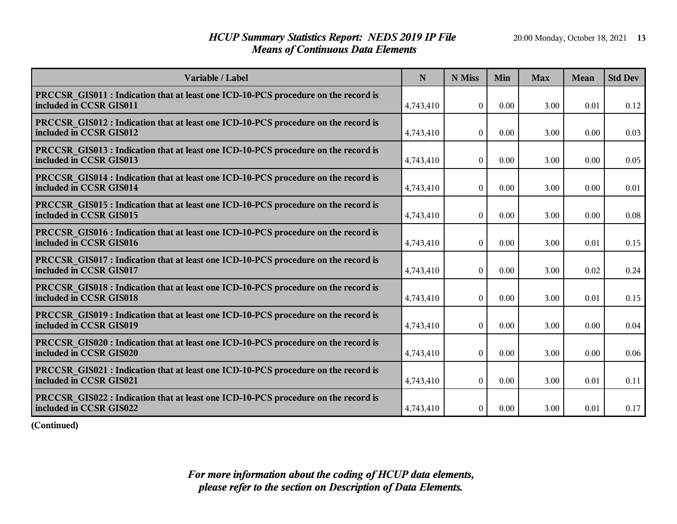## *HCUP Summary Statistics Report: NEDS 2019 IP File* 20:00 Monday, October 18, 2021 13 *Means of Continuous Data Elements*

| Variable / Label                                                                                                     | N         | N Miss           | Min  | <b>Max</b> | <b>Mean</b> | <b>Std Dev</b> |
|----------------------------------------------------------------------------------------------------------------------|-----------|------------------|------|------------|-------------|----------------|
| <b>PRCCSR</b> GIS011 : Indication that at least one ICD-10-PCS procedure on the record is<br>included in CCSR GIS011 | 4,743,410 | $\theta$         | 0.00 | 3.00       | 0.01        | 0.12           |
| <b>PRCCSR</b> GIS012 : Indication that at least one ICD-10-PCS procedure on the record is<br>included in CCSR GIS012 | 4,743,410 | $\Omega$         | 0.00 | 3.00       | 0.00        | 0.03           |
| PRCCSR GIS013 : Indication that at least one ICD-10-PCS procedure on the record is<br>included in CCSR GIS013        | 4,743,410 | $\theta$         | 0.00 | 3.00       | 0.00        | 0.05           |
| <b>PRCCSR</b> GIS014 : Indication that at least one ICD-10-PCS procedure on the record is<br>included in CCSR GIS014 | 4,743,410 | $\boldsymbol{0}$ | 0.00 | 3.00       | 0.00        | 0.01           |
| <b>PRCCSR</b> GIS015 : Indication that at least one ICD-10-PCS procedure on the record is<br>included in CCSR GIS015 | 4,743,410 | $\boldsymbol{0}$ | 0.00 | 3.00       | 0.00        | 0.08           |
| PRCCSR GIS016 : Indication that at least one ICD-10-PCS procedure on the record is<br>included in CCSR GIS016        | 4,743,410 | $\mathbf{0}$     | 0.00 | 3.00       | 0.01        | 0.15           |
| <b>PRCCSR GIS017 : Indication that at least one ICD-10-PCS procedure on the record is</b><br>included in CCSR GIS017 | 4,743,410 | $\mathbf{0}$     | 0.00 | 3.00       | 0.02        | 0.24           |
| <b>PRCCSR GIS018 : Indication that at least one ICD-10-PCS procedure on the record is</b><br>included in CCSR GIS018 | 4,743,410 | $\boldsymbol{0}$ | 0.00 | 3.00       | 0.01        | 0.15           |
| <b>PRCCSR GIS019: Indication that at least one ICD-10-PCS procedure on the record is</b><br>included in CCSR GIS019  | 4,743,410 | $\overline{0}$   | 0.00 | 3.00       | 0.00        | 0.04           |
| <b>PRCCSR GIS020 : Indication that at least one ICD-10-PCS procedure on the record is</b><br>included in CCSR GIS020 | 4,743,410 | $\overline{0}$   | 0.00 | 3.00       | 0.00        | 0.06           |
| <b>PRCCSR</b> GIS021 : Indication that at least one ICD-10-PCS procedure on the record is<br>included in CCSR GIS021 | 4,743,410 | $\overline{0}$   | 0.00 | 3.00       | 0.01        | 0.11           |
| <b>PRCCSR</b> GIS022 : Indication that at least one ICD-10-PCS procedure on the record is<br>included in CCSR GIS022 | 4,743,410 | $\boldsymbol{0}$ | 0.00 | 3.00       | 0.01        | 0.17           |

**(Continued)**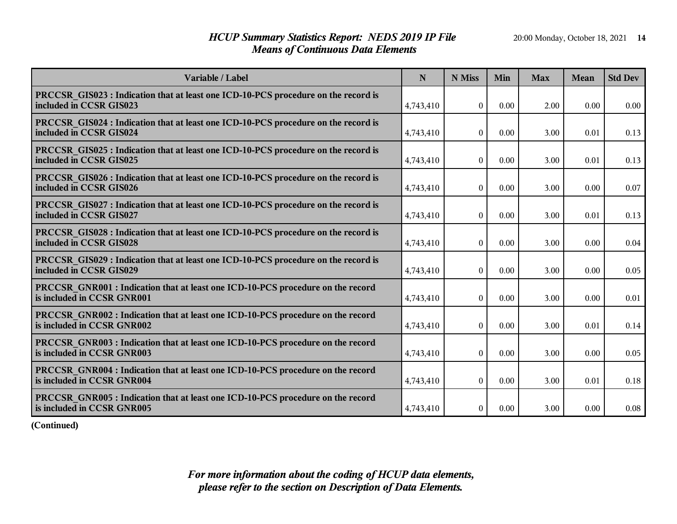## *HCUP Summary Statistics Report: NEDS 2019 IP File* 20:00 Monday, October 18, 2021 14 *Means of Continuous Data Elements*

| Variable / Label                                                                                                     | N         | N Miss           | Min  | <b>Max</b> | Mean | <b>Std Dev</b> |
|----------------------------------------------------------------------------------------------------------------------|-----------|------------------|------|------------|------|----------------|
| PRCCSR GIS023 : Indication that at least one ICD-10-PCS procedure on the record is<br>included in CCSR GIS023        | 4,743,410 | $\theta$         | 0.00 | 2.00       | 0.00 | 0.00           |
| <b>PRCCSR GIS024 : Indication that at least one ICD-10-PCS procedure on the record is</b><br>included in CCSR GIS024 | 4,743,410 | $\Omega$         | 0.00 | 3.00       | 0.01 | 0.13           |
| <b>PRCCSR GIS025 : Indication that at least one ICD-10-PCS procedure on the record is</b><br>included in CCSR GIS025 | 4,743,410 | $\theta$         | 0.00 | 3.00       | 0.01 | 0.13           |
| <b>PRCCSR GIS026 : Indication that at least one ICD-10-PCS procedure on the record is</b><br>included in CCSR GIS026 | 4,743,410 | $\mathbf{0}$     | 0.00 | 3.00       | 0.00 | 0.07           |
| <b>PRCCSR GIS027 : Indication that at least one ICD-10-PCS procedure on the record is</b><br>included in CCSR GIS027 | 4,743,410 | $\boldsymbol{0}$ | 0.00 | 3.00       | 0.01 | 0.13           |
| <b>PRCCSR GIS028 : Indication that at least one ICD-10-PCS procedure on the record is</b><br>included in CCSR GIS028 | 4,743,410 | $\theta$         | 0.00 | 3.00       | 0.00 | 0.04           |
| <b>PRCCSR GIS029 : Indication that at least one ICD-10-PCS procedure on the record is</b><br>included in CCSR GIS029 | 4,743,410 | $\theta$         | 0.00 | 3.00       | 0.00 | 0.05           |
| <b>PRCCSR GNR001</b> : Indication that at least one ICD-10-PCS procedure on the record<br>is included in CCSR GNR001 | 4,743,410 | $\mathbf{0}$     | 0.00 | 3.00       | 0.00 | 0.01           |
| <b>PRCCSR GNR002 : Indication that at least one ICD-10-PCS procedure on the record</b><br>is included in CCSR GNR002 | 4,743,410 | $\overline{0}$   | 0.00 | 3.00       | 0.01 | 0.14           |
| PRCCSR GNR003 : Indication that at least one ICD-10-PCS procedure on the record<br>is included in CCSR GNR003        | 4,743,410 | $\overline{0}$   | 0.00 | 3.00       | 0.00 | 0.05           |
| <b>PRCCSR GNR004 : Indication that at least one ICD-10-PCS procedure on the record</b><br>is included in CCSR GNR004 | 4,743,410 | $\overline{0}$   | 0.00 | 3.00       | 0.01 | 0.18           |
| PRCCSR GNR005 : Indication that at least one ICD-10-PCS procedure on the record<br>is included in CCSR GNR005        | 4,743,410 | $\overline{0}$   | 0.00 | 3.00       | 0.00 | 0.08           |

**(Continued)**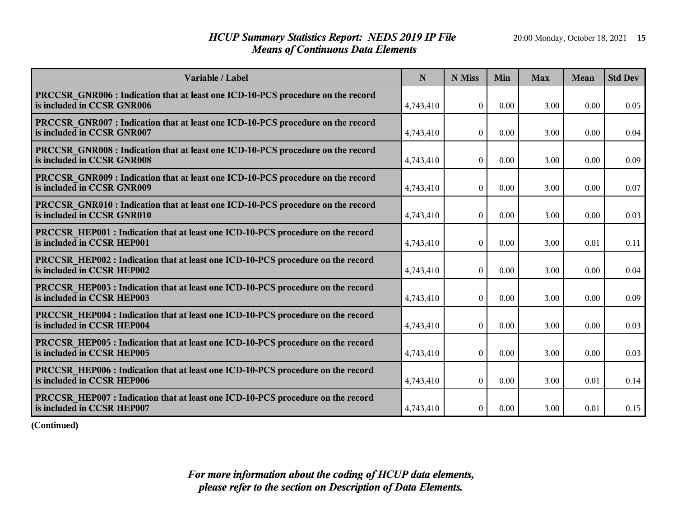## *HCUP Summary Statistics Report: NEDS 2019 IP File* 20:00 Monday, October 18, 2021 15 *Means of Continuous Data Elements*

| Variable / Label                                                                                                     | N         | N Miss           | Min  | <b>Max</b> | <b>Mean</b> | <b>Std Dev</b> |
|----------------------------------------------------------------------------------------------------------------------|-----------|------------------|------|------------|-------------|----------------|
| <b>PRCCSR GNR006 : Indication that at least one ICD-10-PCS procedure on the record</b><br>is included in CCSR GNR006 | 4,743,410 | $\Omega$         | 0.00 | 3.00       | 0.00        | 0.05           |
| <b>PRCCSR GNR007: Indication that at least one ICD-10-PCS procedure on the record</b><br>is included in CCSR GNR007  | 4,743,410 | $\Omega$         | 0.00 | 3.00       | 0.00        | 0.04           |
| PRCCSR GNR008 : Indication that at least one ICD-10-PCS procedure on the record<br>is included in CCSR GNR008        | 4,743,410 | $\theta$         | 0.00 | 3.00       | 0.00        | 0.09           |
| <b>PRCCSR GNR009: Indication that at least one ICD-10-PCS procedure on the record</b><br>is included in CCSR GNR009  | 4,743,410 | $\mathbf{0}$     | 0.00 | 3.00       | 0.00        | 0.07           |
| <b>PRCCSR GNR010 : Indication that at least one ICD-10-PCS procedure on the record</b><br>is included in CCSR GNR010 | 4,743,410 | $\boldsymbol{0}$ | 0.00 | 3.00       | 0.00        | 0.03           |
| <b>PRCCSR HEP001</b> : Indication that at least one ICD-10-PCS procedure on the record<br>is included in CCSR HEP001 | 4,743,410 | $\boldsymbol{0}$ | 0.00 | 3.00       | 0.01        | 0.11           |
| PRCCSR_HEP002 : Indication that at least one ICD-10-PCS procedure on the record<br>is included in CCSR HEP002        | 4,743,410 | $\boldsymbol{0}$ | 0.00 | 3.00       | 0.00        | 0.04           |
| <b>PRCCSR HEP003 : Indication that at least one ICD-10-PCS procedure on the record</b><br>is included in CCSR HEP003 | 4,743,410 | $\boldsymbol{0}$ | 0.00 | 3.00       | 0.00        | 0.09           |
| <b>PRCCSR HEP004 : Indication that at least one ICD-10-PCS procedure on the record</b><br>is included in CCSR HEP004 | 4,743,410 | $\overline{0}$   | 0.00 | 3.00       | 0.00        | 0.03           |
| <b>PRCCSR HEP005 : Indication that at least one ICD-10-PCS procedure on the record</b><br>is included in CCSR HEP005 | 4,743,410 | $\overline{0}$   | 0.00 | 3.00       | 0.00        | 0.03           |
| <b>PRCCSR HEP006 : Indication that at least one ICD-10-PCS procedure on the record</b><br>is included in CCSR HEP006 | 4,743,410 | $\overline{0}$   | 0.00 | 3.00       | 0.01        | 0.14           |
| PRCCSR HEP007: Indication that at least one ICD-10-PCS procedure on the record<br>is included in CCSR HEP007         | 4,743,410 | $\overline{0}$   | 0.00 | 3.00       | 0.01        | 0.15           |

**(Continued)**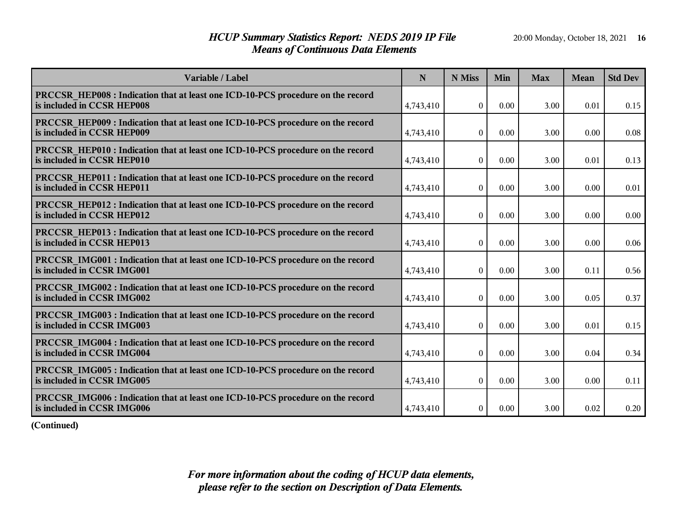## *HCUP Summary Statistics Report: NEDS 2019 IP File* 20:00 Monday, October 18, 2021 16 *Means of Continuous Data Elements*

| Variable / Label                                                                                                     | N         | N Miss           | Min  | <b>Max</b> | <b>Mean</b> | <b>Std Dev</b> |
|----------------------------------------------------------------------------------------------------------------------|-----------|------------------|------|------------|-------------|----------------|
| <b>PRCCSR HEP008 : Indication that at least one ICD-10-PCS procedure on the record</b><br>is included in CCSR HEP008 | 4,743,410 | $\Omega$         | 0.00 | 3.00       | 0.01        | 0.15           |
| PRCCSR HEP009 : Indication that at least one ICD-10-PCS procedure on the record<br>is included in CCSR HEP009        | 4,743,410 | $\boldsymbol{0}$ | 0.00 | 3.00       | 0.00        | 0.08           |
| <b>PRCCSR HEP010: Indication that at least one ICD-10-PCS procedure on the record</b><br>is included in CCSR HEP010  | 4,743,410 | $\overline{0}$   | 0.00 | 3.00       | 0.01        | 0.13           |
| <b>PRCCSR HEP011: Indication that at least one ICD-10-PCS procedure on the record</b><br>is included in CCSR HEP011  | 4,743,410 | $\boldsymbol{0}$ | 0.00 | 3.00       | 0.00        | 0.01           |
| <b>PRCCSR HEP012 : Indication that at least one ICD-10-PCS procedure on the record</b><br>is included in CCSR HEP012 | 4,743,410 | $\boldsymbol{0}$ | 0.00 | 3.00       | 0.00        | 0.00           |
| <b>PRCCSR HEP013 : Indication that at least one ICD-10-PCS procedure on the record</b><br>is included in CCSR HEP013 | 4,743,410 | $\Omega$         | 0.00 | 3.00       | 0.00        | 0.06           |
| <b>PRCCSR IMG001 : Indication that at least one ICD-10-PCS procedure on the record</b><br>is included in CCSR IMG001 | 4,743,410 | $\boldsymbol{0}$ | 0.00 | 3.00       | 0.11        | 0.56           |
| <b>PRCCSR IMG002 : Indication that at least one ICD-10-PCS procedure on the record</b><br>is included in CCSR IMG002 | 4,743,410 | $\boldsymbol{0}$ | 0.00 | 3.00       | 0.05        | 0.37           |
| PRCCSR IMG003 : Indication that at least one ICD-10-PCS procedure on the record<br>is included in CCSR IMG003        | 4,743,410 | $\theta$         | 0.00 | 3.00       | 0.01        | 0.15           |
| <b>PRCCSR IMG004 : Indication that at least one ICD-10-PCS procedure on the record</b><br>is included in CCSR IMG004 | 4,743,410 | $\mathbf{0}$     | 0.00 | 3.00       | 0.04        | 0.34           |
| <b>PRCCSR IMG005 : Indication that at least one ICD-10-PCS procedure on the record</b><br>is included in CCSR IMG005 | 4,743,410 | $\boldsymbol{0}$ | 0.00 | 3.00       | 0.00        | 0.11           |
| PRCCSR IMG006 : Indication that at least one ICD-10-PCS procedure on the record<br>is included in CCSR IMG006        | 4,743,410 | $\boldsymbol{0}$ | 0.00 | 3.00       | 0.02        | 0.20           |

**(Continued)**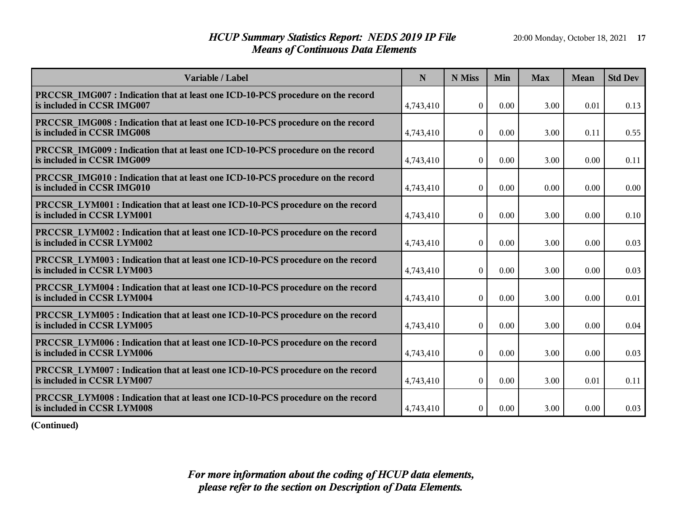## *HCUP Summary Statistics Report: NEDS 2019 IP File* 20:00 Monday, October 18, 2021 17 *Means of Continuous Data Elements*

| Variable / Label                                                                                                     | N         | N Miss           | Min  | <b>Max</b> | <b>Mean</b> | <b>Std Dev</b> |
|----------------------------------------------------------------------------------------------------------------------|-----------|------------------|------|------------|-------------|----------------|
| PRCCSR IMG007 : Indication that at least one ICD-10-PCS procedure on the record<br>is included in CCSR IMG007        | 4,743,410 | $\theta$         | 0.00 | 3.00       | 0.01        | 0.13           |
| PRCCSR IMG008 : Indication that at least one ICD-10-PCS procedure on the record<br>is included in CCSR IMG008        | 4,743,410 | $\boldsymbol{0}$ | 0.00 | 3.00       | 0.11        | 0.55           |
| PRCCSR IMG009 : Indication that at least one ICD-10-PCS procedure on the record<br>is included in CCSR IMG009        | 4,743,410 | $\theta$         | 0.00 | 3.00       | 0.00        | 0.11           |
| PRCCSR IMG010 : Indication that at least one ICD-10-PCS procedure on the record<br>is included in CCSR IMG010        | 4,743,410 | $\theta$         | 0.00 | 0.00       | 0.00        | 0.00           |
| <b>PRCCSR LYM001 : Indication that at least one ICD-10-PCS procedure on the record</b><br>is included in CCSR LYM001 | 4,743,410 | $\boldsymbol{0}$ | 0.00 | 3.00       | 0.00        | 0.10           |
| <b>PRCCSR LYM002 : Indication that at least one ICD-10-PCS procedure on the record</b><br>is included in CCSR LYM002 | 4,743,410 | $\boldsymbol{0}$ | 0.00 | 3.00       | 0.00        | 0.03           |
| <b>PRCCSR LYM003 : Indication that at least one ICD-10-PCS procedure on the record</b><br>is included in CCSR LYM003 | 4,743,410 | $\boldsymbol{0}$ | 0.00 | 3.00       | 0.00        | 0.03           |
| <b>PRCCSR LYM004 : Indication that at least one ICD-10-PCS procedure on the record</b><br>is included in CCSR LYM004 | 4,743,410 | $\boldsymbol{0}$ | 0.00 | 3.00       | 0.00        | 0.01           |
| <b>PRCCSR LYM005: Indication that at least one ICD-10-PCS procedure on the record</b><br>is included in CCSR LYM005  | 4,743,410 | $\boldsymbol{0}$ | 0.00 | 3.00       | 0.00        | 0.04           |
| <b>PRCCSR LYM006 : Indication that at least one ICD-10-PCS procedure on the record</b><br>is included in CCSR LYM006 | 4,743,410 | $\theta$         | 0.00 | 3.00       | 0.00        | 0.03           |
| <b>PRCCSR LYM007: Indication that at least one ICD-10-PCS procedure on the record</b><br>is included in CCSR LYM007  | 4,743,410 | $\overline{0}$   | 0.00 | 3.00       | 0.01        | 0.11           |
| <b>PRCCSR LYM008 : Indication that at least one ICD-10-PCS procedure on the record</b><br>is included in CCSR LYM008 | 4,743,410 | $\mathbf{0}$     | 0.00 | 3.00       | 0.00        | 0.03           |

**(Continued)**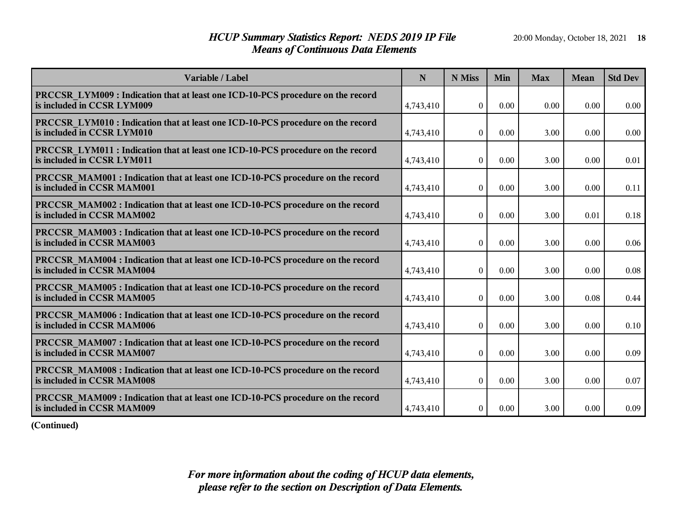## *HCUP Summary Statistics Report: NEDS 2019 IP File* 20:00 Monday, October 18, 2021 18 *Means of Continuous Data Elements*

| Variable / Label                                                                                                     | N         | N Miss           | Min  | <b>Max</b> | <b>Mean</b> | <b>Std Dev</b> |
|----------------------------------------------------------------------------------------------------------------------|-----------|------------------|------|------------|-------------|----------------|
| <b>PRCCSR LYM009: Indication that at least one ICD-10-PCS procedure on the record</b><br>is included in CCSR LYM009  | 4,743,410 | $\theta$         | 0.00 | 0.00       | 0.00        | 0.00           |
| <b>PRCCSR LYM010: Indication that at least one ICD-10-PCS procedure on the record</b><br>is included in CCSR LYM010  | 4,743,410 | $\boldsymbol{0}$ | 0.00 | 3.00       | 0.00        | 0.00           |
| <b>PRCCSR LYM011: Indication that at least one ICD-10-PCS procedure on the record</b><br>is included in CCSR LYM011  | 4,743,410 | $\overline{0}$   | 0.00 | 3.00       | 0.00        | 0.01           |
| <b>PRCCSR MAM001 : Indication that at least one ICD-10-PCS procedure on the record</b><br>is included in CCSR MAM001 | 4,743,410 | $\bf{0}$         | 0.00 | 3.00       | 0.00        | 0.11           |
| <b>PRCCSR MAM002 : Indication that at least one ICD-10-PCS procedure on the record</b><br>is included in CCSR MAM002 | 4,743,410 | $\bf{0}$         | 0.00 | 3.00       | 0.01        | 0.18           |
| <b>PRCCSR MAM003 : Indication that at least one ICD-10-PCS procedure on the record</b><br>is included in CCSR MAM003 | 4,743,410 | $\boldsymbol{0}$ | 0.00 | 3.00       | 0.00        | 0.06           |
| <b>PRCCSR MAM004 : Indication that at least one ICD-10-PCS procedure on the record</b><br>is included in CCSR MAM004 | 4,743,410 | $\boldsymbol{0}$ | 0.00 | 3.00       | 0.00        | 0.08           |
| <b>PRCCSR MAM005: Indication that at least one ICD-10-PCS procedure on the record</b><br>is included in CCSR MAM005  | 4,743,410 | $\boldsymbol{0}$ | 0.00 | 3.00       | 0.08        | 0.44           |
| PRCCSR MAM006 : Indication that at least one ICD-10-PCS procedure on the record<br>is included in CCSR MAM006        | 4,743,410 | $\theta$         | 0.00 | 3.00       | 0.00        | 0.10           |
| <b>PRCCSR MAM007 : Indication that at least one ICD-10-PCS procedure on the record</b><br>is included in CCSR MAM007 | 4,743,410 | $\boldsymbol{0}$ | 0.00 | 3.00       | 0.00        | 0.09           |
| <b>PRCCSR MAM008 : Indication that at least one ICD-10-PCS procedure on the record</b><br>is included in CCSR MAM008 | 4,743,410 | $\boldsymbol{0}$ | 0.00 | 3.00       | 0.00        | 0.07           |
| PRCCSR MAM009: Indication that at least one ICD-10-PCS procedure on the record<br>is included in CCSR MAM009         | 4,743,410 | $\bf{0}$         | 0.00 | 3.00       | 0.00        | 0.09           |

**(Continued)**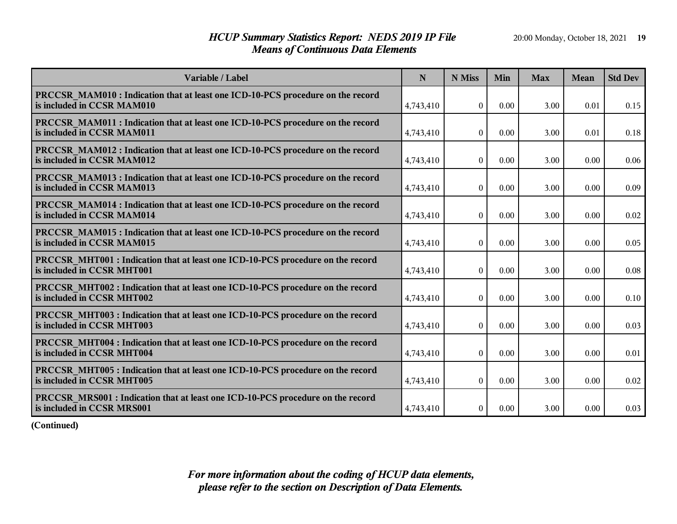## *HCUP Summary Statistics Report: NEDS 2019 IP File* 20:00 Monday, October 18, 2021 19 *Means of Continuous Data Elements*

| Variable / Label                                                                                                     | $\mathbf N$ | N Miss           | Min  | <b>Max</b> | <b>Mean</b> | <b>Std Dev</b> |
|----------------------------------------------------------------------------------------------------------------------|-------------|------------------|------|------------|-------------|----------------|
| PRCCSR MAM010 : Indication that at least one ICD-10-PCS procedure on the record<br>is included in CCSR MAM010        | 4,743,410   | $\theta$         | 0.00 | 3.00       | 0.01        | 0.15           |
| PRCCSR MAM011 : Indication that at least one ICD-10-PCS procedure on the record<br>is included in CCSR MAM011        | 4,743,410   | $\boldsymbol{0}$ | 0.00 | 3.00       | 0.01        | 0.18           |
| PRCCSR MAM012 : Indication that at least one ICD-10-PCS procedure on the record<br>is included in CCSR MAM012        | 4,743,410   | $\theta$         | 0.00 | 3.00       | 0.00        | 0.06           |
| PRCCSR MAM013 : Indication that at least one ICD-10-PCS procedure on the record<br>is included in CCSR MAM013        | 4,743,410   | $\theta$         | 0.00 | 3.00       | 0.00        | 0.09           |
| <b>PRCCSR MAM014 : Indication that at least one ICD-10-PCS procedure on the record</b><br>is included in CCSR MAM014 | 4,743,410   | $\boldsymbol{0}$ | 0.00 | 3.00       | 0.00        | 0.02           |
| <b>PRCCSR MAM015 : Indication that at least one ICD-10-PCS procedure on the record</b><br>is included in CCSR MAM015 | 4,743,410   | $\theta$         | 0.00 | 3.00       | 0.00        | 0.05           |
| <b>PRCCSR MHT001: Indication that at least one ICD-10-PCS procedure on the record</b><br>is included in CCSR MHT001  | 4,743,410   | $\theta$         | 0.00 | 3.00       | 0.00        | 0.08           |
| <b>PRCCSR MHT002 : Indication that at least one ICD-10-PCS procedure on the record</b><br>is included in CCSR MHT002 | 4,743,410   | $\theta$         | 0.00 | 3.00       | 0.00        | 0.10           |
| PRCCSR MHT003 : Indication that at least one ICD-10-PCS procedure on the record<br>is included in CCSR MHT003        | 4,743,410   | $\mathbf{0}$     | 0.00 | 3.00       | 0.00        | 0.03           |
| <b>PRCCSR MHT004 : Indication that at least one ICD-10-PCS procedure on the record</b><br>is included in CCSR MHT004 | 4,743,410   | $\overline{0}$   | 0.00 | 3.00       | 0.00        | 0.01           |
| <b>PRCCSR MHT005: Indication that at least one ICD-10-PCS procedure on the record</b><br>is included in CCSR MHT005  | 4,743,410   | $\overline{0}$   | 0.00 | 3.00       | 0.00        | 0.02           |
| <b>PRCCSR MRS001 : Indication that at least one ICD-10-PCS procedure on the record</b><br>is included in CCSR MRS001 | 4,743,410   | $\overline{0}$   | 0.00 | 3.00       | 0.00        | 0.03           |

**(Continued)**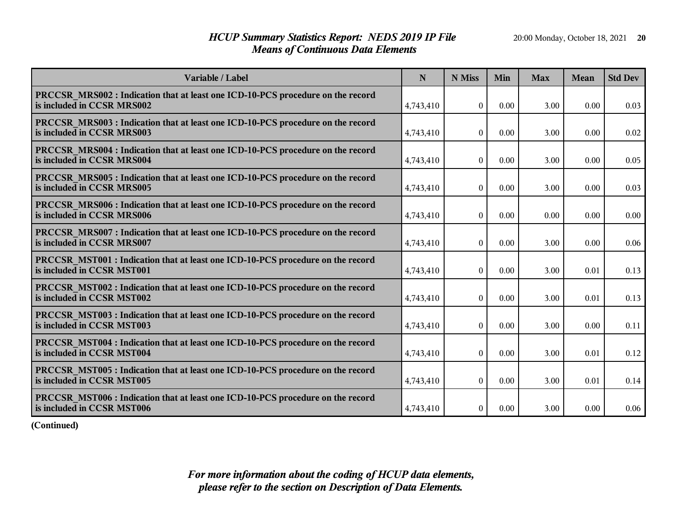## *HCUP Summary Statistics Report: NEDS 2019 IP File* 20:00 Monday, October 18, 2021 **20** *Means of Continuous Data Elements*

| Variable / Label                                                                                                     | N         | N Miss           | Min  | <b>Max</b> | <b>Mean</b> | <b>Std Dev</b> |
|----------------------------------------------------------------------------------------------------------------------|-----------|------------------|------|------------|-------------|----------------|
| PRCCSR MRS002 : Indication that at least one ICD-10-PCS procedure on the record<br>is included in CCSR MRS002        | 4,743,410 | $\theta$         | 0.00 | 3.00       | 0.00        | 0.03           |
| PRCCSR MRS003 : Indication that at least one ICD-10-PCS procedure on the record<br>is included in CCSR MRS003        | 4,743,410 | $\boldsymbol{0}$ | 0.00 | 3.00       | 0.00        | 0.02           |
| PRCCSR_MRS004 : Indication that at least one ICD-10-PCS procedure on the record<br>is included in CCSR MRS004        | 4,743,410 | $\overline{0}$   | 0.00 | 3.00       | 0.00        | 0.05           |
| PRCCSR MRS005 : Indication that at least one ICD-10-PCS procedure on the record<br>is included in CCSR MRS005        | 4,743,410 | $\Omega$         | 0.00 | 3.00       | 0.00        | 0.03           |
| <b>PRCCSR MRS006 : Indication that at least one ICD-10-PCS procedure on the record</b><br>is included in CCSR MRS006 | 4,743,410 | $\boldsymbol{0}$ | 0.00 | 0.00       | 0.00        | 0.00           |
| <b>PRCCSR MRS007: Indication that at least one ICD-10-PCS procedure on the record</b><br>is included in CCSR MRS007  | 4,743,410 | $\mathbf{0}$     | 0.00 | 3.00       | 0.00        | 0.06           |
| <b>PRCCSR MST001 : Indication that at least one ICD-10-PCS procedure on the record</b><br>is included in CCSR MST001 | 4,743,410 | $\mathbf{0}$     | 0.00 | 3.00       | 0.01        | 0.13           |
| <b>PRCCSR MST002 : Indication that at least one ICD-10-PCS procedure on the record</b><br>is included in CCSR MST002 | 4,743,410 | $\boldsymbol{0}$ | 0.00 | 3.00       | 0.01        | 0.13           |
| PRCCSR MST003 : Indication that at least one ICD-10-PCS procedure on the record<br>is included in CCSR MST003        | 4,743,410 | $\Omega$         | 0.00 | 3.00       | 0.00        | 0.11           |
| PRCCSR MST004 : Indication that at least one ICD-10-PCS procedure on the record<br>is included in CCSR MST004        | 4,743,410 | $\overline{0}$   | 0.00 | 3.00       | 0.01        | 0.12           |
| <b>PRCCSR MST005 : Indication that at least one ICD-10-PCS procedure on the record</b><br>is included in CCSR MST005 | 4,743,410 | $\mathbf{0}$     | 0.00 | 3.00       | 0.01        | 0.14           |
| PRCCSR MST006 : Indication that at least one ICD-10-PCS procedure on the record<br>is included in CCSR MST006        | 4,743,410 | $\boldsymbol{0}$ | 0.00 | 3.00       | 0.00        | 0.06           |

**(Continued)**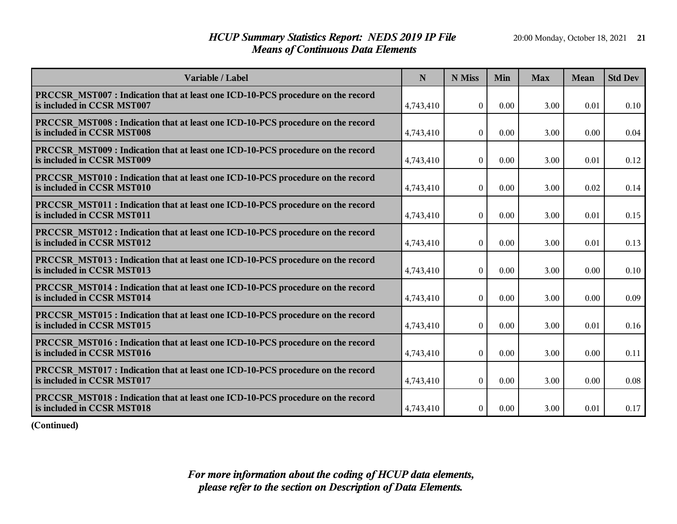## *HCUP Summary Statistics Report: NEDS 2019 IP File* 20:00 Monday, October 18, 2021 21 *Means of Continuous Data Elements*

| Variable / Label                                                                                                     | N         | N Miss           | Min  | <b>Max</b> | <b>Mean</b> | <b>Std Dev</b> |
|----------------------------------------------------------------------------------------------------------------------|-----------|------------------|------|------------|-------------|----------------|
| PRCCSR_MST007: Indication that at least one ICD-10-PCS procedure on the record<br>is included in CCSR MST007         | 4,743,410 | $\theta$         | 0.00 | 3.00       | 0.01        | 0.10           |
| PRCCSR MST008 : Indication that at least one ICD-10-PCS procedure on the record<br>is included in CCSR MST008        | 4,743,410 | $\mathbf{0}$     | 0.00 | 3.00       | 0.00        | 0.04           |
| <b>PRCCSR MST009: Indication that at least one ICD-10-PCS procedure on the record</b><br>is included in CCSR MST009  | 4,743,410 | $\theta$         | 0.00 | 3.00       | 0.01        | 0.12           |
| <b>PRCCSR MST010 : Indication that at least one ICD-10-PCS procedure on the record</b><br>is included in CCSR MST010 | 4,743,410 | $\theta$         | 0.00 | 3.00       | 0.02        | 0.14           |
| PRCCSR_MST011 : Indication that at least one ICD-10-PCS procedure on the record<br>is included in CCSR MST011        | 4,743,410 | $\boldsymbol{0}$ | 0.00 | 3.00       | 0.01        | 0.15           |
| <b>PRCCSR MST012 : Indication that at least one ICD-10-PCS procedure on the record</b><br>is included in CCSR MST012 | 4,743,410 | $\theta$         | 0.00 | 3.00       | 0.01        | 0.13           |
| <b>PRCCSR MST013 : Indication that at least one ICD-10-PCS procedure on the record</b><br>is included in CCSR MST013 | 4,743,410 | $\boldsymbol{0}$ | 0.00 | 3.00       | 0.00        | 0.10           |
| PRCCSR MST014 : Indication that at least one ICD-10-PCS procedure on the record<br>is included in CCSR MST014        | 4,743,410 | $\boldsymbol{0}$ | 0.00 | 3.00       | 0.00        | 0.09           |
| <b>PRCCSR MST015: Indication that at least one ICD-10-PCS procedure on the record</b><br>is included in CCSR MST015  | 4,743,410 | $\Omega$         | 0.00 | 3.00       | 0.01        | 0.16           |
| PRCCSR MST016 : Indication that at least one ICD-10-PCS procedure on the record<br>is included in CCSR MST016        | 4,743,410 | $\theta$         | 0.00 | 3.00       | 0.00        | 0.11           |
| <b>PRCCSR MST017: Indication that at least one ICD-10-PCS procedure on the record</b><br>is included in CCSR MST017  | 4,743,410 | $\overline{0}$   | 0.00 | 3.00       | 0.00        | 0.08           |
| <b>PRCCSR MST018 : Indication that at least one ICD-10-PCS procedure on the record</b><br>is included in CCSR MST018 | 4,743,410 | $\overline{0}$   | 0.00 | 3.00       | 0.01        | 0.17           |

**(Continued)**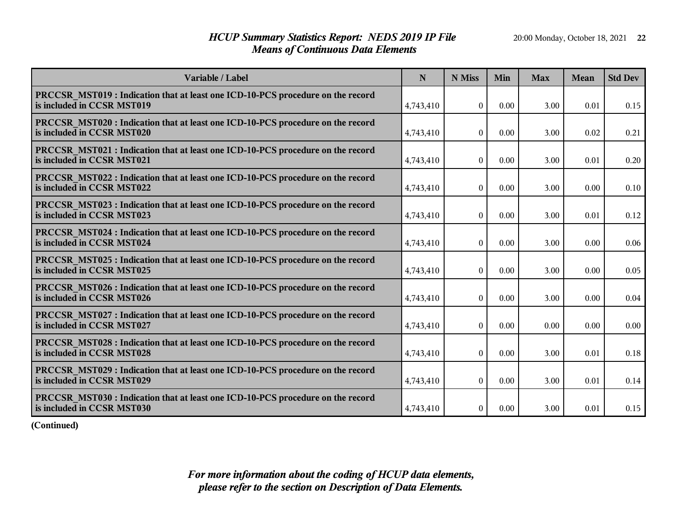## *HCUP Summary Statistics Report: NEDS 2019 IP File* 20:00 Monday, October 18, 2021 22 *Means of Continuous Data Elements*

| Variable / Label                                                                                                     | N         | N Miss           | Min  | <b>Max</b> | <b>Mean</b> | <b>Std Dev</b> |
|----------------------------------------------------------------------------------------------------------------------|-----------|------------------|------|------------|-------------|----------------|
| <b>PRCCSR MST019: Indication that at least one ICD-10-PCS procedure on the record</b><br>is included in CCSR MST019  | 4,743,410 | $\theta$         | 0.00 | 3.00       | 0.01        | 0.15           |
| PRCCSR MST020 : Indication that at least one ICD-10-PCS procedure on the record<br>is included in CCSR MST020        | 4,743,410 | $\theta$         | 0.00 | 3.00       | 0.02        | 0.21           |
| PRCCSR MST021 : Indication that at least one ICD-10-PCS procedure on the record<br>is included in CCSR MST021        | 4,743,410 | $\theta$         | 0.00 | 3.00       | 0.01        | 0.20           |
| <b>PRCCSR MST022 : Indication that at least one ICD-10-PCS procedure on the record</b><br>is included in CCSR MST022 | 4,743,410 | $\overline{0}$   | 0.00 | 3.00       | 0.00        | 0.10           |
| <b>PRCCSR MST023 : Indication that at least one ICD-10-PCS procedure on the record</b><br>is included in CCSR MST023 | 4,743,410 | $\boldsymbol{0}$ | 0.00 | 3.00       | 0.01        | 0.12           |
| <b>PRCCSR MST024 : Indication that at least one ICD-10-PCS procedure on the record</b><br>is included in CCSR MST024 | 4,743,410 | $\boldsymbol{0}$ | 0.00 | 3.00       | 0.00        | 0.06           |
| <b>PRCCSR MST025 : Indication that at least one ICD-10-PCS procedure on the record</b><br>is included in CCSR MST025 | 4,743,410 | $\theta$         | 0.00 | 3.00       | 0.00        | 0.05           |
| <b>PRCCSR MST026 : Indication that at least one ICD-10-PCS procedure on the record</b><br>is included in CCSR MST026 | 4,743,410 | $\boldsymbol{0}$ | 0.00 | 3.00       | 0.00        | 0.04           |
| <b>PRCCSR MST027: Indication that at least one ICD-10-PCS procedure on the record</b><br>is included in CCSR MST027  | 4,743,410 | $\overline{0}$   | 0.00 | 0.00       | 0.00        | 0.00           |
| PRCCSR MST028 : Indication that at least one ICD-10-PCS procedure on the record<br>is included in CCSR MST028        | 4,743,410 | $\overline{0}$   | 0.00 | 3.00       | 0.01        | 0.18           |
| PRCCSR MST029 : Indication that at least one ICD-10-PCS procedure on the record<br>is included in CCSR MST029        | 4,743,410 | $\overline{0}$   | 0.00 | 3.00       | 0.01        | 0.14           |
| PRCCSR MST030 : Indication that at least one ICD-10-PCS procedure on the record<br>is included in CCSR MST030        | 4,743,410 | $\overline{0}$   | 0.00 | 3.00       | 0.01        | 0.15           |

**(Continued)**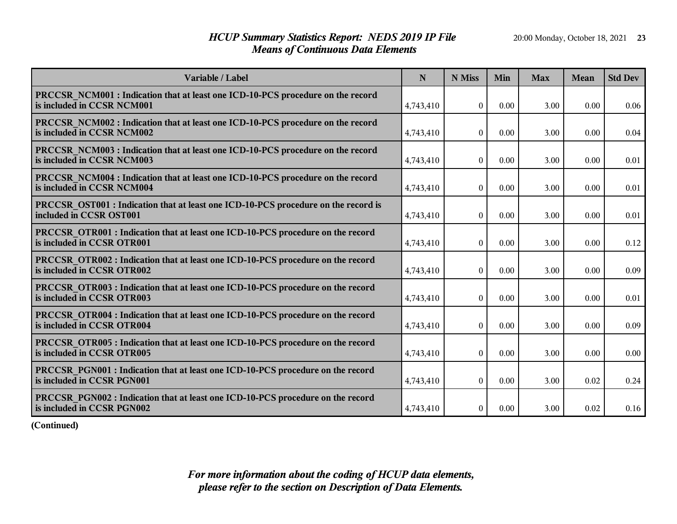## *HCUP Summary Statistics Report: NEDS 2019 IP File* 20:00 Monday, October 18, 2021 23 *Means of Continuous Data Elements*

| Variable / Label                                                                                                     | N         | N Miss           | Min  | <b>Max</b> | <b>Mean</b> | <b>Std Dev</b> |
|----------------------------------------------------------------------------------------------------------------------|-----------|------------------|------|------------|-------------|----------------|
| <b>PRCCSR NCM001 : Indication that at least one ICD-10-PCS procedure on the record</b><br>is included in CCSR NCM001 | 4,743,410 | $\theta$         | 0.00 | 3.00       | 0.00        | 0.06           |
| <b>PRCCSR NCM002 : Indication that at least one ICD-10-PCS procedure on the record</b><br>is included in CCSR NCM002 | 4,743,410 | $\boldsymbol{0}$ | 0.00 | 3.00       | 0.00        | 0.04           |
| <b>PRCCSR NCM003 : Indication that at least one ICD-10-PCS procedure on the record</b><br>is included in CCSR NCM003 | 4,743,410 | $\overline{0}$   | 0.00 | 3.00       | 0.00        | 0.01           |
| <b>PRCCSR NCM004 : Indication that at least one ICD-10-PCS procedure on the record</b><br>is included in CCSR NCM004 | 4,743,410 | $\bf{0}$         | 0.00 | 3.00       | 0.00        | 0.01           |
| <b>PRCCSR OST001</b> : Indication that at least one ICD-10-PCS procedure on the record is<br>included in CCSR OST001 | 4,743,410 | $\bf{0}$         | 0.00 | 3.00       | 0.00        | 0.01           |
| <b>PRCCSR OTR001</b> : Indication that at least one ICD-10-PCS procedure on the record<br>is included in CCSR OTR001 | 4,743,410 | $\boldsymbol{0}$ | 0.00 | 3.00       | 0.00        | 0.12           |
| <b>PRCCSR OTR002 : Indication that at least one ICD-10-PCS procedure on the record</b><br>is included in CCSR OTR002 | 4,743,410 | $\boldsymbol{0}$ | 0.00 | 3.00       | 0.00        | 0.09           |
| <b>PRCCSR OTR003 : Indication that at least one ICD-10-PCS procedure on the record</b><br>is included in CCSR OTR003 | 4,743,410 | $\boldsymbol{0}$ | 0.00 | 3.00       | 0.00        | 0.01           |
| <b>PRCCSR OTR004 : Indication that at least one ICD-10-PCS procedure on the record</b><br>is included in CCSR OTR004 | 4,743,410 | $\theta$         | 0.00 | 3.00       | 0.00        | 0.09           |
| <b>PRCCSR OTR005: Indication that at least one ICD-10-PCS procedure on the record</b><br>is included in CCSR OTR005  | 4,743,410 | $\boldsymbol{0}$ | 0.00 | 3.00       | 0.00        | 0.00           |
| <b>PRCCSR PGN001 : Indication that at least one ICD-10-PCS procedure on the record</b><br>is included in CCSR PGN001 | 4,743,410 | $\boldsymbol{0}$ | 0.00 | 3.00       | 0.02        | 0.24           |
| PRCCSR PGN002 : Indication that at least one ICD-10-PCS procedure on the record<br>is included in CCSR PGN002        | 4,743,410 | $\bf{0}$         | 0.00 | 3.00       | 0.02        | 0.16           |

**(Continued)**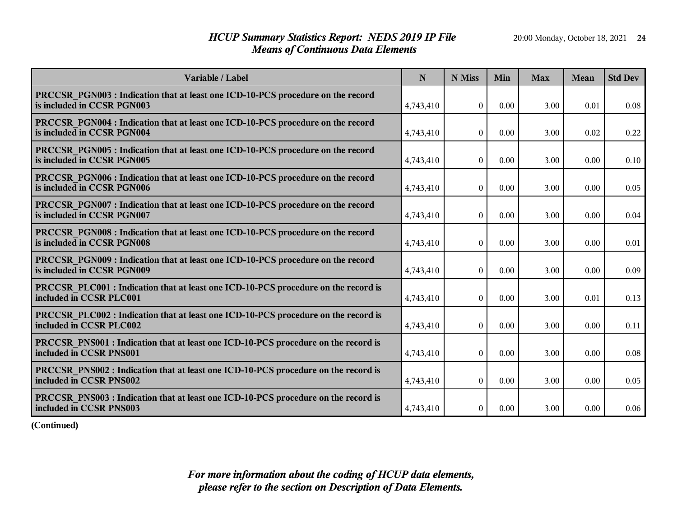## *HCUP Summary Statistics Report: NEDS 2019 IP File* 20:00 Monday, October 18, 2021 24 *Means of Continuous Data Elements*

| Variable / Label                                                                                                     | N         | N Miss           | Min  | <b>Max</b> | <b>Mean</b> | <b>Std Dev</b> |
|----------------------------------------------------------------------------------------------------------------------|-----------|------------------|------|------------|-------------|----------------|
| <b>PRCCSR PGN003 : Indication that at least one ICD-10-PCS procedure on the record</b><br>is included in CCSR PGN003 | 4,743,410 | $\theta$         | 0.00 | 3.00       | 0.01        | 0.08           |
| <b>PRCCSR PGN004 : Indication that at least one ICD-10-PCS procedure on the record</b><br>is included in CCSR PGN004 | 4,743,410 | $\boldsymbol{0}$ | 0.00 | 3.00       | 0.02        | 0.22           |
| <b>PRCCSR PGN005:</b> Indication that at least one ICD-10-PCS procedure on the record<br>is included in CCSR PGN005  | 4,743,410 | $\overline{0}$   | 0.00 | 3.00       | 0.00        | 0.10           |
| <b>PRCCSR PGN006 : Indication that at least one ICD-10-PCS procedure on the record</b><br>is included in CCSR PGN006 | 4,743,410 | $\bf{0}$         | 0.00 | 3.00       | 0.00        | 0.05           |
| <b>PRCCSR PGN007: Indication that at least one ICD-10-PCS procedure on the record</b><br>is included in CCSR PGN007  | 4,743,410 | $\bf{0}$         | 0.00 | 3.00       | 0.00        | 0.04           |
| <b>PRCCSR PGN008 : Indication that at least one ICD-10-PCS procedure on the record</b><br>is included in CCSR PGN008 | 4,743,410 | $\theta$         | 0.00 | 3.00       | 0.00        | 0.01           |
| <b>PRCCSR PGN009:</b> Indication that at least one ICD-10-PCS procedure on the record<br>is included in CCSR PGN009  | 4,743,410 | $\boldsymbol{0}$ | 0.00 | 3.00       | 0.00        | 0.09           |
| <b>PRCCSR PLC001</b> : Indication that at least one ICD-10-PCS procedure on the record is<br>included in CCSR PLC001 | 4,743,410 | $\boldsymbol{0}$ | 0.00 | 3.00       | 0.01        | 0.13           |
| <b>PRCCSR PLC002 : Indication that at least one ICD-10-PCS procedure on the record is</b><br>included in CCSR PLC002 | 4,743,410 | $\theta$         | 0.00 | 3.00       | 0.00        | 0.11           |
| <b>PRCCSR PNS001 : Indication that at least one ICD-10-PCS procedure on the record is</b><br>included in CCSR PNS001 | 4,743,410 | $\boldsymbol{0}$ | 0.00 | 3.00       | 0.00        | 0.08           |
| <b>PRCCSR PNS002 : Indication that at least one ICD-10-PCS procedure on the record is</b><br>included in CCSR PNS002 | 4,743,410 | $\boldsymbol{0}$ | 0.00 | 3.00       | 0.00        | 0.05           |
| PRCCSR PNS003 : Indication that at least one ICD-10-PCS procedure on the record is<br>included in CCSR PNS003        | 4,743,410 | $\bf{0}$         | 0.00 | 3.00       | 0.00        | 0.06           |

**(Continued)**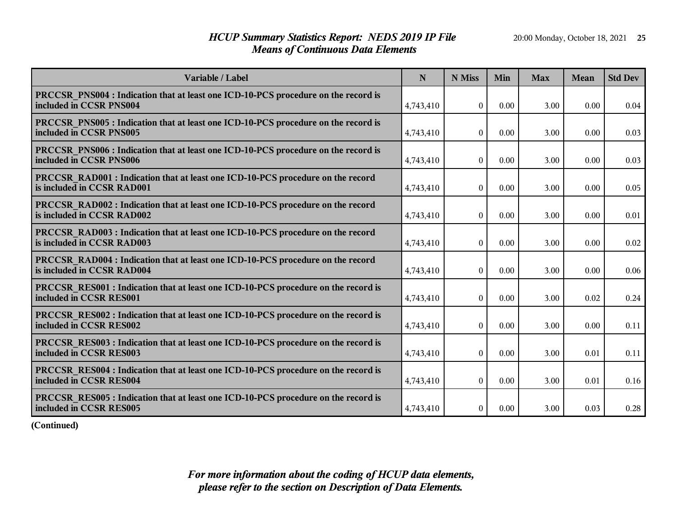## *HCUP Summary Statistics Report: NEDS 2019 IP File* 20:00 Monday, October 18, 2021 25 *Means of Continuous Data Elements*

| Variable / Label                                                                                                     | N         | N Miss           | Min  | <b>Max</b> | Mean | <b>Std Dev</b> |
|----------------------------------------------------------------------------------------------------------------------|-----------|------------------|------|------------|------|----------------|
| <b>PRCCSR PNS004 : Indication that at least one ICD-10-PCS procedure on the record is</b><br>included in CCSR PNS004 | 4,743,410 | $\theta$         | 0.00 | 3.00       | 0.00 | 0.04           |
| <b>PRCCSR PNS005 : Indication that at least one ICD-10-PCS procedure on the record is</b><br>included in CCSR PNS005 | 4,743,410 | $\Omega$         | 0.00 | 3.00       | 0.00 | 0.03           |
| <b>PRCCSR PNS006 : Indication that at least one ICD-10-PCS procedure on the record is</b><br>included in CCSR PNS006 | 4,743,410 | $\boldsymbol{0}$ | 0.00 | 3.00       | 0.00 | 0.03           |
| <b>PRCCSR RAD001</b> : Indication that at least one ICD-10-PCS procedure on the record<br>is included in CCSR RAD001 | 4,743,410 | $\boldsymbol{0}$ | 0.00 | 3.00       | 0.00 | 0.05           |
| <b>PRCCSR RAD002 : Indication that at least one ICD-10-PCS procedure on the record</b><br>is included in CCSR RAD002 | 4,743,410 | $\boldsymbol{0}$ | 0.00 | 3.00       | 0.00 | 0.01           |
| <b>PRCCSR RAD003 : Indication that at least one ICD-10-PCS procedure on the record</b><br>is included in CCSR RAD003 | 4,743,410 | $\boldsymbol{0}$ | 0.00 | 3.00       | 0.00 | 0.02           |
| <b>PRCCSR RAD004 : Indication that at least one ICD-10-PCS procedure on the record</b><br>is included in CCSR RAD004 | 4,743,410 | $\boldsymbol{0}$ | 0.00 | 3.00       | 0.00 | 0.06           |
| <b>PRCCSR RES001 : Indication that at least one ICD-10-PCS procedure on the record is</b><br>included in CCSR RES001 | 4,743,410 | $\boldsymbol{0}$ | 0.00 | 3.00       | 0.02 | 0.24           |
| PRCCSR RES002 : Indication that at least one ICD-10-PCS procedure on the record is<br>included in CCSR RES002        | 4,743,410 | $\theta$         | 0.00 | 3.00       | 0.00 | 0.11           |
| <b>PRCCSR RES003 : Indication that at least one ICD-10-PCS procedure on the record is</b><br>included in CCSR RES003 | 4,743,410 | $\overline{0}$   | 0.00 | 3.00       | 0.01 | 0.11           |
| <b>PRCCSR RES004 : Indication that at least one ICD-10-PCS procedure on the record is</b><br>included in CCSR RES004 | 4,743,410 | $\boldsymbol{0}$ | 0.00 | 3.00       | 0.01 | 0.16           |
| <b>PRCCSR RES005 : Indication that at least one ICD-10-PCS procedure on the record is</b><br>included in CCSR RES005 | 4,743,410 | $\bf{0}$         | 0.00 | 3.00       | 0.03 | 0.28           |

**(Continued)**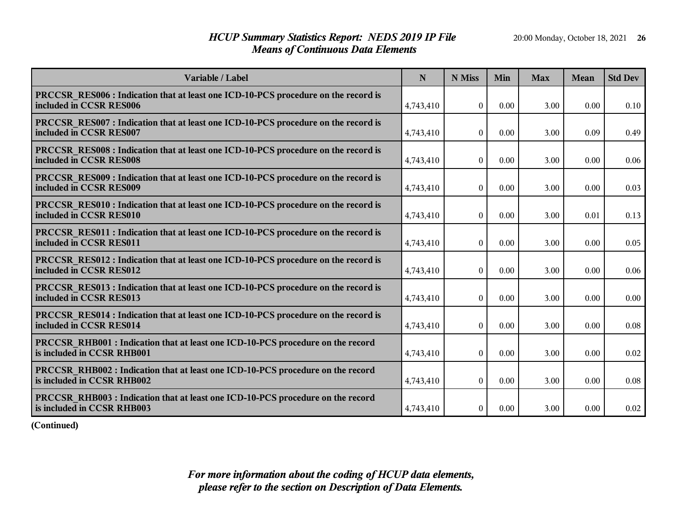## *HCUP Summary Statistics Report: NEDS 2019 IP File* 20:00 Monday, October 18, 2021 26 *Means of Continuous Data Elements*

| Variable / Label                                                                                                     | N         | N Miss           | Min  | <b>Max</b> | Mean | <b>Std Dev</b> |
|----------------------------------------------------------------------------------------------------------------------|-----------|------------------|------|------------|------|----------------|
| PRCCSR RES006 : Indication that at least one ICD-10-PCS procedure on the record is<br>included in CCSR RES006        | 4,743,410 | $\theta$         | 0.00 | 3.00       | 0.00 | 0.10           |
| PRCCSR RES007 : Indication that at least one ICD-10-PCS procedure on the record is<br>included in CCSR RES007        | 4,743,410 | $\theta$         | 0.00 | 3.00       | 0.09 | 0.49           |
| PRCCSR_RES008 : Indication that at least one ICD-10-PCS procedure on the record is<br>included in CCSR RES008        | 4,743,410 | $\overline{0}$   | 0.00 | 3.00       | 0.00 | 0.06           |
| PRCCSR RES009 : Indication that at least one ICD-10-PCS procedure on the record is<br>included in CCSR RES009        | 4,743,410 | $\bf{0}$         | 0.00 | 3.00       | 0.00 | 0.03           |
| <b>PRCCSR RES010 : Indication that at least one ICD-10-PCS procedure on the record is</b><br>included in CCSR RES010 | 4,743,410 | $\bf{0}$         | 0.00 | 3.00       | 0.01 | 0.13           |
| <b>PRCCSR RES011: Indication that at least one ICD-10-PCS procedure on the record is</b><br>included in CCSR RES011  | 4,743,410 | $\boldsymbol{0}$ | 0.00 | 3.00       | 0.00 | 0.05           |
| <b>PRCCSR RES012: Indication that at least one ICD-10-PCS procedure on the record is</b><br>included in CCSR RES012  | 4,743,410 | $\mathbf{0}$     | 0.00 | 3.00       | 0.00 | 0.06           |
| <b>PRCCSR RES013 : Indication that at least one ICD-10-PCS procedure on the record is</b><br>included in CCSR RES013 | 4,743,410 | $\boldsymbol{0}$ | 0.00 | 3.00       | 0.00 | 0.00           |
| <b>PRCCSR RES014 : Indication that at least one ICD-10-PCS procedure on the record is</b><br>included in CCSR RES014 | 4,743,410 | $\boldsymbol{0}$ | 0.00 | 3.00       | 0.00 | 0.08           |
| <b>PRCCSR RHB001 : Indication that at least one ICD-10-PCS procedure on the record</b><br>is included in CCSR RHB001 | 4,743,410 | $\overline{0}$   | 0.00 | 3.00       | 0.00 | 0.02           |
| PRCCSR_RHB002: Indication that at least one ICD-10-PCS procedure on the record<br>is included in CCSR RHB002         | 4,743,410 | $\overline{0}$   | 0.00 | 3.00       | 0.00 | 0.08           |
| <b>PRCCSR RHB003 : Indication that at least one ICD-10-PCS procedure on the record</b><br>is included in CCSR RHB003 | 4,743,410 | $\mathbf{0}$     | 0.00 | 3.00       | 0.00 | 0.02           |

**(Continued)**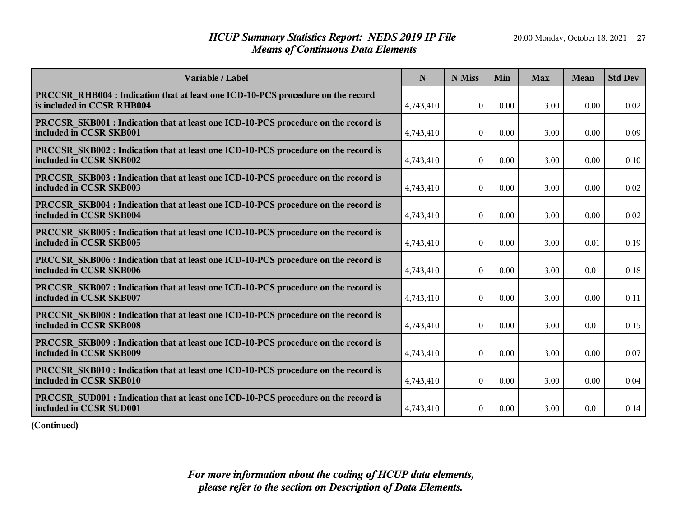## *HCUP Summary Statistics Report: NEDS 2019 IP File* 20:00 Monday, October 18, 2021 27 *Means of Continuous Data Elements*

| Variable / Label                                                                                                     | N         | N Miss           | Min  | <b>Max</b> | <b>Mean</b> | <b>Std Dev</b> |
|----------------------------------------------------------------------------------------------------------------------|-----------|------------------|------|------------|-------------|----------------|
| <b>PRCCSR RHB004 : Indication that at least one ICD-10-PCS procedure on the record</b><br>is included in CCSR RHB004 | 4,743,410 | $\theta$         | 0.00 | 3.00       | 0.00        | 0.02           |
| PRCCSR SKB001 : Indication that at least one ICD-10-PCS procedure on the record is<br>included in CCSR SKB001        | 4,743,410 | $\boldsymbol{0}$ | 0.00 | 3.00       | 0.00        | 0.09           |
| PRCCSR_SKB002 : Indication that at least one ICD-10-PCS procedure on the record is<br>included in CCSR SKB002        | 4,743,410 | $\overline{0}$   | 0.00 | 3.00       | 0.00        | 0.10           |
| <b>PRCCSR SKB003 : Indication that at least one ICD-10-PCS procedure on the record is</b><br>included in CCSR SKB003 | 4,743,410 | $\Omega$         | 0.00 | 3.00       | 0.00        | 0.02           |
| <b>PRCCSR SKB004 : Indication that at least one ICD-10-PCS procedure on the record is</b><br>included in CCSR SKB004 | 4,743,410 | $\boldsymbol{0}$ | 0.00 | 3.00       | 0.00        | 0.02           |
| <b>PRCCSR SKB005 : Indication that at least one ICD-10-PCS procedure on the record is</b><br>included in CCSR SKB005 | 4,743,410 | $\theta$         | 0.00 | 3.00       | 0.01        | 0.19           |
| <b>PRCCSR SKB006 : Indication that at least one ICD-10-PCS procedure on the record is</b><br>included in CCSR SKB006 | 4,743,410 | $\boldsymbol{0}$ | 0.00 | 3.00       | 0.01        | 0.18           |
| <b>PRCCSR SKB007: Indication that at least one ICD-10-PCS procedure on the record is</b><br>included in CCSR SKB007  | 4,743,410 | $\boldsymbol{0}$ | 0.00 | 3.00       | 0.00        | 0.11           |
| <b>PRCCSR SKB008 : Indication that at least one ICD-10-PCS procedure on the record is</b><br>included in CCSR SKB008 | 4,743,410 | $\Omega$         | 0.00 | 3.00       | $0.01\,$    | 0.15           |
| PRCCSR_SKB009 : Indication that at least one ICD-10-PCS procedure on the record is<br>included in CCSR SKB009        | 4,743,410 | $\overline{0}$   | 0.00 | 3.00       | 0.00        | 0.07           |
| <b>PRCCSR SKB010: Indication that at least one ICD-10-PCS procedure on the record is</b><br>included in CCSR SKB010  | 4,743,410 | $\boldsymbol{0}$ | 0.00 | 3.00       | 0.00        | 0.04           |
| PRCCSR SUD001 : Indication that at least one ICD-10-PCS procedure on the record is<br>included in CCSR SUD001        | 4,743,410 | $\boldsymbol{0}$ | 0.00 | 3.00       | 0.01        | 0.14           |

**(Continued)**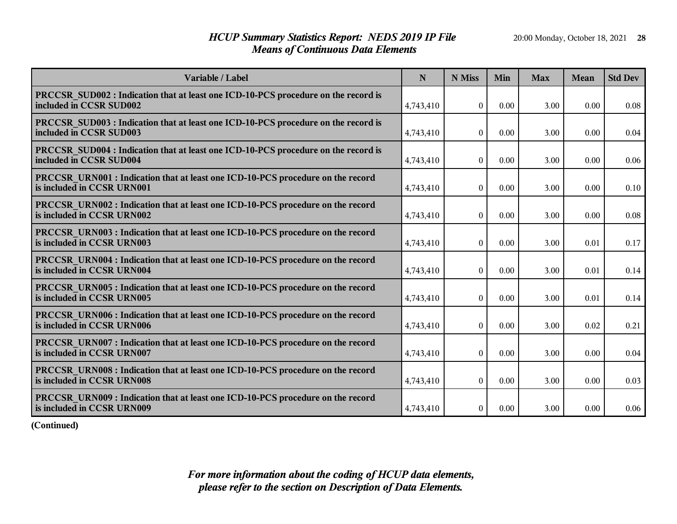## *HCUP Summary Statistics Report: NEDS 2019 IP File* 20:00 Monday, October 18, 2021 28 *Means of Continuous Data Elements*

| Variable / Label                                                                                                     | N         | N Miss           | Min  | <b>Max</b> | Mean | <b>Std Dev</b> |
|----------------------------------------------------------------------------------------------------------------------|-----------|------------------|------|------------|------|----------------|
| PRCCSR SUD002 : Indication that at least one ICD-10-PCS procedure on the record is<br>included in CCSR SUD002        | 4,743,410 | $\theta$         | 0.00 | 3.00       | 0.00 | 0.08           |
| PRCCSR SUD003 : Indication that at least one ICD-10-PCS procedure on the record is<br>included in CCSR SUD003        | 4,743,410 | $\Omega$         | 0.00 | 3.00       | 0.00 | 0.04           |
| PRCCSR SUD004 : Indication that at least one ICD-10-PCS procedure on the record is<br>included in CCSR SUD004        | 4,743,410 | $\overline{0}$   | 0.00 | 3.00       | 0.00 | 0.06           |
| <b>PRCCSR URN001:</b> Indication that at least one ICD-10-PCS procedure on the record<br>is included in CCSR URN001  | 4,743,410 | $\boldsymbol{0}$ | 0.00 | 3.00       | 0.00 | 0.10           |
| <b>PRCCSR URN002 : Indication that at least one ICD-10-PCS procedure on the record</b><br>is included in CCSR URN002 | 4,743,410 | $\boldsymbol{0}$ | 0.00 | 3.00       | 0.00 | 0.08           |
| <b>PRCCSR URN003 : Indication that at least one ICD-10-PCS procedure on the record</b><br>is included in CCSR URN003 | 4,743,410 | $\boldsymbol{0}$ | 0.00 | 3.00       | 0.01 | 0.17           |
| <b>PRCCSR URN004 : Indication that at least one ICD-10-PCS procedure on the record</b><br>is included in CCSR URN004 | 4,743,410 | $\theta$         | 0.00 | 3.00       | 0.01 | 0.14           |
| PRCCSR URN005 : Indication that at least one ICD-10-PCS procedure on the record<br>is included in CCSR URN005        | 4,743,410 | $\boldsymbol{0}$ | 0.00 | 3.00       | 0.01 | 0.14           |
| PRCCSR URN006 : Indication that at least one ICD-10-PCS procedure on the record<br>is included in CCSR URN006        | 4,743,410 | $\theta$         | 0.00 | 3.00       | 0.02 | 0.21           |
| <b>PRCCSR URN007: Indication that at least one ICD-10-PCS procedure on the record</b><br>is included in CCSR URN007  | 4,743,410 | $\overline{0}$   | 0.00 | 3.00       | 0.00 | 0.04           |
| <b>PRCCSR URN008 : Indication that at least one ICD-10-PCS procedure on the record</b><br>is included in CCSR URN008 | 4,743,410 | $\mathbf{0}$     | 0.00 | 3.00       | 0.00 | 0.03           |
| PRCCSR URN009: Indication that at least one ICD-10-PCS procedure on the record<br>is included in CCSR URN009         | 4,743,410 | $\boldsymbol{0}$ | 0.00 | 3.00       | 0.00 | 0.06           |

**(Continued)**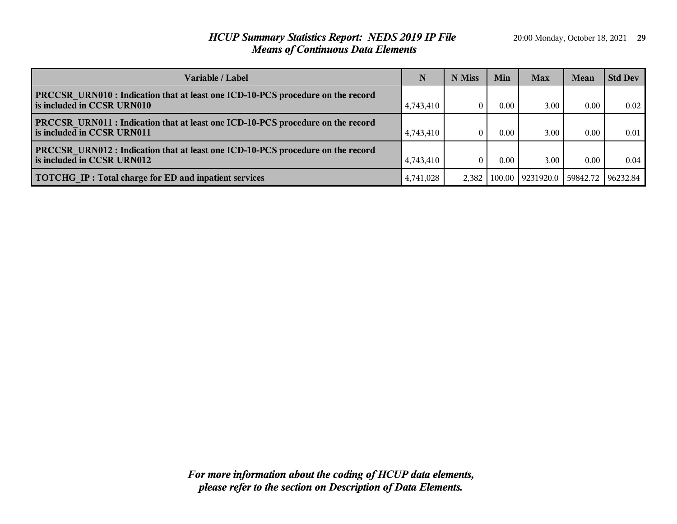## *HCUP Summary Statistics Report: NEDS 2019 IP File* 20:00 Monday, October 18, 2021 **29** *Means of Continuous Data Elements*

| <b>Variable / Label</b>                                                                                              | N         | N Miss | Min  | <b>Max</b>         | Mean | <b>Std Dev</b>      |
|----------------------------------------------------------------------------------------------------------------------|-----------|--------|------|--------------------|------|---------------------|
| <b>PRCCSR URN010:</b> Indication that at least one ICD-10-PCS procedure on the record<br>is included in CCSR URN010  | 4,743,410 |        | 0.00 | $3.00 -$           | 0.00 | 0.02                |
| <b>PRCCSR URN011</b> : Indication that at least one ICD-10-PCS procedure on the record<br>is included in CCSR URN011 | 4,743,410 |        | 0.00 | 3.00               | 0.00 | 0.01                |
| <b>PRCCSR URN012 : Indication that at least one ICD-10-PCS procedure on the record</b><br>is included in CCSR URN012 | 4,743,410 |        | 0.00 | $3.00 -$           | 0.00 | 0.04                |
| <b>TOTCHG IP: Total charge for ED and inpatient services</b>                                                         | 4,741,028 | 2.382  |      | 100.00   9231920.0 |      | 59842.72   96232.84 |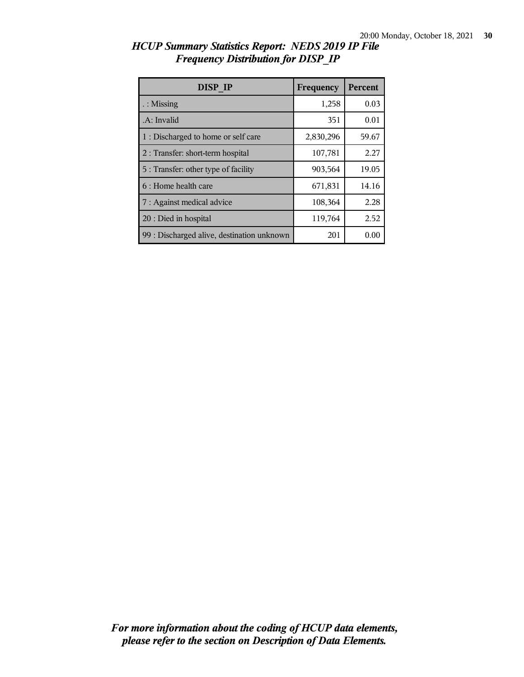| DISP IP                                    | Frequency | <b>Percent</b> |
|--------------------------------------------|-----------|----------------|
| $\therefore$ Missing                       | 1,258     | 0.03           |
| .A: Invalid                                | 351       | 0.01           |
| 1 : Discharged to home or self care        | 2,830,296 | 59.67          |
| 2 : Transfer: short-term hospital          | 107,781   | 2.27           |
| 5 : Transfer: other type of facility       | 903,564   | 19.05          |
| 6 : Home health care                       | 671,831   | 14.16          |
| 7 : Against medical advice                 | 108,364   | 2.28           |
| 20 : Died in hospital                      | 119,764   | 2.52           |
| 99 : Discharged alive, destination unknown | 201       | 0.00           |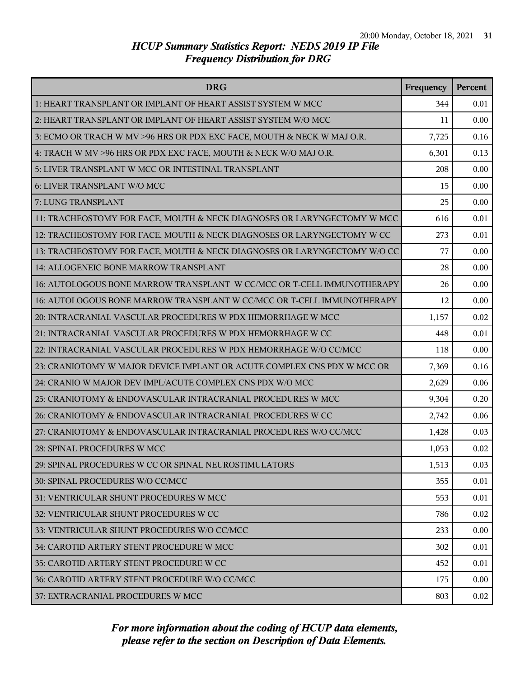| <b>DRG</b>                                                               | Frequency | Percent |
|--------------------------------------------------------------------------|-----------|---------|
| 1: HEART TRANSPLANT OR IMPLANT OF HEART ASSIST SYSTEM W MCC              | 344       | 0.01    |
| 2: HEART TRANSPLANT OR IMPLANT OF HEART ASSIST SYSTEM W/O MCC            | 11        | 0.00    |
| 3: ECMO OR TRACH W MV >96 HRS OR PDX EXC FACE, MOUTH & NECK W MAJ O.R.   | 7,725     | 0.16    |
| 4: TRACH W MV >96 HRS OR PDX EXC FACE, MOUTH & NECK W/O MAJ O.R.         | 6,301     | 0.13    |
| 5: LIVER TRANSPLANT W MCC OR INTESTINAL TRANSPLANT                       | 208       | 0.00    |
| 6: LIVER TRANSPLANT W/O MCC                                              | 15        | 0.00    |
| 7: LUNG TRANSPLANT                                                       | 25        | 0.00    |
| 11: TRACHEOSTOMY FOR FACE, MOUTH & NECK DIAGNOSES OR LARYNGECTOMY W MCC  | 616       | 0.01    |
| 12: TRACHEOSTOMY FOR FACE, MOUTH & NECK DIAGNOSES OR LARYNGECTOMY W CC   | 273       | 0.01    |
| 13: TRACHEOSTOMY FOR FACE, MOUTH & NECK DIAGNOSES OR LARYNGECTOMY W/O CC | 77        | 0.00    |
| 14: ALLOGENEIC BONE MARROW TRANSPLANT                                    | 28        | 0.00    |
| 16: AUTOLOGOUS BONE MARROW TRANSPLANT W CC/MCC OR T-CELL IMMUNOTHERAPY   | 26        | 0.00    |
| 16: AUTOLOGOUS BONE MARROW TRANSPLANT W CC/MCC OR T-CELL IMMUNOTHERAPY   | 12        | 0.00    |
| 20: INTRACRANIAL VASCULAR PROCEDURES W PDX HEMORRHAGE W MCC              | 1,157     | 0.02    |
| 21: INTRACRANIAL VASCULAR PROCEDURES W PDX HEMORRHAGE W CC               | 448       | 0.01    |
| 22: INTRACRANIAL VASCULAR PROCEDURES W PDX HEMORRHAGE W/O CC/MCC         | 118       | 0.00    |
| 23: CRANIOTOMY W MAJOR DEVICE IMPLANT OR ACUTE COMPLEX CNS PDX W MCC OR  | 7,369     | 0.16    |
| 24: CRANIO W MAJOR DEV IMPL/ACUTE COMPLEX CNS PDX W/O MCC                | 2,629     | 0.06    |
| 25: CRANIOTOMY & ENDOVASCULAR INTRACRANIAL PROCEDURES W MCC              | 9,304     | 0.20    |
| 26: CRANIOTOMY & ENDOVASCULAR INTRACRANIAL PROCEDURES W CC               | 2,742     | 0.06    |
| 27: CRANIOTOMY & ENDOVASCULAR INTRACRANIAL PROCEDURES W/O CC/MCC         | 1,428     | 0.03    |
| 28: SPINAL PROCEDURES W MCC                                              | 1,053     | 0.02    |
| 29: SPINAL PROCEDURES W CC OR SPINAL NEUROSTIMULATORS                    | 1,513     | 0.03    |
| 30: SPINAL PROCEDURES W/O CC/MCC                                         | 355       | 0.01    |
| 31: VENTRICULAR SHUNT PROCEDURES W MCC                                   | 553       | 0.01    |
| 32: VENTRICULAR SHUNT PROCEDURES W CC                                    | 786       | 0.02    |
| 33: VENTRICULAR SHUNT PROCEDURES W/O CC/MCC                              | 233       | 0.00    |
| 34: CAROTID ARTERY STENT PROCEDURE W MCC                                 | 302       | 0.01    |
| 35: CAROTID ARTERY STENT PROCEDURE W CC                                  | 452       | 0.01    |
| 36: CAROTID ARTERY STENT PROCEDURE W/O CC/MCC                            | 175       | 0.00    |
| 37: EXTRACRANIAL PROCEDURES W MCC                                        | 803       | 0.02    |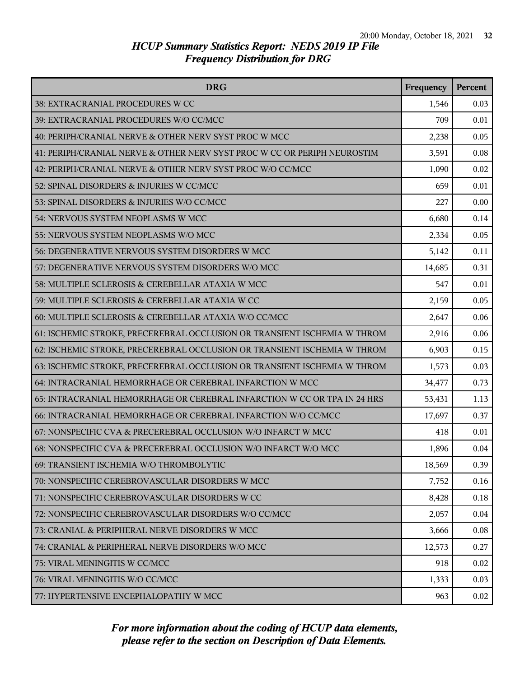| <b>DRG</b>                                                               | Frequency | Percent |
|--------------------------------------------------------------------------|-----------|---------|
| 38: EXTRACRANIAL PROCEDURES W CC                                         | 1,546     | 0.03    |
| 39: EXTRACRANIAL PROCEDURES W/O CC/MCC                                   | 709       | 0.01    |
| 40: PERIPH/CRANIAL NERVE & OTHER NERV SYST PROC W MCC                    | 2,238     | 0.05    |
| 41: PERIPH/CRANIAL NERVE & OTHER NERV SYST PROC W CC OR PERIPH NEUROSTIM | 3,591     | 0.08    |
| 42: PERIPH/CRANIAL NERVE & OTHER NERV SYST PROC W/O CC/MCC               | 1,090     | 0.02    |
| 52: SPINAL DISORDERS & INJURIES W CC/MCC                                 | 659       | 0.01    |
| 53: SPINAL DISORDERS & INJURIES W/O CC/MCC                               | 227       | 0.00    |
| 54: NERVOUS SYSTEM NEOPLASMS W MCC                                       | 6,680     | 0.14    |
| 55: NERVOUS SYSTEM NEOPLASMS W/O MCC                                     | 2,334     | 0.05    |
| 56: DEGENERATIVE NERVOUS SYSTEM DISORDERS W MCC                          | 5,142     | 0.11    |
| 57: DEGENERATIVE NERVOUS SYSTEM DISORDERS W/O MCC                        | 14,685    | 0.31    |
| 58: MULTIPLE SCLEROSIS & CEREBELLAR ATAXIA W MCC                         | 547       | 0.01    |
| 59: MULTIPLE SCLEROSIS & CEREBELLAR ATAXIA W CC                          | 2,159     | 0.05    |
| 60: MULTIPLE SCLEROSIS & CEREBELLAR ATAXIA W/O CC/MCC                    | 2,647     | 0.06    |
| 61: ISCHEMIC STROKE, PRECEREBRAL OCCLUSION OR TRANSIENT ISCHEMIA W THROM | 2,916     | 0.06    |
| 62: ISCHEMIC STROKE, PRECEREBRAL OCCLUSION OR TRANSIENT ISCHEMIA W THROM | 6,903     | 0.15    |
| 63: ISCHEMIC STROKE, PRECEREBRAL OCCLUSION OR TRANSIENT ISCHEMIA W THROM | 1,573     | 0.03    |
| 64: INTRACRANIAL HEMORRHAGE OR CEREBRAL INFARCTION W MCC                 | 34,477    | 0.73    |
| 65: INTRACRANIAL HEMORRHAGE OR CEREBRAL INFARCTION W CC OR TPA IN 24 HRS | 53,431    | 1.13    |
| 66: INTRACRANIAL HEMORRHAGE OR CEREBRAL INFARCTION W/O CC/MCC            | 17,697    | 0.37    |
| 67: NONSPECIFIC CVA & PRECEREBRAL OCCLUSION W/O INFARCT W MCC            | 418       | 0.01    |
| 68: NONSPECIFIC CVA & PRECEREBRAL OCCLUSION W/O INFARCT W/O MCC          | 1,896     | 0.04    |
| 69: TRANSIENT ISCHEMIA W/O THROMBOLYTIC                                  | 18,569    | 0.39    |
| 70: NONSPECIFIC CEREBROVASCULAR DISORDERS W MCC                          | 7,752     | 0.16    |
| 71: NONSPECIFIC CEREBROVASCULAR DISORDERS W CC                           | 8,428     | 0.18    |
| 72: NONSPECIFIC CEREBROVASCULAR DISORDERS W/O CC/MCC                     | 2,057     | 0.04    |
| 73: CRANIAL & PERIPHERAL NERVE DISORDERS W MCC                           | 3,666     | 0.08    |
| 74: CRANIAL & PERIPHERAL NERVE DISORDERS W/O MCC                         | 12,573    | 0.27    |
| 75: VIRAL MENINGITIS W CC/MCC                                            | 918       | 0.02    |
| 76: VIRAL MENINGITIS W/O CC/MCC                                          | 1,333     | 0.03    |
| 77: HYPERTENSIVE ENCEPHALOPATHY W MCC                                    | 963       | 0.02    |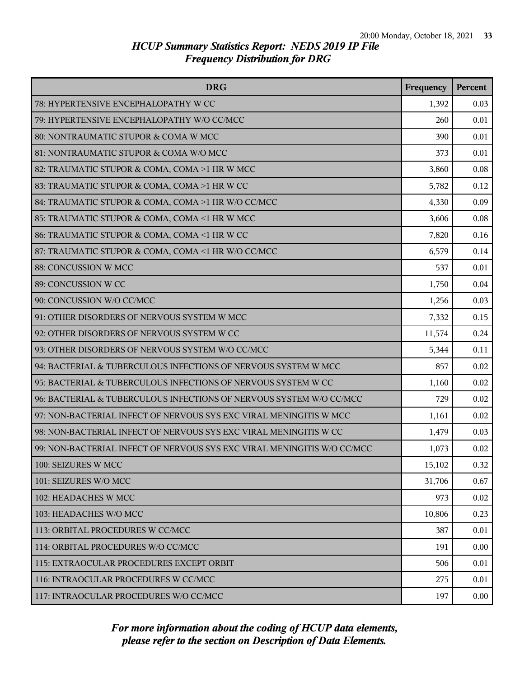| <b>DRG</b>                                                              | Frequency | Percent |
|-------------------------------------------------------------------------|-----------|---------|
| 78: HYPERTENSIVE ENCEPHALOPATHY W CC                                    | 1,392     | 0.03    |
| 79: HYPERTENSIVE ENCEPHALOPATHY W/O CC/MCC                              | 260       | 0.01    |
| 80: NONTRAUMATIC STUPOR & COMA W MCC                                    | 390       | 0.01    |
| 81: NONTRAUMATIC STUPOR & COMA W/O MCC                                  | 373       | 0.01    |
| 82: TRAUMATIC STUPOR & COMA, COMA >1 HR W MCC                           | 3,860     | 0.08    |
| 83: TRAUMATIC STUPOR & COMA, COMA >1 HR W CC                            | 5,782     | 0.12    |
| 84: TRAUMATIC STUPOR & COMA, COMA >1 HR W/O CC/MCC                      | 4,330     | 0.09    |
| 85: TRAUMATIC STUPOR & COMA, COMA <1 HR W MCC                           | 3,606     | 0.08    |
| 86: TRAUMATIC STUPOR & COMA, COMA <1 HR W CC                            | 7,820     | 0.16    |
| 87: TRAUMATIC STUPOR & COMA, COMA <1 HR W/O CC/MCC                      | 6,579     | 0.14    |
| 88: CONCUSSION W MCC                                                    | 537       | 0.01    |
| 89: CONCUSSION W CC                                                     | 1,750     | 0.04    |
| 90: CONCUSSION W/O CC/MCC                                               | 1,256     | 0.03    |
| 91: OTHER DISORDERS OF NERVOUS SYSTEM W MCC                             | 7,332     | 0.15    |
| 92: OTHER DISORDERS OF NERVOUS SYSTEM W CC                              | 11,574    | 0.24    |
| 93: OTHER DISORDERS OF NERVOUS SYSTEM W/O CC/MCC                        | 5,344     | 0.11    |
| 94: BACTERIAL & TUBERCULOUS INFECTIONS OF NERVOUS SYSTEM W MCC          | 857       | 0.02    |
| 95: BACTERIAL & TUBERCULOUS INFECTIONS OF NERVOUS SYSTEM W CC           | 1,160     | 0.02    |
| 96: BACTERIAL & TUBERCULOUS INFECTIONS OF NERVOUS SYSTEM W/O CC/MCC     | 729       | 0.02    |
| 97: NON-BACTERIAL INFECT OF NERVOUS SYS EXC VIRAL MENINGITIS W MCC      | 1,161     | 0.02    |
| 98: NON-BACTERIAL INFECT OF NERVOUS SYS EXC VIRAL MENINGITIS W CC       | 1,479     | 0.03    |
| 99: NON-BACTERIAL INFECT OF NERVOUS SYS EXC VIRAL MENINGITIS W/O CC/MCC | 1,073     | 0.02    |
| 100: SEIZURES W MCC                                                     | 15,102    | 0.32    |
| 101: SEIZURES W/O MCC                                                   | 31,706    | 0.67    |
| 102: HEADACHES W MCC                                                    | 973       | 0.02    |
| 103: HEADACHES W/O MCC                                                  | 10,806    | 0.23    |
| 113: ORBITAL PROCEDURES W CC/MCC                                        | 387       | 0.01    |
| 114: ORBITAL PROCEDURES W/O CC/MCC                                      | 191       | 0.00    |
| 115: EXTRAOCULAR PROCEDURES EXCEPT ORBIT                                | 506       | 0.01    |
| 116: INTRAOCULAR PROCEDURES W CC/MCC                                    | 275       | 0.01    |
| 117: INTRAOCULAR PROCEDURES W/O CC/MCC                                  | 197       | 0.00    |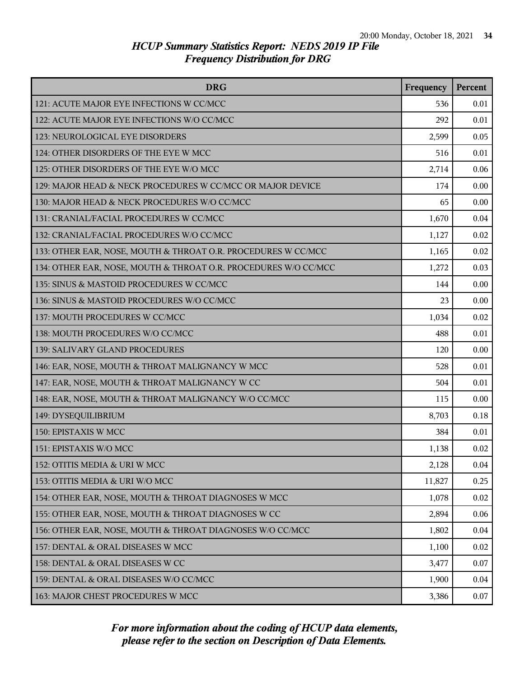| <b>DRG</b>                                                      | Frequency | Percent |
|-----------------------------------------------------------------|-----------|---------|
| 121: ACUTE MAJOR EYE INFECTIONS W CC/MCC                        | 536       | 0.01    |
| 122: ACUTE MAJOR EYE INFECTIONS W/O CC/MCC                      | 292       | 0.01    |
| 123: NEUROLOGICAL EYE DISORDERS                                 | 2,599     | 0.05    |
| 124: OTHER DISORDERS OF THE EYE W MCC                           | 516       | 0.01    |
| 125: OTHER DISORDERS OF THE EYE W/O MCC                         | 2,714     | 0.06    |
| 129: MAJOR HEAD & NECK PROCEDURES W CC/MCC OR MAJOR DEVICE      | 174       | 0.00    |
| 130: MAJOR HEAD & NECK PROCEDURES W/O CC/MCC                    | 65        | 0.00    |
| 131: CRANIAL/FACIAL PROCEDURES W CC/MCC                         | 1,670     | 0.04    |
| 132: CRANIAL/FACIAL PROCEDURES W/O CC/MCC                       | 1,127     | 0.02    |
| 133: OTHER EAR, NOSE, MOUTH & THROAT O.R. PROCEDURES W CC/MCC   | 1,165     | 0.02    |
| 134: OTHER EAR, NOSE, MOUTH & THROAT O.R. PROCEDURES W/O CC/MCC | 1,272     | 0.03    |
| 135: SINUS & MASTOID PROCEDURES W CC/MCC                        | 144       | 0.00    |
| 136: SINUS & MASTOID PROCEDURES W/O CC/MCC                      | 23        | 0.00    |
| 137: MOUTH PROCEDURES W CC/MCC                                  | 1,034     | 0.02    |
| 138: MOUTH PROCEDURES W/O CC/MCC                                | 488       | 0.01    |
| 139: SALIVARY GLAND PROCEDURES                                  | 120       | 0.00    |
| 146: EAR, NOSE, MOUTH & THROAT MALIGNANCY W MCC                 | 528       | 0.01    |
| 147: EAR, NOSE, MOUTH & THROAT MALIGNANCY W CC                  | 504       | 0.01    |
| 148: EAR, NOSE, MOUTH & THROAT MALIGNANCY W/O CC/MCC            | 115       | 0.00    |
| 149: DYSEQUILIBRIUM                                             | 8,703     | 0.18    |
| 150: EPISTAXIS W MCC                                            | 384       | 0.01    |
| 151: EPISTAXIS W/O MCC                                          | 1,138     | 0.02    |
| 152: OTITIS MEDIA & URI W MCC                                   | 2,128     | 0.04    |
| 153: OTITIS MEDIA & URI W/O MCC                                 | 11,827    | 0.25    |
| 154: OTHER EAR, NOSE, MOUTH & THROAT DIAGNOSES W MCC            | 1,078     | 0.02    |
| 155: OTHER EAR, NOSE, MOUTH & THROAT DIAGNOSES W CC             | 2,894     | 0.06    |
| 156: OTHER EAR, NOSE, MOUTH & THROAT DIAGNOSES W/O CC/MCC       | 1,802     | 0.04    |
| 157: DENTAL & ORAL DISEASES W MCC                               | 1,100     | 0.02    |
| 158: DENTAL & ORAL DISEASES W CC                                | 3,477     | 0.07    |
| 159: DENTAL & ORAL DISEASES W/O CC/MCC                          | 1,900     | 0.04    |
| 163: MAJOR CHEST PROCEDURES W MCC                               | 3,386     | 0.07    |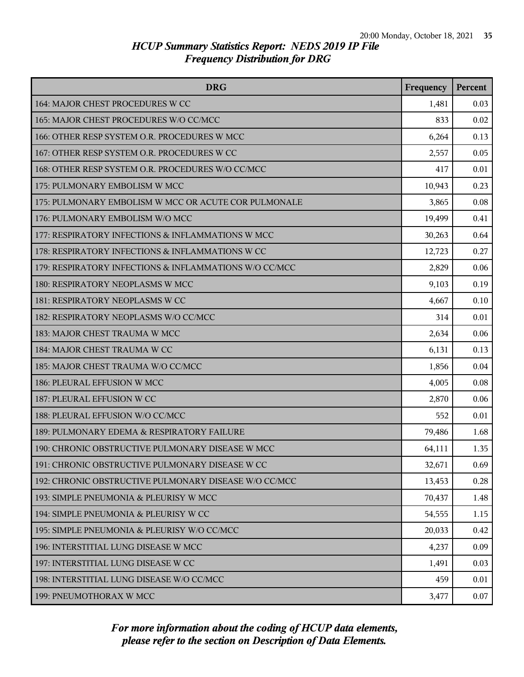| <b>DRG</b>                                             | Frequency | <b>Percent</b> |
|--------------------------------------------------------|-----------|----------------|
| 164: MAJOR CHEST PROCEDURES W CC                       | 1,481     | 0.03           |
| 165: MAJOR CHEST PROCEDURES W/O CC/MCC                 | 833       | 0.02           |
| 166: OTHER RESP SYSTEM O.R. PROCEDURES W MCC           | 6,264     | 0.13           |
| 167: OTHER RESP SYSTEM O.R. PROCEDURES W CC            | 2,557     | 0.05           |
| 168: OTHER RESP SYSTEM O.R. PROCEDURES W/O CC/MCC      | 417       | 0.01           |
| 175: PULMONARY EMBOLISM W MCC                          | 10,943    | 0.23           |
| 175: PULMONARY EMBOLISM W MCC OR ACUTE COR PULMONALE   | 3,865     | 0.08           |
| 176: PULMONARY EMBOLISM W/O MCC                        | 19,499    | 0.41           |
| 177: RESPIRATORY INFECTIONS & INFLAMMATIONS W MCC      | 30,263    | 0.64           |
| 178: RESPIRATORY INFECTIONS & INFLAMMATIONS W CC       | 12,723    | 0.27           |
| 179: RESPIRATORY INFECTIONS & INFLAMMATIONS W/O CC/MCC | 2,829     | 0.06           |
| 180: RESPIRATORY NEOPLASMS W MCC                       | 9,103     | 0.19           |
| 181: RESPIRATORY NEOPLASMS W CC                        | 4,667     | 0.10           |
| 182: RESPIRATORY NEOPLASMS W/O CC/MCC                  | 314       | 0.01           |
| 183: MAJOR CHEST TRAUMA W MCC                          | 2,634     | 0.06           |
| 184: MAJOR CHEST TRAUMA W CC                           | 6,131     | 0.13           |
| 185: MAJOR CHEST TRAUMA W/O CC/MCC                     | 1,856     | 0.04           |
| 186: PLEURAL EFFUSION W MCC                            | 4,005     | 0.08           |
| 187: PLEURAL EFFUSION W CC                             | 2,870     | 0.06           |
| 188: PLEURAL EFFUSION W/O CC/MCC                       | 552       | 0.01           |
| 189: PULMONARY EDEMA & RESPIRATORY FAILURE             | 79,486    | 1.68           |
| 190: CHRONIC OBSTRUCTIVE PULMONARY DISEASE W MCC       | 64,111    | 1.35           |
| 191: CHRONIC OBSTRUCTIVE PULMONARY DISEASE W CC        | 32,671    | 0.69           |
| 192: CHRONIC OBSTRUCTIVE PULMONARY DISEASE W/O CC/MCC  | 13,453    | 0.28           |
| 193: SIMPLE PNEUMONIA & PLEURISY W MCC                 | 70,437    | 1.48           |
| 194: SIMPLE PNEUMONIA & PLEURISY W CC                  | 54,555    | 1.15           |
| 195: SIMPLE PNEUMONIA & PLEURISY W/O CC/MCC            | 20,033    | 0.42           |
| 196: INTERSTITIAL LUNG DISEASE W MCC                   | 4,237     | 0.09           |
| 197: INTERSTITIAL LUNG DISEASE W CC                    | 1,491     | 0.03           |
| 198: INTERSTITIAL LUNG DISEASE W/O CC/MCC              | 459       | 0.01           |
| 199: PNEUMOTHORAX W MCC                                | 3,477     | 0.07           |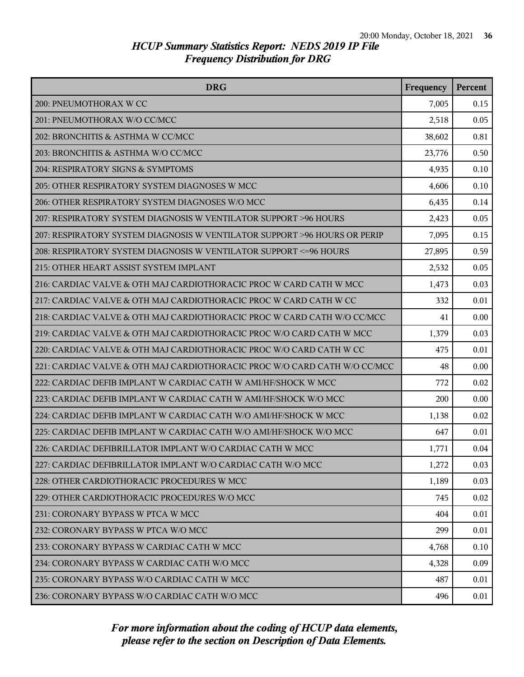| <b>DRG</b>                                                                | Frequency | <b>Percent</b> |
|---------------------------------------------------------------------------|-----------|----------------|
| 200: PNEUMOTHORAX W CC                                                    | 7,005     | 0.15           |
| 201: PNEUMOTHORAX W/O CC/MCC                                              | 2,518     | 0.05           |
| 202: BRONCHITIS & ASTHMA W CC/MCC                                         | 38,602    | 0.81           |
| 203: BRONCHITIS & ASTHMA W/O CC/MCC                                       | 23,776    | 0.50           |
| 204: RESPIRATORY SIGNS & SYMPTOMS                                         | 4,935     | 0.10           |
| 205: OTHER RESPIRATORY SYSTEM DIAGNOSES W MCC                             | 4,606     | 0.10           |
| 206: OTHER RESPIRATORY SYSTEM DIAGNOSES W/O MCC                           | 6,435     | 0.14           |
| 207: RESPIRATORY SYSTEM DIAGNOSIS W VENTILATOR SUPPORT >96 HOURS          | 2,423     | 0.05           |
| 207: RESPIRATORY SYSTEM DIAGNOSIS W VENTILATOR SUPPORT >96 HOURS OR PERIP | 7,095     | 0.15           |
| 208: RESPIRATORY SYSTEM DIAGNOSIS W VENTILATOR SUPPORT <= 96 HOURS        | 27,895    | 0.59           |
| 215: OTHER HEART ASSIST SYSTEM IMPLANT                                    | 2,532     | 0.05           |
| 216: CARDIAC VALVE & OTH MAJ CARDIOTHORACIC PROC W CARD CATH W MCC        | 1,473     | 0.03           |
| 217: CARDIAC VALVE & OTH MAJ CARDIOTHORACIC PROC W CARD CATH W CC         | 332       | 0.01           |
| 218: CARDIAC VALVE & OTH MAJ CARDIOTHORACIC PROC W CARD CATH W/O CC/MCC   | 41        | 0.00           |
| 219: CARDIAC VALVE & OTH MAJ CARDIOTHORACIC PROC W/O CARD CATH W MCC      | 1,379     | 0.03           |
| 220: CARDIAC VALVE & OTH MAJ CARDIOTHORACIC PROC W/O CARD CATH W CC       | 475       | 0.01           |
| 221: CARDIAC VALVE & OTH MAJ CARDIOTHORACIC PROC W/O CARD CATH W/O CC/MCC | 48        | 0.00           |
| 222: CARDIAC DEFIB IMPLANT W CARDIAC CATH W AMI/HF/SHOCK W MCC            | 772       | 0.02           |
| 223: CARDIAC DEFIB IMPLANT W CARDIAC CATH W AMI/HF/SHOCK W/O MCC          | 200       | 0.00           |
| 224: CARDIAC DEFIB IMPLANT W CARDIAC CATH W/O AMI/HF/SHOCK W MCC          | 1,138     | 0.02           |
| 225: CARDIAC DEFIB IMPLANT W CARDIAC CATH W/O AMI/HF/SHOCK W/O MCC        | 647       | 0.01           |
| 226: CARDIAC DEFIBRILLATOR IMPLANT W/O CARDIAC CATH W MCC                 | 1,771     | 0.04           |
| 227: CARDIAC DEFIBRILLATOR IMPLANT W/O CARDIAC CATH W/O MCC               | 1,272     | 0.03           |
| 228: OTHER CARDIOTHORACIC PROCEDURES W MCC                                | 1,189     | 0.03           |
| 229: OTHER CARDIOTHORACIC PROCEDURES W/O MCC                              | 745       | 0.02           |
| 231: CORONARY BYPASS W PTCA W MCC                                         | 404       | 0.01           |
| 232: CORONARY BYPASS W PTCA W/O MCC                                       | 299       | 0.01           |
| 233: CORONARY BYPASS W CARDIAC CATH W MCC                                 | 4,768     | 0.10           |
| 234: CORONARY BYPASS W CARDIAC CATH W/O MCC                               | 4,328     | 0.09           |
| 235: CORONARY BYPASS W/O CARDIAC CATH W MCC                               | 487       | 0.01           |
| 236: CORONARY BYPASS W/O CARDIAC CATH W/O MCC                             | 496       | 0.01           |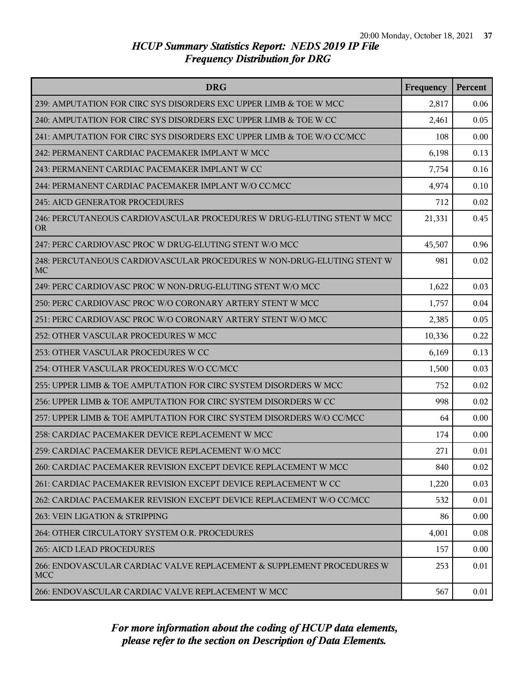| <b>DRG</b>                                                                          | Frequency | Percent |
|-------------------------------------------------------------------------------------|-----------|---------|
| 239: AMPUTATION FOR CIRC SYS DISORDERS EXC UPPER LIMB & TOE W MCC                   | 2,817     | 0.06    |
| 240: AMPUTATION FOR CIRC SYS DISORDERS EXC UPPER LIMB & TOE W CC                    | 2,461     | 0.05    |
| 241: AMPUTATION FOR CIRC SYS DISORDERS EXC UPPER LIMB & TOE W/O CC/MCC              | 108       | 0.00    |
| 242: PERMANENT CARDIAC PACEMAKER IMPLANT W MCC                                      | 6,198     | 0.13    |
| 243: PERMANENT CARDIAC PACEMAKER IMPLANT W CC                                       | 7,754     | 0.16    |
| 244: PERMANENT CARDIAC PACEMAKER IMPLANT W/O CC/MCC                                 | 4,974     | 0.10    |
| 245: AICD GENERATOR PROCEDURES                                                      | 712       | 0.02    |
| 246: PERCUTANEOUS CARDIOVASCULAR PROCEDURES W DRUG-ELUTING STENT W MCC<br><b>OR</b> | 21,331    | 0.45    |
| 247: PERC CARDIOVASC PROC W DRUG-ELUTING STENT W/O MCC                              | 45,507    | 0.96    |
| 248: PERCUTANEOUS CARDIOVASCULAR PROCEDURES W NON-DRUG-ELUTING STENT W<br>MC        | 981       | 0.02    |
| 249: PERC CARDIOVASC PROC W NON-DRUG-ELUTING STENT W/O MCC                          | 1,622     | 0.03    |
| 250: PERC CARDIOVASC PROC W/O CORONARY ARTERY STENT W MCC                           | 1,757     | 0.04    |
| 251: PERC CARDIOVASC PROC W/O CORONARY ARTERY STENT W/O MCC                         | 2,385     | 0.05    |
| 252: OTHER VASCULAR PROCEDURES W MCC                                                | 10,336    | 0.22    |
| 253: OTHER VASCULAR PROCEDURES W CC                                                 | 6,169     | 0.13    |
| 254: OTHER VASCULAR PROCEDURES W/O CC/MCC                                           | 1,500     | 0.03    |
| 255: UPPER LIMB & TOE AMPUTATION FOR CIRC SYSTEM DISORDERS W MCC                    | 752       | 0.02    |
| 256: UPPER LIMB & TOE AMPUTATION FOR CIRC SYSTEM DISORDERS W CC                     | 998       | 0.02    |
| 257: UPPER LIMB & TOE AMPUTATION FOR CIRC SYSTEM DISORDERS W/O CC/MCC               | 64        | 0.00    |
| 258: CARDIAC PACEMAKER DEVICE REPLACEMENT W MCC                                     | 174       | 0.00    |
| 259: CARDIAC PACEMAKER DEVICE REPLACEMENT W/O MCC                                   | 271       | 0.01    |
| 260: CARDIAC PACEMAKER REVISION EXCEPT DEVICE REPLACEMENT W MCC                     | 840       | 0.02    |
| 261: CARDIAC PACEMAKER REVISION EXCEPT DEVICE REPLACEMENT W CC                      | 1,220     | 0.03    |
| 262: CARDIAC PACEMAKER REVISION EXCEPT DEVICE REPLACEMENT W/O CC/MCC                | 532       | 0.01    |
| 263: VEIN LIGATION & STRIPPING                                                      | 86        | 0.00    |
| 264: OTHER CIRCULATORY SYSTEM O.R. PROCEDURES                                       | 4,001     | 0.08    |
| <b>265: AICD LEAD PROCEDURES</b>                                                    | 157       | 0.00    |
| 266: ENDOVASCULAR CARDIAC VALVE REPLACEMENT & SUPPLEMENT PROCEDURES W<br><b>MCC</b> | 253       | 0.01    |
| 266: ENDOVASCULAR CARDIAC VALVE REPLACEMENT W MCC                                   | 567       | 0.01    |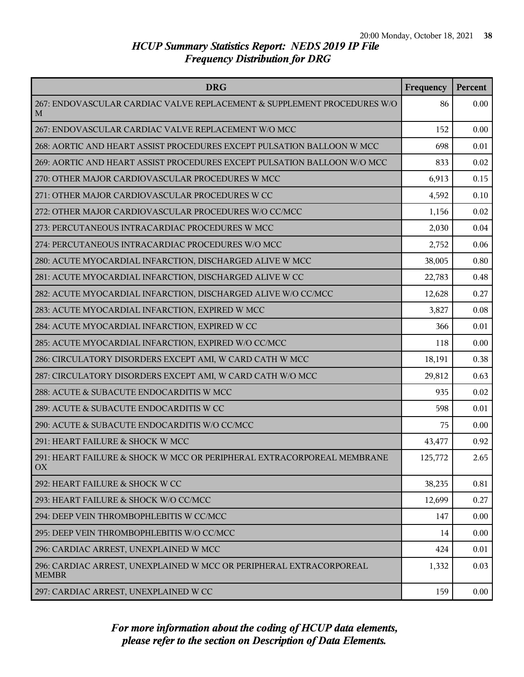| <b>DRG</b>                                                                          | Frequency | Percent |
|-------------------------------------------------------------------------------------|-----------|---------|
| 267: ENDOVASCULAR CARDIAC VALVE REPLACEMENT & SUPPLEMENT PROCEDURES W/O<br>M        | 86        | 0.00    |
| 267: ENDOVASCULAR CARDIAC VALVE REPLACEMENT W/O MCC                                 | 152       | 0.00    |
| 268: AORTIC AND HEART ASSIST PROCEDURES EXCEPT PULSATION BALLOON W MCC              | 698       | 0.01    |
| 269: AORTIC AND HEART ASSIST PROCEDURES EXCEPT PULSATION BALLOON W/O MCC            | 833       | 0.02    |
| 270: OTHER MAJOR CARDIOVASCULAR PROCEDURES W MCC                                    | 6,913     | 0.15    |
| 271: OTHER MAJOR CARDIOVASCULAR PROCEDURES W CC                                     | 4,592     | 0.10    |
| 272: OTHER MAJOR CARDIOVASCULAR PROCEDURES W/O CC/MCC                               | 1,156     | 0.02    |
| 273: PERCUTANEOUS INTRACARDIAC PROCEDURES W MCC                                     | 2,030     | 0.04    |
| 274: PERCUTANEOUS INTRACARDIAC PROCEDURES W/O MCC                                   | 2,752     | 0.06    |
| 280: ACUTE MYOCARDIAL INFARCTION, DISCHARGED ALIVE W MCC                            | 38,005    | 0.80    |
| 281: ACUTE MYOCARDIAL INFARCTION, DISCHARGED ALIVE W CC                             | 22,783    | 0.48    |
| 282: ACUTE MYOCARDIAL INFARCTION, DISCHARGED ALIVE W/O CC/MCC                       | 12,628    | 0.27    |
| 283: ACUTE MYOCARDIAL INFARCTION, EXPIRED W MCC                                     | 3,827     | 0.08    |
| 284: ACUTE MYOCARDIAL INFARCTION, EXPIRED W CC                                      | 366       | 0.01    |
| 285: ACUTE MYOCARDIAL INFARCTION, EXPIRED W/O CC/MCC                                | 118       | 0.00    |
| 286: CIRCULATORY DISORDERS EXCEPT AMI, W CARD CATH W MCC                            | 18,191    | 0.38    |
| 287: CIRCULATORY DISORDERS EXCEPT AMI, W CARD CATH W/O MCC                          | 29,812    | 0.63    |
| 288: ACUTE & SUBACUTE ENDOCARDITIS W MCC                                            | 935       | 0.02    |
| 289: ACUTE & SUBACUTE ENDOCARDITIS W CC                                             | 598       | 0.01    |
| 290: ACUTE & SUBACUTE ENDOCARDITIS W/O CC/MCC                                       | 75        | 0.00    |
| 291: HEART FAILURE & SHOCK W MCC                                                    | 43,477    | 0.92    |
| 291: HEART FAILURE & SHOCK W MCC OR PERIPHERAL EXTRACORPOREAL MEMBRANE<br>OX        | 125,772   | 2.65    |
| 292: HEART FAILURE & SHOCK W CC                                                     | 38,235    | 0.81    |
| 293: HEART FAILURE & SHOCK W/O CC/MCC                                               | 12,699    | 0.27    |
| 294: DEEP VEIN THROMBOPHLEBITIS W CC/MCC                                            | 147       | 0.00    |
| 295: DEEP VEIN THROMBOPHLEBITIS W/O CC/MCC                                          | 14        | 0.00    |
| 296: CARDIAC ARREST, UNEXPLAINED W MCC                                              | 424       | 0.01    |
| 296: CARDIAC ARREST, UNEXPLAINED W MCC OR PERIPHERAL EXTRACORPOREAL<br><b>MEMBR</b> | 1,332     | 0.03    |
| 297: CARDIAC ARREST, UNEXPLAINED W CC                                               | 159       | 0.00    |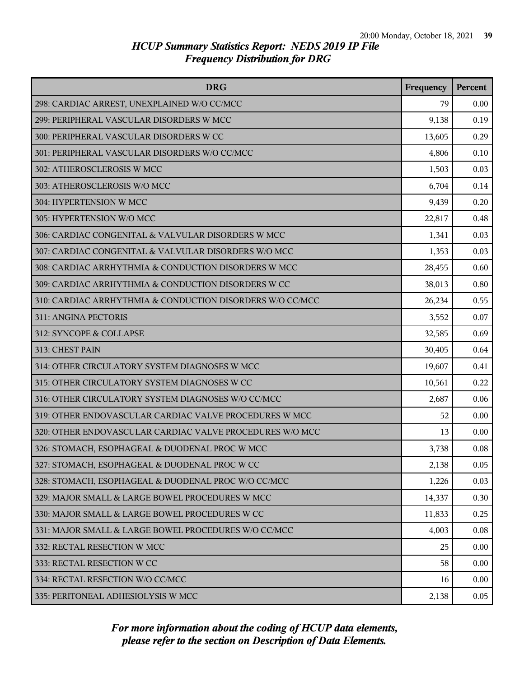| <b>DRG</b>                                                | Frequency | <b>Percent</b> |
|-----------------------------------------------------------|-----------|----------------|
| 298: CARDIAC ARREST, UNEXPLAINED W/O CC/MCC               | 79        | 0.00           |
| 299: PERIPHERAL VASCULAR DISORDERS W MCC                  | 9,138     | 0.19           |
| 300: PERIPHERAL VASCULAR DISORDERS W CC                   | 13,605    | 0.29           |
| 301: PERIPHERAL VASCULAR DISORDERS W/O CC/MCC             | 4,806     | 0.10           |
| 302: ATHEROSCLEROSIS W MCC                                | 1,503     | 0.03           |
| 303: ATHEROSCLEROSIS W/O MCC                              | 6,704     | 0.14           |
| 304: HYPERTENSION W MCC                                   | 9,439     | 0.20           |
| 305: HYPERTENSION W/O MCC                                 | 22,817    | 0.48           |
| 306: CARDIAC CONGENITAL & VALVULAR DISORDERS W MCC        | 1,341     | 0.03           |
| 307: CARDIAC CONGENITAL & VALVULAR DISORDERS W/O MCC      | 1,353     | 0.03           |
| 308: CARDIAC ARRHYTHMIA & CONDUCTION DISORDERS W MCC      | 28,455    | 0.60           |
| 309: CARDIAC ARRHYTHMIA & CONDUCTION DISORDERS W CC       | 38,013    | 0.80           |
| 310: CARDIAC ARRHYTHMIA & CONDUCTION DISORDERS W/O CC/MCC | 26,234    | 0.55           |
| 311: ANGINA PECTORIS                                      | 3,552     | 0.07           |
| 312: SYNCOPE & COLLAPSE                                   | 32,585    | 0.69           |
| 313: CHEST PAIN                                           | 30,405    | 0.64           |
| 314: OTHER CIRCULATORY SYSTEM DIAGNOSES W MCC             | 19,607    | 0.41           |
| 315: OTHER CIRCULATORY SYSTEM DIAGNOSES W CC              | 10,561    | 0.22           |
| 316: OTHER CIRCULATORY SYSTEM DIAGNOSES W/O CC/MCC        | 2,687     | 0.06           |
| 319: OTHER ENDOVASCULAR CARDIAC VALVE PROCEDURES W MCC    | 52        | 0.00           |
| 320: OTHER ENDOVASCULAR CARDIAC VALVE PROCEDURES W/O MCC  | 13        | 0.00           |
| 326: STOMACH, ESOPHAGEAL & DUODENAL PROC W MCC            | 3,738     | 0.08           |
| 327: STOMACH, ESOPHAGEAL & DUODENAL PROC W CC             | 2,138     | 0.05           |
| 328: STOMACH, ESOPHAGEAL & DUODENAL PROC W/O CC/MCC       | 1,226     | 0.03           |
| 329: MAJOR SMALL & LARGE BOWEL PROCEDURES W MCC           | 14,337    | 0.30           |
| 330: MAJOR SMALL & LARGE BOWEL PROCEDURES W CC            | 11,833    | 0.25           |
| 331: MAJOR SMALL & LARGE BOWEL PROCEDURES W/O CC/MCC      | 4,003     | 0.08           |
| 332: RECTAL RESECTION W MCC                               | 25        | 0.00           |
| 333: RECTAL RESECTION W CC                                | 58        | 0.00           |
| 334: RECTAL RESECTION W/O CC/MCC                          | 16        | 0.00           |
| 335: PERITONEAL ADHESIOLYSIS W MCC                        | 2,138     | 0.05           |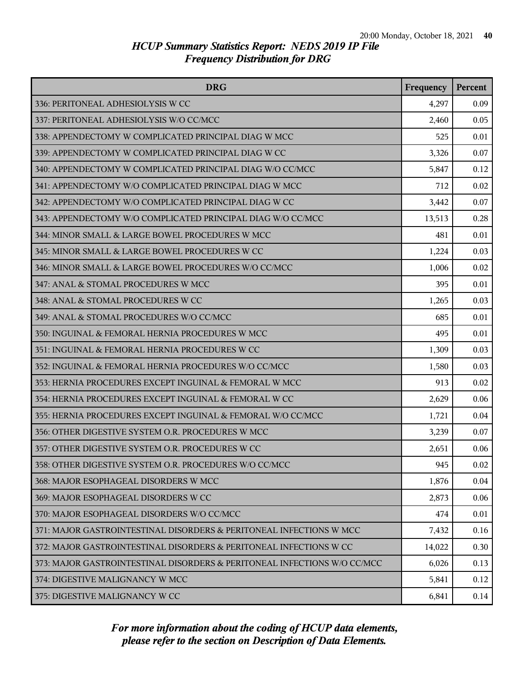| <b>DRG</b>                                                               | Frequency | <b>Percent</b> |
|--------------------------------------------------------------------------|-----------|----------------|
| 336: PERITONEAL ADHESIOLYSIS W CC                                        | 4,297     | 0.09           |
| 337: PERITONEAL ADHESIOLYSIS W/O CC/MCC                                  | 2,460     | 0.05           |
| 338: APPENDECTOMY W COMPLICATED PRINCIPAL DIAG W MCC                     | 525       | 0.01           |
| 339: APPENDECTOMY W COMPLICATED PRINCIPAL DIAG W CC                      | 3,326     | 0.07           |
| 340: APPENDECTOMY W COMPLICATED PRINCIPAL DIAG W/O CC/MCC                | 5,847     | 0.12           |
| 341: APPENDECTOMY W/O COMPLICATED PRINCIPAL DIAG W MCC                   | 712       | 0.02           |
| 342: APPENDECTOMY W/O COMPLICATED PRINCIPAL DIAG W CC                    | 3,442     | 0.07           |
| 343: APPENDECTOMY W/O COMPLICATED PRINCIPAL DIAG W/O CC/MCC              | 13,513    | 0.28           |
| 344: MINOR SMALL & LARGE BOWEL PROCEDURES W MCC                          | 481       | 0.01           |
| 345: MINOR SMALL & LARGE BOWEL PROCEDURES W CC                           | 1,224     | 0.03           |
| 346: MINOR SMALL & LARGE BOWEL PROCEDURES W/O CC/MCC                     | 1,006     | 0.02           |
| 347: ANAL & STOMAL PROCEDURES W MCC                                      | 395       | 0.01           |
| 348: ANAL & STOMAL PROCEDURES W CC                                       | 1,265     | 0.03           |
| 349: ANAL & STOMAL PROCEDURES W/O CC/MCC                                 | 685       | 0.01           |
| 350: INGUINAL & FEMORAL HERNIA PROCEDURES W MCC                          | 495       | 0.01           |
| 351: INGUINAL & FEMORAL HERNIA PROCEDURES W CC                           | 1,309     | 0.03           |
| 352: INGUINAL & FEMORAL HERNIA PROCEDURES W/O CC/MCC                     | 1,580     | 0.03           |
| 353: HERNIA PROCEDURES EXCEPT INGUINAL & FEMORAL W MCC                   | 913       | 0.02           |
| 354: HERNIA PROCEDURES EXCEPT INGUINAL & FEMORAL W CC                    | 2,629     | 0.06           |
| 355: HERNIA PROCEDURES EXCEPT INGUINAL & FEMORAL W/O CC/MCC              | 1,721     | 0.04           |
| 356: OTHER DIGESTIVE SYSTEM O.R. PROCEDURES W MCC                        | 3,239     | 0.07           |
| 357: OTHER DIGESTIVE SYSTEM O.R. PROCEDURES W CC                         | 2,651     | 0.06           |
| 358: OTHER DIGESTIVE SYSTEM O.R. PROCEDURES W/O CC/MCC                   | 945       | 0.02           |
| 368: MAJOR ESOPHAGEAL DISORDERS W MCC                                    | 1,876     | 0.04           |
| 369: MAJOR ESOPHAGEAL DISORDERS W CC                                     | 2,873     | 0.06           |
| 370: MAJOR ESOPHAGEAL DISORDERS W/O CC/MCC                               | 474       | 0.01           |
| 371: MAJOR GASTROINTESTINAL DISORDERS & PERITONEAL INFECTIONS W MCC      | 7,432     | 0.16           |
| 372: MAJOR GASTROINTESTINAL DISORDERS & PERITONEAL INFECTIONS W CC       | 14,022    | 0.30           |
| 373: MAJOR GASTROINTESTINAL DISORDERS & PERITONEAL INFECTIONS W/O CC/MCC | 6,026     | 0.13           |
| 374: DIGESTIVE MALIGNANCY W MCC                                          | 5,841     | 0.12           |
| 375: DIGESTIVE MALIGNANCY W CC                                           | 6,841     | 0.14           |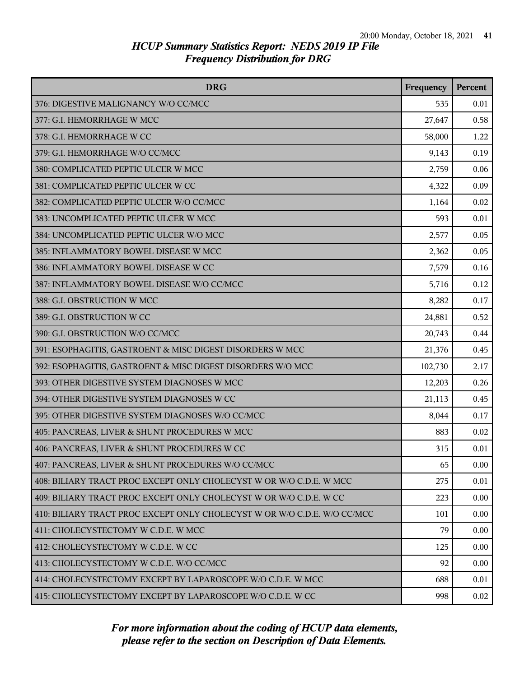| <b>DRG</b>                                                               | Frequency | Percent |
|--------------------------------------------------------------------------|-----------|---------|
| 376: DIGESTIVE MALIGNANCY W/O CC/MCC                                     | 535       | 0.01    |
| 377: G.I. HEMORRHAGE W MCC                                               | 27,647    | 0.58    |
| 378: G.I. HEMORRHAGE W CC                                                | 58,000    | 1.22    |
| 379: G.I. HEMORRHAGE W/O CC/MCC                                          | 9,143     | 0.19    |
| 380: COMPLICATED PEPTIC ULCER W MCC                                      | 2,759     | 0.06    |
| 381: COMPLICATED PEPTIC ULCER W CC                                       | 4,322     | 0.09    |
| 382: COMPLICATED PEPTIC ULCER W/O CC/MCC                                 | 1,164     | 0.02    |
| 383: UNCOMPLICATED PEPTIC ULCER W MCC                                    | 593       | 0.01    |
| 384: UNCOMPLICATED PEPTIC ULCER W/O MCC                                  | 2,577     | 0.05    |
| 385: INFLAMMATORY BOWEL DISEASE W MCC                                    | 2,362     | 0.05    |
| 386: INFLAMMATORY BOWEL DISEASE W CC                                     | 7,579     | 0.16    |
| 387: INFLAMMATORY BOWEL DISEASE W/O CC/MCC                               | 5,716     | 0.12    |
| 388: G.I. OBSTRUCTION W MCC                                              | 8,282     | 0.17    |
| 389: G.I. OBSTRUCTION W CC                                               | 24,881    | 0.52    |
| 390: G.I. OBSTRUCTION W/O CC/MCC                                         | 20,743    | 0.44    |
| 391: ESOPHAGITIS, GASTROENT & MISC DIGEST DISORDERS W MCC                | 21,376    | 0.45    |
| 392: ESOPHAGITIS, GASTROENT & MISC DIGEST DISORDERS W/O MCC              | 102,730   | 2.17    |
| 393: OTHER DIGESTIVE SYSTEM DIAGNOSES W MCC                              | 12,203    | 0.26    |
| 394: OTHER DIGESTIVE SYSTEM DIAGNOSES W CC                               | 21,113    | 0.45    |
| 395: OTHER DIGESTIVE SYSTEM DIAGNOSES W/O CC/MCC                         | 8,044     | 0.17    |
| 405: PANCREAS, LIVER & SHUNT PROCEDURES W MCC                            | 883       | 0.02    |
| 406: PANCREAS, LIVER & SHUNT PROCEDURES W CC                             | 315       | 0.01    |
| 407: PANCREAS, LIVER & SHUNT PROCEDURES W/O CC/MCC                       | 65        | 0.00    |
| 408: BILIARY TRACT PROC EXCEPT ONLY CHOLECYST W OR W/O C.D.E. W MCC      | 275       | 0.01    |
| 409: BILIARY TRACT PROC EXCEPT ONLY CHOLECYST W OR W/O C.D.E. W CC       | 223       | 0.00    |
| 410: BILIARY TRACT PROC EXCEPT ONLY CHOLECYST W OR W/O C.D.E. W/O CC/MCC | 101       | 0.00    |
| 411: CHOLECYSTECTOMY W C.D.E. W MCC                                      | 79        | 0.00    |
| 412: CHOLECYSTECTOMY W C.D.E. W CC                                       | 125       | 0.00    |
| 413: CHOLECYSTECTOMY W C.D.E. W/O CC/MCC                                 | 92        | 0.00    |
| 414: CHOLECYSTECTOMY EXCEPT BY LAPAROSCOPE W/O C.D.E. W MCC              | 688       | 0.01    |
| 415: CHOLECYSTECTOMY EXCEPT BY LAPAROSCOPE W/O C.D.E. W CC               | 998       | 0.02    |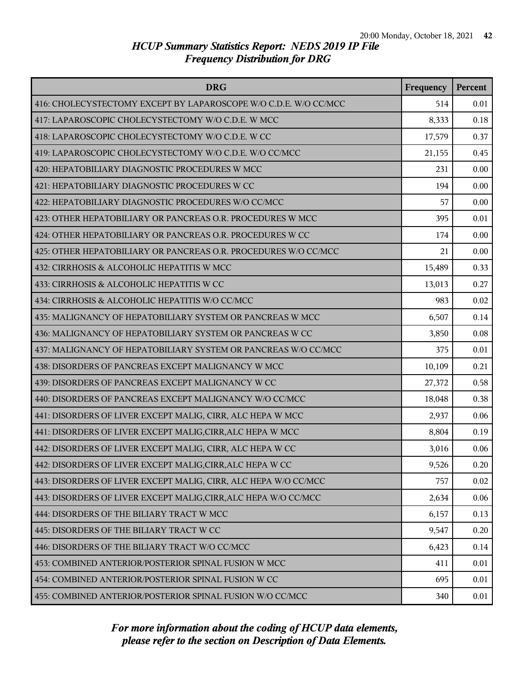| <b>DRG</b>                                                       | Frequency | Percent |
|------------------------------------------------------------------|-----------|---------|
| 416: CHOLECYSTECTOMY EXCEPT BY LAPAROSCOPE W/O C.D.E. W/O CC/MCC | 514       | 0.01    |
| 417: LAPAROSCOPIC CHOLECYSTECTOMY W/O C.D.E. W MCC               | 8,333     | 0.18    |
| 418: LAPAROSCOPIC CHOLECYSTECTOMY W/O C.D.E. W CC                | 17,579    | 0.37    |
| 419: LAPAROSCOPIC CHOLECYSTECTOMY W/O C.D.E. W/O CC/MCC          | 21,155    | 0.45    |
| 420: HEPATOBILIARY DIAGNOSTIC PROCEDURES W MCC                   | 231       | 0.00    |
| 421: HEPATOBILIARY DIAGNOSTIC PROCEDURES W CC                    | 194       | 0.00    |
| 422: HEPATOBILIARY DIAGNOSTIC PROCEDURES W/O CC/MCC              | 57        | 0.00    |
| 423: OTHER HEPATOBILIARY OR PANCREAS O.R. PROCEDURES W MCC       | 395       | 0.01    |
| 424: OTHER HEPATOBILIARY OR PANCREAS O.R. PROCEDURES W CC        | 174       | 0.00    |
| 425: OTHER HEPATOBILIARY OR PANCREAS O.R. PROCEDURES W/O CC/MCC  | 21        | 0.00    |
| 432: CIRRHOSIS & ALCOHOLIC HEPATITIS W MCC                       | 15,489    | 0.33    |
| 433: CIRRHOSIS & ALCOHOLIC HEPATITIS W CC                        | 13,013    | 0.27    |
| 434: CIRRHOSIS & ALCOHOLIC HEPATITIS W/O CC/MCC                  | 983       | 0.02    |
| 435: MALIGNANCY OF HEPATOBILIARY SYSTEM OR PANCREAS W MCC        | 6,507     | 0.14    |
| 436: MALIGNANCY OF HEPATOBILIARY SYSTEM OR PANCREAS W CC         | 3,850     | 0.08    |
| 437: MALIGNANCY OF HEPATOBILIARY SYSTEM OR PANCREAS W/O CC/MCC   | 375       | 0.01    |
| 438: DISORDERS OF PANCREAS EXCEPT MALIGNANCY W MCC               | 10,109    | 0.21    |
| 439: DISORDERS OF PANCREAS EXCEPT MALIGNANCY W CC                | 27,372    | 0.58    |
| 440: DISORDERS OF PANCREAS EXCEPT MALIGNANCY W/O CC/MCC          | 18,048    | 0.38    |
| 441: DISORDERS OF LIVER EXCEPT MALIG, CIRR, ALC HEPA W MCC       | 2,937     | 0.06    |
| 441: DISORDERS OF LIVER EXCEPT MALIG, CIRR, ALC HEPA W MCC       | 8,804     | 0.19    |
| 442: DISORDERS OF LIVER EXCEPT MALIG, CIRR, ALC HEPA W CC        | 3,016     | 0.06    |
| 442: DISORDERS OF LIVER EXCEPT MALIG, CIRR, ALC HEPA W CC        | 9,526     | 0.20    |
| 443: DISORDERS OF LIVER EXCEPT MALIG, CIRR, ALC HEPA W/O CC/MCC  | 757       | 0.02    |
| 443: DISORDERS OF LIVER EXCEPT MALIG, CIRR, ALC HEPA W/O CC/MCC  | 2,634     | 0.06    |
| 444: DISORDERS OF THE BILIARY TRACT W MCC                        | 6,157     | 0.13    |
| 445: DISORDERS OF THE BILIARY TRACT W CC                         | 9,547     | 0.20    |
| 446: DISORDERS OF THE BILIARY TRACT W/O CC/MCC                   | 6,423     | 0.14    |
| 453: COMBINED ANTERIOR/POSTERIOR SPINAL FUSION W MCC             | 411       | 0.01    |
| 454: COMBINED ANTERIOR/POSTERIOR SPINAL FUSION W CC              | 695       | 0.01    |
| 455: COMBINED ANTERIOR/POSTERIOR SPINAL FUSION W/O CC/MCC        | 340       | 0.01    |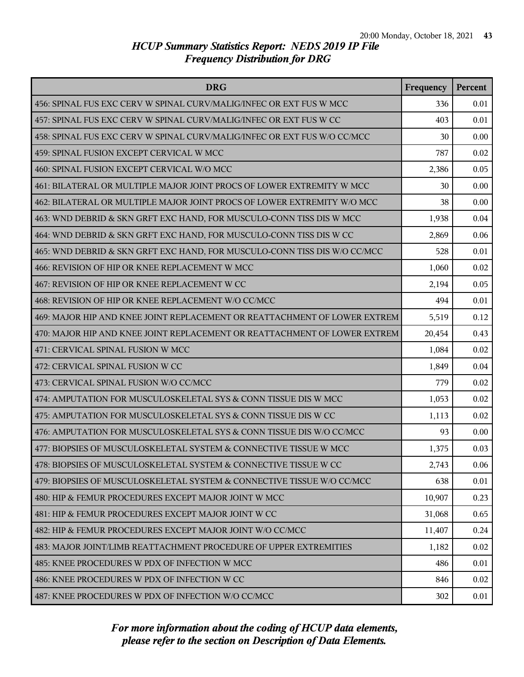| <b>DRG</b>                                                                | Frequency | Percent |
|---------------------------------------------------------------------------|-----------|---------|
| 456: SPINAL FUS EXC CERV W SPINAL CURV/MALIG/INFEC OR EXT FUS W MCC       | 336       | 0.01    |
| 457: SPINAL FUS EXC CERV W SPINAL CURV/MALIG/INFEC OR EXT FUS W CC        | 403       | 0.01    |
| 458: SPINAL FUS EXC CERV W SPINAL CURV/MALIG/INFEC OR EXT FUS W/O CC/MCC  | 30        | 0.00    |
| 459: SPINAL FUSION EXCEPT CERVICAL W MCC                                  | 787       | 0.02    |
| 460: SPINAL FUSION EXCEPT CERVICAL W/O MCC                                | 2,386     | 0.05    |
| 461: BILATERAL OR MULTIPLE MAJOR JOINT PROCS OF LOWER EXTREMITY W MCC     | 30        | 0.00    |
| 462: BILATERAL OR MULTIPLE MAJOR JOINT PROCS OF LOWER EXTREMITY W/O MCC   | 38        | 0.00    |
| 463: WND DEBRID & SKN GRFT EXC HAND, FOR MUSCULO-CONN TISS DIS W MCC      | 1,938     | 0.04    |
| 464: WND DEBRID & SKN GRFT EXC HAND, FOR MUSCULO-CONN TISS DIS W CC       | 2,869     | 0.06    |
| 465: WND DEBRID & SKN GRFT EXC HAND, FOR MUSCULO-CONN TISS DIS W/O CC/MCC | 528       | 0.01    |
| 466: REVISION OF HIP OR KNEE REPLACEMENT W MCC                            | 1,060     | 0.02    |
| 467: REVISION OF HIP OR KNEE REPLACEMENT W CC                             | 2,194     | 0.05    |
| 468: REVISION OF HIP OR KNEE REPLACEMENT W/O CC/MCC                       | 494       | 0.01    |
| 469: MAJOR HIP AND KNEE JOINT REPLACEMENT OR REATTACHMENT OF LOWER EXTREM | 5,519     | 0.12    |
| 470: MAJOR HIP AND KNEE JOINT REPLACEMENT OR REATTACHMENT OF LOWER EXTREM | 20,454    | 0.43    |
| 471: CERVICAL SPINAL FUSION W MCC                                         | 1,084     | 0.02    |
| 472: CERVICAL SPINAL FUSION W CC                                          | 1,849     | 0.04    |
| 473: CERVICAL SPINAL FUSION W/O CC/MCC                                    | 779       | 0.02    |
| 474: AMPUTATION FOR MUSCULOSKELETAL SYS & CONN TISSUE DIS W MCC           | 1,053     | 0.02    |
| 475: AMPUTATION FOR MUSCULOSKELETAL SYS & CONN TISSUE DIS W CC            | 1,113     | 0.02    |
| 476: AMPUTATION FOR MUSCULOSKELETAL SYS & CONN TISSUE DIS W/O CC/MCC      | 93        | 0.00    |
| 477: BIOPSIES OF MUSCULOSKELETAL SYSTEM & CONNECTIVE TISSUE W MCC         | 1,375     | 0.03    |
| 478: BIOPSIES OF MUSCULOSKELETAL SYSTEM & CONNECTIVE TISSUE W CC          | 2,743     | 0.06    |
| 479: BIOPSIES OF MUSCULOSKELETAL SYSTEM & CONNECTIVE TISSUE W/O CC/MCC    | 638       | 0.01    |
| 480: HIP & FEMUR PROCEDURES EXCEPT MAJOR JOINT W MCC                      | 10,907    | 0.23    |
| 481: HIP & FEMUR PROCEDURES EXCEPT MAJOR JOINT W CC                       | 31,068    | 0.65    |
| 482: HIP & FEMUR PROCEDURES EXCEPT MAJOR JOINT W/O CC/MCC                 | 11,407    | 0.24    |
| 483: MAJOR JOINT/LIMB REATTACHMENT PROCEDURE OF UPPER EXTREMITIES         | 1,182     | 0.02    |
| 485: KNEE PROCEDURES W PDX OF INFECTION W MCC                             | 486       | 0.01    |
| 486: KNEE PROCEDURES W PDX OF INFECTION W CC                              | 846       | 0.02    |
| 487: KNEE PROCEDURES W PDX OF INFECTION W/O CC/MCC                        | 302       | 0.01    |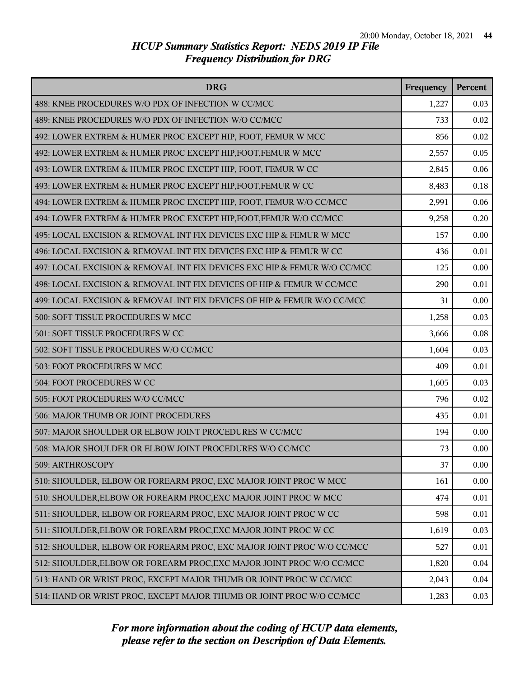| <b>DRG</b>                                                               | Frequency | Percent |
|--------------------------------------------------------------------------|-----------|---------|
| 488: KNEE PROCEDURES W/O PDX OF INFECTION W CC/MCC                       | 1,227     | 0.03    |
| 489: KNEE PROCEDURES W/O PDX OF INFECTION W/O CC/MCC                     | 733       | 0.02    |
| 492: LOWER EXTREM & HUMER PROC EXCEPT HIP, FOOT, FEMUR W MCC             | 856       | 0.02    |
| 492: LOWER EXTREM & HUMER PROC EXCEPT HIP, FOOT, FEMUR W MCC             | 2,557     | 0.05    |
| 493: LOWER EXTREM & HUMER PROC EXCEPT HIP, FOOT, FEMUR W CC              | 2,845     | 0.06    |
| 493: LOWER EXTREM & HUMER PROC EXCEPT HIP, FOOT, FEMUR W CC              | 8,483     | 0.18    |
| 494: LOWER EXTREM & HUMER PROC EXCEPT HIP, FOOT, FEMUR W/O CC/MCC        | 2,991     | 0.06    |
| 494: LOWER EXTREM & HUMER PROC EXCEPT HIP, FOOT, FEMUR W/O CC/MCC        | 9,258     | 0.20    |
| 495: LOCAL EXCISION & REMOVAL INT FIX DEVICES EXC HIP & FEMUR W MCC      | 157       | 0.00    |
| 496: LOCAL EXCISION & REMOVAL INT FIX DEVICES EXC HIP & FEMUR W CC       | 436       | 0.01    |
| 497: LOCAL EXCISION & REMOVAL INT FIX DEVICES EXC HIP & FEMUR W/O CC/MCC | 125       | 0.00    |
| 498: LOCAL EXCISION & REMOVAL INT FIX DEVICES OF HIP & FEMUR W CC/MCC    | 290       | 0.01    |
| 499: LOCAL EXCISION & REMOVAL INT FIX DEVICES OF HIP & FEMUR W/O CC/MCC  | 31        | 0.00    |
| 500: SOFT TISSUE PROCEDURES W MCC                                        | 1,258     | 0.03    |
| 501: SOFT TISSUE PROCEDURES W CC                                         | 3,666     | 0.08    |
| 502: SOFT TISSUE PROCEDURES W/O CC/MCC                                   | 1,604     | 0.03    |
| 503: FOOT PROCEDURES W MCC                                               | 409       | 0.01    |
| 504: FOOT PROCEDURES W CC                                                | 1,605     | 0.03    |
| 505: FOOT PROCEDURES W/O CC/MCC                                          | 796       | 0.02    |
| 506: MAJOR THUMB OR JOINT PROCEDURES                                     | 435       | 0.01    |
| 507: MAJOR SHOULDER OR ELBOW JOINT PROCEDURES W CC/MCC                   | 194       | 0.00    |
| 508: MAJOR SHOULDER OR ELBOW JOINT PROCEDURES W/O CC/MCC                 | 73        | 0.00    |
| 509: ARTHROSCOPY                                                         | 37        | 0.00    |
| 510: SHOULDER, ELBOW OR FOREARM PROC, EXC MAJOR JOINT PROC W MCC         | 161       | 0.00    |
| 510: SHOULDER, ELBOW OR FOREARM PROC, EXC MAJOR JOINT PROC W MCC         | 474       | 0.01    |
| 511: SHOULDER, ELBOW OR FOREARM PROC, EXC MAJOR JOINT PROC W CC          | 598       | 0.01    |
| 511: SHOULDER, ELBOW OR FOREARM PROC, EXC MAJOR JOINT PROC W CC          | 1,619     | 0.03    |
| 512: SHOULDER, ELBOW OR FOREARM PROC, EXC MAJOR JOINT PROC W/O CC/MCC    | 527       | 0.01    |
| 512: SHOULDER, ELBOW OR FOREARM PROC, EXC MAJOR JOINT PROC W/O CC/MCC    | 1,820     | 0.04    |
| 513: HAND OR WRIST PROC, EXCEPT MAJOR THUMB OR JOINT PROC W CC/MCC       | 2,043     | 0.04    |
| 514: HAND OR WRIST PROC, EXCEPT MAJOR THUMB OR JOINT PROC W/O CC/MCC     | 1,283     | 0.03    |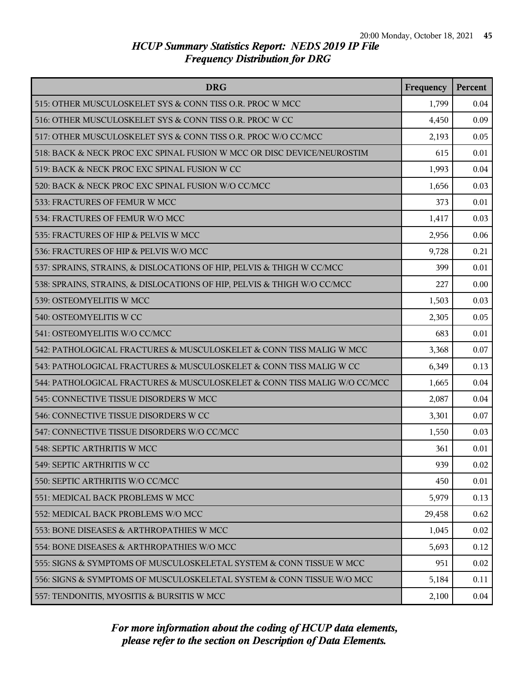| <b>DRG</b>                                                               | Frequency | <b>Percent</b> |
|--------------------------------------------------------------------------|-----------|----------------|
| 515: OTHER MUSCULOSKELET SYS & CONN TISS O.R. PROC W MCC                 | 1,799     | 0.04           |
| 516: OTHER MUSCULOSKELET SYS & CONN TISS O.R. PROC W CC                  | 4,450     | 0.09           |
| 517: OTHER MUSCULOSKELET SYS & CONN TISS O.R. PROC W/O CC/MCC            | 2,193     | 0.05           |
| 518: BACK & NECK PROC EXC SPINAL FUSION W MCC OR DISC DEVICE/NEUROSTIM   | 615       | 0.01           |
| 519: BACK & NECK PROC EXC SPINAL FUSION W CC                             | 1,993     | 0.04           |
| 520: BACK & NECK PROC EXC SPINAL FUSION W/O CC/MCC                       | 1,656     | 0.03           |
| 533: FRACTURES OF FEMUR W MCC                                            | 373       | 0.01           |
| 534: FRACTURES OF FEMUR W/O MCC                                          | 1,417     | 0.03           |
| 535: FRACTURES OF HIP & PELVIS W MCC                                     | 2,956     | 0.06           |
| 536: FRACTURES OF HIP & PELVIS W/O MCC                                   | 9,728     | 0.21           |
| 537: SPRAINS, STRAINS, & DISLOCATIONS OF HIP, PELVIS & THIGH W CC/MCC    | 399       | 0.01           |
| 538: SPRAINS, STRAINS, & DISLOCATIONS OF HIP, PELVIS & THIGH W/O CC/MCC  | 227       | 0.00           |
| 539: OSTEOMYELITIS W MCC                                                 | 1,503     | 0.03           |
| 540: OSTEOMYELITIS W CC                                                  | 2,305     | 0.05           |
| 541: OSTEOMYELITIS W/O CC/MCC                                            | 683       | 0.01           |
| 542: PATHOLOGICAL FRACTURES & MUSCULOSKELET & CONN TISS MALIG W MCC      | 3,368     | 0.07           |
| 543: PATHOLOGICAL FRACTURES & MUSCULOSKELET & CONN TISS MALIG W CC       | 6,349     | 0.13           |
| 544: PATHOLOGICAL FRACTURES & MUSCULOSKELET & CONN TISS MALIG W/O CC/MCC | 1,665     | 0.04           |
| 545: CONNECTIVE TISSUE DISORDERS W MCC                                   | 2,087     | 0.04           |
| 546: CONNECTIVE TISSUE DISORDERS W CC                                    | 3,301     | 0.07           |
| 547: CONNECTIVE TISSUE DISORDERS W/O CC/MCC                              | 1,550     | 0.03           |
| 548: SEPTIC ARTHRITIS W MCC                                              | 361       | 0.01           |
| 549: SEPTIC ARTHRITIS W CC                                               | 939       | 0.02           |
| 550: SEPTIC ARTHRITIS W/O CC/MCC                                         | 450       | 0.01           |
| 551: MEDICAL BACK PROBLEMS W MCC                                         | 5,979     | 0.13           |
| 552: MEDICAL BACK PROBLEMS W/O MCC                                       | 29,458    | 0.62           |
| 553: BONE DISEASES & ARTHROPATHIES W MCC                                 | 1,045     | 0.02           |
| 554: BONE DISEASES & ARTHROPATHIES W/O MCC                               | 5,693     | 0.12           |
| 555: SIGNS & SYMPTOMS OF MUSCULOSKELETAL SYSTEM & CONN TISSUE W MCC      | 951       | 0.02           |
| 556: SIGNS & SYMPTOMS OF MUSCULOSKELETAL SYSTEM & CONN TISSUE W/O MCC    | 5,184     | 0.11           |
| 557: TENDONITIS, MYOSITIS & BURSITIS W MCC                               | 2,100     | 0.04           |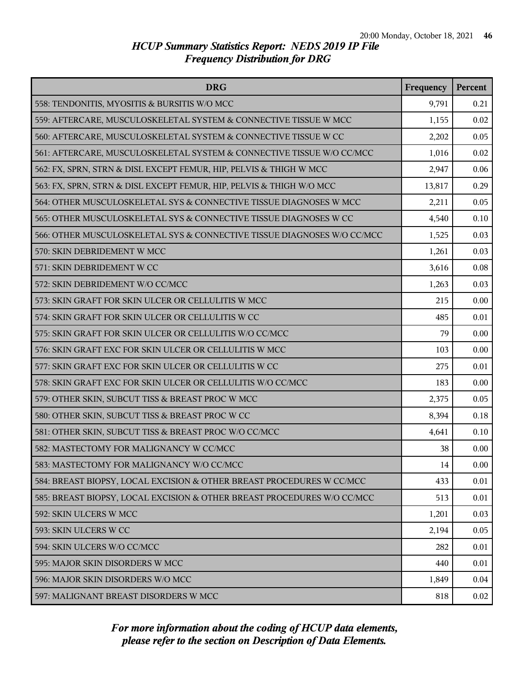| <b>DRG</b>                                                              | Frequency | <b>Percent</b> |
|-------------------------------------------------------------------------|-----------|----------------|
| 558: TENDONITIS, MYOSITIS & BURSITIS W/O MCC                            | 9,791     | 0.21           |
| 559: AFTERCARE, MUSCULOSKELETAL SYSTEM & CONNECTIVE TISSUE W MCC        | 1,155     | 0.02           |
| 560: AFTERCARE, MUSCULOSKELETAL SYSTEM & CONNECTIVE TISSUE W CC         | 2,202     | 0.05           |
| 561: AFTERCARE, MUSCULOSKELETAL SYSTEM & CONNECTIVE TISSUE W/O CC/MCC   | 1,016     | 0.02           |
| 562: FX, SPRN, STRN & DISL EXCEPT FEMUR, HIP, PELVIS & THIGH W MCC      | 2,947     | 0.06           |
| 563: FX, SPRN, STRN & DISL EXCEPT FEMUR, HIP, PELVIS & THIGH W/O MCC    | 13,817    | 0.29           |
| 564: OTHER MUSCULOSKELETAL SYS & CONNECTIVE TISSUE DIAGNOSES W MCC      | 2,211     | 0.05           |
| 565: OTHER MUSCULOSKELETAL SYS & CONNECTIVE TISSUE DIAGNOSES W CC       | 4,540     | 0.10           |
| 566: OTHER MUSCULOSKELETAL SYS & CONNECTIVE TISSUE DIAGNOSES W/O CC/MCC | 1,525     | 0.03           |
| 570: SKIN DEBRIDEMENT W MCC                                             | 1,261     | 0.03           |
| 571: SKIN DEBRIDEMENT W CC                                              | 3,616     | 0.08           |
| 572: SKIN DEBRIDEMENT W/O CC/MCC                                        | 1,263     | 0.03           |
| 573: SKIN GRAFT FOR SKIN ULCER OR CELLULITIS W MCC                      | 215       | 0.00           |
| 574: SKIN GRAFT FOR SKIN ULCER OR CELLULITIS W CC                       | 485       | 0.01           |
| 575: SKIN GRAFT FOR SKIN ULCER OR CELLULITIS W/O CC/MCC                 | 79        | 0.00           |
| 576: SKIN GRAFT EXC FOR SKIN ULCER OR CELLULITIS W MCC                  | 103       | 0.00           |
| 577: SKIN GRAFT EXC FOR SKIN ULCER OR CELLULITIS W CC                   | 275       | 0.01           |
| 578: SKIN GRAFT EXC FOR SKIN ULCER OR CELLULITIS W/O CC/MCC             | 183       | 0.00           |
| 579: OTHER SKIN, SUBCUT TISS & BREAST PROC W MCC                        | 2,375     | 0.05           |
| 580: OTHER SKIN, SUBCUT TISS & BREAST PROC W CC                         | 8,394     | 0.18           |
| 581: OTHER SKIN, SUBCUT TISS & BREAST PROC W/O CC/MCC                   | 4,641     | 0.10           |
| 582: MASTECTOMY FOR MALIGNANCY W CC/MCC                                 | 38        | 0.00           |
| 583: MASTECTOMY FOR MALIGNANCY W/O CC/MCC                               | 14        | 0.00           |
| 584: BREAST BIOPSY, LOCAL EXCISION & OTHER BREAST PROCEDURES W CC/MCC   | 433       | 0.01           |
| 585: BREAST BIOPSY, LOCAL EXCISION & OTHER BREAST PROCEDURES W/O CC/MCC | 513       | 0.01           |
| 592: SKIN ULCERS W MCC                                                  | 1,201     | 0.03           |
| 593: SKIN ULCERS W CC                                                   | 2,194     | 0.05           |
| 594: SKIN ULCERS W/O CC/MCC                                             | 282       | 0.01           |
| 595: MAJOR SKIN DISORDERS W MCC                                         | 440       | 0.01           |
| 596: MAJOR SKIN DISORDERS W/O MCC                                       | 1,849     | 0.04           |
| 597: MALIGNANT BREAST DISORDERS W MCC                                   | 818       | 0.02           |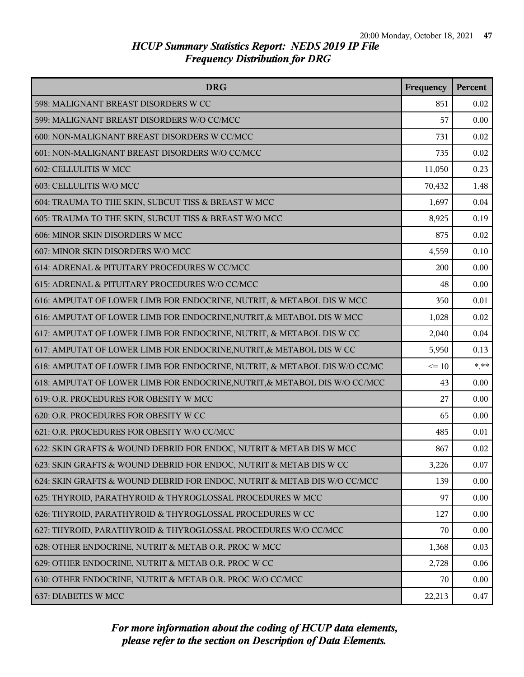| <b>DRG</b>                                                                 | Frequency | Percent  |
|----------------------------------------------------------------------------|-----------|----------|
| 598: MALIGNANT BREAST DISORDERS W CC                                       | 851       | 0.02     |
| 599: MALIGNANT BREAST DISORDERS W/O CC/MCC                                 | 57        | 0.00     |
| 600: NON-MALIGNANT BREAST DISORDERS W CC/MCC                               | 731       | 0.02     |
| 601: NON-MALIGNANT BREAST DISORDERS W/O CC/MCC                             | 735       | 0.02     |
| 602: CELLULITIS W MCC                                                      | 11,050    | 0.23     |
| 603: CELLULITIS W/O MCC                                                    | 70,432    | 1.48     |
| 604: TRAUMA TO THE SKIN, SUBCUT TISS & BREAST W MCC                        | 1,697     | 0.04     |
| 605: TRAUMA TO THE SKIN, SUBCUT TISS & BREAST W/O MCC                      | 8,925     | 0.19     |
| 606: MINOR SKIN DISORDERS W MCC                                            | 875       | 0.02     |
| 607: MINOR SKIN DISORDERS W/O MCC                                          | 4,559     | 0.10     |
| 614: ADRENAL & PITUITARY PROCEDURES W CC/MCC                               | 200       | 0.00     |
| 615: ADRENAL & PITUITARY PROCEDURES W/O CC/MCC                             | 48        | 0.00     |
| 616: AMPUTAT OF LOWER LIMB FOR ENDOCRINE, NUTRIT, & METABOL DIS W MCC      | 350       | 0.01     |
| 616: AMPUTAT OF LOWER LIMB FOR ENDOCRINE, NUTRIT, & METABOL DIS W MCC      | 1,028     | 0.02     |
| 617: AMPUTAT OF LOWER LIMB FOR ENDOCRINE, NUTRIT, & METABOL DIS W CC       | 2,040     | 0.04     |
| 617: AMPUTAT OF LOWER LIMB FOR ENDOCRINE, NUTRIT, & METABOL DIS W CC       | 5,950     | 0.13     |
| 618: AMPUTAT OF LOWER LIMB FOR ENDOCRINE, NUTRIT, & METABOL DIS W/O CC/MC  | $\leq 10$ | $*$ $**$ |
| 618: AMPUTAT OF LOWER LIMB FOR ENDOCRINE, NUTRIT, & METABOL DIS W/O CC/MCC | 43        | 0.00     |
| 619: O.R. PROCEDURES FOR OBESITY W MCC                                     | 27        | 0.00     |
| 620: O.R. PROCEDURES FOR OBESITY W CC                                      | 65        | 0.00     |
| 621: O.R. PROCEDURES FOR OBESITY W/O CC/MCC                                | 485       | 0.01     |
| 622: SKIN GRAFTS & WOUND DEBRID FOR ENDOC, NUTRIT & METAB DIS W MCC        | 867       | 0.02     |
| 623: SKIN GRAFTS & WOUND DEBRID FOR ENDOC, NUTRIT & METAB DIS W CC         | 3,226     | 0.07     |
| 624: SKIN GRAFTS & WOUND DEBRID FOR ENDOC, NUTRIT & METAB DIS W/O CC/MCC   | 139       | 0.00     |
| 625: THYROID, PARATHYROID & THYROGLOSSAL PROCEDURES W MCC                  | 97        | 0.00     |
| 626: THYROID, PARATHYROID & THYROGLOSSAL PROCEDURES W CC                   | 127       | 0.00     |
| 627: THYROID, PARATHYROID & THYROGLOSSAL PROCEDURES W/O CC/MCC             | 70        | 0.00     |
| 628: OTHER ENDOCRINE, NUTRIT & METAB O.R. PROC W MCC                       | 1,368     | 0.03     |
| 629: OTHER ENDOCRINE, NUTRIT & METAB O.R. PROC W CC                        | 2,728     | 0.06     |
| 630: OTHER ENDOCRINE, NUTRIT & METAB O.R. PROC W/O CC/MCC                  | 70        | 0.00     |
| 637: DIABETES W MCC                                                        | 22,213    | 0.47     |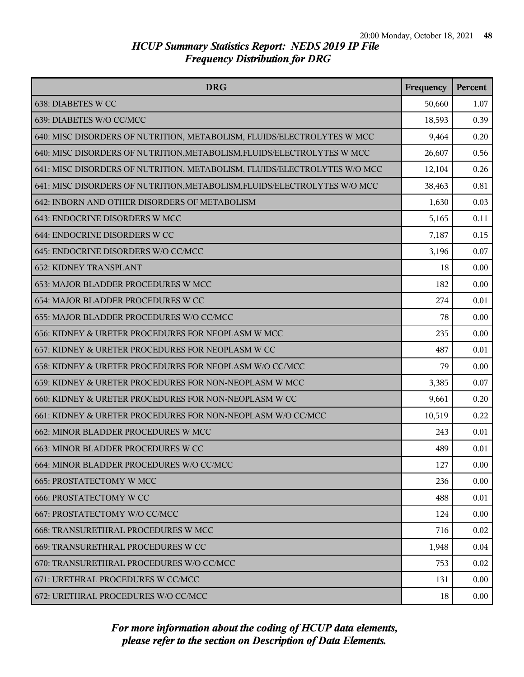| <b>DRG</b>                                                                | Frequency | Percent |
|---------------------------------------------------------------------------|-----------|---------|
| 638: DIABETES W CC                                                        | 50,660    | 1.07    |
| 639: DIABETES W/O CC/MCC                                                  | 18,593    | 0.39    |
| 640: MISC DISORDERS OF NUTRITION, METABOLISM, FLUIDS/ELECTROLYTES W MCC   | 9,464     | 0.20    |
| 640: MISC DISORDERS OF NUTRITION, METABOLISM, FLUIDS/ELECTROLYTES W MCC   | 26,607    | 0.56    |
| 641: MISC DISORDERS OF NUTRITION, METABOLISM, FLUIDS/ELECTROLYTES W/O MCC | 12,104    | 0.26    |
| 641: MISC DISORDERS OF NUTRITION, METABOLISM, FLUIDS/ELECTROLYTES W/O MCC | 38,463    | 0.81    |
| 642: INBORN AND OTHER DISORDERS OF METABOLISM                             | 1,630     | 0.03    |
| 643: ENDOCRINE DISORDERS W MCC                                            | 5,165     | 0.11    |
| 644: ENDOCRINE DISORDERS W CC                                             | 7,187     | 0.15    |
| 645: ENDOCRINE DISORDERS W/O CC/MCC                                       | 3,196     | 0.07    |
| <b>652: KIDNEY TRANSPLANT</b>                                             | 18        | 0.00    |
| 653: MAJOR BLADDER PROCEDURES W MCC                                       | 182       | 0.00    |
| 654: MAJOR BLADDER PROCEDURES W CC                                        | 274       | 0.01    |
| 655: MAJOR BLADDER PROCEDURES W/O CC/MCC                                  | 78        | 0.00    |
| 656: KIDNEY & URETER PROCEDURES FOR NEOPLASM W MCC                        | 235       | 0.00    |
| 657: KIDNEY & URETER PROCEDURES FOR NEOPLASM W CC                         | 487       | 0.01    |
| 658: KIDNEY & URETER PROCEDURES FOR NEOPLASM W/O CC/MCC                   | 79        | 0.00    |
| 659: KIDNEY & URETER PROCEDURES FOR NON-NEOPLASM W MCC                    | 3,385     | 0.07    |
| 660: KIDNEY & URETER PROCEDURES FOR NON-NEOPLASM W CC                     | 9,661     | 0.20    |
| 661: KIDNEY & URETER PROCEDURES FOR NON-NEOPLASM W/O CC/MCC               | 10,519    | 0.22    |
| 662: MINOR BLADDER PROCEDURES W MCC                                       | 243       | 0.01    |
| 663: MINOR BLADDER PROCEDURES W CC                                        | 489       | 0.01    |
| 664: MINOR BLADDER PROCEDURES W/O CC/MCC                                  | 127       | 0.00    |
| <b>665: PROSTATECTOMY W MCC</b>                                           | 236       | 0.00    |
| <b>666: PROSTATECTOMY W CC</b>                                            | 488       | 0.01    |
| 667: PROSTATECTOMY W/O CC/MCC                                             | 124       | 0.00    |
| 668: TRANSURETHRAL PROCEDURES W MCC                                       | 716       | 0.02    |
| 669: TRANSURETHRAL PROCEDURES W CC                                        | 1,948     | 0.04    |
| 670: TRANSURETHRAL PROCEDURES W/O CC/MCC                                  | 753       | 0.02    |
| 671: URETHRAL PROCEDURES W CC/MCC                                         | 131       | 0.00    |
| 672: URETHRAL PROCEDURES W/O CC/MCC                                       | 18        | 0.00    |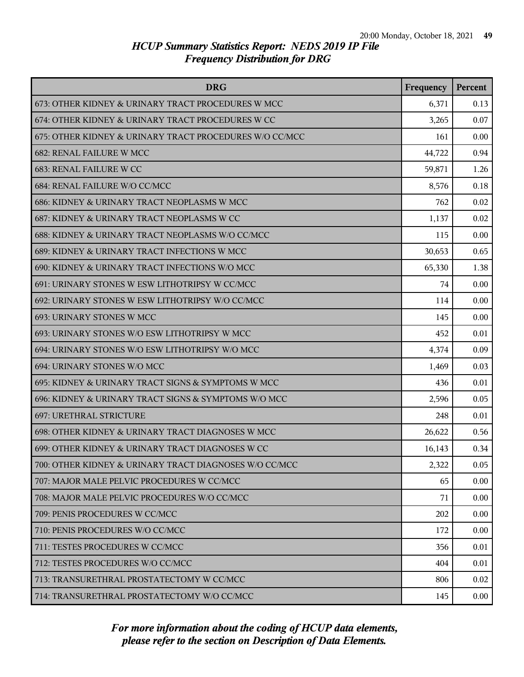| <b>DRG</b>                                              | Frequency | Percent |
|---------------------------------------------------------|-----------|---------|
| 673: OTHER KIDNEY & URINARY TRACT PROCEDURES W MCC      | 6,371     | 0.13    |
| 674: OTHER KIDNEY & URINARY TRACT PROCEDURES W CC       | 3,265     | 0.07    |
| 675: OTHER KIDNEY & URINARY TRACT PROCEDURES W/O CC/MCC | 161       | 0.00    |
| 682: RENAL FAILURE W MCC                                | 44,722    | 0.94    |
| 683: RENAL FAILURE W CC                                 | 59,871    | 1.26    |
| 684: RENAL FAILURE W/O CC/MCC                           | 8,576     | 0.18    |
| 686: KIDNEY & URINARY TRACT NEOPLASMS W MCC             | 762       | 0.02    |
| 687: KIDNEY & URINARY TRACT NEOPLASMS W CC              | 1,137     | 0.02    |
| 688: KIDNEY & URINARY TRACT NEOPLASMS W/O CC/MCC        | 115       | 0.00    |
| 689: KIDNEY & URINARY TRACT INFECTIONS W MCC            | 30,653    | 0.65    |
| 690: KIDNEY & URINARY TRACT INFECTIONS W/O MCC          | 65,330    | 1.38    |
| 691: URINARY STONES W ESW LITHOTRIPSY W CC/MCC          | 74        | 0.00    |
| 692: URINARY STONES W ESW LITHOTRIPSY W/O CC/MCC        | 114       | 0.00    |
| 693: URINARY STONES W MCC                               | 145       | 0.00    |
| 693: URINARY STONES W/O ESW LITHOTRIPSY W MCC           | 452       | 0.01    |
| 694: URINARY STONES W/O ESW LITHOTRIPSY W/O MCC         | 4,374     | 0.09    |
| 694: URINARY STONES W/O MCC                             | 1,469     | 0.03    |
| 695: KIDNEY & URINARY TRACT SIGNS & SYMPTOMS W MCC      | 436       | 0.01    |
| 696: KIDNEY & URINARY TRACT SIGNS & SYMPTOMS W/O MCC    | 2,596     | 0.05    |
| <b>697: URETHRAL STRICTURE</b>                          | 248       | 0.01    |
| 698: OTHER KIDNEY & URINARY TRACT DIAGNOSES W MCC       | 26,622    | 0.56    |
| 699: OTHER KIDNEY & URINARY TRACT DIAGNOSES W CC        | 16,143    | 0.34    |
| 700: OTHER KIDNEY & URINARY TRACT DIAGNOSES W/O CC/MCC  | 2,322     | 0.05    |
| 707: MAJOR MALE PELVIC PROCEDURES W CC/MCC              | 65        | 0.00    |
| 708: MAJOR MALE PELVIC PROCEDURES W/O CC/MCC            | 71        | 0.00    |
| 709: PENIS PROCEDURES W CC/MCC                          | 202       | 0.00    |
| 710: PENIS PROCEDURES W/O CC/MCC                        | 172       | 0.00    |
| 711: TESTES PROCEDURES W CC/MCC                         | 356       | 0.01    |
| 712: TESTES PROCEDURES W/O CC/MCC                       | 404       | 0.01    |
| 713: TRANSURETHRAL PROSTATECTOMY W CC/MCC               | 806       | 0.02    |
| 714: TRANSURETHRAL PROSTATECTOMY W/O CC/MCC             | 145       | 0.00    |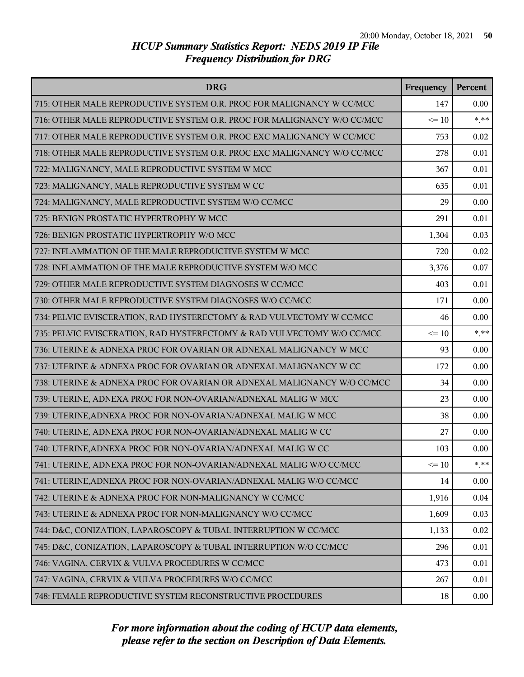| <b>DRG</b>                                                              | Frequency | Percent |
|-------------------------------------------------------------------------|-----------|---------|
| 715: OTHER MALE REPRODUCTIVE SYSTEM O.R. PROC FOR MALIGNANCY W CC/MCC   | 147       | 0.00    |
| 716: OTHER MALE REPRODUCTIVE SYSTEM O.R. PROC FOR MALIGNANCY W/O CC/MCC | $\leq 10$ | $***$   |
| 717: OTHER MALE REPRODUCTIVE SYSTEM O.R. PROC EXC MALIGNANCY W CC/MCC   | 753       | 0.02    |
| 718: OTHER MALE REPRODUCTIVE SYSTEM O.R. PROC EXC MALIGNANCY W/O CC/MCC | 278       | 0.01    |
| 722: MALIGNANCY, MALE REPRODUCTIVE SYSTEM W MCC                         | 367       | 0.01    |
| 723: MALIGNANCY, MALE REPRODUCTIVE SYSTEM W CC                          | 635       | 0.01    |
| 724: MALIGNANCY, MALE REPRODUCTIVE SYSTEM W/O CC/MCC                    | 29        | 0.00    |
| 725: BENIGN PROSTATIC HYPERTROPHY W MCC                                 | 291       | 0.01    |
| 726: BENIGN PROSTATIC HYPERTROPHY W/O MCC                               | 1,304     | 0.03    |
| 727: INFLAMMATION OF THE MALE REPRODUCTIVE SYSTEM W MCC                 | 720       | 0.02    |
| 728: INFLAMMATION OF THE MALE REPRODUCTIVE SYSTEM W/O MCC               | 3,376     | 0.07    |
| 729: OTHER MALE REPRODUCTIVE SYSTEM DIAGNOSES W CC/MCC                  | 403       | 0.01    |
| 730: OTHER MALE REPRODUCTIVE SYSTEM DIAGNOSES W/O CC/MCC                | 171       | 0.00    |
| 734: PELVIC EVISCERATION, RAD HYSTERECTOMY & RAD VULVECTOMY W CC/MCC    | 46        | 0.00    |
| 735: PELVIC EVISCERATION, RAD HYSTERECTOMY & RAD VULVECTOMY W/O CC/MCC  | $\leq 10$ | $***$   |
| 736: UTERINE & ADNEXA PROC FOR OVARIAN OR ADNEXAL MALIGNANCY W MCC      | 93        | 0.00    |
| 737: UTERINE & ADNEXA PROC FOR OVARIAN OR ADNEXAL MALIGNANCY W CC       | 172       | 0.00    |
| 738: UTERINE & ADNEXA PROC FOR OVARIAN OR ADNEXAL MALIGNANCY W/O CC/MCC | 34        | 0.00    |
| 739: UTERINE, ADNEXA PROC FOR NON-OVARIAN/ADNEXAL MALIG W MCC           | 23        | 0.00    |
| 739: UTERINE, ADNEXA PROC FOR NON-OVARIAN/ADNEXAL MALIG W MCC           | 38        | 0.00    |
| 740: UTERINE, ADNEXA PROC FOR NON-OVARIAN/ADNEXAL MALIG W CC            | 27        | 0.00    |
| 740: UTERINE, ADNEXA PROC FOR NON-OVARIAN/ADNEXAL MALIG W CC            | 103       | 0.00    |
| 741: UTERINE, ADNEXA PROC FOR NON-OVARIAN/ADNEXAL MALIG W/O CC/MCC      | $\leq 10$ | $***$   |
| 741: UTERINE, ADNEXA PROC FOR NON-OVARIAN/ADNEXAL MALIG W/O CC/MCC      | 14        | 0.00    |
| 742: UTERINE & ADNEXA PROC FOR NON-MALIGNANCY W CC/MCC                  | 1,916     | 0.04    |
| 743: UTERINE & ADNEXA PROC FOR NON-MALIGNANCY W/O CC/MCC                | 1,609     | 0.03    |
| 744: D&C, CONIZATION, LAPAROSCOPY & TUBAL INTERRUPTION W CC/MCC         | 1,133     | 0.02    |
| 745: D&C, CONIZATION, LAPAROSCOPY & TUBAL INTERRUPTION W/O CC/MCC       | 296       | 0.01    |
| 746: VAGINA, CERVIX & VULVA PROCEDURES W CC/MCC                         | 473       | 0.01    |
| 747: VAGINA, CERVIX & VULVA PROCEDURES W/O CC/MCC                       | 267       | 0.01    |
| 748: FEMALE REPRODUCTIVE SYSTEM RECONSTRUCTIVE PROCEDURES               | 18        | 0.00    |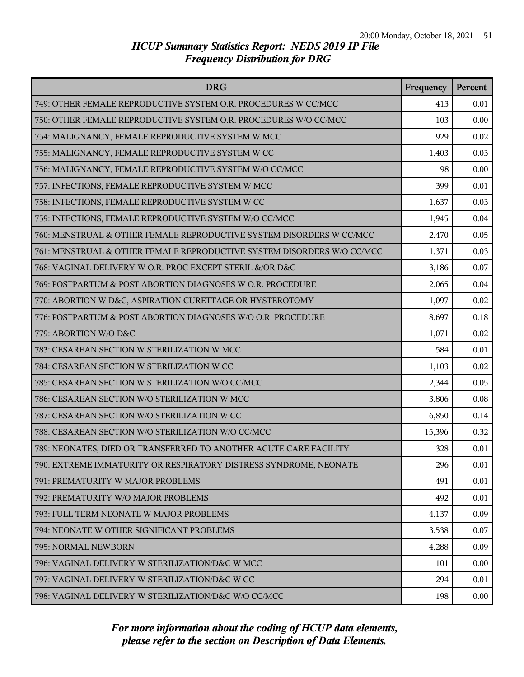| <b>DRG</b>                                                             | Frequency | Percent |
|------------------------------------------------------------------------|-----------|---------|
| 749: OTHER FEMALE REPRODUCTIVE SYSTEM O.R. PROCEDURES W CC/MCC         | 413       | 0.01    |
| 750: OTHER FEMALE REPRODUCTIVE SYSTEM O.R. PROCEDURES W/O CC/MCC       | 103       | 0.00    |
| 754: MALIGNANCY, FEMALE REPRODUCTIVE SYSTEM W MCC                      | 929       | 0.02    |
| 755: MALIGNANCY, FEMALE REPRODUCTIVE SYSTEM W CC                       | 1,403     | 0.03    |
| 756: MALIGNANCY, FEMALE REPRODUCTIVE SYSTEM W/O CC/MCC                 | 98        | 0.00    |
| 757: INFECTIONS, FEMALE REPRODUCTIVE SYSTEM W MCC                      | 399       | 0.01    |
| 758: INFECTIONS, FEMALE REPRODUCTIVE SYSTEM W CC                       | 1,637     | 0.03    |
| 759: INFECTIONS, FEMALE REPRODUCTIVE SYSTEM W/O CC/MCC                 | 1,945     | 0.04    |
| 760: MENSTRUAL & OTHER FEMALE REPRODUCTIVE SYSTEM DISORDERS W CC/MCC   | 2,470     | 0.05    |
| 761: MENSTRUAL & OTHER FEMALE REPRODUCTIVE SYSTEM DISORDERS W/O CC/MCC | 1,371     | 0.03    |
| 768: VAGINAL DELIVERY W O.R. PROC EXCEPT STERIL &/OR D&C               | 3,186     | 0.07    |
| 769: POSTPARTUM & POST ABORTION DIAGNOSES W O.R. PROCEDURE             | 2,065     | 0.04    |
| 770: ABORTION W D&C, ASPIRATION CURETTAGE OR HYSTEROTOMY               | 1,097     | 0.02    |
| 776: POSTPARTUM & POST ABORTION DIAGNOSES W/O O.R. PROCEDURE           | 8,697     | 0.18    |
| 779: ABORTION W/O D&C                                                  | 1,071     | 0.02    |
| 783: CESAREAN SECTION W STERILIZATION W MCC                            | 584       | 0.01    |
| 784: CESAREAN SECTION W STERILIZATION W CC                             | 1,103     | 0.02    |
| 785: CESAREAN SECTION W STERILIZATION W/O CC/MCC                       | 2,344     | 0.05    |
| 786: CESAREAN SECTION W/O STERILIZATION W MCC                          | 3,806     | 0.08    |
| 787: CESAREAN SECTION W/O STERILIZATION W CC                           | 6,850     | 0.14    |
| 788: CESAREAN SECTION W/O STERILIZATION W/O CC/MCC                     | 15,396    | 0.32    |
| 789: NEONATES, DIED OR TRANSFERRED TO ANOTHER ACUTE CARE FACILITY      | 328       | 0.01    |
| 790: EXTREME IMMATURITY OR RESPIRATORY DISTRESS SYNDROME, NEONATE      | 296       | 0.01    |
| 791: PREMATURITY W MAJOR PROBLEMS                                      | 491       | 0.01    |
| 792: PREMATURITY W/O MAJOR PROBLEMS                                    | 492       | 0.01    |
| 793: FULL TERM NEONATE W MAJOR PROBLEMS                                | 4,137     | 0.09    |
| 794: NEONATE W OTHER SIGNIFICANT PROBLEMS                              | 3,538     | 0.07    |
| 795: NORMAL NEWBORN                                                    | 4,288     | 0.09    |
| 796: VAGINAL DELIVERY W STERILIZATION/D&C W MCC                        | 101       | 0.00    |
| 797: VAGINAL DELIVERY W STERILIZATION/D&C W CC                         | 294       | 0.01    |
| 798: VAGINAL DELIVERY W STERILIZATION/D&C W/O CC/MCC                   | 198       | 0.00    |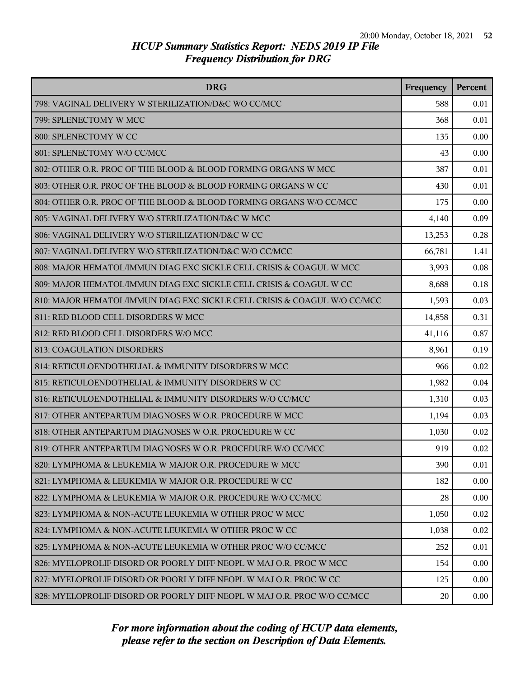| <b>DRG</b>                                                               | Frequency | Percent |
|--------------------------------------------------------------------------|-----------|---------|
| 798: VAGINAL DELIVERY W STERILIZATION/D&C WO CC/MCC                      | 588       | 0.01    |
| 799: SPLENECTOMY W MCC                                                   | 368       | 0.01    |
| 800: SPLENECTOMY W CC                                                    | 135       | 0.00    |
| 801: SPLENECTOMY W/O CC/MCC                                              | 43        | 0.00    |
| 802: OTHER O.R. PROC OF THE BLOOD & BLOOD FORMING ORGANS W MCC           | 387       | 0.01    |
| 803: OTHER O.R. PROC OF THE BLOOD & BLOOD FORMING ORGANS W CC            | 430       | 0.01    |
| 804: OTHER O.R. PROC OF THE BLOOD & BLOOD FORMING ORGANS W/O CC/MCC      | 175       | 0.00    |
| 805: VAGINAL DELIVERY W/O STERILIZATION/D&C W MCC                        | 4,140     | 0.09    |
| 806: VAGINAL DELIVERY W/O STERILIZATION/D&C W CC                         | 13,253    | 0.28    |
| 807: VAGINAL DELIVERY W/O STERILIZATION/D&C W/O CC/MCC                   | 66,781    | 1.41    |
| 808: MAJOR HEMATOL/IMMUN DIAG EXC SICKLE CELL CRISIS & COAGUL W MCC      | 3,993     | 0.08    |
| 809: MAJOR HEMATOL/IMMUN DIAG EXC SICKLE CELL CRISIS & COAGUL W CC       | 8,688     | 0.18    |
| 810: MAJOR HEMATOL/IMMUN DIAG EXC SICKLE CELL CRISIS & COAGUL W/O CC/MCC | 1,593     | 0.03    |
| 811: RED BLOOD CELL DISORDERS W MCC                                      | 14,858    | 0.31    |
| 812: RED BLOOD CELL DISORDERS W/O MCC                                    | 41,116    | 0.87    |
| 813: COAGULATION DISORDERS                                               | 8,961     | 0.19    |
| 814: RETICULOENDOTHELIAL & IMMUNITY DISORDERS W MCC                      | 966       | 0.02    |
| 815: RETICULOENDOTHELIAL & IMMUNITY DISORDERS W CC                       | 1,982     | 0.04    |
| 816: RETICULOENDOTHELIAL & IMMUNITY DISORDERS W/O CC/MCC                 | 1,310     | 0.03    |
| 817: OTHER ANTEPARTUM DIAGNOSES W O.R. PROCEDURE W MCC                   | 1,194     | 0.03    |
| 818: OTHER ANTEPARTUM DIAGNOSES W O.R. PROCEDURE W CC                    | 1,030     | 0.02    |
| 819: OTHER ANTEPARTUM DIAGNOSES W O.R. PROCEDURE W/O CC/MCC              | 919       | 0.02    |
| 820: LYMPHOMA & LEUKEMIA W MAJOR O.R. PROCEDURE W MCC                    | 390       | 0.01    |
| 821: LYMPHOMA & LEUKEMIA W MAJOR O.R. PROCEDURE W CC                     | 182       | 0.00    |
| 822: LYMPHOMA & LEUKEMIA W MAJOR O.R. PROCEDURE W/O CC/MCC               | 28        | 0.00    |
| 823: LYMPHOMA & NON-ACUTE LEUKEMIA W OTHER PROC W MCC                    | 1,050     | 0.02    |
| 824: LYMPHOMA & NON-ACUTE LEUKEMIA W OTHER PROC W CC                     | 1,038     | 0.02    |
| 825: LYMPHOMA & NON-ACUTE LEUKEMIA W OTHER PROC W/O CC/MCC               | 252       | 0.01    |
| 826: MYELOPROLIF DISORD OR POORLY DIFF NEOPL W MAJ O.R. PROC W MCC       | 154       | 0.00    |
| 827: MYELOPROLIF DISORD OR POORLY DIFF NEOPL W MAJ O.R. PROC W CC        | 125       | 0.00    |
| 828: MYELOPROLIF DISORD OR POORLY DIFF NEOPL W MAJ O.R. PROC W/O CC/MCC  | 20        | 0.00    |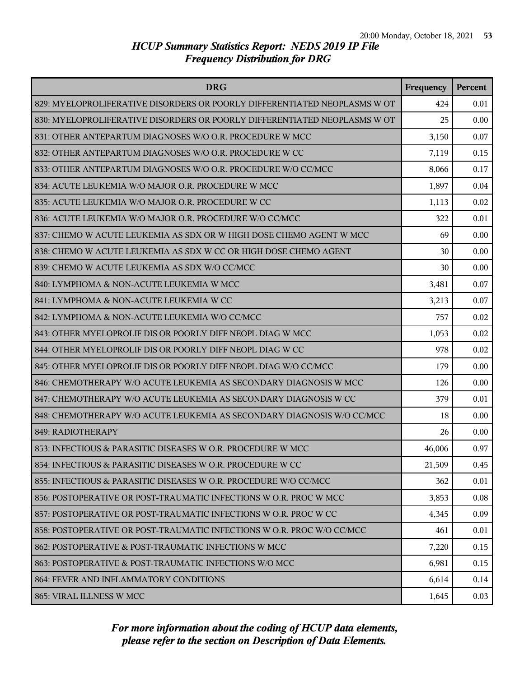| <b>DRG</b>                                                                | Frequency | Percent |
|---------------------------------------------------------------------------|-----------|---------|
| 829: MYELOPROLIFERATIVE DISORDERS OR POORLY DIFFERENTIATED NEOPLASMS W OT | 424       | 0.01    |
| 830: MYELOPROLIFERATIVE DISORDERS OR POORLY DIFFERENTIATED NEOPLASMS W OT | 25        | 0.00    |
| 831: OTHER ANTEPARTUM DIAGNOSES W/O O.R. PROCEDURE W MCC                  | 3,150     | 0.07    |
| 832: OTHER ANTEPARTUM DIAGNOSES W/O O.R. PROCEDURE W CC                   | 7,119     | 0.15    |
| 833: OTHER ANTEPARTUM DIAGNOSES W/O O.R. PROCEDURE W/O CC/MCC             | 8,066     | 0.17    |
| 834: ACUTE LEUKEMIA W/O MAJOR O.R. PROCEDURE W MCC                        | 1,897     | 0.04    |
| 835: ACUTE LEUKEMIA W/O MAJOR O.R. PROCEDURE W CC                         | 1,113     | 0.02    |
| 836: ACUTE LEUKEMIA W/O MAJOR O.R. PROCEDURE W/O CC/MCC                   | 322       | 0.01    |
| 837: CHEMO W ACUTE LEUKEMIA AS SDX OR W HIGH DOSE CHEMO AGENT W MCC       | 69        | 0.00    |
| 838: CHEMO W ACUTE LEUKEMIA AS SDX W CC OR HIGH DOSE CHEMO AGENT          | 30        | 0.00    |
| 839: CHEMO W ACUTE LEUKEMIA AS SDX W/O CC/MCC                             | 30        | 0.00    |
| 840: LYMPHOMA & NON-ACUTE LEUKEMIA W MCC                                  | 3,481     | 0.07    |
| 841: LYMPHOMA & NON-ACUTE LEUKEMIA W CC                                   | 3,213     | 0.07    |
| 842: LYMPHOMA & NON-ACUTE LEUKEMIA W/O CC/MCC                             | 757       | 0.02    |
| 843: OTHER MYELOPROLIF DIS OR POORLY DIFF NEOPL DIAG W MCC                | 1,053     | 0.02    |
| 844: OTHER MYELOPROLIF DIS OR POORLY DIFF NEOPL DIAG W CC                 | 978       | 0.02    |
| 845: OTHER MYELOPROLIF DIS OR POORLY DIFF NEOPL DIAG W/O CC/MCC           | 179       | 0.00    |
| 846: CHEMOTHERAPY W/O ACUTE LEUKEMIA AS SECONDARY DIAGNOSIS W MCC         | 126       | 0.00    |
| 847: CHEMOTHERAPY W/O ACUTE LEUKEMIA AS SECONDARY DIAGNOSIS W CC          | 379       | 0.01    |
| 848: CHEMOTHERAPY W/O ACUTE LEUKEMIA AS SECONDARY DIAGNOSIS W/O CC/MCC    | 18        | 0.00    |
| 849: RADIOTHERAPY                                                         | 26        | 0.00    |
| 853: INFECTIOUS & PARASITIC DISEASES W O.R. PROCEDURE W MCC               | 46,006    | 0.97    |
| 854: INFECTIOUS & PARASITIC DISEASES W O.R. PROCEDURE W CC                | 21,509    | 0.45    |
| 855: INFECTIOUS & PARASITIC DISEASES W O.R. PROCEDURE W/O CC/MCC          | 362       | 0.01    |
| 856: POSTOPERATIVE OR POST-TRAUMATIC INFECTIONS W O.R. PROC W MCC         | 3,853     | 0.08    |
| 857: POSTOPERATIVE OR POST-TRAUMATIC INFECTIONS W O.R. PROC W CC          | 4,345     | 0.09    |
| 858: POSTOPERATIVE OR POST-TRAUMATIC INFECTIONS W O.R. PROC W/O CC/MCC    | 461       | 0.01    |
| 862: POSTOPERATIVE & POST-TRAUMATIC INFECTIONS W MCC                      | 7,220     | 0.15    |
| 863: POSTOPERATIVE & POST-TRAUMATIC INFECTIONS W/O MCC                    | 6,981     | 0.15    |
| 864: FEVER AND INFLAMMATORY CONDITIONS                                    | 6,614     | 0.14    |
| 865: VIRAL ILLNESS W MCC                                                  | 1,645     | 0.03    |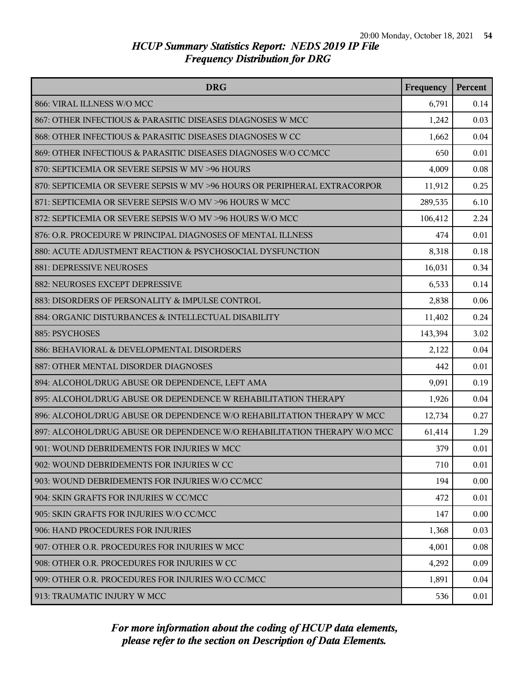| <b>DRG</b>                                                                | Frequency | Percent |
|---------------------------------------------------------------------------|-----------|---------|
| 866: VIRAL ILLNESS W/O MCC                                                | 6,791     | 0.14    |
| 867: OTHER INFECTIOUS & PARASITIC DISEASES DIAGNOSES W MCC                | 1,242     | 0.03    |
| 868: OTHER INFECTIOUS & PARASITIC DISEASES DIAGNOSES W CC                 | 1,662     | 0.04    |
| 869: OTHER INFECTIOUS & PARASITIC DISEASES DIAGNOSES W/O CC/MCC           | 650       | 0.01    |
| 870: SEPTICEMIA OR SEVERE SEPSIS W MV >96 HOURS                           | 4,009     | 0.08    |
| 870: SEPTICEMIA OR SEVERE SEPSIS W MV >96 HOURS OR PERIPHERAL EXTRACORPOR | 11,912    | 0.25    |
| 871: SEPTICEMIA OR SEVERE SEPSIS W/O MV >96 HOURS W MCC                   | 289,535   | 6.10    |
| 872: SEPTICEMIA OR SEVERE SEPSIS W/O MV >96 HOURS W/O MCC                 | 106,412   | 2.24    |
| 876: O.R. PROCEDURE W PRINCIPAL DIAGNOSES OF MENTAL ILLNESS               | 474       | 0.01    |
| 880: ACUTE ADJUSTMENT REACTION & PSYCHOSOCIAL DYSFUNCTION                 | 8,318     | 0.18    |
| 881: DEPRESSIVE NEUROSES                                                  | 16,031    | 0.34    |
| 882: NEUROSES EXCEPT DEPRESSIVE                                           | 6,533     | 0.14    |
| 883: DISORDERS OF PERSONALITY & IMPULSE CONTROL                           | 2,838     | 0.06    |
| 884: ORGANIC DISTURBANCES & INTELLECTUAL DISABILITY                       | 11,402    | 0.24    |
| 885: PSYCHOSES                                                            | 143,394   | 3.02    |
| 886: BEHAVIORAL & DEVELOPMENTAL DISORDERS                                 | 2,122     | 0.04    |
| 887: OTHER MENTAL DISORDER DIAGNOSES                                      | 442       | 0.01    |
| 894: ALCOHOL/DRUG ABUSE OR DEPENDENCE, LEFT AMA                           | 9,091     | 0.19    |
| 895: ALCOHOL/DRUG ABUSE OR DEPENDENCE W REHABILITATION THERAPY            | 1,926     | 0.04    |
| 896: ALCOHOL/DRUG ABUSE OR DEPENDENCE W/O REHABILITATION THERAPY W MCC    | 12,734    | 0.27    |
| 897: ALCOHOL/DRUG ABUSE OR DEPENDENCE W/O REHABILITATION THERAPY W/O MCC  | 61,414    | 1.29    |
| 901: WOUND DEBRIDEMENTS FOR INJURIES W MCC                                | 379       | 0.01    |
| 902: WOUND DEBRIDEMENTS FOR INJURIES W CC                                 | 710       | 0.01    |
| 903: WOUND DEBRIDEMENTS FOR INJURIES W/O CC/MCC                           | 194       | 0.00    |
| 904: SKIN GRAFTS FOR INJURIES W CC/MCC                                    | 472       | 0.01    |
| 905: SKIN GRAFTS FOR INJURIES W/O CC/MCC                                  | 147       | 0.00    |
| 906: HAND PROCEDURES FOR INJURIES                                         | 1,368     | 0.03    |
| 907: OTHER O.R. PROCEDURES FOR INJURIES W MCC                             | 4,001     | 0.08    |
| 908: OTHER O.R. PROCEDURES FOR INJURIES W CC                              | 4,292     | 0.09    |
| 909: OTHER O.R. PROCEDURES FOR INJURIES W/O CC/MCC                        | 1,891     | 0.04    |
| 913: TRAUMATIC INJURY W MCC                                               | 536       | 0.01    |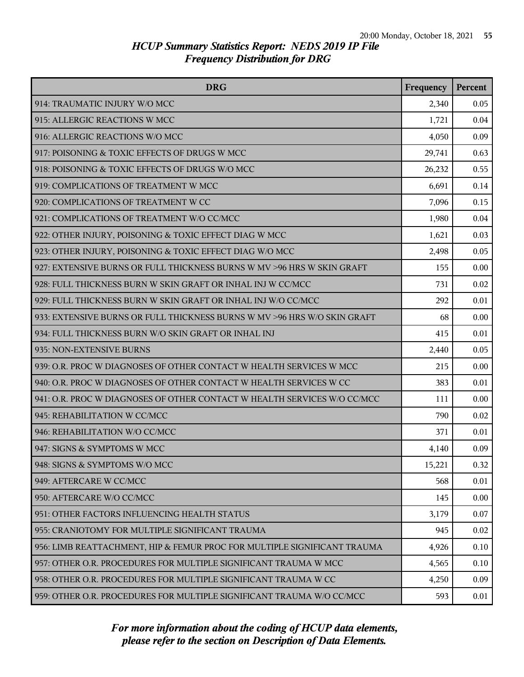| <b>DRG</b>                                                               | Frequency | Percent |
|--------------------------------------------------------------------------|-----------|---------|
| 914: TRAUMATIC INJURY W/O MCC                                            | 2,340     | 0.05    |
| 915: ALLERGIC REACTIONS W MCC                                            | 1,721     | 0.04    |
| 916: ALLERGIC REACTIONS W/O MCC                                          | 4,050     | 0.09    |
| 917: POISONING & TOXIC EFFECTS OF DRUGS W MCC                            | 29,741    | 0.63    |
| 918: POISONING & TOXIC EFFECTS OF DRUGS W/O MCC                          | 26,232    | 0.55    |
| 919: COMPLICATIONS OF TREATMENT W MCC                                    | 6,691     | 0.14    |
| 920: COMPLICATIONS OF TREATMENT W CC                                     | 7,096     | 0.15    |
| 921: COMPLICATIONS OF TREATMENT W/O CC/MCC                               | 1,980     | 0.04    |
| 922: OTHER INJURY, POISONING & TOXIC EFFECT DIAG W MCC                   | 1,621     | 0.03    |
| 923: OTHER INJURY, POISONING & TOXIC EFFECT DIAG W/O MCC                 | 2,498     | 0.05    |
| 927: EXTENSIVE BURNS OR FULL THICKNESS BURNS W MV >96 HRS W SKIN GRAFT   | 155       | 0.00    |
| 928: FULL THICKNESS BURN W SKIN GRAFT OR INHAL INJ W CC/MCC              | 731       | 0.02    |
| 929: FULL THICKNESS BURN W SKIN GRAFT OR INHAL INJ W/O CC/MCC            | 292       | 0.01    |
| 933: EXTENSIVE BURNS OR FULL THICKNESS BURNS W MV >96 HRS W/O SKIN GRAFT | 68        | 0.00    |
| 934: FULL THICKNESS BURN W/O SKIN GRAFT OR INHAL INJ                     | 415       | 0.01    |
| 935: NON-EXTENSIVE BURNS                                                 | 2,440     | 0.05    |
| 939: O.R. PROC W DIAGNOSES OF OTHER CONTACT W HEALTH SERVICES W MCC      | 215       | 0.00    |
| 940: O.R. PROC W DIAGNOSES OF OTHER CONTACT W HEALTH SERVICES W CC       | 383       | 0.01    |
| 941: O.R. PROC W DIAGNOSES OF OTHER CONTACT W HEALTH SERVICES W/O CC/MCC | 111       | 0.00    |
| 945: REHABILITATION W CC/MCC                                             | 790       | 0.02    |
| 946: REHABILITATION W/O CC/MCC                                           | 371       | 0.01    |
| 947: SIGNS & SYMPTOMS W MCC                                              | 4,140     | 0.09    |
| 948: SIGNS & SYMPTOMS W/O MCC                                            | 15,221    | 0.32    |
| 949: AFTERCARE W CC/MCC                                                  | 568       | 0.01    |
| 950: AFTERCARE W/O CC/MCC                                                | 145       | 0.00    |
| 951: OTHER FACTORS INFLUENCING HEALTH STATUS                             | 3,179     | 0.07    |
| 955: CRANIOTOMY FOR MULTIPLE SIGNIFICANT TRAUMA                          | 945       | 0.02    |
| 956: LIMB REATTACHMENT, HIP & FEMUR PROC FOR MULTIPLE SIGNIFICANT TRAUMA | 4,926     | 0.10    |
| 957: OTHER O.R. PROCEDURES FOR MULTIPLE SIGNIFICANT TRAUMA W MCC         | 4,565     | 0.10    |
| 958: OTHER O.R. PROCEDURES FOR MULTIPLE SIGNIFICANT TRAUMA W CC          | 4,250     | 0.09    |
| 959: OTHER O.R. PROCEDURES FOR MULTIPLE SIGNIFICANT TRAUMA W/O CC/MCC    | 593       | 0.01    |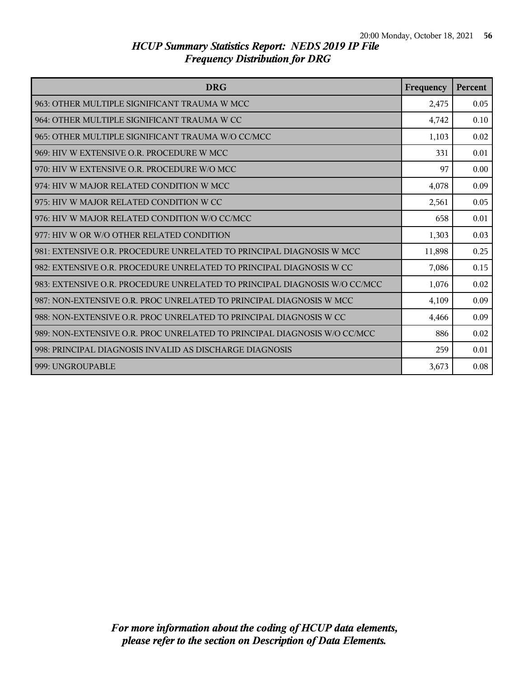| <b>DRG</b>                                                                | Frequency | Percent |
|---------------------------------------------------------------------------|-----------|---------|
| 963: OTHER MULTIPLE SIGNIFICANT TRAUMA W MCC                              | 2,475     | 0.05    |
| 964: OTHER MULTIPLE SIGNIFICANT TRAUMA W CC                               | 4,742     | 0.10    |
| 965: OTHER MULTIPLE SIGNIFICANT TRAUMA W/O CC/MCC                         | 1,103     | 0.02    |
| 969: HIV W EXTENSIVE O.R. PROCEDURE W MCC                                 | 331       | 0.01    |
| 970: HIV W EXTENSIVE O.R. PROCEDURE W/O MCC                               | 97        | 0.00    |
| 974: HIV W MAJOR RELATED CONDITION W MCC                                  | 4,078     | 0.09    |
| 975: HIV W MAJOR RELATED CONDITION W CC                                   | 2,561     | 0.05    |
| 976: HIV W MAJOR RELATED CONDITION W/O CC/MCC                             | 658       | 0.01    |
| 977: HIV W OR W/O OTHER RELATED CONDITION                                 | 1,303     | 0.03    |
| 981: EXTENSIVE O.R. PROCEDURE UNRELATED TO PRINCIPAL DIAGNOSIS W MCC      | 11,898    | 0.25    |
| 982: EXTENSIVE O.R. PROCEDURE UNRELATED TO PRINCIPAL DIAGNOSIS W CC       | 7,086     | 0.15    |
| 983: EXTENSIVE O.R. PROCEDURE UNRELATED TO PRINCIPAL DIAGNOSIS W/O CC/MCC | 1,076     | 0.02    |
| 987: NON-EXTENSIVE O.R. PROC UNRELATED TO PRINCIPAL DIAGNOSIS W MCC       | 4,109     | 0.09    |
| 988: NON-EXTENSIVE O.R. PROC UNRELATED TO PRINCIPAL DIAGNOSIS W CC        | 4,466     | 0.09    |
| 989: NON-EXTENSIVE O.R. PROC UNRELATED TO PRINCIPAL DIAGNOSIS W/O CC/MCC  | 886       | 0.02    |
| 998: PRINCIPAL DIAGNOSIS INVALID AS DISCHARGE DIAGNOSIS                   | 259       | 0.01    |
| 999: UNGROUPABLE                                                          | 3,673     | 0.08    |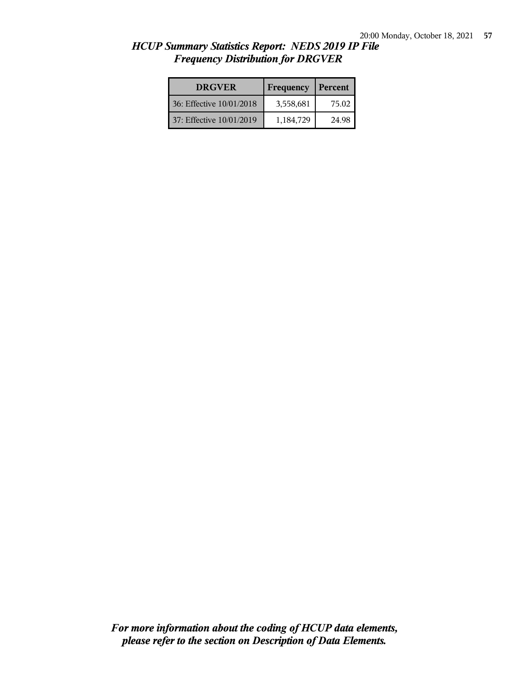| <b>DRGVER</b>            | Frequency | Percent |
|--------------------------|-----------|---------|
| 36: Effective 10/01/2018 | 3,558,681 | 75.02   |
| 37: Effective 10/01/2019 | 1,184,729 | 24.98   |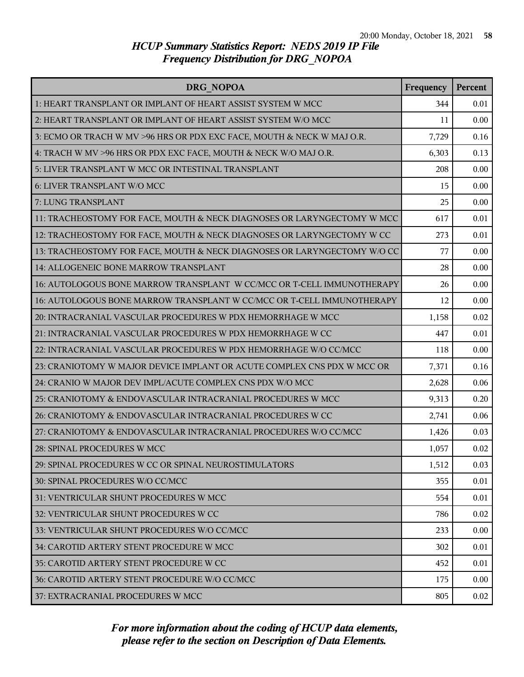| DRG NOPOA                                                                | Frequency | Percent |
|--------------------------------------------------------------------------|-----------|---------|
| 1: HEART TRANSPLANT OR IMPLANT OF HEART ASSIST SYSTEM W MCC              | 344       | 0.01    |
| 2: HEART TRANSPLANT OR IMPLANT OF HEART ASSIST SYSTEM W/O MCC            | 11        | 0.00    |
| 3: ECMO OR TRACH W MV >96 HRS OR PDX EXC FACE, MOUTH & NECK W MAJ O.R.   | 7,729     | 0.16    |
| 4: TRACH W MV >96 HRS OR PDX EXC FACE, MOUTH & NECK W/O MAJ O.R.         | 6,303     | 0.13    |
| 5: LIVER TRANSPLANT W MCC OR INTESTINAL TRANSPLANT                       | 208       | 0.00    |
| 6: LIVER TRANSPLANT W/O MCC                                              | 15        | 0.00    |
| 7: LUNG TRANSPLANT                                                       | 25        | 0.00    |
| 11: TRACHEOSTOMY FOR FACE, MOUTH & NECK DIAGNOSES OR LARYNGECTOMY W MCC  | 617       | 0.01    |
| 12: TRACHEOSTOMY FOR FACE, MOUTH & NECK DIAGNOSES OR LARYNGECTOMY W CC   | 273       | 0.01    |
| 13: TRACHEOSTOMY FOR FACE, MOUTH & NECK DIAGNOSES OR LARYNGECTOMY W/O CC | 77        | 0.00    |
| 14: ALLOGENEIC BONE MARROW TRANSPLANT                                    | 28        | 0.00    |
| 16: AUTOLOGOUS BONE MARROW TRANSPLANT W CC/MCC OR T-CELL IMMUNOTHERAPY   | 26        | 0.00    |
| 16: AUTOLOGOUS BONE MARROW TRANSPLANT W CC/MCC OR T-CELL IMMUNOTHERAPY   | 12        | 0.00    |
| 20: INTRACRANIAL VASCULAR PROCEDURES W PDX HEMORRHAGE W MCC              | 1,158     | 0.02    |
| 21: INTRACRANIAL VASCULAR PROCEDURES W PDX HEMORRHAGE W CC               | 447       | 0.01    |
| 22: INTRACRANIAL VASCULAR PROCEDURES W PDX HEMORRHAGE W/O CC/MCC         | 118       | 0.00    |
| 23: CRANIOTOMY W MAJOR DEVICE IMPLANT OR ACUTE COMPLEX CNS PDX W MCC OR  | 7,371     | 0.16    |
| 24: CRANIO W MAJOR DEV IMPL/ACUTE COMPLEX CNS PDX W/O MCC                | 2,628     | 0.06    |
| 25: CRANIOTOMY & ENDOVASCULAR INTRACRANIAL PROCEDURES W MCC              | 9,313     | 0.20    |
| 26: CRANIOTOMY & ENDOVASCULAR INTRACRANIAL PROCEDURES W CC               | 2,741     | 0.06    |
| 27: CRANIOTOMY & ENDOVASCULAR INTRACRANIAL PROCEDURES W/O CC/MCC         | 1,426     | 0.03    |
| 28: SPINAL PROCEDURES W MCC                                              | 1,057     | 0.02    |
| 29: SPINAL PROCEDURES W CC OR SPINAL NEUROSTIMULATORS                    | 1,512     | 0.03    |
| 30: SPINAL PROCEDURES W/O CC/MCC                                         | 355       | 0.01    |
| 31: VENTRICULAR SHUNT PROCEDURES W MCC                                   | 554       | 0.01    |
| 32: VENTRICULAR SHUNT PROCEDURES W CC                                    | 786       | 0.02    |
| 33: VENTRICULAR SHUNT PROCEDURES W/O CC/MCC                              | 233       | 0.00    |
| 34: CAROTID ARTERY STENT PROCEDURE W MCC                                 | 302       | 0.01    |
| 35: CAROTID ARTERY STENT PROCEDURE W CC                                  | 452       | 0.01    |
| 36: CAROTID ARTERY STENT PROCEDURE W/O CC/MCC                            | 175       | 0.00    |
| 37: EXTRACRANIAL PROCEDURES W MCC                                        | 805       | 0.02    |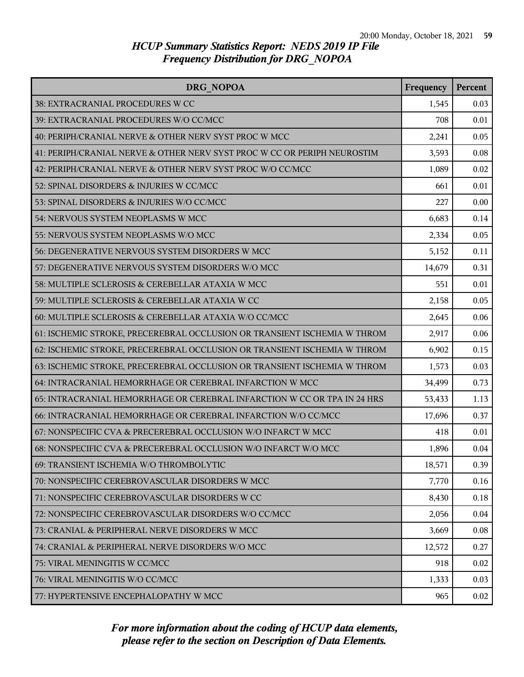| DRG NOPOA                                                                | Frequency | Percent |
|--------------------------------------------------------------------------|-----------|---------|
| 38: EXTRACRANIAL PROCEDURES W CC                                         | 1,545     | 0.03    |
| 39: EXTRACRANIAL PROCEDURES W/O CC/MCC                                   | 708       | 0.01    |
| 40: PERIPH/CRANIAL NERVE & OTHER NERV SYST PROC W MCC                    | 2,241     | 0.05    |
| 41: PERIPH/CRANIAL NERVE & OTHER NERV SYST PROC W CC OR PERIPH NEUROSTIM | 3,593     | 0.08    |
| 42: PERIPH/CRANIAL NERVE & OTHER NERV SYST PROC W/O CC/MCC               | 1,089     | 0.02    |
| 52: SPINAL DISORDERS & INJURIES W CC/MCC                                 | 661       | 0.01    |
| 53: SPINAL DISORDERS & INJURIES W/O CC/MCC                               | 227       | 0.00    |
| 54: NERVOUS SYSTEM NEOPLASMS W MCC                                       | 6,683     | 0.14    |
| 55: NERVOUS SYSTEM NEOPLASMS W/O MCC                                     | 2,334     | 0.05    |
| 56: DEGENERATIVE NERVOUS SYSTEM DISORDERS W MCC                          | 5,152     | 0.11    |
| 57: DEGENERATIVE NERVOUS SYSTEM DISORDERS W/O MCC                        | 14,679    | 0.31    |
| 58: MULTIPLE SCLEROSIS & CEREBELLAR ATAXIA W MCC                         | 551       | 0.01    |
| 59: MULTIPLE SCLEROSIS & CEREBELLAR ATAXIA W CC                          | 2,158     | 0.05    |
| 60: MULTIPLE SCLEROSIS & CEREBELLAR ATAXIA W/O CC/MCC                    | 2,645     | 0.06    |
| 61: ISCHEMIC STROKE, PRECEREBRAL OCCLUSION OR TRANSIENT ISCHEMIA W THROM | 2,917     | 0.06    |
| 62: ISCHEMIC STROKE, PRECEREBRAL OCCLUSION OR TRANSIENT ISCHEMIA W THROM | 6,902     | 0.15    |
| 63: ISCHEMIC STROKE, PRECEREBRAL OCCLUSION OR TRANSIENT ISCHEMIA W THROM | 1,573     | 0.03    |
| 64: INTRACRANIAL HEMORRHAGE OR CEREBRAL INFARCTION W MCC                 | 34,499    | 0.73    |
| 65: INTRACRANIAL HEMORRHAGE OR CEREBRAL INFARCTION W CC OR TPA IN 24 HRS | 53,433    | 1.13    |
| 66: INTRACRANIAL HEMORRHAGE OR CEREBRAL INFARCTION W/O CC/MCC            | 17,696    | 0.37    |
| 67: NONSPECIFIC CVA & PRECEREBRAL OCCLUSION W/O INFARCT W MCC            | 418       | 0.01    |
| 68: NONSPECIFIC CVA & PRECEREBRAL OCCLUSION W/O INFARCT W/O MCC          | 1,896     | 0.04    |
| 69: TRANSIENT ISCHEMIA W/O THROMBOLYTIC                                  | 18,571    | 0.39    |
| 70: NONSPECIFIC CEREBROVASCULAR DISORDERS W MCC                          | 7,770     | 0.16    |
| 71: NONSPECIFIC CEREBROVASCULAR DISORDERS W CC                           | 8,430     | 0.18    |
| 72: NONSPECIFIC CEREBROVASCULAR DISORDERS W/O CC/MCC                     | 2,056     | 0.04    |
| 73: CRANIAL & PERIPHERAL NERVE DISORDERS W MCC                           | 3,669     | 0.08    |
| 74: CRANIAL & PERIPHERAL NERVE DISORDERS W/O MCC                         | 12,572    | 0.27    |
| 75: VIRAL MENINGITIS W CC/MCC                                            | 918       | 0.02    |
| 76: VIRAL MENINGITIS W/O CC/MCC                                          | 1,333     | 0.03    |
| 77: HYPERTENSIVE ENCEPHALOPATHY W MCC                                    | 965       | 0.02    |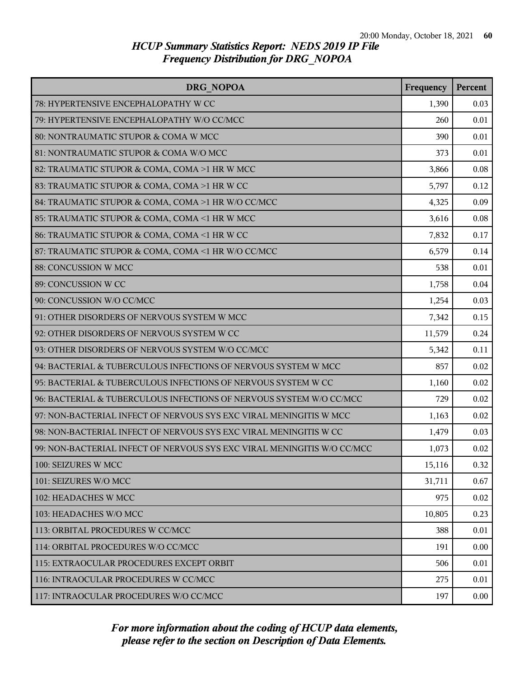| <b>DRG NOPOA</b>                                                        | Frequency | Percent |
|-------------------------------------------------------------------------|-----------|---------|
| 78: HYPERTENSIVE ENCEPHALOPATHY W CC                                    | 1,390     | 0.03    |
| 79: HYPERTENSIVE ENCEPHALOPATHY W/O CC/MCC                              | 260       | 0.01    |
| 80: NONTRAUMATIC STUPOR & COMA W MCC                                    | 390       | 0.01    |
| 81: NONTRAUMATIC STUPOR & COMA W/O MCC                                  | 373       | 0.01    |
| 82: TRAUMATIC STUPOR & COMA, COMA >1 HR W MCC                           | 3,866     | 0.08    |
| 83: TRAUMATIC STUPOR & COMA, COMA >1 HR W CC                            | 5,797     | 0.12    |
| 84: TRAUMATIC STUPOR & COMA, COMA >1 HR W/O CC/MCC                      | 4,325     | 0.09    |
| 85: TRAUMATIC STUPOR & COMA, COMA <1 HR W MCC                           | 3,616     | 0.08    |
| 86: TRAUMATIC STUPOR & COMA, COMA <1 HR W CC                            | 7,832     | 0.17    |
| 87: TRAUMATIC STUPOR & COMA, COMA <1 HR W/O CC/MCC                      | 6,579     | 0.14    |
| 88: CONCUSSION W MCC                                                    | 538       | 0.01    |
| 89: CONCUSSION W CC                                                     | 1,758     | 0.04    |
| 90: CONCUSSION W/O CC/MCC                                               | 1,254     | 0.03    |
| 91: OTHER DISORDERS OF NERVOUS SYSTEM W MCC                             | 7,342     | 0.15    |
| 92: OTHER DISORDERS OF NERVOUS SYSTEM W CC                              | 11,579    | 0.24    |
| 93: OTHER DISORDERS OF NERVOUS SYSTEM W/O CC/MCC                        | 5,342     | 0.11    |
| 94: BACTERIAL & TUBERCULOUS INFECTIONS OF NERVOUS SYSTEM W MCC          | 857       | 0.02    |
| 95: BACTERIAL & TUBERCULOUS INFECTIONS OF NERVOUS SYSTEM W CC           | 1,160     | 0.02    |
| 96: BACTERIAL & TUBERCULOUS INFECTIONS OF NERVOUS SYSTEM W/O CC/MCC     | 729       | 0.02    |
| 97: NON-BACTERIAL INFECT OF NERVOUS SYS EXC VIRAL MENINGITIS W MCC      | 1,163     | 0.02    |
| 98: NON-BACTERIAL INFECT OF NERVOUS SYS EXC VIRAL MENINGITIS W CC       | 1,479     | 0.03    |
| 99: NON-BACTERIAL INFECT OF NERVOUS SYS EXC VIRAL MENINGITIS W/O CC/MCC | 1,073     | 0.02    |
| 100: SEIZURES W MCC                                                     | 15,116    | 0.32    |
| 101: SEIZURES W/O MCC                                                   | 31,711    | 0.67    |
| 102: HEADACHES W MCC                                                    | 975       | 0.02    |
| 103: HEADACHES W/O MCC                                                  | 10,805    | 0.23    |
| 113: ORBITAL PROCEDURES W CC/MCC                                        | 388       | 0.01    |
| 114: ORBITAL PROCEDURES W/O CC/MCC                                      | 191       | 0.00    |
| 115: EXTRAOCULAR PROCEDURES EXCEPT ORBIT                                | 506       | 0.01    |
| 116: INTRAOCULAR PROCEDURES W CC/MCC                                    | 275       | 0.01    |
| 117: INTRAOCULAR PROCEDURES W/O CC/MCC                                  | 197       | 0.00    |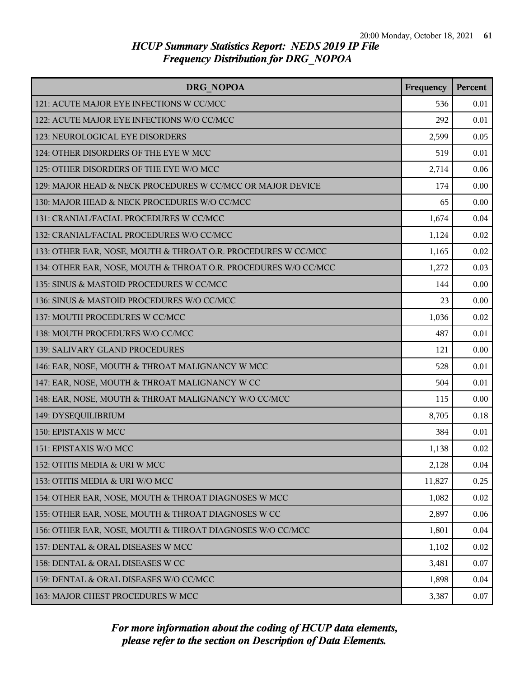| DRG NOPOA                                                       | Frequency | Percent |
|-----------------------------------------------------------------|-----------|---------|
| 121: ACUTE MAJOR EYE INFECTIONS W CC/MCC                        | 536       | 0.01    |
| 122: ACUTE MAJOR EYE INFECTIONS W/O CC/MCC                      | 292       | 0.01    |
| 123: NEUROLOGICAL EYE DISORDERS                                 | 2,599     | 0.05    |
| 124: OTHER DISORDERS OF THE EYE W MCC                           | 519       | 0.01    |
| 125: OTHER DISORDERS OF THE EYE W/O MCC                         | 2,714     | 0.06    |
| 129: MAJOR HEAD & NECK PROCEDURES W CC/MCC OR MAJOR DEVICE      | 174       | 0.00    |
| 130: MAJOR HEAD & NECK PROCEDURES W/O CC/MCC                    | 65        | 0.00    |
| 131: CRANIAL/FACIAL PROCEDURES W CC/MCC                         | 1,674     | 0.04    |
| 132: CRANIAL/FACIAL PROCEDURES W/O CC/MCC                       | 1,124     | 0.02    |
| 133: OTHER EAR, NOSE, MOUTH & THROAT O.R. PROCEDURES W CC/MCC   | 1,165     | 0.02    |
| 134: OTHER EAR, NOSE, MOUTH & THROAT O.R. PROCEDURES W/O CC/MCC | 1,272     | 0.03    |
| 135: SINUS & MASTOID PROCEDURES W CC/MCC                        | 144       | 0.00    |
| 136: SINUS & MASTOID PROCEDURES W/O CC/MCC                      | 23        | 0.00    |
| 137: MOUTH PROCEDURES W CC/MCC                                  | 1,036     | 0.02    |
| 138: MOUTH PROCEDURES W/O CC/MCC                                | 487       | 0.01    |
| 139: SALIVARY GLAND PROCEDURES                                  | 121       | 0.00    |
| 146: EAR, NOSE, MOUTH & THROAT MALIGNANCY W MCC                 | 528       | 0.01    |
| 147: EAR, NOSE, MOUTH & THROAT MALIGNANCY W CC                  | 504       | 0.01    |
| 148: EAR, NOSE, MOUTH & THROAT MALIGNANCY W/O CC/MCC            | 115       | 0.00    |
| 149: DYSEQUILIBRIUM                                             | 8,705     | 0.18    |
| 150: EPISTAXIS W MCC                                            | 384       | 0.01    |
| 151: EPISTAXIS W/O MCC                                          | 1,138     | 0.02    |
| 152: OTITIS MEDIA & URI W MCC                                   | 2,128     | 0.04    |
| 153: OTITIS MEDIA & URI W/O MCC                                 | 11,827    | 0.25    |
| 154: OTHER EAR, NOSE, MOUTH & THROAT DIAGNOSES W MCC            | 1,082     | 0.02    |
| 155: OTHER EAR, NOSE, MOUTH & THROAT DIAGNOSES W CC             | 2,897     | 0.06    |
| 156: OTHER EAR, NOSE, MOUTH & THROAT DIAGNOSES W/O CC/MCC       | 1,801     | 0.04    |
| 157: DENTAL & ORAL DISEASES W MCC                               | 1,102     | 0.02    |
| 158: DENTAL & ORAL DISEASES W CC                                | 3,481     | 0.07    |
| 159: DENTAL & ORAL DISEASES W/O CC/MCC                          | 1,898     | 0.04    |
| 163: MAJOR CHEST PROCEDURES W MCC                               | 3,387     | 0.07    |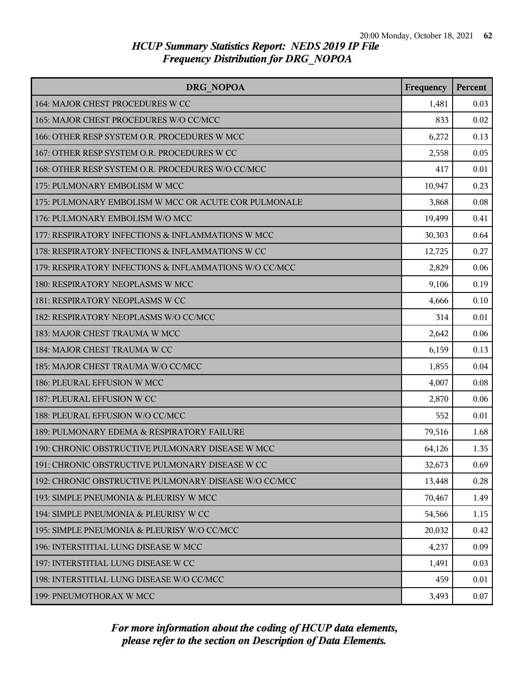| DRG NOPOA                                              | Frequency | Percent |
|--------------------------------------------------------|-----------|---------|
| 164: MAJOR CHEST PROCEDURES W CC                       | 1,481     | 0.03    |
| 165: MAJOR CHEST PROCEDURES W/O CC/MCC                 | 833       | 0.02    |
| 166: OTHER RESP SYSTEM O.R. PROCEDURES W MCC           | 6,272     | 0.13    |
| 167: OTHER RESP SYSTEM O.R. PROCEDURES W CC            | 2,558     | 0.05    |
| 168: OTHER RESP SYSTEM O.R. PROCEDURES W/O CC/MCC      | 417       | 0.01    |
| 175: PULMONARY EMBOLISM W MCC                          | 10,947    | 0.23    |
| 175: PULMONARY EMBOLISM W MCC OR ACUTE COR PULMONALE   | 3,868     | 0.08    |
| 176: PULMONARY EMBOLISM W/O MCC                        | 19,499    | 0.41    |
| 177: RESPIRATORY INFECTIONS & INFLAMMATIONS W MCC      | 30,303    | 0.64    |
| 178: RESPIRATORY INFECTIONS & INFLAMMATIONS W CC       | 12,725    | 0.27    |
| 179: RESPIRATORY INFECTIONS & INFLAMMATIONS W/O CC/MCC | 2,829     | 0.06    |
| 180: RESPIRATORY NEOPLASMS W MCC                       | 9,106     | 0.19    |
| 181: RESPIRATORY NEOPLASMS W CC                        | 4,666     | 0.10    |
| 182: RESPIRATORY NEOPLASMS W/O CC/MCC                  | 314       | 0.01    |
| 183: MAJOR CHEST TRAUMA W MCC                          | 2,642     | 0.06    |
| 184: MAJOR CHEST TRAUMA W CC                           | 6,159     | 0.13    |
| 185: MAJOR CHEST TRAUMA W/O CC/MCC                     | 1,855     | 0.04    |
| 186: PLEURAL EFFUSION W MCC                            | 4,007     | 0.08    |
| 187: PLEURAL EFFUSION W CC                             | 2,870     | 0.06    |
| 188: PLEURAL EFFUSION W/O CC/MCC                       | 552       | 0.01    |
| 189: PULMONARY EDEMA & RESPIRATORY FAILURE             | 79,516    | 1.68    |
| 190: CHRONIC OBSTRUCTIVE PULMONARY DISEASE W MCC       | 64,126    | 1.35    |
| 191: CHRONIC OBSTRUCTIVE PULMONARY DISEASE W CC        | 32,673    | 0.69    |
| 192: CHRONIC OBSTRUCTIVE PULMONARY DISEASE W/O CC/MCC  | 13,448    | 0.28    |
| 193: SIMPLE PNEUMONIA & PLEURISY W MCC                 | 70,467    | 1.49    |
| 194: SIMPLE PNEUMONIA & PLEURISY W CC                  | 54,566    | 1.15    |
| 195: SIMPLE PNEUMONIA & PLEURISY W/O CC/MCC            | 20,032    | 0.42    |
| 196: INTERSTITIAL LUNG DISEASE W MCC                   | 4,237     | 0.09    |
| 197: INTERSTITIAL LUNG DISEASE W CC                    | 1,491     | 0.03    |
| 198: INTERSTITIAL LUNG DISEASE W/O CC/MCC              | 459       | 0.01    |
| 199: PNEUMOTHORAX W MCC                                | 3,493     | 0.07    |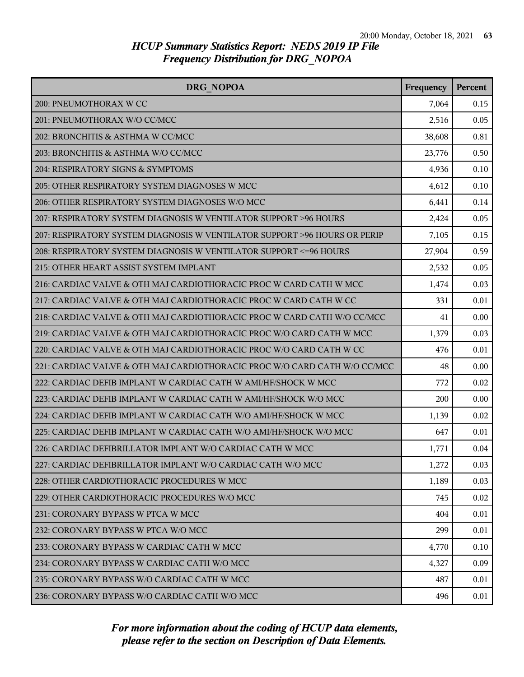| DRG NOPOA                                                                 | Frequency | Percent |
|---------------------------------------------------------------------------|-----------|---------|
| 200: PNEUMOTHORAX W CC                                                    | 7,064     | 0.15    |
| 201: PNEUMOTHORAX W/O CC/MCC                                              | 2,516     | 0.05    |
| 202: BRONCHITIS & ASTHMA W CC/MCC                                         | 38,608    | 0.81    |
| 203: BRONCHITIS & ASTHMA W/O CC/MCC                                       | 23,776    | 0.50    |
| 204: RESPIRATORY SIGNS & SYMPTOMS                                         | 4,936     | 0.10    |
| 205: OTHER RESPIRATORY SYSTEM DIAGNOSES W MCC                             | 4,612     | 0.10    |
| 206: OTHER RESPIRATORY SYSTEM DIAGNOSES W/O MCC                           | 6,441     | 0.14    |
| 207: RESPIRATORY SYSTEM DIAGNOSIS W VENTILATOR SUPPORT >96 HOURS          | 2,424     | 0.05    |
| 207: RESPIRATORY SYSTEM DIAGNOSIS W VENTILATOR SUPPORT >96 HOURS OR PERIP | 7,105     | 0.15    |
| 208: RESPIRATORY SYSTEM DIAGNOSIS W VENTILATOR SUPPORT <= 96 HOURS        | 27,904    | 0.59    |
| 215: OTHER HEART ASSIST SYSTEM IMPLANT                                    | 2,532     | 0.05    |
| 216: CARDIAC VALVE & OTH MAJ CARDIOTHORACIC PROC W CARD CATH W MCC        | 1,474     | 0.03    |
| 217: CARDIAC VALVE & OTH MAJ CARDIOTHORACIC PROC W CARD CATH W CC         | 331       | 0.01    |
| 218: CARDIAC VALVE & OTH MAJ CARDIOTHORACIC PROC W CARD CATH W/O CC/MCC   | 41        | 0.00    |
| 219: CARDIAC VALVE & OTH MAJ CARDIOTHORACIC PROC W/O CARD CATH W MCC      | 1,379     | 0.03    |
| 220: CARDIAC VALVE & OTH MAJ CARDIOTHORACIC PROC W/O CARD CATH W CC       | 476       | 0.01    |
| 221: CARDIAC VALVE & OTH MAJ CARDIOTHORACIC PROC W/O CARD CATH W/O CC/MCC | 48        | 0.00    |
| 222: CARDIAC DEFIB IMPLANT W CARDIAC CATH W AMI/HF/SHOCK W MCC            | 772       | 0.02    |
| 223: CARDIAC DEFIB IMPLANT W CARDIAC CATH W AMI/HF/SHOCK W/O MCC          | 200       | 0.00    |
| 224: CARDIAC DEFIB IMPLANT W CARDIAC CATH W/O AMI/HF/SHOCK W MCC          | 1,139     | 0.02    |
| 225: CARDIAC DEFIB IMPLANT W CARDIAC CATH W/O AMI/HF/SHOCK W/O MCC        | 647       | 0.01    |
| 226: CARDIAC DEFIBRILLATOR IMPLANT W/O CARDIAC CATH W MCC                 | 1,771     | 0.04    |
| 227: CARDIAC DEFIBRILLATOR IMPLANT W/O CARDIAC CATH W/O MCC               | 1,272     | 0.03    |
| 228: OTHER CARDIOTHORACIC PROCEDURES W MCC                                | 1,189     | 0.03    |
| 229: OTHER CARDIOTHORACIC PROCEDURES W/O MCC                              | 745       | 0.02    |
| 231: CORONARY BYPASS W PTCA W MCC                                         | 404       | 0.01    |
| 232: CORONARY BYPASS W PTCA W/O MCC                                       | 299       | 0.01    |
| 233: CORONARY BYPASS W CARDIAC CATH W MCC                                 | 4,770     | 0.10    |
| 234: CORONARY BYPASS W CARDIAC CATH W/O MCC                               | 4,327     | 0.09    |
| 235: CORONARY BYPASS W/O CARDIAC CATH W MCC                               | 487       | 0.01    |
| 236: CORONARY BYPASS W/O CARDIAC CATH W/O MCC                             | 496       | 0.01    |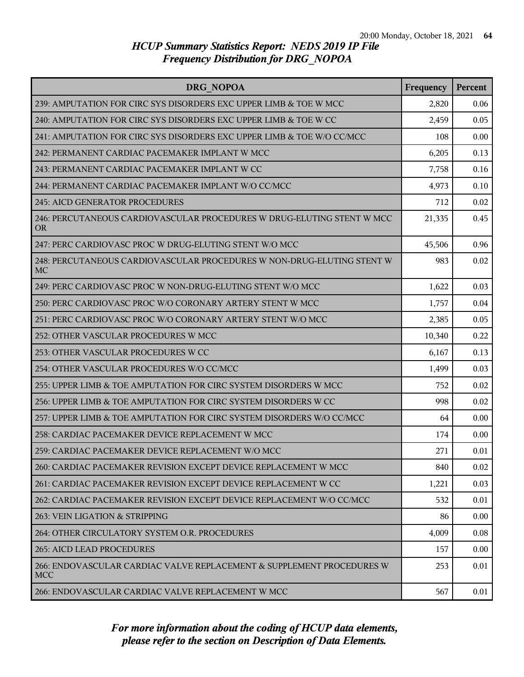| DRG NOPOA                                                                           | Frequency | Percent |
|-------------------------------------------------------------------------------------|-----------|---------|
| 239: AMPUTATION FOR CIRC SYS DISORDERS EXC UPPER LIMB & TOE W MCC                   | 2,820     | 0.06    |
| 240: AMPUTATION FOR CIRC SYS DISORDERS EXC UPPER LIMB & TOE W CC                    | 2,459     | 0.05    |
| 241: AMPUTATION FOR CIRC SYS DISORDERS EXC UPPER LIMB & TOE W/O CC/MCC              | 108       | 0.00    |
| 242: PERMANENT CARDIAC PACEMAKER IMPLANT W MCC                                      | 6,205     | 0.13    |
| 243: PERMANENT CARDIAC PACEMAKER IMPLANT W CC                                       | 7,758     | 0.16    |
| 244: PERMANENT CARDIAC PACEMAKER IMPLANT W/O CC/MCC                                 | 4,973     | 0.10    |
| 245: AICD GENERATOR PROCEDURES                                                      | 712       | 0.02    |
| 246: PERCUTANEOUS CARDIOVASCULAR PROCEDURES W DRUG-ELUTING STENT W MCC<br><b>OR</b> | 21,335    | 0.45    |
| 247: PERC CARDIOVASC PROC W DRUG-ELUTING STENT W/O MCC                              | 45,506    | 0.96    |
| 248: PERCUTANEOUS CARDIOVASCULAR PROCEDURES W NON-DRUG-ELUTING STENT W<br>MC        | 983       | 0.02    |
| 249: PERC CARDIOVASC PROC W NON-DRUG-ELUTING STENT W/O MCC                          | 1,622     | 0.03    |
| 250: PERC CARDIOVASC PROC W/O CORONARY ARTERY STENT W MCC                           | 1,757     | 0.04    |
| 251: PERC CARDIOVASC PROC W/O CORONARY ARTERY STENT W/O MCC                         | 2,385     | 0.05    |
| 252: OTHER VASCULAR PROCEDURES W MCC                                                | 10,340    | 0.22    |
| 253: OTHER VASCULAR PROCEDURES W CC                                                 | 6,167     | 0.13    |
| 254: OTHER VASCULAR PROCEDURES W/O CC/MCC                                           | 1,499     | 0.03    |
| 255: UPPER LIMB & TOE AMPUTATION FOR CIRC SYSTEM DISORDERS W MCC                    | 752       | 0.02    |
| 256: UPPER LIMB & TOE AMPUTATION FOR CIRC SYSTEM DISORDERS W CC                     | 998       | 0.02    |
| 257: UPPER LIMB & TOE AMPUTATION FOR CIRC SYSTEM DISORDERS W/O CC/MCC               | 64        | 0.00    |
| 258: CARDIAC PACEMAKER DEVICE REPLACEMENT W MCC                                     | 174       | 0.00    |
| 259: CARDIAC PACEMAKER DEVICE REPLACEMENT W/O MCC                                   | 271       | 0.01    |
| 260: CARDIAC PACEMAKER REVISION EXCEPT DEVICE REPLACEMENT W MCC                     | 840       | 0.02    |
| 261: CARDIAC PACEMAKER REVISION EXCEPT DEVICE REPLACEMENT W CC                      | 1,221     | 0.03    |
| 262: CARDIAC PACEMAKER REVISION EXCEPT DEVICE REPLACEMENT W/O CC/MCC                | 532       | 0.01    |
| 263: VEIN LIGATION & STRIPPING                                                      | 86        | 0.00    |
| 264: OTHER CIRCULATORY SYSTEM O.R. PROCEDURES                                       | 4,009     | 0.08    |
| <b>265: AICD LEAD PROCEDURES</b>                                                    | 157       | 0.00    |
| 266: ENDOVASCULAR CARDIAC VALVE REPLACEMENT & SUPPLEMENT PROCEDURES W<br><b>MCC</b> | 253       | 0.01    |
| 266: ENDOVASCULAR CARDIAC VALVE REPLACEMENT W MCC                                   | 567       | 0.01    |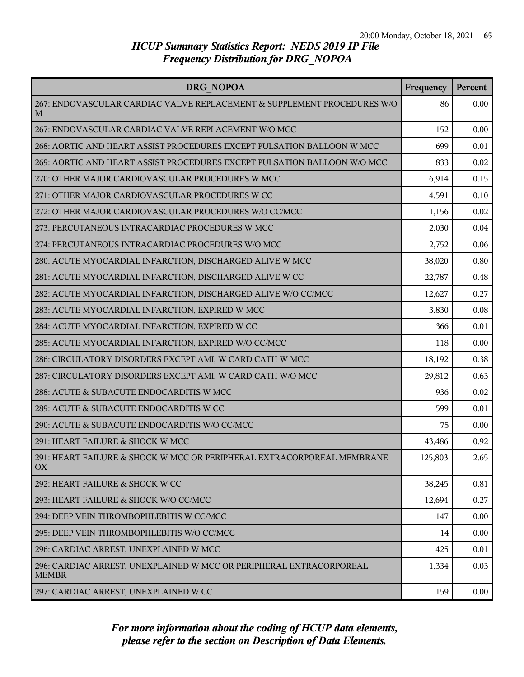| DRG NOPOA                                                                           | Frequency | Percent |
|-------------------------------------------------------------------------------------|-----------|---------|
| 267: ENDOVASCULAR CARDIAC VALVE REPLACEMENT & SUPPLEMENT PROCEDURES W/O<br>M        | 86        | 0.00    |
| 267: ENDOVASCULAR CARDIAC VALVE REPLACEMENT W/O MCC                                 | 152       | 0.00    |
| 268: AORTIC AND HEART ASSIST PROCEDURES EXCEPT PULSATION BALLOON W MCC              | 699       | 0.01    |
| 269: AORTIC AND HEART ASSIST PROCEDURES EXCEPT PULSATION BALLOON W/O MCC            | 833       | 0.02    |
| 270: OTHER MAJOR CARDIOVASCULAR PROCEDURES W MCC                                    | 6,914     | 0.15    |
| 271: OTHER MAJOR CARDIOVASCULAR PROCEDURES W CC                                     | 4,591     | 0.10    |
| 272: OTHER MAJOR CARDIOVASCULAR PROCEDURES W/O CC/MCC                               | 1,156     | 0.02    |
| 273: PERCUTANEOUS INTRACARDIAC PROCEDURES W MCC                                     | 2,030     | 0.04    |
| 274: PERCUTANEOUS INTRACARDIAC PROCEDURES W/O MCC                                   | 2,752     | 0.06    |
| 280: ACUTE MYOCARDIAL INFARCTION, DISCHARGED ALIVE W MCC                            | 38,020    | 0.80    |
| 281: ACUTE MYOCARDIAL INFARCTION, DISCHARGED ALIVE W CC                             | 22,787    | 0.48    |
| 282: ACUTE MYOCARDIAL INFARCTION, DISCHARGED ALIVE W/O CC/MCC                       | 12,627    | 0.27    |
| 283: ACUTE MYOCARDIAL INFARCTION, EXPIRED W MCC                                     | 3,830     | 0.08    |
| 284: ACUTE MYOCARDIAL INFARCTION, EXPIRED W CC                                      | 366       | 0.01    |
| 285: ACUTE MYOCARDIAL INFARCTION, EXPIRED W/O CC/MCC                                | 118       | 0.00    |
| 286: CIRCULATORY DISORDERS EXCEPT AMI, W CARD CATH W MCC                            | 18,192    | 0.38    |
| 287: CIRCULATORY DISORDERS EXCEPT AMI, W CARD CATH W/O MCC                          | 29,812    | 0.63    |
| 288: ACUTE & SUBACUTE ENDOCARDITIS W MCC                                            | 936       | 0.02    |
| 289: ACUTE & SUBACUTE ENDOCARDITIS W CC                                             | 599       | 0.01    |
| 290: ACUTE & SUBACUTE ENDOCARDITIS W/O CC/MCC                                       | 75        | 0.00    |
| 291: HEART FAILURE & SHOCK W MCC                                                    | 43,486    | 0.92    |
| 291: HEART FAILURE & SHOCK W MCC OR PERIPHERAL EXTRACORPOREAL MEMBRANE<br>OX        | 125,803   | 2.65    |
| 292: HEART FAILURE & SHOCK W CC                                                     | 38,245    | 0.81    |
| 293: HEART FAILURE & SHOCK W/O CC/MCC                                               | 12,694    | 0.27    |
| 294: DEEP VEIN THROMBOPHLEBITIS W CC/MCC                                            | 147       | 0.00    |
| 295: DEEP VEIN THROMBOPHLEBITIS W/O CC/MCC                                          | 14        | 0.00    |
| 296: CARDIAC ARREST, UNEXPLAINED W MCC                                              | 425       | 0.01    |
| 296: CARDIAC ARREST, UNEXPLAINED W MCC OR PERIPHERAL EXTRACORPOREAL<br><b>MEMBR</b> | 1,334     | 0.03    |
| 297: CARDIAC ARREST, UNEXPLAINED W CC                                               | 159       | 0.00    |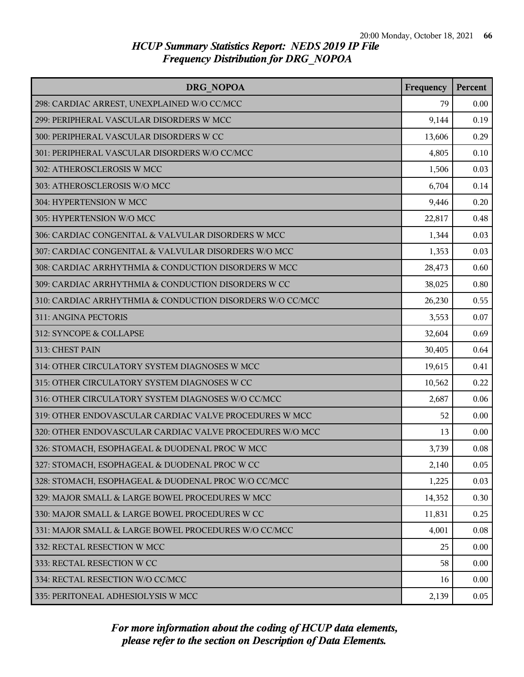| DRG NOPOA                                                 | Frequency | <b>Percent</b> |
|-----------------------------------------------------------|-----------|----------------|
| 298: CARDIAC ARREST, UNEXPLAINED W/O CC/MCC               | 79        | 0.00           |
| 299: PERIPHERAL VASCULAR DISORDERS W MCC                  | 9,144     | 0.19           |
| 300: PERIPHERAL VASCULAR DISORDERS W CC                   | 13,606    | 0.29           |
| 301: PERIPHERAL VASCULAR DISORDERS W/O CC/MCC             | 4,805     | 0.10           |
| 302: ATHEROSCLEROSIS W MCC                                | 1,506     | 0.03           |
| 303: ATHEROSCLEROSIS W/O MCC                              | 6,704     | 0.14           |
| 304: HYPERTENSION W MCC                                   | 9,446     | 0.20           |
| 305: HYPERTENSION W/O MCC                                 | 22,817    | 0.48           |
| 306: CARDIAC CONGENITAL & VALVULAR DISORDERS W MCC        | 1,344     | 0.03           |
| 307: CARDIAC CONGENITAL & VALVULAR DISORDERS W/O MCC      | 1,353     | 0.03           |
| 308: CARDIAC ARRHYTHMIA & CONDUCTION DISORDERS W MCC      | 28,473    | 0.60           |
| 309: CARDIAC ARRHYTHMIA & CONDUCTION DISORDERS W CC       | 38,025    | 0.80           |
| 310: CARDIAC ARRHYTHMIA & CONDUCTION DISORDERS W/O CC/MCC | 26,230    | 0.55           |
| 311: ANGINA PECTORIS                                      | 3,553     | 0.07           |
| 312: SYNCOPE & COLLAPSE                                   | 32,604    | 0.69           |
| 313: CHEST PAIN                                           | 30,405    | 0.64           |
| 314: OTHER CIRCULATORY SYSTEM DIAGNOSES W MCC             | 19,615    | 0.41           |
| 315: OTHER CIRCULATORY SYSTEM DIAGNOSES W CC              | 10,562    | 0.22           |
| 316: OTHER CIRCULATORY SYSTEM DIAGNOSES W/O CC/MCC        | 2,687     | 0.06           |
| 319: OTHER ENDOVASCULAR CARDIAC VALVE PROCEDURES W MCC    | 52        | 0.00           |
| 320: OTHER ENDOVASCULAR CARDIAC VALVE PROCEDURES W/O MCC  | 13        | 0.00           |
| 326: STOMACH, ESOPHAGEAL & DUODENAL PROC W MCC            | 3,739     | 0.08           |
| 327: STOMACH, ESOPHAGEAL & DUODENAL PROC W CC             | 2,140     | 0.05           |
| 328: STOMACH, ESOPHAGEAL & DUODENAL PROC W/O CC/MCC       | 1,225     | 0.03           |
| 329: MAJOR SMALL & LARGE BOWEL PROCEDURES W MCC           | 14,352    | 0.30           |
| 330: MAJOR SMALL & LARGE BOWEL PROCEDURES W CC            | 11,831    | 0.25           |
| 331: MAJOR SMALL & LARGE BOWEL PROCEDURES W/O CC/MCC      | 4,001     | 0.08           |
| 332: RECTAL RESECTION W MCC                               | 25        | 0.00           |
| 333: RECTAL RESECTION W CC                                | 58        | 0.00           |
| 334: RECTAL RESECTION W/O CC/MCC                          | 16        | 0.00           |
| 335: PERITONEAL ADHESIOLYSIS W MCC                        | 2,139     | 0.05           |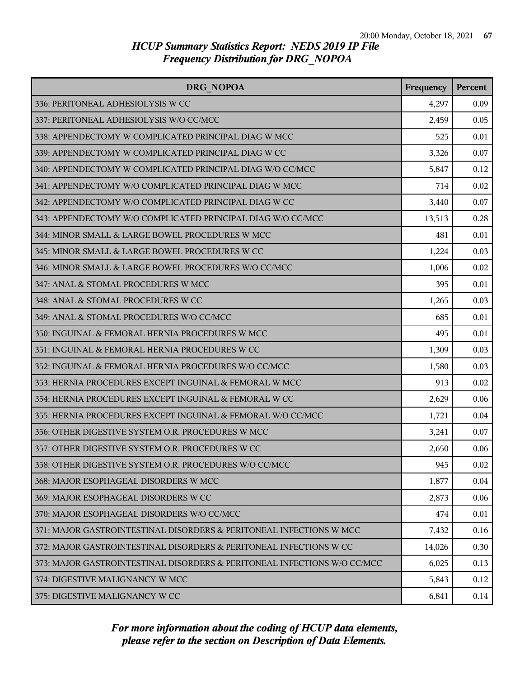| DRG NOPOA                                                                | Frequency | <b>Percent</b> |
|--------------------------------------------------------------------------|-----------|----------------|
| 336: PERITONEAL ADHESIOLYSIS W CC                                        | 4,297     | 0.09           |
| 337: PERITONEAL ADHESIOLYSIS W/O CC/MCC                                  | 2,459     | 0.05           |
| 338: APPENDECTOMY W COMPLICATED PRINCIPAL DIAG W MCC                     | 525       | 0.01           |
| 339: APPENDECTOMY W COMPLICATED PRINCIPAL DIAG W CC                      | 3,326     | 0.07           |
| 340: APPENDECTOMY W COMPLICATED PRINCIPAL DIAG W/O CC/MCC                | 5,847     | 0.12           |
| 341: APPENDECTOMY W/O COMPLICATED PRINCIPAL DIAG W MCC                   | 714       | 0.02           |
| 342: APPENDECTOMY W/O COMPLICATED PRINCIPAL DIAG W CC                    | 3,440     | 0.07           |
| 343: APPENDECTOMY W/O COMPLICATED PRINCIPAL DIAG W/O CC/MCC              | 13,513    | 0.28           |
| 344: MINOR SMALL & LARGE BOWEL PROCEDURES W MCC                          | 481       | 0.01           |
| 345: MINOR SMALL & LARGE BOWEL PROCEDURES W CC                           | 1,224     | 0.03           |
| 346: MINOR SMALL & LARGE BOWEL PROCEDURES W/O CC/MCC                     | 1,006     | 0.02           |
| 347: ANAL & STOMAL PROCEDURES W MCC                                      | 395       | 0.01           |
| 348: ANAL & STOMAL PROCEDURES W CC                                       | 1,265     | 0.03           |
| 349: ANAL & STOMAL PROCEDURES W/O CC/MCC                                 | 685       | 0.01           |
| 350: INGUINAL & FEMORAL HERNIA PROCEDURES W MCC                          | 495       | 0.01           |
| 351: INGUINAL & FEMORAL HERNIA PROCEDURES W CC                           | 1,309     | 0.03           |
| 352: INGUINAL & FEMORAL HERNIA PROCEDURES W/O CC/MCC                     | 1,580     | 0.03           |
| 353: HERNIA PROCEDURES EXCEPT INGUINAL & FEMORAL W MCC                   | 913       | 0.02           |
| 354: HERNIA PROCEDURES EXCEPT INGUINAL & FEMORAL W CC                    | 2,629     | 0.06           |
| 355: HERNIA PROCEDURES EXCEPT INGUINAL & FEMORAL W/O CC/MCC              | 1,721     | 0.04           |
| 356: OTHER DIGESTIVE SYSTEM O.R. PROCEDURES W MCC                        | 3,241     | 0.07           |
| 357: OTHER DIGESTIVE SYSTEM O.R. PROCEDURES W CC                         | 2,650     | 0.06           |
| 358: OTHER DIGESTIVE SYSTEM O.R. PROCEDURES W/O CC/MCC                   | 945       | 0.02           |
| 368: MAJOR ESOPHAGEAL DISORDERS W MCC                                    | 1,877     | 0.04           |
| 369: MAJOR ESOPHAGEAL DISORDERS W CC                                     | 2,873     | 0.06           |
| 370: MAJOR ESOPHAGEAL DISORDERS W/O CC/MCC                               | 474       | 0.01           |
| 371: MAJOR GASTROINTESTINAL DISORDERS & PERITONEAL INFECTIONS W MCC      | 7,432     | 0.16           |
| 372: MAJOR GASTROINTESTINAL DISORDERS & PERITONEAL INFECTIONS W CC       | 14,026    | 0.30           |
| 373: MAJOR GASTROINTESTINAL DISORDERS & PERITONEAL INFECTIONS W/O CC/MCC | 6,025     | 0.13           |
| 374: DIGESTIVE MALIGNANCY W MCC                                          | 5,843     | 0.12           |
| 375: DIGESTIVE MALIGNANCY W CC                                           | 6,841     | 0.14           |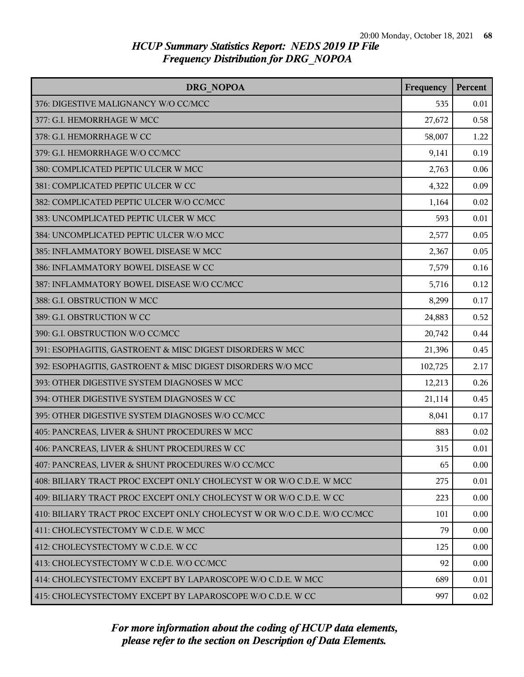| DRG NOPOA                                                                | Frequency | Percent |
|--------------------------------------------------------------------------|-----------|---------|
| 376: DIGESTIVE MALIGNANCY W/O CC/MCC                                     | 535       | 0.01    |
| 377: G.I. HEMORRHAGE W MCC                                               | 27,672    | 0.58    |
| 378: G.I. HEMORRHAGE W CC                                                | 58,007    | 1.22    |
| 379: G.I. HEMORRHAGE W/O CC/MCC                                          | 9,141     | 0.19    |
| 380: COMPLICATED PEPTIC ULCER W MCC                                      | 2,763     | 0.06    |
| 381: COMPLICATED PEPTIC ULCER W CC                                       | 4,322     | 0.09    |
| 382: COMPLICATED PEPTIC ULCER W/O CC/MCC                                 | 1,164     | 0.02    |
| 383: UNCOMPLICATED PEPTIC ULCER W MCC                                    | 593       | 0.01    |
| 384: UNCOMPLICATED PEPTIC ULCER W/O MCC                                  | 2,577     | 0.05    |
| 385: INFLAMMATORY BOWEL DISEASE W MCC                                    | 2,367     | 0.05    |
| 386: INFLAMMATORY BOWEL DISEASE W CC                                     | 7,579     | 0.16    |
| 387: INFLAMMATORY BOWEL DISEASE W/O CC/MCC                               | 5,716     | 0.12    |
| 388: G.I. OBSTRUCTION W MCC                                              | 8,299     | 0.17    |
| 389: G.I. OBSTRUCTION W CC                                               | 24,883    | 0.52    |
| 390: G.I. OBSTRUCTION W/O CC/MCC                                         | 20,742    | 0.44    |
| 391: ESOPHAGITIS, GASTROENT & MISC DIGEST DISORDERS W MCC                | 21,396    | 0.45    |
| 392: ESOPHAGITIS, GASTROENT & MISC DIGEST DISORDERS W/O MCC              | 102,725   | 2.17    |
| 393: OTHER DIGESTIVE SYSTEM DIAGNOSES W MCC                              | 12,213    | 0.26    |
| 394: OTHER DIGESTIVE SYSTEM DIAGNOSES W CC                               | 21,114    | 0.45    |
| 395: OTHER DIGESTIVE SYSTEM DIAGNOSES W/O CC/MCC                         | 8,041     | 0.17    |
| 405: PANCREAS, LIVER & SHUNT PROCEDURES W MCC                            | 883       | 0.02    |
| 406: PANCREAS, LIVER & SHUNT PROCEDURES W CC                             | 315       | 0.01    |
| 407: PANCREAS, LIVER & SHUNT PROCEDURES W/O CC/MCC                       | 65        | 0.00    |
| 408: BILIARY TRACT PROC EXCEPT ONLY CHOLECYST W OR W/O C.D.E. W MCC      | 275       | 0.01    |
| 409: BILIARY TRACT PROC EXCEPT ONLY CHOLECYST W OR W/O C.D.E. W CC       | 223       | 0.00    |
| 410: BILIARY TRACT PROC EXCEPT ONLY CHOLECYST W OR W/O C.D.E. W/O CC/MCC | 101       | 0.00    |
| 411: CHOLECYSTECTOMY W C.D.E. W MCC                                      | 79        | 0.00    |
| 412: CHOLECYSTECTOMY W C.D.E. W CC                                       | 125       | 0.00    |
| 413: CHOLECYSTECTOMY W C.D.E. W/O CC/MCC                                 | 92        | 0.00    |
| 414: CHOLECYSTECTOMY EXCEPT BY LAPAROSCOPE W/O C.D.E. W MCC              | 689       | 0.01    |
| 415: CHOLECYSTECTOMY EXCEPT BY LAPAROSCOPE W/O C.D.E. W CC               | 997       | 0.02    |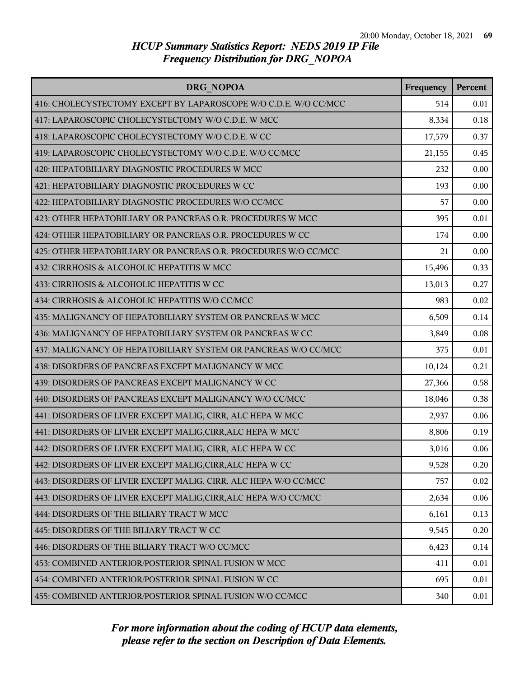| DRG NOPOA                                                        | Frequency | Percent |
|------------------------------------------------------------------|-----------|---------|
| 416: CHOLECYSTECTOMY EXCEPT BY LAPAROSCOPE W/O C.D.E. W/O CC/MCC | 514       | 0.01    |
| 417: LAPAROSCOPIC CHOLECYSTECTOMY W/O C.D.E. W MCC               | 8,334     | 0.18    |
| 418: LAPAROSCOPIC CHOLECYSTECTOMY W/O C.D.E. W CC                | 17,579    | 0.37    |
| 419: LAPAROSCOPIC CHOLECYSTECTOMY W/O C.D.E. W/O CC/MCC          | 21,155    | 0.45    |
| 420: HEPATOBILIARY DIAGNOSTIC PROCEDURES W MCC                   | 232       | 0.00    |
| 421: HEPATOBILIARY DIAGNOSTIC PROCEDURES W CC                    | 193       | 0.00    |
| 422: HEPATOBILIARY DIAGNOSTIC PROCEDURES W/O CC/MCC              | 57        | 0.00    |
| 423: OTHER HEPATOBILIARY OR PANCREAS O.R. PROCEDURES W MCC       | 395       | 0.01    |
| 424: OTHER HEPATOBILIARY OR PANCREAS O.R. PROCEDURES W CC        | 174       | 0.00    |
| 425: OTHER HEPATOBILIARY OR PANCREAS O.R. PROCEDURES W/O CC/MCC  | 21        | 0.00    |
| 432: CIRRHOSIS & ALCOHOLIC HEPATITIS W MCC                       | 15,496    | 0.33    |
| 433: CIRRHOSIS & ALCOHOLIC HEPATITIS W CC                        | 13,013    | 0.27    |
| 434: CIRRHOSIS & ALCOHOLIC HEPATITIS W/O CC/MCC                  | 983       | 0.02    |
| 435: MALIGNANCY OF HEPATOBILIARY SYSTEM OR PANCREAS W MCC        | 6,509     | 0.14    |
| 436: MALIGNANCY OF HEPATOBILIARY SYSTEM OR PANCREAS W CC         | 3,849     | 0.08    |
| 437: MALIGNANCY OF HEPATOBILIARY SYSTEM OR PANCREAS W/O CC/MCC   | 375       | 0.01    |
| 438: DISORDERS OF PANCREAS EXCEPT MALIGNANCY W MCC               | 10,124    | 0.21    |
| 439: DISORDERS OF PANCREAS EXCEPT MALIGNANCY W CC                | 27,366    | 0.58    |
| 440: DISORDERS OF PANCREAS EXCEPT MALIGNANCY W/O CC/MCC          | 18,046    | 0.38    |
| 441: DISORDERS OF LIVER EXCEPT MALIG, CIRR, ALC HEPA W MCC       | 2,937     | 0.06    |
| 441: DISORDERS OF LIVER EXCEPT MALIG, CIRR, ALC HEPA W MCC       | 8,806     | 0.19    |
| 442: DISORDERS OF LIVER EXCEPT MALIG, CIRR, ALC HEPA W CC        | 3,016     | 0.06    |
| 442: DISORDERS OF LIVER EXCEPT MALIG, CIRR, ALC HEPA W CC        | 9,528     | 0.20    |
| 443: DISORDERS OF LIVER EXCEPT MALIG, CIRR, ALC HEPA W/O CC/MCC  | 757       | 0.02    |
| 443: DISORDERS OF LIVER EXCEPT MALIG, CIRR, ALC HEPA W/O CC/MCC  | 2,634     | 0.06    |
| 444: DISORDERS OF THE BILIARY TRACT W MCC                        | 6,161     | 0.13    |
| 445: DISORDERS OF THE BILIARY TRACT W CC                         | 9,545     | 0.20    |
| 446: DISORDERS OF THE BILIARY TRACT W/O CC/MCC                   | 6,423     | 0.14    |
| 453: COMBINED ANTERIOR/POSTERIOR SPINAL FUSION W MCC             | 411       | 0.01    |
| 454: COMBINED ANTERIOR/POSTERIOR SPINAL FUSION W CC              | 695       | 0.01    |
| 455: COMBINED ANTERIOR/POSTERIOR SPINAL FUSION W/O CC/MCC        | 340       | 0.01    |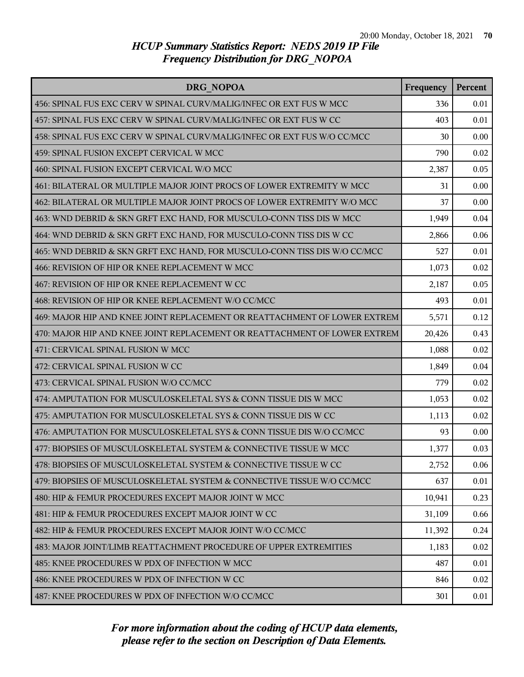| DRG NOPOA                                                                 | Frequency | Percent |
|---------------------------------------------------------------------------|-----------|---------|
| 456: SPINAL FUS EXC CERV W SPINAL CURV/MALIG/INFEC OR EXT FUS W MCC       | 336       | 0.01    |
| 457: SPINAL FUS EXC CERV W SPINAL CURV/MALIG/INFEC OR EXT FUS W CC        | 403       | 0.01    |
| 458: SPINAL FUS EXC CERV W SPINAL CURV/MALIG/INFEC OR EXT FUS W/O CC/MCC  | 30        | 0.00    |
| 459: SPINAL FUSION EXCEPT CERVICAL W MCC                                  | 790       | 0.02    |
| 460: SPINAL FUSION EXCEPT CERVICAL W/O MCC                                | 2,387     | 0.05    |
| 461: BILATERAL OR MULTIPLE MAJOR JOINT PROCS OF LOWER EXTREMITY W MCC     | 31        | 0.00    |
| 462: BILATERAL OR MULTIPLE MAJOR JOINT PROCS OF LOWER EXTREMITY W/O MCC   | 37        | 0.00    |
| 463: WND DEBRID & SKN GRFT EXC HAND, FOR MUSCULO-CONN TISS DIS W MCC      | 1,949     | 0.04    |
| 464: WND DEBRID & SKN GRFT EXC HAND, FOR MUSCULO-CONN TISS DIS W CC       | 2,866     | 0.06    |
| 465: WND DEBRID & SKN GRFT EXC HAND, FOR MUSCULO-CONN TISS DIS W/O CC/MCC | 527       | 0.01    |
| 466: REVISION OF HIP OR KNEE REPLACEMENT W MCC                            | 1,073     | 0.02    |
| 467: REVISION OF HIP OR KNEE REPLACEMENT W CC                             | 2,187     | 0.05    |
| 468: REVISION OF HIP OR KNEE REPLACEMENT W/O CC/MCC                       | 493       | 0.01    |
| 469: MAJOR HIP AND KNEE JOINT REPLACEMENT OR REATTACHMENT OF LOWER EXTREM | 5,571     | 0.12    |
| 470: MAJOR HIP AND KNEE JOINT REPLACEMENT OR REATTACHMENT OF LOWER EXTREM | 20,426    | 0.43    |
| 471: CERVICAL SPINAL FUSION W MCC                                         | 1,088     | 0.02    |
| 472: CERVICAL SPINAL FUSION W CC                                          | 1,849     | 0.04    |
| 473: CERVICAL SPINAL FUSION W/O CC/MCC                                    | 779       | 0.02    |
| 474: AMPUTATION FOR MUSCULOSKELETAL SYS & CONN TISSUE DIS W MCC           | 1,053     | 0.02    |
| 475: AMPUTATION FOR MUSCULOSKELETAL SYS & CONN TISSUE DIS W CC            | 1,113     | 0.02    |
| 476: AMPUTATION FOR MUSCULOSKELETAL SYS & CONN TISSUE DIS W/O CC/MCC      | 93        | 0.00    |
| 477: BIOPSIES OF MUSCULOSKELETAL SYSTEM & CONNECTIVE TISSUE W MCC         | 1,377     | 0.03    |
| 478: BIOPSIES OF MUSCULOSKELETAL SYSTEM & CONNECTIVE TISSUE W CC          | 2,752     | 0.06    |
| 479: BIOPSIES OF MUSCULOSKELETAL SYSTEM & CONNECTIVE TISSUE W/O CC/MCC    | 637       | 0.01    |
| 480: HIP & FEMUR PROCEDURES EXCEPT MAJOR JOINT W MCC                      | 10,941    | 0.23    |
| 481: HIP & FEMUR PROCEDURES EXCEPT MAJOR JOINT W CC                       | 31,109    | 0.66    |
| 482: HIP & FEMUR PROCEDURES EXCEPT MAJOR JOINT W/O CC/MCC                 | 11,392    | 0.24    |
| 483: MAJOR JOINT/LIMB REATTACHMENT PROCEDURE OF UPPER EXTREMITIES         | 1,183     | 0.02    |
| 485: KNEE PROCEDURES W PDX OF INFECTION W MCC                             | 487       | 0.01    |
| 486: KNEE PROCEDURES W PDX OF INFECTION W CC                              | 846       | 0.02    |
| 487: KNEE PROCEDURES W PDX OF INFECTION W/O CC/MCC                        | 301       | 0.01    |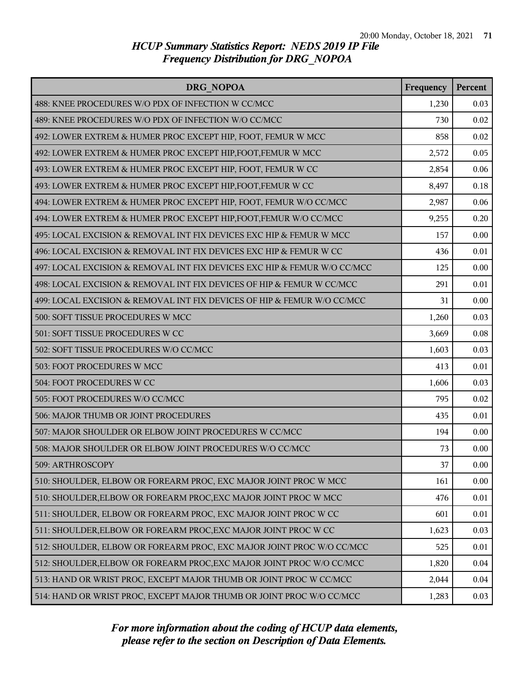| <b>DRG NOPOA</b>                                                         | Frequency | Percent |
|--------------------------------------------------------------------------|-----------|---------|
| 488: KNEE PROCEDURES W/O PDX OF INFECTION W CC/MCC                       | 1,230     | 0.03    |
| 489: KNEE PROCEDURES W/O PDX OF INFECTION W/O CC/MCC                     | 730       | 0.02    |
| 492: LOWER EXTREM & HUMER PROC EXCEPT HIP, FOOT, FEMUR W MCC             | 858       | 0.02    |
| 492: LOWER EXTREM & HUMER PROC EXCEPT HIP, FOOT, FEMUR W MCC             | 2,572     | 0.05    |
| 493: LOWER EXTREM & HUMER PROC EXCEPT HIP, FOOT, FEMUR W CC              | 2,854     | 0.06    |
| 493: LOWER EXTREM & HUMER PROC EXCEPT HIP, FOOT, FEMUR W CC              | 8,497     | 0.18    |
| 494: LOWER EXTREM & HUMER PROC EXCEPT HIP, FOOT, FEMUR W/O CC/MCC        | 2,987     | 0.06    |
| 494: LOWER EXTREM & HUMER PROC EXCEPT HIP, FOOT, FEMUR W/O CC/MCC        | 9,255     | 0.20    |
| 495: LOCAL EXCISION & REMOVAL INT FIX DEVICES EXC HIP & FEMUR W MCC      | 157       | 0.00    |
| 496: LOCAL EXCISION & REMOVAL INT FIX DEVICES EXC HIP & FEMUR W CC       | 436       | 0.01    |
| 497: LOCAL EXCISION & REMOVAL INT FIX DEVICES EXC HIP & FEMUR W/O CC/MCC | 125       | 0.00    |
| 498: LOCAL EXCISION & REMOVAL INT FIX DEVICES OF HIP & FEMUR W CC/MCC    | 291       | 0.01    |
| 499: LOCAL EXCISION & REMOVAL INT FIX DEVICES OF HIP & FEMUR W/O CC/MCC  | 31        | 0.00    |
| 500: SOFT TISSUE PROCEDURES W MCC                                        | 1,260     | 0.03    |
| 501: SOFT TISSUE PROCEDURES W CC                                         | 3,669     | 0.08    |
| 502: SOFT TISSUE PROCEDURES W/O CC/MCC                                   | 1,603     | 0.03    |
| 503: FOOT PROCEDURES W MCC                                               | 413       | 0.01    |
| 504: FOOT PROCEDURES W CC                                                | 1,606     | 0.03    |
| 505: FOOT PROCEDURES W/O CC/MCC                                          | 795       | 0.02    |
| 506: MAJOR THUMB OR JOINT PROCEDURES                                     | 435       | 0.01    |
| 507: MAJOR SHOULDER OR ELBOW JOINT PROCEDURES W CC/MCC                   | 194       | 0.00    |
| 508: MAJOR SHOULDER OR ELBOW JOINT PROCEDURES W/O CC/MCC                 | 73        | 0.00    |
| 509: ARTHROSCOPY                                                         | 37        | 0.00    |
| 510: SHOULDER, ELBOW OR FOREARM PROC, EXC MAJOR JOINT PROC W MCC         | 161       | 0.00    |
| 510: SHOULDER, ELBOW OR FOREARM PROC, EXC MAJOR JOINT PROC W MCC         | 476       | 0.01    |
| 511: SHOULDER, ELBOW OR FOREARM PROC, EXC MAJOR JOINT PROC W CC          | 601       | 0.01    |
| 511: SHOULDER, ELBOW OR FOREARM PROC, EXC MAJOR JOINT PROC W CC          | 1,623     | 0.03    |
| 512: SHOULDER, ELBOW OR FOREARM PROC, EXC MAJOR JOINT PROC W/O CC/MCC    | 525       | 0.01    |
| 512: SHOULDER, ELBOW OR FOREARM PROC, EXC MAJOR JOINT PROC W/O CC/MCC    | 1,820     | 0.04    |
| 513: HAND OR WRIST PROC, EXCEPT MAJOR THUMB OR JOINT PROC W CC/MCC       | 2,044     | 0.04    |
| 514: HAND OR WRIST PROC, EXCEPT MAJOR THUMB OR JOINT PROC W/O CC/MCC     | 1,283     | 0.03    |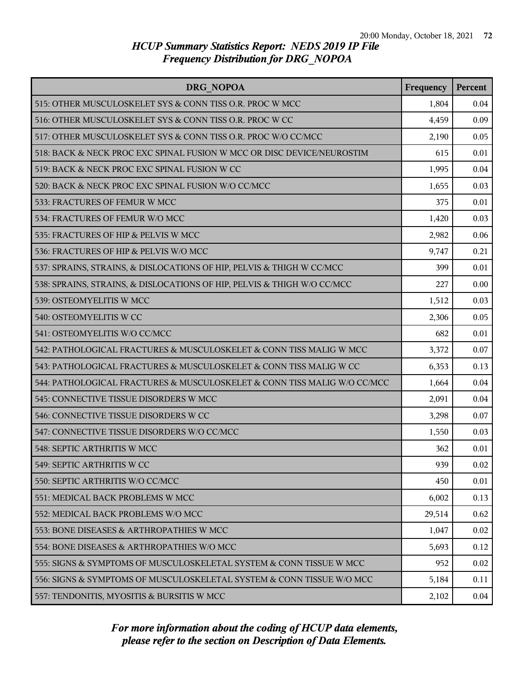| <b>DRG NOPOA</b>                                                         | Frequency | <b>Percent</b> |
|--------------------------------------------------------------------------|-----------|----------------|
| 515: OTHER MUSCULOSKELET SYS & CONN TISS O.R. PROC W MCC                 | 1,804     | 0.04           |
| 516: OTHER MUSCULOSKELET SYS & CONN TISS O.R. PROC W CC                  | 4,459     | 0.09           |
| 517: OTHER MUSCULOSKELET SYS & CONN TISS O.R. PROC W/O CC/MCC            | 2,190     | 0.05           |
| 518: BACK & NECK PROC EXC SPINAL FUSION W MCC OR DISC DEVICE/NEUROSTIM   | 615       | 0.01           |
| 519: BACK & NECK PROC EXC SPINAL FUSION W CC                             | 1,995     | 0.04           |
| 520: BACK & NECK PROC EXC SPINAL FUSION W/O CC/MCC                       | 1,655     | 0.03           |
| 533: FRACTURES OF FEMUR W MCC                                            | 375       | 0.01           |
| 534: FRACTURES OF FEMUR W/O MCC                                          | 1,420     | 0.03           |
| 535: FRACTURES OF HIP & PELVIS W MCC                                     | 2,982     | 0.06           |
| 536: FRACTURES OF HIP & PELVIS W/O MCC                                   | 9,747     | 0.21           |
| 537: SPRAINS, STRAINS, & DISLOCATIONS OF HIP, PELVIS & THIGH W CC/MCC    | 399       | 0.01           |
| 538: SPRAINS, STRAINS, & DISLOCATIONS OF HIP, PELVIS & THIGH W/O CC/MCC  | 227       | 0.00           |
| 539: OSTEOMYELITIS W MCC                                                 | 1,512     | 0.03           |
| 540: OSTEOMYELITIS W CC                                                  | 2,306     | 0.05           |
| 541: OSTEOMYELITIS W/O CC/MCC                                            | 682       | 0.01           |
| 542: PATHOLOGICAL FRACTURES & MUSCULOSKELET & CONN TISS MALIG W MCC      | 3,372     | 0.07           |
| 543: PATHOLOGICAL FRACTURES & MUSCULOSKELET & CONN TISS MALIG W CC       | 6,353     | 0.13           |
| 544: PATHOLOGICAL FRACTURES & MUSCULOSKELET & CONN TISS MALIG W/O CC/MCC | 1,664     | 0.04           |
| 545: CONNECTIVE TISSUE DISORDERS W MCC                                   | 2,091     | 0.04           |
| 546: CONNECTIVE TISSUE DISORDERS W CC                                    | 3,298     | 0.07           |
| 547: CONNECTIVE TISSUE DISORDERS W/O CC/MCC                              | 1,550     | 0.03           |
| 548: SEPTIC ARTHRITIS W MCC                                              | 362       | 0.01           |
| 549: SEPTIC ARTHRITIS W CC                                               | 939       | 0.02           |
| 550: SEPTIC ARTHRITIS W/O CC/MCC                                         | 450       | 0.01           |
| 551: MEDICAL BACK PROBLEMS W MCC                                         | 6,002     | 0.13           |
| 552: MEDICAL BACK PROBLEMS W/O MCC                                       | 29,514    | 0.62           |
| 553: BONE DISEASES & ARTHROPATHIES W MCC                                 | 1,047     | 0.02           |
| 554: BONE DISEASES & ARTHROPATHIES W/O MCC                               | 5,693     | 0.12           |
| 555: SIGNS & SYMPTOMS OF MUSCULOSKELETAL SYSTEM & CONN TISSUE W MCC      | 952       | 0.02           |
| 556: SIGNS & SYMPTOMS OF MUSCULOSKELETAL SYSTEM & CONN TISSUE W/O MCC    | 5,184     | 0.11           |
| 557: TENDONITIS, MYOSITIS & BURSITIS W MCC                               | 2,102     | 0.04           |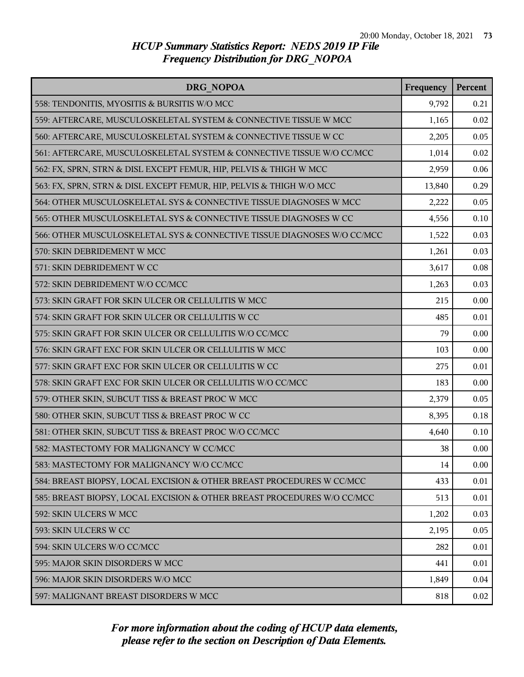| DRG NOPOA                                                               | Frequency | Percent |
|-------------------------------------------------------------------------|-----------|---------|
| 558: TENDONITIS, MYOSITIS & BURSITIS W/O MCC                            | 9,792     | 0.21    |
| 559: AFTERCARE, MUSCULOSKELETAL SYSTEM & CONNECTIVE TISSUE W MCC        | 1,165     | 0.02    |
| 560: AFTERCARE, MUSCULOSKELETAL SYSTEM & CONNECTIVE TISSUE W CC         | 2,205     | 0.05    |
| 561: AFTERCARE, MUSCULOSKELETAL SYSTEM & CONNECTIVE TISSUE W/O CC/MCC   | 1,014     | 0.02    |
| 562: FX, SPRN, STRN & DISL EXCEPT FEMUR, HIP, PELVIS & THIGH W MCC      | 2,959     | 0.06    |
| 563: FX, SPRN, STRN & DISL EXCEPT FEMUR, HIP, PELVIS & THIGH W/O MCC    | 13,840    | 0.29    |
| 564: OTHER MUSCULOSKELETAL SYS & CONNECTIVE TISSUE DIAGNOSES W MCC      | 2,222     | 0.05    |
| 565: OTHER MUSCULOSKELETAL SYS & CONNECTIVE TISSUE DIAGNOSES W CC       | 4,556     | 0.10    |
| 566: OTHER MUSCULOSKELETAL SYS & CONNECTIVE TISSUE DIAGNOSES W/O CC/MCC | 1,522     | 0.03    |
| 570: SKIN DEBRIDEMENT W MCC                                             | 1,261     | 0.03    |
| 571: SKIN DEBRIDEMENT W CC                                              | 3,617     | 0.08    |
| 572: SKIN DEBRIDEMENT W/O CC/MCC                                        | 1,263     | 0.03    |
| 573: SKIN GRAFT FOR SKIN ULCER OR CELLULITIS W MCC                      | 215       | 0.00    |
| 574: SKIN GRAFT FOR SKIN ULCER OR CELLULITIS W CC                       | 485       | 0.01    |
| 575: SKIN GRAFT FOR SKIN ULCER OR CELLULITIS W/O CC/MCC                 | 79        | 0.00    |
| 576: SKIN GRAFT EXC FOR SKIN ULCER OR CELLULITIS W MCC                  | 103       | 0.00    |
| 577: SKIN GRAFT EXC FOR SKIN ULCER OR CELLULITIS W CC                   | 275       | 0.01    |
| 578: SKIN GRAFT EXC FOR SKIN ULCER OR CELLULITIS W/O CC/MCC             | 183       | 0.00    |
| 579: OTHER SKIN, SUBCUT TISS & BREAST PROC W MCC                        | 2,379     | 0.05    |
| 580: OTHER SKIN, SUBCUT TISS & BREAST PROC W CC                         | 8,395     | 0.18    |
| 581: OTHER SKIN, SUBCUT TISS & BREAST PROC W/O CC/MCC                   | 4,640     | 0.10    |
| 582: MASTECTOMY FOR MALIGNANCY W CC/MCC                                 | 38        | 0.00    |
| 583: MASTECTOMY FOR MALIGNANCY W/O CC/MCC                               | 14        | 0.00    |
| 584: BREAST BIOPSY, LOCAL EXCISION & OTHER BREAST PROCEDURES W CC/MCC   | 433       | 0.01    |
| 585: BREAST BIOPSY, LOCAL EXCISION & OTHER BREAST PROCEDURES W/O CC/MCC | 513       | 0.01    |
| 592: SKIN ULCERS W MCC                                                  | 1,202     | 0.03    |
| 593: SKIN ULCERS W CC                                                   | 2,195     | 0.05    |
| 594: SKIN ULCERS W/O CC/MCC                                             | 282       | 0.01    |
| 595: MAJOR SKIN DISORDERS W MCC                                         | 441       | 0.01    |
| 596: MAJOR SKIN DISORDERS W/O MCC                                       | 1,849     | 0.04    |
| 597: MALIGNANT BREAST DISORDERS W MCC                                   | 818       | 0.02    |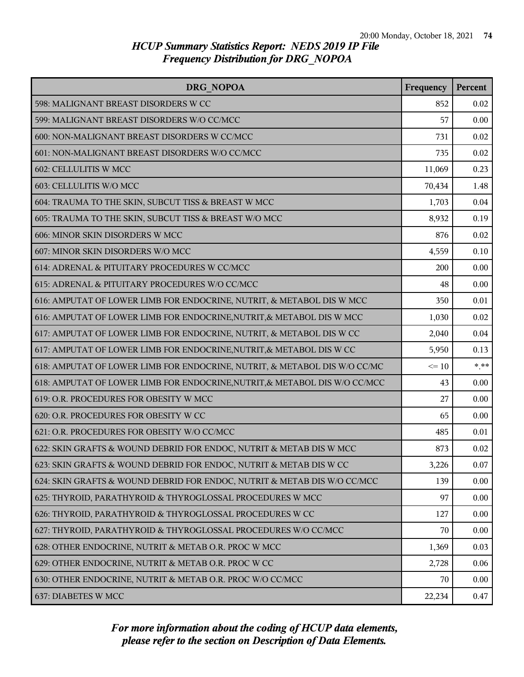| DRG NOPOA                                                                  |           | Percent  |
|----------------------------------------------------------------------------|-----------|----------|
| 598: MALIGNANT BREAST DISORDERS W CC                                       | 852       | 0.02     |
| 599: MALIGNANT BREAST DISORDERS W/O CC/MCC                                 | 57        | 0.00     |
| 600: NON-MALIGNANT BREAST DISORDERS W CC/MCC                               | 731       | 0.02     |
| 601: NON-MALIGNANT BREAST DISORDERS W/O CC/MCC                             | 735       | 0.02     |
| 602: CELLULITIS W MCC                                                      | 11,069    | 0.23     |
| 603: CELLULITIS W/O MCC                                                    | 70,434    | 1.48     |
| 604: TRAUMA TO THE SKIN, SUBCUT TISS & BREAST W MCC                        | 1,703     | 0.04     |
| 605: TRAUMA TO THE SKIN, SUBCUT TISS & BREAST W/O MCC                      | 8,932     | 0.19     |
| 606: MINOR SKIN DISORDERS W MCC                                            | 876       | 0.02     |
| 607: MINOR SKIN DISORDERS W/O MCC                                          | 4,559     | 0.10     |
| 614: ADRENAL & PITUITARY PROCEDURES W CC/MCC                               | 200       | 0.00     |
| 615: ADRENAL & PITUITARY PROCEDURES W/O CC/MCC                             | 48        | 0.00     |
| 616: AMPUTAT OF LOWER LIMB FOR ENDOCRINE, NUTRIT, & METABOL DIS W MCC      | 350       | 0.01     |
| 616: AMPUTAT OF LOWER LIMB FOR ENDOCRINE, NUTRIT, & METABOL DIS W MCC      | 1,030     | 0.02     |
| 617: AMPUTAT OF LOWER LIMB FOR ENDOCRINE, NUTRIT, & METABOL DIS W CC       | 2,040     | 0.04     |
| 617: AMPUTAT OF LOWER LIMB FOR ENDOCRINE, NUTRIT, & METABOL DIS W CC       | 5,950     | 0.13     |
| 618: AMPUTAT OF LOWER LIMB FOR ENDOCRINE, NUTRIT, & METABOL DIS W/O CC/MC  | $\leq 10$ | $*$ $**$ |
| 618: AMPUTAT OF LOWER LIMB FOR ENDOCRINE, NUTRIT, & METABOL DIS W/O CC/MCC | 43        | 0.00     |
| 619: O.R. PROCEDURES FOR OBESITY W MCC                                     | 27        | 0.00     |
| 620: O.R. PROCEDURES FOR OBESITY W CC                                      | 65        | 0.00     |
| 621: O.R. PROCEDURES FOR OBESITY W/O CC/MCC                                | 485       | 0.01     |
| 622: SKIN GRAFTS & WOUND DEBRID FOR ENDOC, NUTRIT & METAB DIS W MCC        | 873       | 0.02     |
| 623: SKIN GRAFTS & WOUND DEBRID FOR ENDOC, NUTRIT & METAB DIS W CC         | 3,226     | 0.07     |
| 624: SKIN GRAFTS & WOUND DEBRID FOR ENDOC, NUTRIT & METAB DIS W/O CC/MCC   | 139       | 0.00     |
| 625: THYROID, PARATHYROID & THYROGLOSSAL PROCEDURES W MCC                  | 97        | 0.00     |
| 626: THYROID, PARATHYROID & THYROGLOSSAL PROCEDURES W CC                   | 127       | 0.00     |
| 627: THYROID, PARATHYROID & THYROGLOSSAL PROCEDURES W/O CC/MCC             | 70        | 0.00     |
| 628: OTHER ENDOCRINE, NUTRIT & METAB O.R. PROC W MCC                       | 1,369     | 0.03     |
| 629: OTHER ENDOCRINE, NUTRIT & METAB O.R. PROC W CC                        | 2,728     | 0.06     |
| 630: OTHER ENDOCRINE, NUTRIT & METAB O.R. PROC W/O CC/MCC                  | 70        | 0.00     |
| 637: DIABETES W MCC                                                        | 22,234    | 0.47     |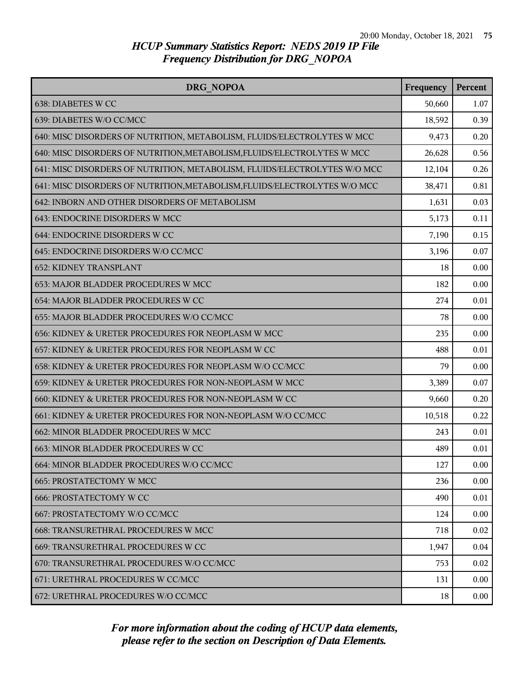| DRG NOPOA                                                                 | Frequency | Percent |
|---------------------------------------------------------------------------|-----------|---------|
| 638: DIABETES W CC                                                        | 50,660    | 1.07    |
| 639: DIABETES W/O CC/MCC                                                  | 18,592    | 0.39    |
| 640: MISC DISORDERS OF NUTRITION, METABOLISM, FLUIDS/ELECTROLYTES W MCC   | 9,473     | 0.20    |
| 640: MISC DISORDERS OF NUTRITION, METABOLISM, FLUIDS/ELECTROLYTES W MCC   | 26,628    | 0.56    |
| 641: MISC DISORDERS OF NUTRITION, METABOLISM, FLUIDS/ELECTROLYTES W/O MCC | 12,104    | 0.26    |
| 641: MISC DISORDERS OF NUTRITION, METABOLISM, FLUIDS/ELECTROLYTES W/O MCC | 38,471    | 0.81    |
| 642: INBORN AND OTHER DISORDERS OF METABOLISM                             | 1,631     | 0.03    |
| 643: ENDOCRINE DISORDERS W MCC                                            | 5,173     | 0.11    |
| 644: ENDOCRINE DISORDERS W CC                                             | 7,190     | 0.15    |
| 645: ENDOCRINE DISORDERS W/O CC/MCC                                       | 3,196     | 0.07    |
| <b>652: KIDNEY TRANSPLANT</b>                                             | 18        | 0.00    |
| 653: MAJOR BLADDER PROCEDURES W MCC                                       | 182       | 0.00    |
| 654: MAJOR BLADDER PROCEDURES W CC                                        | 274       | 0.01    |
| 655: MAJOR BLADDER PROCEDURES W/O CC/MCC                                  | 78        | 0.00    |
| 656: KIDNEY & URETER PROCEDURES FOR NEOPLASM W MCC                        | 235       | 0.00    |
| 657: KIDNEY & URETER PROCEDURES FOR NEOPLASM W CC                         | 488       | 0.01    |
| 658: KIDNEY & URETER PROCEDURES FOR NEOPLASM W/O CC/MCC                   | 79        | 0.00    |
| 659: KIDNEY & URETER PROCEDURES FOR NON-NEOPLASM W MCC                    | 3,389     | 0.07    |
| 660: KIDNEY & URETER PROCEDURES FOR NON-NEOPLASM W CC                     | 9,660     | 0.20    |
| 661: KIDNEY & URETER PROCEDURES FOR NON-NEOPLASM W/O CC/MCC               | 10,518    | 0.22    |
| 662: MINOR BLADDER PROCEDURES W MCC                                       | 243       | 0.01    |
| 663: MINOR BLADDER PROCEDURES W CC                                        | 489       | 0.01    |
| 664: MINOR BLADDER PROCEDURES W/O CC/MCC                                  | 127       | 0.00    |
| 665: PROSTATECTOMY W MCC                                                  | 236       | 0.00    |
| 666: PROSTATECTOMY W CC                                                   | 490       | 0.01    |
| 667: PROSTATECTOMY W/O CC/MCC                                             | 124       | 0.00    |
| 668: TRANSURETHRAL PROCEDURES W MCC                                       | 718       | 0.02    |
| 669: TRANSURETHRAL PROCEDURES W CC                                        | 1,947     | 0.04    |
| 670: TRANSURETHRAL PROCEDURES W/O CC/MCC                                  | 753       | 0.02    |
| 671: URETHRAL PROCEDURES W CC/MCC                                         | 131       | 0.00    |
| 672: URETHRAL PROCEDURES W/O CC/MCC                                       | 18        | 0.00    |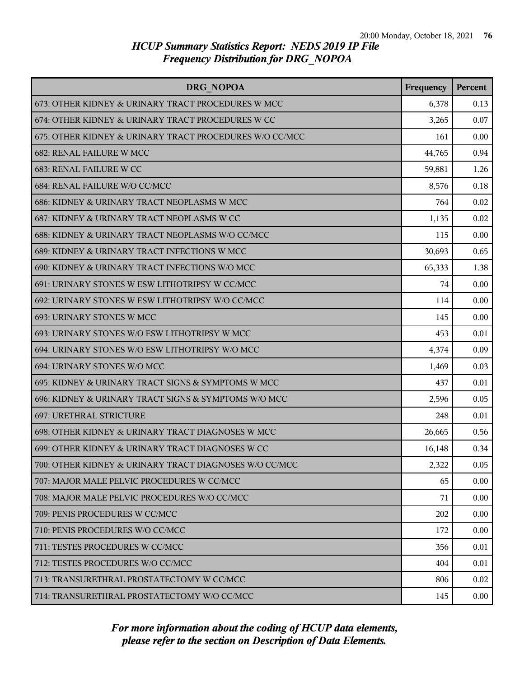| DRG NOPOA                                               | Frequency | Percent |
|---------------------------------------------------------|-----------|---------|
| 673: OTHER KIDNEY & URINARY TRACT PROCEDURES W MCC      | 6,378     | 0.13    |
| 674: OTHER KIDNEY & URINARY TRACT PROCEDURES W CC       | 3,265     | 0.07    |
| 675: OTHER KIDNEY & URINARY TRACT PROCEDURES W/O CC/MCC | 161       | 0.00    |
| 682: RENAL FAILURE W MCC                                | 44,765    | 0.94    |
| 683: RENAL FAILURE W CC                                 | 59,881    | 1.26    |
| 684: RENAL FAILURE W/O CC/MCC                           | 8,576     | 0.18    |
| 686: KIDNEY & URINARY TRACT NEOPLASMS W MCC             | 764       | 0.02    |
| 687: KIDNEY & URINARY TRACT NEOPLASMS W CC              | 1,135     | 0.02    |
| 688: KIDNEY & URINARY TRACT NEOPLASMS W/O CC/MCC        | 115       | 0.00    |
| 689: KIDNEY & URINARY TRACT INFECTIONS W MCC            | 30,693    | 0.65    |
| 690: KIDNEY & URINARY TRACT INFECTIONS W/O MCC          | 65,333    | 1.38    |
| 691: URINARY STONES W ESW LITHOTRIPSY W CC/MCC          | 74        | 0.00    |
| 692: URINARY STONES W ESW LITHOTRIPSY W/O CC/MCC        | 114       | 0.00    |
| 693: URINARY STONES W MCC                               | 145       | 0.00    |
| 693: URINARY STONES W/O ESW LITHOTRIPSY W MCC           | 453       | 0.01    |
| 694: URINARY STONES W/O ESW LITHOTRIPSY W/O MCC         | 4,374     | 0.09    |
| 694: URINARY STONES W/O MCC                             | 1,469     | 0.03    |
| 695: KIDNEY & URINARY TRACT SIGNS & SYMPTOMS W MCC      | 437       | 0.01    |
| 696: KIDNEY & URINARY TRACT SIGNS & SYMPTOMS W/O MCC    | 2,596     | 0.05    |
| 697: URETHRAL STRICTURE                                 | 248       | 0.01    |
| 698: OTHER KIDNEY & URINARY TRACT DIAGNOSES W MCC       | 26,665    | 0.56    |
| 699: OTHER KIDNEY & URINARY TRACT DIAGNOSES W CC        | 16,148    | 0.34    |
| 700: OTHER KIDNEY & URINARY TRACT DIAGNOSES W/O CC/MCC  | 2,322     | 0.05    |
| 707: MAJOR MALE PELVIC PROCEDURES W CC/MCC              | 65        | 0.00    |
| 708: MAJOR MALE PELVIC PROCEDURES W/O CC/MCC            | 71        | 0.00    |
| 709: PENIS PROCEDURES W CC/MCC                          | 202       | 0.00    |
| 710: PENIS PROCEDURES W/O CC/MCC                        | 172       | 0.00    |
| 711: TESTES PROCEDURES W CC/MCC                         | 356       | 0.01    |
| 712: TESTES PROCEDURES W/O CC/MCC                       | 404       | 0.01    |
| 713: TRANSURETHRAL PROSTATECTOMY W CC/MCC               | 806       | 0.02    |
| 714: TRANSURETHRAL PROSTATECTOMY W/O CC/MCC             | 145       | 0.00    |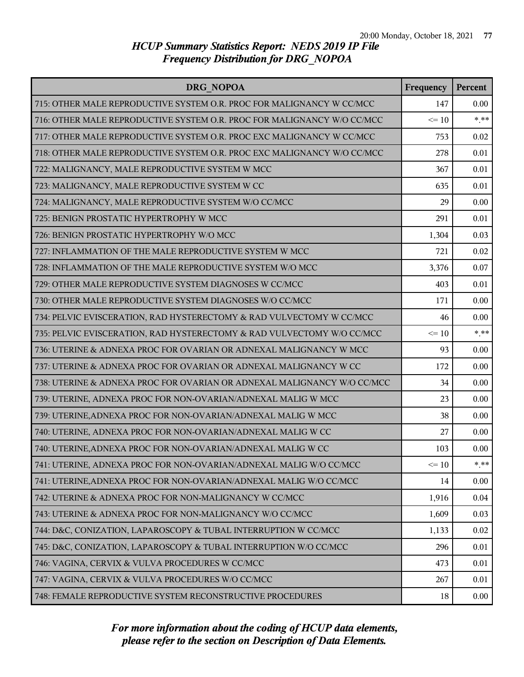| DRG NOPOA                                                               | Frequency | Percent |
|-------------------------------------------------------------------------|-----------|---------|
| 715: OTHER MALE REPRODUCTIVE SYSTEM O.R. PROC FOR MALIGNANCY W CC/MCC   | 147       | 0.00    |
| 716: OTHER MALE REPRODUCTIVE SYSTEM O.R. PROC FOR MALIGNANCY W/O CC/MCC | $\leq 10$ | $***$   |
| 717: OTHER MALE REPRODUCTIVE SYSTEM O.R. PROC EXC MALIGNANCY W CC/MCC   | 753       | 0.02    |
| 718: OTHER MALE REPRODUCTIVE SYSTEM O.R. PROC EXC MALIGNANCY W/O CC/MCC | 278       | 0.01    |
| 722: MALIGNANCY, MALE REPRODUCTIVE SYSTEM W MCC                         | 367       | 0.01    |
| 723: MALIGNANCY, MALE REPRODUCTIVE SYSTEM W CC                          | 635       | 0.01    |
| 724: MALIGNANCY, MALE REPRODUCTIVE SYSTEM W/O CC/MCC                    | 29        | 0.00    |
| 725: BENIGN PROSTATIC HYPERTROPHY W MCC                                 | 291       | 0.01    |
| 726: BENIGN PROSTATIC HYPERTROPHY W/O MCC                               | 1,304     | 0.03    |
| 727: INFLAMMATION OF THE MALE REPRODUCTIVE SYSTEM W MCC                 | 721       | 0.02    |
| 728: INFLAMMATION OF THE MALE REPRODUCTIVE SYSTEM W/O MCC               | 3,376     | 0.07    |
| 729: OTHER MALE REPRODUCTIVE SYSTEM DIAGNOSES W CC/MCC                  | 403       | 0.01    |
| 730: OTHER MALE REPRODUCTIVE SYSTEM DIAGNOSES W/O CC/MCC                | 171       | 0.00    |
| 734: PELVIC EVISCERATION, RAD HYSTERECTOMY & RAD VULVECTOMY W CC/MCC    | 46        | 0.00    |
| 735: PELVIC EVISCERATION, RAD HYSTERECTOMY & RAD VULVECTOMY W/O CC/MCC  | $\leq 10$ | $***$   |
| 736: UTERINE & ADNEXA PROC FOR OVARIAN OR ADNEXAL MALIGNANCY W MCC      | 93        | 0.00    |
| 737: UTERINE & ADNEXA PROC FOR OVARIAN OR ADNEXAL MALIGNANCY W CC       | 172       | 0.00    |
| 738: UTERINE & ADNEXA PROC FOR OVARIAN OR ADNEXAL MALIGNANCY W/O CC/MCC | 34        | 0.00    |
| 739: UTERINE, ADNEXA PROC FOR NON-OVARIAN/ADNEXAL MALIG W MCC           | 23        | 0.00    |
| 739: UTERINE, ADNEXA PROC FOR NON-OVARIAN/ADNEXAL MALIG W MCC           | 38        | 0.00    |
| 740: UTERINE, ADNEXA PROC FOR NON-OVARIAN/ADNEXAL MALIG W CC            | 27        | 0.00    |
| 740: UTERINE, ADNEXA PROC FOR NON-OVARIAN/ADNEXAL MALIG W CC            | 103       | 0.00    |
| 741: UTERINE, ADNEXA PROC FOR NON-OVARIAN/ADNEXAL MALIG W/O CC/MCC      | $\leq 10$ | $***$   |
| 741: UTERINE, ADNEXA PROC FOR NON-OVARIAN/ADNEXAL MALIG W/O CC/MCC      | 14        | 0.00    |
| 742: UTERINE & ADNEXA PROC FOR NON-MALIGNANCY W CC/MCC                  | 1,916     | 0.04    |
| 743: UTERINE & ADNEXA PROC FOR NON-MALIGNANCY W/O CC/MCC                | 1,609     | 0.03    |
| 744: D&C, CONIZATION, LAPAROSCOPY & TUBAL INTERRUPTION W CC/MCC         | 1,133     | 0.02    |
| 745: D&C, CONIZATION, LAPAROSCOPY & TUBAL INTERRUPTION W/O CC/MCC       | 296       | 0.01    |
| 746: VAGINA, CERVIX & VULVA PROCEDURES W CC/MCC                         | 473       | 0.01    |
| 747: VAGINA, CERVIX & VULVA PROCEDURES W/O CC/MCC                       | 267       | 0.01    |
| 748: FEMALE REPRODUCTIVE SYSTEM RECONSTRUCTIVE PROCEDURES               | 18        | 0.00    |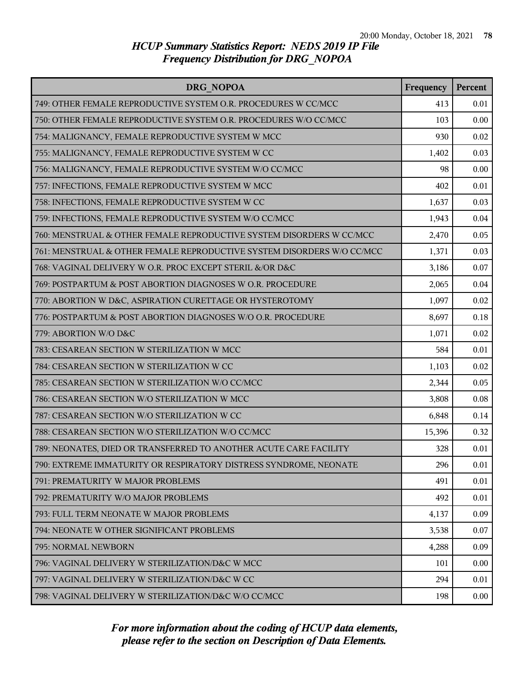| DRG NOPOA                                                              | Frequency | Percent |
|------------------------------------------------------------------------|-----------|---------|
| 749: OTHER FEMALE REPRODUCTIVE SYSTEM O.R. PROCEDURES W CC/MCC         | 413       | 0.01    |
| 750: OTHER FEMALE REPRODUCTIVE SYSTEM O.R. PROCEDURES W/O CC/MCC       | 103       | 0.00    |
| 754: MALIGNANCY, FEMALE REPRODUCTIVE SYSTEM W MCC                      | 930       | 0.02    |
| 755: MALIGNANCY, FEMALE REPRODUCTIVE SYSTEM W CC                       | 1,402     | 0.03    |
| 756: MALIGNANCY, FEMALE REPRODUCTIVE SYSTEM W/O CC/MCC                 | 98        | 0.00    |
| 757: INFECTIONS, FEMALE REPRODUCTIVE SYSTEM W MCC                      | 402       | 0.01    |
| 758: INFECTIONS, FEMALE REPRODUCTIVE SYSTEM W CC                       | 1,637     | 0.03    |
| 759: INFECTIONS, FEMALE REPRODUCTIVE SYSTEM W/O CC/MCC                 | 1,943     | 0.04    |
| 760: MENSTRUAL & OTHER FEMALE REPRODUCTIVE SYSTEM DISORDERS W CC/MCC   | 2,470     | 0.05    |
| 761: MENSTRUAL & OTHER FEMALE REPRODUCTIVE SYSTEM DISORDERS W/O CC/MCC | 1,371     | 0.03    |
| 768: VAGINAL DELIVERY W O.R. PROC EXCEPT STERIL &/OR D&C               | 3,186     | 0.07    |
| 769: POSTPARTUM & POST ABORTION DIAGNOSES W O.R. PROCEDURE             | 2,065     | 0.04    |
| 770: ABORTION W D&C, ASPIRATION CURETTAGE OR HYSTEROTOMY               | 1,097     | 0.02    |
| 776: POSTPARTUM & POST ABORTION DIAGNOSES W/O O.R. PROCEDURE           | 8,697     | 0.18    |
| 779: ABORTION W/O D&C                                                  | 1,071     | 0.02    |
| 783: CESAREAN SECTION W STERILIZATION W MCC                            | 584       | 0.01    |
| 784: CESAREAN SECTION W STERILIZATION W CC                             | 1,103     | 0.02    |
| 785: CESAREAN SECTION W STERILIZATION W/O CC/MCC                       | 2,344     | 0.05    |
| 786: CESAREAN SECTION W/O STERILIZATION W MCC                          | 3,808     | 0.08    |
| 787: CESAREAN SECTION W/O STERILIZATION W CC                           | 6,848     | 0.14    |
| 788: CESAREAN SECTION W/O STERILIZATION W/O CC/MCC                     | 15,396    | 0.32    |
| 789: NEONATES, DIED OR TRANSFERRED TO ANOTHER ACUTE CARE FACILITY      | 328       | 0.01    |
| 790: EXTREME IMMATURITY OR RESPIRATORY DISTRESS SYNDROME, NEONATE      | 296       | 0.01    |
| 791: PREMATURITY W MAJOR PROBLEMS                                      | 491       | 0.01    |
| 792: PREMATURITY W/O MAJOR PROBLEMS                                    | 492       | 0.01    |
| 793: FULL TERM NEONATE W MAJOR PROBLEMS                                | 4,137     | 0.09    |
| 794: NEONATE W OTHER SIGNIFICANT PROBLEMS                              | 3,538     | 0.07    |
| 795: NORMAL NEWBORN                                                    | 4,288     | 0.09    |
| 796: VAGINAL DELIVERY W STERILIZATION/D&C W MCC                        | 101       | 0.00    |
| 797: VAGINAL DELIVERY W STERILIZATION/D&C W CC                         | 294       | 0.01    |
| 798: VAGINAL DELIVERY W STERILIZATION/D&C W/O CC/MCC                   | 198       | 0.00    |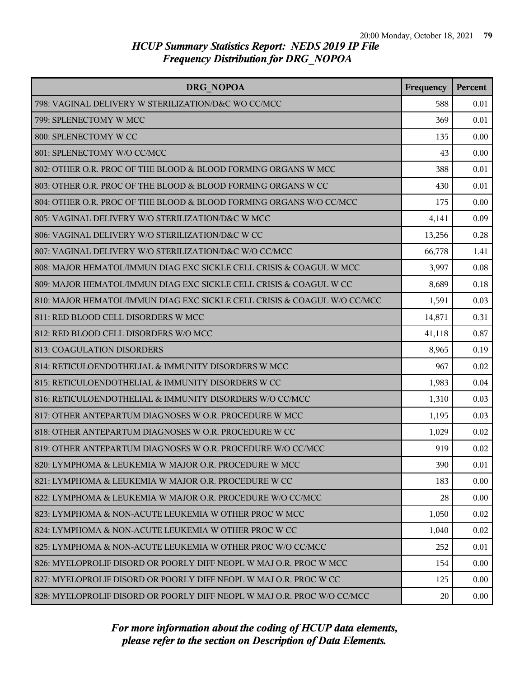| DRG NOPOA                                                                | Frequency | <b>Percent</b> |
|--------------------------------------------------------------------------|-----------|----------------|
| 798: VAGINAL DELIVERY W STERILIZATION/D&C WO CC/MCC                      | 588       | 0.01           |
| 799: SPLENECTOMY W MCC                                                   | 369       | 0.01           |
| 800: SPLENECTOMY W CC                                                    | 135       | 0.00           |
| 801: SPLENECTOMY W/O CC/MCC                                              | 43        | 0.00           |
| 802: OTHER O.R. PROC OF THE BLOOD & BLOOD FORMING ORGANS W MCC           | 388       | 0.01           |
| 803: OTHER O.R. PROC OF THE BLOOD & BLOOD FORMING ORGANS W CC            | 430       | 0.01           |
| 804: OTHER O.R. PROC OF THE BLOOD & BLOOD FORMING ORGANS W/O CC/MCC      | 175       | 0.00           |
| 805: VAGINAL DELIVERY W/O STERILIZATION/D&C W MCC                        | 4,141     | 0.09           |
| 806: VAGINAL DELIVERY W/O STERILIZATION/D&C W CC                         | 13,256    | 0.28           |
| 807: VAGINAL DELIVERY W/O STERILIZATION/D&C W/O CC/MCC                   | 66,778    | 1.41           |
| 808: MAJOR HEMATOL/IMMUN DIAG EXC SICKLE CELL CRISIS & COAGUL W MCC      | 3,997     | 0.08           |
| 809: MAJOR HEMATOL/IMMUN DIAG EXC SICKLE CELL CRISIS & COAGUL W CC       | 8,689     | 0.18           |
| 810: MAJOR HEMATOL/IMMUN DIAG EXC SICKLE CELL CRISIS & COAGUL W/O CC/MCC | 1,591     | 0.03           |
| 811: RED BLOOD CELL DISORDERS W MCC                                      | 14,871    | 0.31           |
| 812: RED BLOOD CELL DISORDERS W/O MCC                                    | 41,118    | 0.87           |
| 813: COAGULATION DISORDERS                                               | 8,965     | 0.19           |
| 814: RETICULOENDOTHELIAL & IMMUNITY DISORDERS W MCC                      | 967       | 0.02           |
| 815: RETICULOENDOTHELIAL & IMMUNITY DISORDERS W CC                       | 1,983     | 0.04           |
| 816: RETICULOENDOTHELIAL & IMMUNITY DISORDERS W/O CC/MCC                 | 1,310     | 0.03           |
| 817: OTHER ANTEPARTUM DIAGNOSES W O.R. PROCEDURE W MCC                   | 1,195     | 0.03           |
| 818: OTHER ANTEPARTUM DIAGNOSES W O.R. PROCEDURE W CC                    | 1,029     | 0.02           |
| 819: OTHER ANTEPARTUM DIAGNOSES W O.R. PROCEDURE W/O CC/MCC              | 919       | 0.02           |
| 820: LYMPHOMA & LEUKEMIA W MAJOR O.R. PROCEDURE W MCC                    | 390       | 0.01           |
| 821: LYMPHOMA & LEUKEMIA W MAJOR O.R. PROCEDURE W CC                     | 183       | 0.00           |
| 822: LYMPHOMA & LEUKEMIA W MAJOR O.R. PROCEDURE W/O CC/MCC               | 28        | 0.00           |
| 823: LYMPHOMA & NON-ACUTE LEUKEMIA W OTHER PROC W MCC                    | 1,050     | 0.02           |
| 824: LYMPHOMA & NON-ACUTE LEUKEMIA W OTHER PROC W CC                     | 1,040     | 0.02           |
| 825: LYMPHOMA & NON-ACUTE LEUKEMIA W OTHER PROC W/O CC/MCC               | 252       | 0.01           |
| 826: MYELOPROLIF DISORD OR POORLY DIFF NEOPL W MAJ O.R. PROC W MCC       | 154       | 0.00           |
| 827: MYELOPROLIF DISORD OR POORLY DIFF NEOPL W MAJ O.R. PROC W CC        | 125       | 0.00           |
| 828: MYELOPROLIF DISORD OR POORLY DIFF NEOPL W MAJ O.R. PROC W/O CC/MCC  | 20        | $0.00\,$       |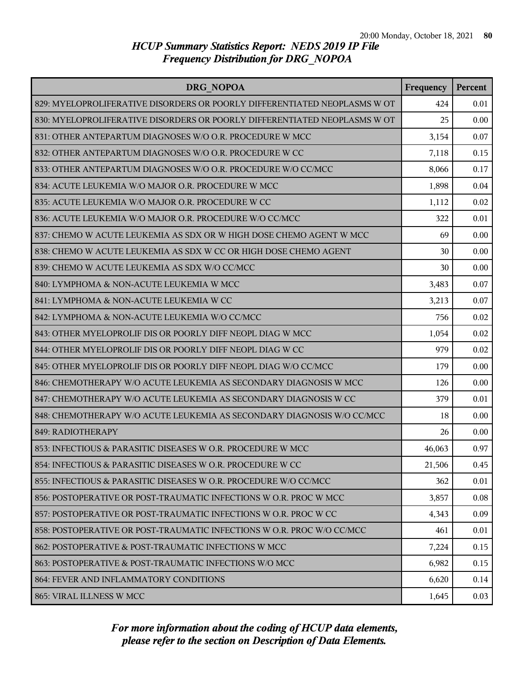| DRG NOPOA                                                                 | Frequency | Percent |
|---------------------------------------------------------------------------|-----------|---------|
| 829: MYELOPROLIFERATIVE DISORDERS OR POORLY DIFFERENTIATED NEOPLASMS W OT | 424       | 0.01    |
| 830: MYELOPROLIFERATIVE DISORDERS OR POORLY DIFFERENTIATED NEOPLASMS W OT | 25        | 0.00    |
| 831: OTHER ANTEPARTUM DIAGNOSES W/O O.R. PROCEDURE W MCC                  | 3,154     | 0.07    |
| 832: OTHER ANTEPARTUM DIAGNOSES W/O O.R. PROCEDURE W CC                   | 7,118     | 0.15    |
| 833: OTHER ANTEPARTUM DIAGNOSES W/O O.R. PROCEDURE W/O CC/MCC             | 8,066     | 0.17    |
| 834: ACUTE LEUKEMIA W/O MAJOR O.R. PROCEDURE W MCC                        | 1,898     | 0.04    |
| 835: ACUTE LEUKEMIA W/O MAJOR O.R. PROCEDURE W CC                         | 1,112     | 0.02    |
| 836: ACUTE LEUKEMIA W/O MAJOR O.R. PROCEDURE W/O CC/MCC                   | 322       | 0.01    |
| 837: CHEMO W ACUTE LEUKEMIA AS SDX OR W HIGH DOSE CHEMO AGENT W MCC       | 69        | 0.00    |
| 838: CHEMO W ACUTE LEUKEMIA AS SDX W CC OR HIGH DOSE CHEMO AGENT          | 30        | 0.00    |
| 839: CHEMO W ACUTE LEUKEMIA AS SDX W/O CC/MCC                             | 30        | 0.00    |
| 840: LYMPHOMA & NON-ACUTE LEUKEMIA W MCC                                  | 3,483     | 0.07    |
| 841: LYMPHOMA & NON-ACUTE LEUKEMIA W CC                                   | 3,213     | 0.07    |
| 842: LYMPHOMA & NON-ACUTE LEUKEMIA W/O CC/MCC                             | 756       | 0.02    |
| 843: OTHER MYELOPROLIF DIS OR POORLY DIFF NEOPL DIAG W MCC                | 1,054     | 0.02    |
| 844: OTHER MYELOPROLIF DIS OR POORLY DIFF NEOPL DIAG W CC                 | 979       | 0.02    |
| 845: OTHER MYELOPROLIF DIS OR POORLY DIFF NEOPL DIAG W/O CC/MCC           | 179       | 0.00    |
| 846: CHEMOTHERAPY W/O ACUTE LEUKEMIA AS SECONDARY DIAGNOSIS W MCC         | 126       | 0.00    |
| 847: CHEMOTHERAPY W/O ACUTE LEUKEMIA AS SECONDARY DIAGNOSIS W CC          | 379       | 0.01    |
| 848: CHEMOTHERAPY W/O ACUTE LEUKEMIA AS SECONDARY DIAGNOSIS W/O CC/MCC    | 18        | 0.00    |
| 849: RADIOTHERAPY                                                         | 26        | 0.00    |
| 853: INFECTIOUS & PARASITIC DISEASES W O.R. PROCEDURE W MCC               | 46,063    | 0.97    |
| 854: INFECTIOUS & PARASITIC DISEASES W O.R. PROCEDURE W CC                | 21,506    | 0.45    |
| 855: INFECTIOUS & PARASITIC DISEASES W O.R. PROCEDURE W/O CC/MCC          | 362       | 0.01    |
| 856: POSTOPERATIVE OR POST-TRAUMATIC INFECTIONS W O.R. PROC W MCC         | 3,857     | 0.08    |
| 857: POSTOPERATIVE OR POST-TRAUMATIC INFECTIONS W O.R. PROC W CC          | 4,343     | 0.09    |
| 858: POSTOPERATIVE OR POST-TRAUMATIC INFECTIONS W O.R. PROC W/O CC/MCC    | 461       | 0.01    |
| 862: POSTOPERATIVE & POST-TRAUMATIC INFECTIONS W MCC                      | 7,224     | 0.15    |
| 863: POSTOPERATIVE & POST-TRAUMATIC INFECTIONS W/O MCC                    | 6,982     | 0.15    |
| 864: FEVER AND INFLAMMATORY CONDITIONS                                    | 6,620     | 0.14    |
| 865: VIRAL ILLNESS W MCC                                                  | 1,645     | 0.03    |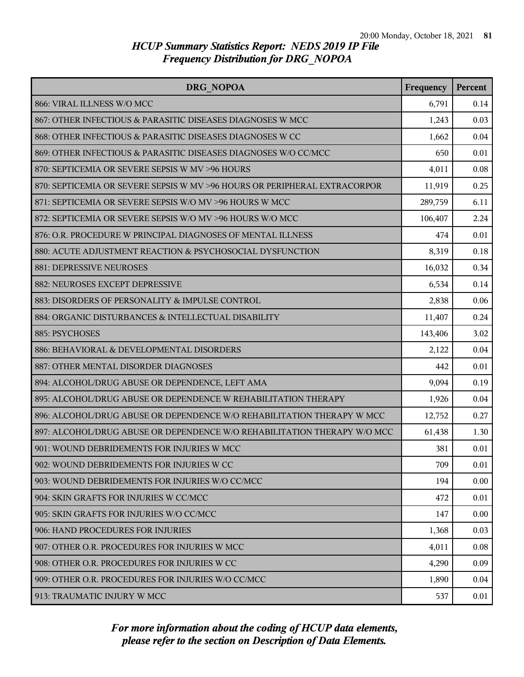| DRG NOPOA                                                                 |         | Percent |
|---------------------------------------------------------------------------|---------|---------|
| 866: VIRAL ILLNESS W/O MCC                                                | 6,791   | 0.14    |
| 867: OTHER INFECTIOUS & PARASITIC DISEASES DIAGNOSES W MCC                | 1,243   | 0.03    |
| 868: OTHER INFECTIOUS & PARASITIC DISEASES DIAGNOSES W CC                 | 1,662   | 0.04    |
| 869: OTHER INFECTIOUS & PARASITIC DISEASES DIAGNOSES W/O CC/MCC           | 650     | 0.01    |
| 870: SEPTICEMIA OR SEVERE SEPSIS W MV >96 HOURS                           | 4,011   | 0.08    |
| 870: SEPTICEMIA OR SEVERE SEPSIS W MV >96 HOURS OR PERIPHERAL EXTRACORPOR | 11,919  | 0.25    |
| 871: SEPTICEMIA OR SEVERE SEPSIS W/O MV >96 HOURS W MCC                   | 289,759 | 6.11    |
| 872: SEPTICEMIA OR SEVERE SEPSIS W/O MV >96 HOURS W/O MCC                 | 106,407 | 2.24    |
| 876: O.R. PROCEDURE W PRINCIPAL DIAGNOSES OF MENTAL ILLNESS               | 474     | 0.01    |
| 880: ACUTE ADJUSTMENT REACTION & PSYCHOSOCIAL DYSFUNCTION                 | 8,319   | 0.18    |
| <b>881: DEPRESSIVE NEUROSES</b>                                           | 16,032  | 0.34    |
| 882: NEUROSES EXCEPT DEPRESSIVE                                           | 6,534   | 0.14    |
| 883: DISORDERS OF PERSONALITY & IMPULSE CONTROL                           | 2,838   | 0.06    |
| 884: ORGANIC DISTURBANCES & INTELLECTUAL DISABILITY                       | 11,407  | 0.24    |
| 885: PSYCHOSES                                                            | 143,406 | 3.02    |
| 886: BEHAVIORAL & DEVELOPMENTAL DISORDERS                                 | 2,122   | 0.04    |
| 887: OTHER MENTAL DISORDER DIAGNOSES                                      | 442     | 0.01    |
| 894: ALCOHOL/DRUG ABUSE OR DEPENDENCE, LEFT AMA                           | 9,094   | 0.19    |
| 895: ALCOHOL/DRUG ABUSE OR DEPENDENCE W REHABILITATION THERAPY            | 1,926   | 0.04    |
| 896: ALCOHOL/DRUG ABUSE OR DEPENDENCE W/O REHABILITATION THERAPY W MCC    | 12,752  | 0.27    |
| 897: ALCOHOL/DRUG ABUSE OR DEPENDENCE W/O REHABILITATION THERAPY W/O MCC  | 61,438  | 1.30    |
| 901: WOUND DEBRIDEMENTS FOR INJURIES W MCC                                | 381     | 0.01    |
| 902: WOUND DEBRIDEMENTS FOR INJURIES W CC                                 | 709     | 0.01    |
| 903: WOUND DEBRIDEMENTS FOR INJURIES W/O CC/MCC                           | 194     | 0.00    |
| 904: SKIN GRAFTS FOR INJURIES W CC/MCC                                    | 472     | 0.01    |
| 905: SKIN GRAFTS FOR INJURIES W/O CC/MCC                                  | 147     | 0.00    |
| 906: HAND PROCEDURES FOR INJURIES                                         | 1,368   | 0.03    |
| 907: OTHER O.R. PROCEDURES FOR INJURIES W MCC                             | 4,011   | 0.08    |
| 908: OTHER O.R. PROCEDURES FOR INJURIES W CC                              | 4,290   | 0.09    |
| 909: OTHER O.R. PROCEDURES FOR INJURIES W/O CC/MCC                        | 1,890   | 0.04    |
| 913: TRAUMATIC INJURY W MCC                                               | 537     | 0.01    |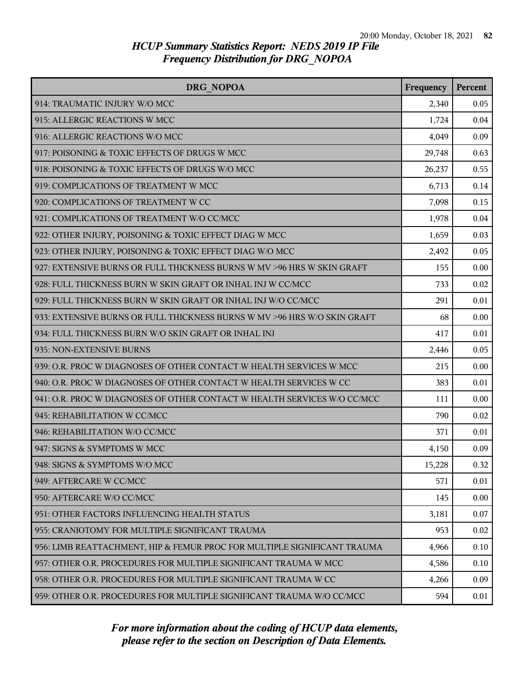| DRG NOPOA                                                                |        | Percent |
|--------------------------------------------------------------------------|--------|---------|
| 914: TRAUMATIC INJURY W/O MCC                                            | 2,340  | 0.05    |
| 915: ALLERGIC REACTIONS W MCC                                            | 1,724  | 0.04    |
| 916: ALLERGIC REACTIONS W/O MCC                                          | 4,049  | 0.09    |
| 917: POISONING & TOXIC EFFECTS OF DRUGS W MCC                            | 29,748 | 0.63    |
| 918: POISONING & TOXIC EFFECTS OF DRUGS W/O MCC                          | 26,237 | 0.55    |
| 919: COMPLICATIONS OF TREATMENT W MCC                                    | 6,713  | 0.14    |
| 920: COMPLICATIONS OF TREATMENT W CC                                     | 7,098  | 0.15    |
| 921: COMPLICATIONS OF TREATMENT W/O CC/MCC                               | 1,978  | 0.04    |
| 922: OTHER INJURY, POISONING & TOXIC EFFECT DIAG W MCC                   | 1,659  | 0.03    |
| 923: OTHER INJURY, POISONING & TOXIC EFFECT DIAG W/O MCC                 | 2,492  | 0.05    |
| 927: EXTENSIVE BURNS OR FULL THICKNESS BURNS W MV >96 HRS W SKIN GRAFT   | 155    | 0.00    |
| 928: FULL THICKNESS BURN W SKIN GRAFT OR INHAL INJ W CC/MCC              | 733    | 0.02    |
| 929: FULL THICKNESS BURN W SKIN GRAFT OR INHAL INJ W/O CC/MCC            | 291    | 0.01    |
| 933: EXTENSIVE BURNS OR FULL THICKNESS BURNS W MV >96 HRS W/O SKIN GRAFT | 68     | 0.00    |
| 934: FULL THICKNESS BURN W/O SKIN GRAFT OR INHAL INJ                     | 417    | 0.01    |
| 935: NON-EXTENSIVE BURNS                                                 | 2,446  | 0.05    |
| 939: O.R. PROC W DIAGNOSES OF OTHER CONTACT W HEALTH SERVICES W MCC      | 215    | 0.00    |
| 940: O.R. PROC W DIAGNOSES OF OTHER CONTACT W HEALTH SERVICES W CC       | 383    | 0.01    |
| 941: O.R. PROC W DIAGNOSES OF OTHER CONTACT W HEALTH SERVICES W/O CC/MCC | 111    | 0.00    |
| 945: REHABILITATION W CC/MCC                                             | 790    | 0.02    |
| 946: REHABILITATION W/O CC/MCC                                           | 371    | 0.01    |
| 947: SIGNS & SYMPTOMS W MCC                                              | 4,150  | 0.09    |
| 948: SIGNS & SYMPTOMS W/O MCC                                            | 15,228 | 0.32    |
| 949: AFTERCARE W CC/MCC                                                  | 571    | 0.01    |
| 950: AFTERCARE W/O CC/MCC                                                | 145    | 0.00    |
| 951: OTHER FACTORS INFLUENCING HEALTH STATUS                             | 3,181  | 0.07    |
| 955: CRANIOTOMY FOR MULTIPLE SIGNIFICANT TRAUMA                          | 953    | 0.02    |
| 956: LIMB REATTACHMENT, HIP & FEMUR PROC FOR MULTIPLE SIGNIFICANT TRAUMA | 4,966  | 0.10    |
| 957: OTHER O.R. PROCEDURES FOR MULTIPLE SIGNIFICANT TRAUMA W MCC         | 4,586  | 0.10    |
| 958: OTHER O.R. PROCEDURES FOR MULTIPLE SIGNIFICANT TRAUMA W CC          | 4,266  | 0.09    |
| 959: OTHER O.R. PROCEDURES FOR MULTIPLE SIGNIFICANT TRAUMA W/O CC/MCC    | 594    | 0.01    |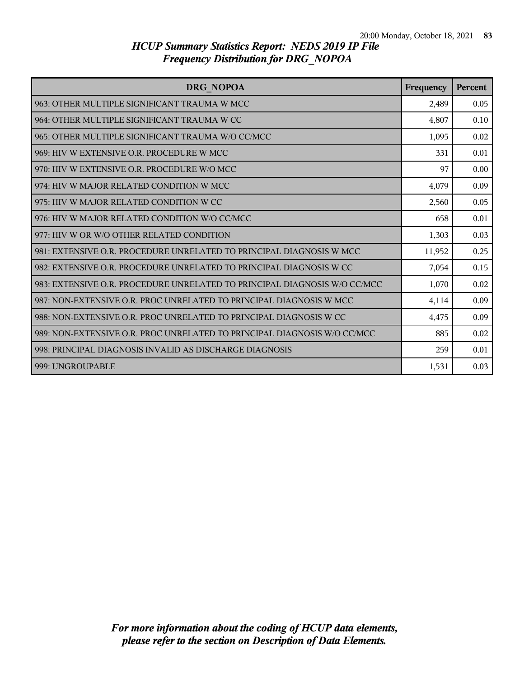| DRG NOPOA                                                                 | Frequency | Percent |
|---------------------------------------------------------------------------|-----------|---------|
| 963: OTHER MULTIPLE SIGNIFICANT TRAUMA W MCC                              | 2,489     | 0.05    |
| 964: OTHER MULTIPLE SIGNIFICANT TRAUMA W CC                               | 4,807     | 0.10    |
| 965: OTHER MULTIPLE SIGNIFICANT TRAUMA W/O CC/MCC                         | 1,095     | 0.02    |
| 969: HIV W EXTENSIVE O.R. PROCEDURE W MCC                                 | 331       | 0.01    |
| l 970: HIV W EXTENSIVE O.R. PROCEDURE W/O MCC                             | 97        | 0.00    |
| 974: HIV W MAJOR RELATED CONDITION W MCC                                  | 4,079     | 0.09    |
| 975: HIV W MAJOR RELATED CONDITION W CC                                   | 2,560     | 0.05    |
| 976: HIV W MAJOR RELATED CONDITION W/O CC/MCC                             | 658       | 0.01    |
| 977: HIV W OR W/O OTHER RELATED CONDITION                                 | 1,303     | 0.03    |
| 981: EXTENSIVE O.R. PROCEDURE UNRELATED TO PRINCIPAL DIAGNOSIS W MCC      | 11,952    | 0.25    |
| 982: EXTENSIVE O.R. PROCEDURE UNRELATED TO PRINCIPAL DIAGNOSIS W CC       | 7,054     | 0.15    |
| 983: EXTENSIVE O.R. PROCEDURE UNRELATED TO PRINCIPAL DIAGNOSIS W/O CC/MCC | 1,070     | 0.02    |
| 987: NON-EXTENSIVE O.R. PROC UNRELATED TO PRINCIPAL DIAGNOSIS W MCC       | 4,114     | 0.09    |
| 988: NON-EXTENSIVE O.R. PROC UNRELATED TO PRINCIPAL DIAGNOSIS W CC        | 4,475     | 0.09    |
| 989: NON-EXTENSIVE O.R. PROC UNRELATED TO PRINCIPAL DIAGNOSIS W/O CC/MCC  | 885       | 0.02    |
| 998: PRINCIPAL DIAGNOSIS INVALID AS DISCHARGE DIAGNOSIS                   | 259       | 0.01    |
| 999: UNGROUPABLE                                                          | 1,531     | 0.03    |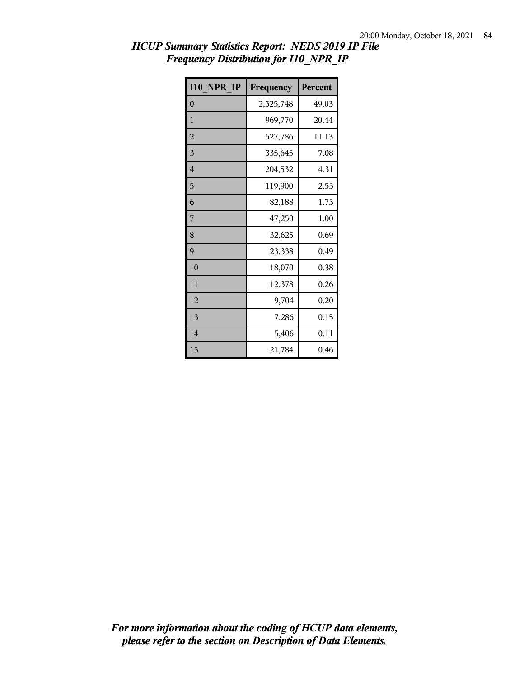| <b>I10 NPR IP</b> | Frequency | Percent |
|-------------------|-----------|---------|
| $\overline{0}$    | 2,325,748 | 49.03   |
| 1                 | 969,770   | 20.44   |
| $\overline{2}$    | 527,786   | 11.13   |
| 3                 | 335,645   | 7.08    |
| $\overline{4}$    | 204,532   | 4.31    |
| 5                 | 119,900   | 2.53    |
| 6                 | 82,188    | 1.73    |
| 7                 | 47,250    | 1.00    |
| 8                 | 32,625    | 0.69    |
| 9                 | 23,338    | 0.49    |
| 10                | 18,070    | 0.38    |
| 11                | 12,378    | 0.26    |
| 12                | 9,704     | 0.20    |
| 13                | 7,286     | 0.15    |
| 14                | 5,406     | 0.11    |
| 15                | 21,784    | 0.46    |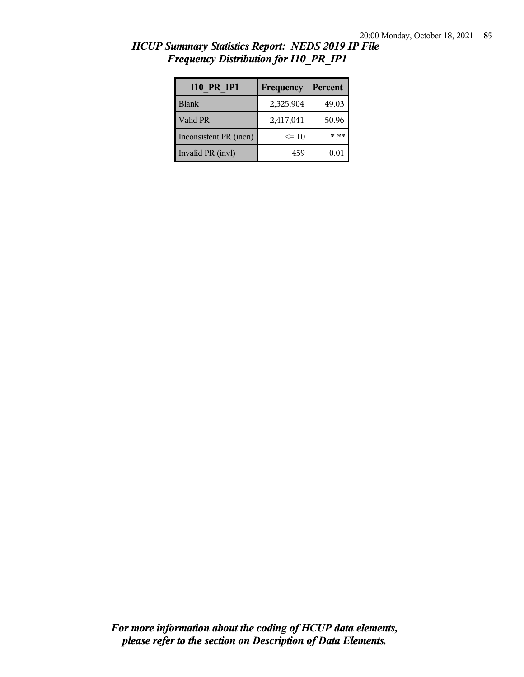| <b>I10 PR IP1</b>      | Frequency | Percent  |
|------------------------|-----------|----------|
| <b>Blank</b>           | 2,325,904 | 49.03    |
| Valid PR               | 2,417,041 | 50.96    |
| Inconsistent PR (incn) | $\leq 10$ | * **     |
| Invalid PR (invl)      | 459       | $0.01\,$ |

*HCUP Summary Statistics Report: NEDS 2019 IP File Frequency Distribution for I10\_PR\_IP1*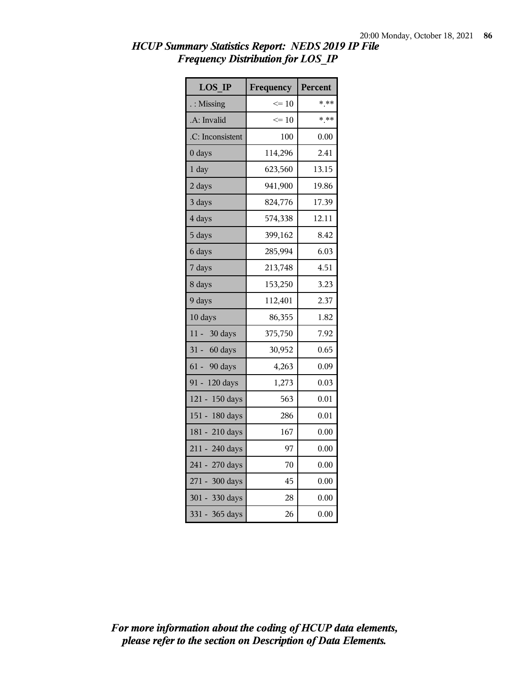| <b>LOS IP</b>        | Frequency | Percent |
|----------------------|-----------|---------|
| $\therefore$ Missing | $\leq 10$ | $***$   |
| .A: Invalid          | $\leq 10$ | $* * *$ |
| .C: Inconsistent     | 100       | 0.00    |
| 0 days               | 114,296   | 2.41    |
| 1 day                | 623,560   | 13.15   |
| 2 days               | 941,900   | 19.86   |
| 3 days               | 824,776   | 17.39   |
| 4 days               | 574,338   | 12.11   |
| 5 days               | 399,162   | 8.42    |
| 6 days               | 285,994   | 6.03    |
| 7 days               | 213,748   | 4.51    |
| 8 days               | 153,250   | 3.23    |
| 9 days               | 112,401   | 2.37    |
| 10 days              | 86,355    | 1.82    |
| 11 - 30 days         | 375,750   | 7.92    |
| 31 - 60 days         | 30,952    | 0.65    |
| 61 - 90 days         | 4,263     | 0.09    |
| 91 - 120 days        | 1,273     | 0.03    |
| 121 - 150 days       | 563       | 0.01    |
| 151 - 180 days       | 286       | 0.01    |
| 181 - 210 days       | 167       | 0.00    |
| 211 - 240 days       | 97        | 0.00    |
| 241 - 270 days       | 70        | 0.00    |
| 271 - 300 days       | 45        | 0.00    |
| 301 - 330 days       | 28        | 0.00    |
| 331 - 365 days       | 26        | 0.00    |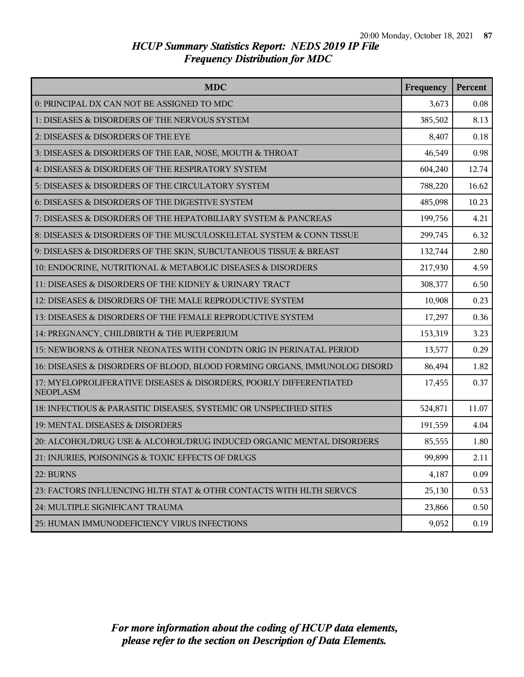| <b>MDC</b>                                                                            | Frequency | Percent |
|---------------------------------------------------------------------------------------|-----------|---------|
| 0: PRINCIPAL DX CAN NOT BE ASSIGNED TO MDC                                            | 3,673     | 0.08    |
| 1: DISEASES & DISORDERS OF THE NERVOUS SYSTEM                                         | 385,502   | 8.13    |
| 2: DISEASES & DISORDERS OF THE EYE                                                    | 8,407     | 0.18    |
| 3: DISEASES & DISORDERS OF THE EAR, NOSE, MOUTH & THROAT                              | 46,549    | 0.98    |
| 4: DISEASES & DISORDERS OF THE RESPIRATORY SYSTEM                                     | 604,240   | 12.74   |
| 5: DISEASES & DISORDERS OF THE CIRCULATORY SYSTEM                                     | 788,220   | 16.62   |
| 6: DISEASES & DISORDERS OF THE DIGESTIVE SYSTEM                                       | 485,098   | 10.23   |
| 7: DISEASES & DISORDERS OF THE HEPATOBILIARY SYSTEM & PANCREAS                        | 199,756   | 4.21    |
| 8: DISEASES & DISORDERS OF THE MUSCULOSKELETAL SYSTEM & CONN TISSUE                   | 299,745   | 6.32    |
| 9: DISEASES & DISORDERS OF THE SKIN, SUBCUTANEOUS TISSUE & BREAST                     | 132,744   | 2.80    |
| 10: ENDOCRINE, NUTRITIONAL & METABOLIC DISEASES & DISORDERS                           | 217,930   | 4.59    |
| 11: DISEASES & DISORDERS OF THE KIDNEY & URINARY TRACT                                | 308,377   | 6.50    |
| 12: DISEASES & DISORDERS OF THE MALE REPRODUCTIVE SYSTEM                              | 10,908    | 0.23    |
| 13: DISEASES & DISORDERS OF THE FEMALE REPRODUCTIVE SYSTEM                            | 17,297    | 0.36    |
| 14: PREGNANCY, CHILDBIRTH & THE PUERPERIUM                                            | 153,319   | 3.23    |
| 15: NEWBORNS & OTHER NEONATES WITH CONDTN ORIG IN PERINATAL PERIOD                    | 13,577    | 0.29    |
| 16: DISEASES & DISORDERS OF BLOOD, BLOOD FORMING ORGANS, IMMUNOLOG DISORD             | 86,494    | 1.82    |
| 17: MYELOPROLIFERATIVE DISEASES & DISORDERS, POORLY DIFFERENTIATED<br><b>NEOPLASM</b> | 17,455    | 0.37    |
| 18: INFECTIOUS & PARASITIC DISEASES, SYSTEMIC OR UNSPECIFIED SITES                    | 524,871   | 11.07   |
| 19: MENTAL DISEASES & DISORDERS                                                       | 191,559   | 4.04    |
| 20: ALCOHOL/DRUG USE & ALCOHOL/DRUG INDUCED ORGANIC MENTAL DISORDERS                  | 85,555    | 1.80    |
| 21: INJURIES, POISONINGS & TOXIC EFFECTS OF DRUGS                                     | 99,899    | 2.11    |
| 22: BURNS                                                                             | 4,187     | 0.09    |
| 23: FACTORS INFLUENCING HLTH STAT & OTHR CONTACTS WITH HLTH SERVCS                    | 25,130    | 0.53    |
| 24: MULTIPLE SIGNIFICANT TRAUMA                                                       | 23,866    | 0.50    |
| 25: HUMAN IMMUNODEFICIENCY VIRUS INFECTIONS                                           | 9,052     | 0.19    |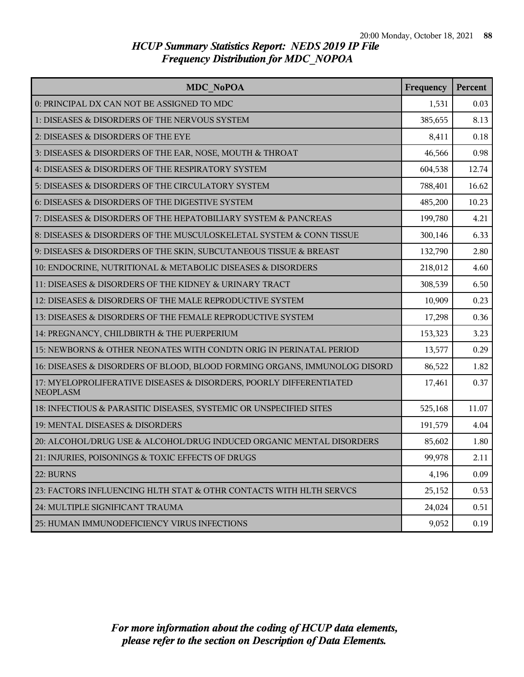| MDC NoPOA                                                                             | Frequency | Percent |
|---------------------------------------------------------------------------------------|-----------|---------|
| 0: PRINCIPAL DX CAN NOT BE ASSIGNED TO MDC                                            | 1,531     | 0.03    |
| 1: DISEASES & DISORDERS OF THE NERVOUS SYSTEM                                         | 385,655   | 8.13    |
| 2: DISEASES & DISORDERS OF THE EYE                                                    | 8,411     | 0.18    |
| 3: DISEASES & DISORDERS OF THE EAR, NOSE, MOUTH & THROAT                              | 46,566    | 0.98    |
| 4: DISEASES & DISORDERS OF THE RESPIRATORY SYSTEM                                     | 604,538   | 12.74   |
| 5: DISEASES & DISORDERS OF THE CIRCULATORY SYSTEM                                     | 788,401   | 16.62   |
| 6: DISEASES & DISORDERS OF THE DIGESTIVE SYSTEM                                       | 485,200   | 10.23   |
| 7: DISEASES & DISORDERS OF THE HEPATOBILIARY SYSTEM & PANCREAS                        | 199,780   | 4.21    |
| 8: DISEASES & DISORDERS OF THE MUSCULOSKELETAL SYSTEM & CONN TISSUE                   | 300,146   | 6.33    |
| 9: DISEASES & DISORDERS OF THE SKIN, SUBCUTANEOUS TISSUE & BREAST                     | 132,790   | 2.80    |
| 10: ENDOCRINE, NUTRITIONAL & METABOLIC DISEASES & DISORDERS                           | 218,012   | 4.60    |
| 11: DISEASES & DISORDERS OF THE KIDNEY & URINARY TRACT                                | 308,539   | 6.50    |
| 12: DISEASES & DISORDERS OF THE MALE REPRODUCTIVE SYSTEM                              | 10,909    | 0.23    |
| 13: DISEASES & DISORDERS OF THE FEMALE REPRODUCTIVE SYSTEM                            | 17,298    | 0.36    |
| 14: PREGNANCY, CHILDBIRTH & THE PUERPERIUM                                            | 153,323   | 3.23    |
| 15: NEWBORNS & OTHER NEONATES WITH CONDTN ORIG IN PERINATAL PERIOD                    | 13,577    | 0.29    |
| 16: DISEASES & DISORDERS OF BLOOD, BLOOD FORMING ORGANS, IMMUNOLOG DISORD             | 86,522    | 1.82    |
| 17: MYELOPROLIFERATIVE DISEASES & DISORDERS, POORLY DIFFERENTIATED<br><b>NEOPLASM</b> | 17,461    | 0.37    |
| 18: INFECTIOUS & PARASITIC DISEASES, SYSTEMIC OR UNSPECIFIED SITES                    | 525,168   | 11.07   |
| 19: MENTAL DISEASES & DISORDERS                                                       | 191,579   | 4.04    |
| 20: ALCOHOL/DRUG USE & ALCOHOL/DRUG INDUCED ORGANIC MENTAL DISORDERS                  | 85,602    | 1.80    |
| 21: INJURIES, POISONINGS & TOXIC EFFECTS OF DRUGS                                     | 99,978    | 2.11    |
| 22: BURNS                                                                             | 4,196     | 0.09    |
| 23: FACTORS INFLUENCING HLTH STAT & OTHR CONTACTS WITH HLTH SERVCS                    | 25,152    | 0.53    |
| 24: MULTIPLE SIGNIFICANT TRAUMA                                                       | 24,024    | 0.51    |
| 25: HUMAN IMMUNODEFICIENCY VIRUS INFECTIONS                                           | 9,052     | 0.19    |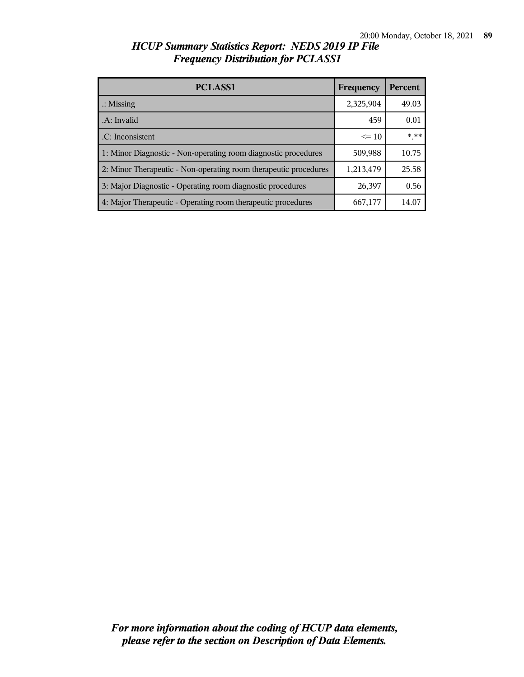| <b>PCLASS1</b>                                                   | Frequency | Percent |
|------------------------------------------------------------------|-----------|---------|
| $\therefore$ Missing                                             | 2,325,904 | 49.03   |
| .A: Invalid                                                      | 459       | 0.01    |
| .C: Inconsistent                                                 | $\leq 10$ | * **    |
| 1: Minor Diagnostic - Non-operating room diagnostic procedures   | 509,988   | 10.75   |
| 2: Minor Therapeutic - Non-operating room therapeutic procedures | 1,213,479 | 25.58   |
| 3: Major Diagnostic - Operating room diagnostic procedures       | 26,397    | 0.56    |
| 4: Major Therapeutic - Operating room therapeutic procedures     | 667,177   | 14.07   |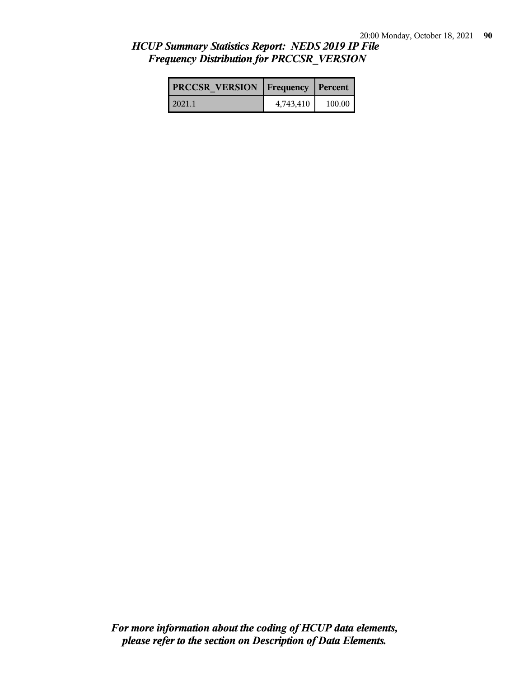| <b>PRCCSR VERSION</b>   Frequency   Percent |           |          |
|---------------------------------------------|-----------|----------|
| 2021.1                                      | 4,743,410 | 100.00 l |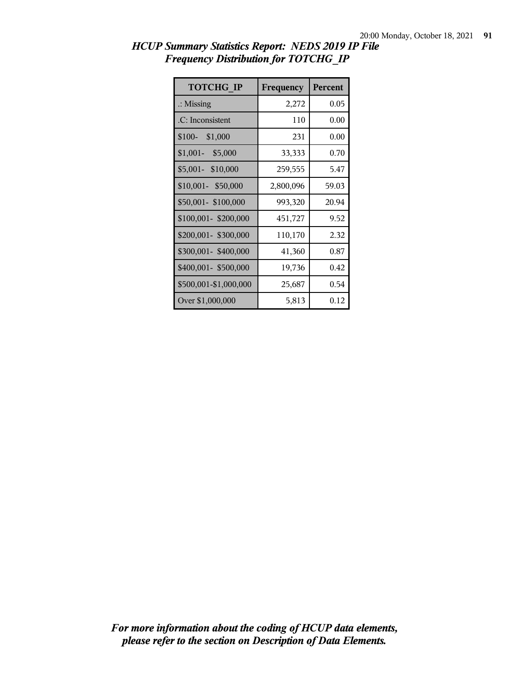| <b>TOTCHG IP</b>      | Frequency | <b>Percent</b> |
|-----------------------|-----------|----------------|
| $\therefore$ Missing  | 2,272     | 0.05           |
| .C: Inconsistent      | 110       | 0.00           |
| $$100-$<br>\$1,000    | 231       | 0.00           |
| $$1,001-$<br>\$5,000  | 33,333    | 0.70           |
| \$5,001- \$10,000     | 259,555   | 5.47           |
| \$10,001- \$50,000    | 2,800,096 | 59.03          |
| \$50,001-\$100,000    | 993,320   | 20.94          |
| \$100,001-\$200,000   | 451,727   | 9.52           |
| \$200,001- \$300,000  | 110,170   | 2.32           |
| \$300,001-\$400,000   | 41,360    | 0.87           |
| \$400,001- \$500,000  | 19,736    | 0.42           |
| \$500,001-\$1,000,000 | 25,687    | 0.54           |
| Over \$1,000,000      | 5,813     | 0.12           |

*HCUP Summary Statistics Report: NEDS 2019 IP File Frequency Distribution for TOTCHG\_IP*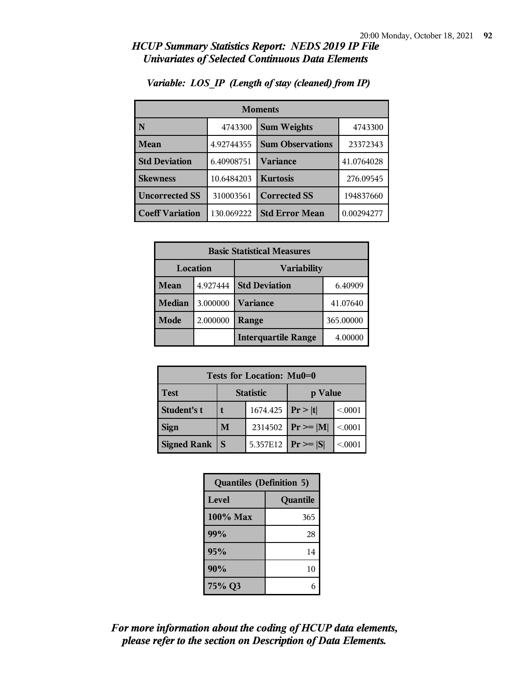| <b>Moments</b>         |            |                         |            |
|------------------------|------------|-------------------------|------------|
| N                      | 4743300    | <b>Sum Weights</b>      | 4743300    |
| Mean                   | 4.92744355 | <b>Sum Observations</b> | 23372343   |
| <b>Std Deviation</b>   | 6.40908751 | Variance                | 41.0764028 |
| <b>Skewness</b>        | 10.6484203 | <b>Kurtosis</b>         | 276.09545  |
| <b>Uncorrected SS</b>  | 310003561  | <b>Corrected SS</b>     | 194837660  |
| <b>Coeff Variation</b> | 130.069222 | <b>Std Error Mean</b>   | 0.00294277 |

### *Variable: LOS\_IP (Length of stay (cleaned) from IP)*

| <b>Basic Statistical Measures</b> |          |                            |           |
|-----------------------------------|----------|----------------------------|-----------|
| Location<br><b>Variability</b>    |          |                            |           |
| Mean                              | 4.927444 | <b>Std Deviation</b>       | 6.40909   |
| <b>Median</b>                     | 3.000000 | <b>Variance</b>            | 41.07640  |
| Mode                              | 2.000000 | Range                      | 365.00000 |
|                                   |          | <b>Interquartile Range</b> | 4.00000   |

| Tests for Location: Mu0=0 |                             |                         |               |         |
|---------------------------|-----------------------------|-------------------------|---------------|---------|
| <b>Test</b>               | <b>Statistic</b><br>p Value |                         |               |         |
| Student's t               |                             | 1674.425   $Pr >  t $   |               | < .0001 |
| <b>Sign</b>               | M                           | 2314502                 | $Pr \geq  M $ | < 0.001 |
| <b>Signed Rank</b>        | S                           | 5.357E12   $Pr \ge  S $ |               | < 0001  |

| <b>Quantiles (Definition 5)</b> |          |  |
|---------------------------------|----------|--|
| Level                           | Quantile |  |
| $100\%$ Max                     | 365      |  |
| 99%                             | 28       |  |
| 95%                             | 14       |  |
| 90%                             | 10       |  |
| 75% Q3                          | 6        |  |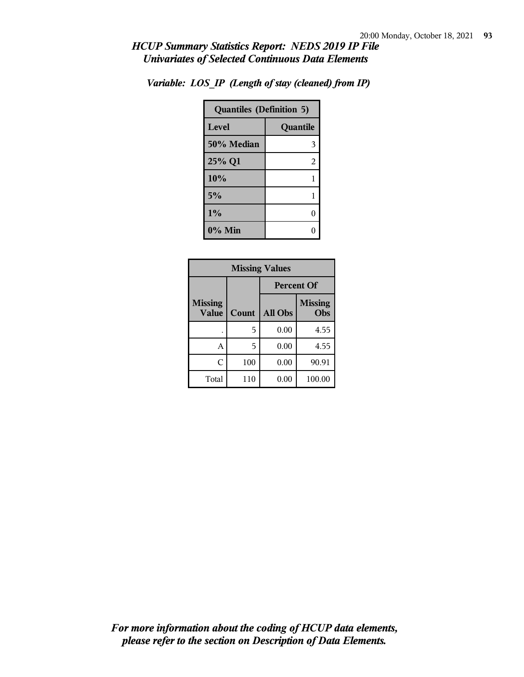| <b>Quantiles (Definition 5)</b> |          |  |
|---------------------------------|----------|--|
| Level                           | Quantile |  |
| 50% Median                      | 3        |  |
| 25% Q1                          | 2        |  |
| 10%                             | 1        |  |
| 5%                              | 1        |  |
| 1%                              | 0        |  |
| $0\%$ Min                       |          |  |

*Variable: LOS\_IP (Length of stay (cleaned) from IP)*

| <b>Missing Values</b>   |       |                   |                       |
|-------------------------|-------|-------------------|-----------------------|
|                         |       | <b>Percent Of</b> |                       |
| <b>Missing</b><br>Value | Count | All Obs           | <b>Missing</b><br>Obs |
|                         | 5     | 0.00              | 4.55                  |
| А                       | 5     | 0.00              | 4.55                  |
| C                       | 100   | 0.00              | 90.91                 |
| Total                   | 110   | 0.00              | 100.00                |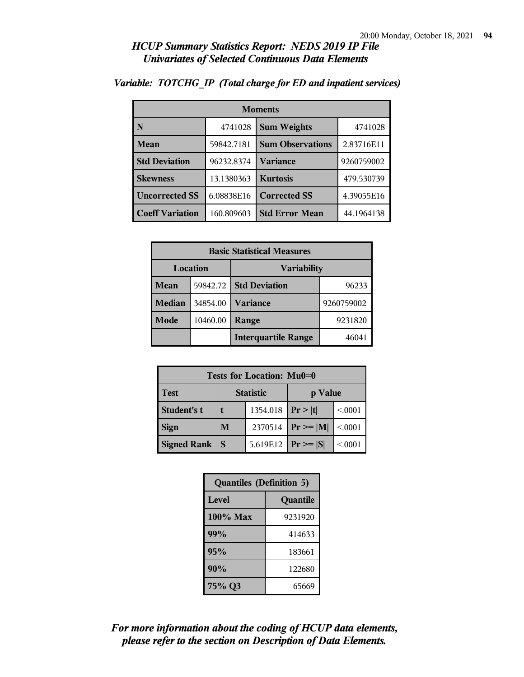| <b>Moments</b>         |            |                         |            |
|------------------------|------------|-------------------------|------------|
| N                      | 4741028    | <b>Sum Weights</b>      | 4741028    |
| Mean                   | 59842.7181 | <b>Sum Observations</b> | 2.83716E11 |
| <b>Std Deviation</b>   | 96232.8374 | <b>Variance</b>         | 9260759002 |
| <b>Skewness</b>        | 13.1380363 | <b>Kurtosis</b>         | 479.530739 |
| <b>Uncorrected SS</b>  | 6.08838E16 | <b>Corrected SS</b>     | 4.39055E16 |
| <b>Coeff Variation</b> | 160.809603 | <b>Std Error Mean</b>   | 44.1964138 |

### *Variable: TOTCHG\_IP (Total charge for ED and inpatient services)*

| <b>Basic Statistical Measures</b> |          |                            |            |  |
|-----------------------------------|----------|----------------------------|------------|--|
| <b>Location</b>                   |          | <b>Variability</b>         |            |  |
| Mean                              | 59842.72 | <b>Std Deviation</b>       | 96233      |  |
| <b>Median</b>                     | 34854.00 | <b>Variance</b>            | 9260759002 |  |
| Mode                              | 10460.00 | Range                      | 9231820    |  |
|                                   |          | <b>Interquartile Range</b> | 46041      |  |

| Tests for Location: Mu0=0 |                  |                             |               |         |
|---------------------------|------------------|-----------------------------|---------------|---------|
| <b>Test</b>               | <b>Statistic</b> |                             | p Value       |         |
| Student's t               |                  | 1354.018   $Pr >  t $       |               | < 0.001 |
| <b>Sign</b>               | M                | 2370514                     | $Pr \geq  M $ | < .0001 |
| <b>Signed Rank</b>        | S                | 5.619E12 <b>Pr</b> >= $ S $ |               | < .0001 |

| <b>Quantiles (Definition 5)</b> |          |
|---------------------------------|----------|
| Level                           | Quantile |
| $100\%$ Max                     | 9231920  |
| 99%                             | 414633   |
| 95%                             | 183661   |
| 90%                             | 122680   |
| 75% Q3                          | 65669    |